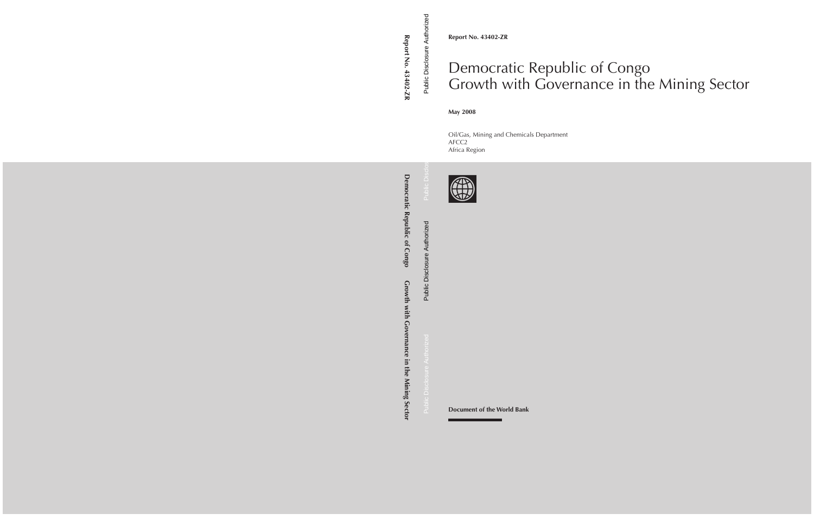**Report No. 43402-ZR**

# Democratic Republic of Congo Growth with Governance in the Mining Sector

#### **May 2008**

Oil/Gas, Mining and Chemicals Department AFCC2 Africa Region



**Document of the World Bank**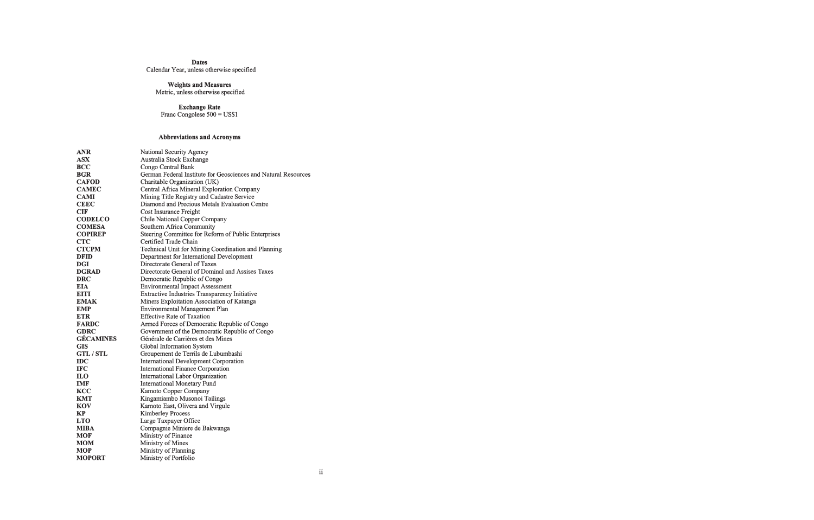#### **Dates**

Calendar Year, unless otherwise specified

### **Weights and Measures**

Metric, unless otherwise specified

**Exchange Rate**<br>Franc Congolese 500 = US\$1

### **Abbreviations and Acronyms**

| <b>ANR</b>       | National Security Agency                                       |
|------------------|----------------------------------------------------------------|
| <b>ASX</b>       | Australia Stock Exchange                                       |
| <b>BCC</b>       | Congo Central Bank                                             |
| <b>BGR</b>       | German Federal Institute for Geosciences and Natural Resources |
| <b>CAFOD</b>     | Charitable Organization (UK)                                   |
| <b>CAMEC</b>     | Central Africa Mineral Exploration Company                     |
| <b>CAMI</b>      | Mining Title Registry and Cadastre Service                     |
| <b>CEEC</b>      | Diamond and Precious Metals Evaluation Centre                  |
| <b>CIF</b>       | Cost Insurance Freight                                         |
| <b>CODELCO</b>   | Chile National Copper Company                                  |
| <b>COMESA</b>    | Southern Africa Community                                      |
| <b>COPIREP</b>   | Steering Committee for Reform of Public Enterprises            |
| <b>CTC</b>       | Certified Trade Chain                                          |
| <b>CTCPM</b>     | Technical Unit for Mining Coordination and Planning            |
| <b>DFID</b>      | Department for International Development                       |
| <b>DGI</b>       | Directorate General of Taxes                                   |
| <b>DGRAD</b>     | Directorate General of Dominal and Assises Taxes               |
| <b>DRC</b>       | Democratic Republic of Congo                                   |
| <b>EIA</b>       | <b>Environmental Impact Assessment</b>                         |
| <b>EITI</b>      | <b>Extractive Industries Transparency Initiative</b>           |
| <b>EMAK</b>      | Miners Exploitation Association of Katanga                     |
| <b>EMP</b>       | <b>Environmental Management Plan</b>                           |
| <b>ETR</b>       | <b>Effective Rate of Taxation</b>                              |
| <b>FARDC</b>     | Armed Forces of Democratic Republic of Congo                   |
| <b>GDRC</b>      | Government of the Democratic Republic of Congo                 |
| <b>GÉCAMINES</b> | Générale de Carrières et des Mines                             |
| <b>GIS</b>       | Global Information System                                      |
| <b>GTL/STL</b>   | Groupement de Terrils de Lubumbashi                            |
| <b>IDC</b>       | <b>International Development Corporation</b>                   |
| <b>IFC</b>       | <b>International Finance Corporation</b>                       |
| <b>ILO</b>       | International Labor Organization                               |
| <b>IMF</b>       | <b>International Monetary Fund</b>                             |
| <b>KCC</b>       | Kamoto Copper Company                                          |
| <b>KMT</b>       | Kingamiambo Musonoi Tailings                                   |
| KOV              | Kamoto East, Olivera and Virgule                               |
| KP               | <b>Kimberley Process</b>                                       |
| <b>LTO</b>       | Large Taxpayer Office                                          |
| <b>MIBA</b>      | Compagnie Miniere de Bakwanga                                  |
| <b>MOF</b>       | Ministry of Finance                                            |
| <b>MOM</b>       | Ministry of Mines                                              |
| <b>MOP</b>       | Ministry of Planning                                           |
| <b>MOPORT</b>    | Ministry of Portfolio                                          |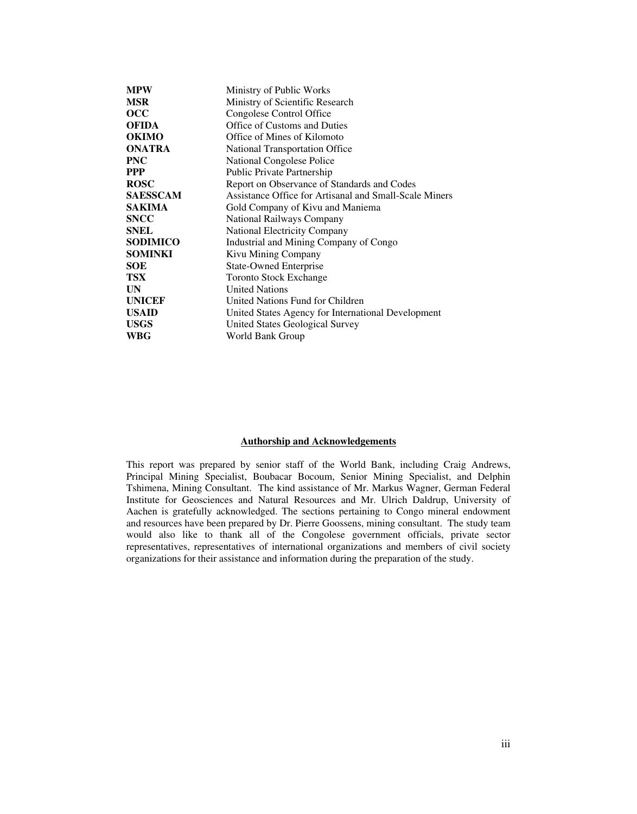| <b>MPW</b>      | Ministry of Public Works                               |
|-----------------|--------------------------------------------------------|
| <b>MSR</b>      | Ministry of Scientific Research                        |
| occ             | Congolese Control Office                               |
| <b>OFIDA</b>    | Office of Customs and Duties                           |
| <b>OKIMO</b>    | Office of Mines of Kilomoto                            |
| <b>ONATRA</b>   | National Transportation Office                         |
| <b>PNC</b>      | <b>National Congolese Police</b>                       |
| <b>PPP</b>      | Public Private Partnership                             |
| <b>ROSC</b>     | Report on Observance of Standards and Codes            |
| <b>SAESSCAM</b> | Assistance Office for Artisanal and Small-Scale Miners |
| <b>SAKIMA</b>   | Gold Company of Kivu and Maniema                       |
| <b>SNCC</b>     | National Railways Company                              |
| <b>SNEL</b>     | <b>National Electricity Company</b>                    |
| <b>SODIMICO</b> | Industrial and Mining Company of Congo                 |
| <b>SOMINKI</b>  | Kivu Mining Company                                    |
| <b>SOE</b>      | <b>State-Owned Enterprise</b>                          |
| <b>TSX</b>      | <b>Toronto Stock Exchange</b>                          |
| <b>UN</b>       | <b>United Nations</b>                                  |
| <b>UNICEF</b>   | United Nations Fund for Children                       |
| <b>USAID</b>    | United States Agency for International Development     |
| <b>USGS</b>     | United States Geological Survey                        |
| WBG             | World Bank Group                                       |

#### **Authorship and Acknowledgements**

This report was prepared by senior staff of the World Bank, including Craig Andrews, Principal Mining Specialist, Boubacar Bocoum, Senior Mining Specialist, and Delphin Tshimena, Mining Consultant. The kind assistance of Mr. Markus Wagner, German Federal Institute for Geosciences and Natural Resources and Mr. Ulrich Daldrup, University of Aachen is gratefully acknowledged. The sections pertaining to Congo mineral endowment and resources have been prepared by Dr. Pierre Goossens, mining consultant. The study team would also like to thank all of the Congolese government officials, private sector representatives, representatives of international organizations and members of civil society organizations for their assistance and information during the preparation of the study.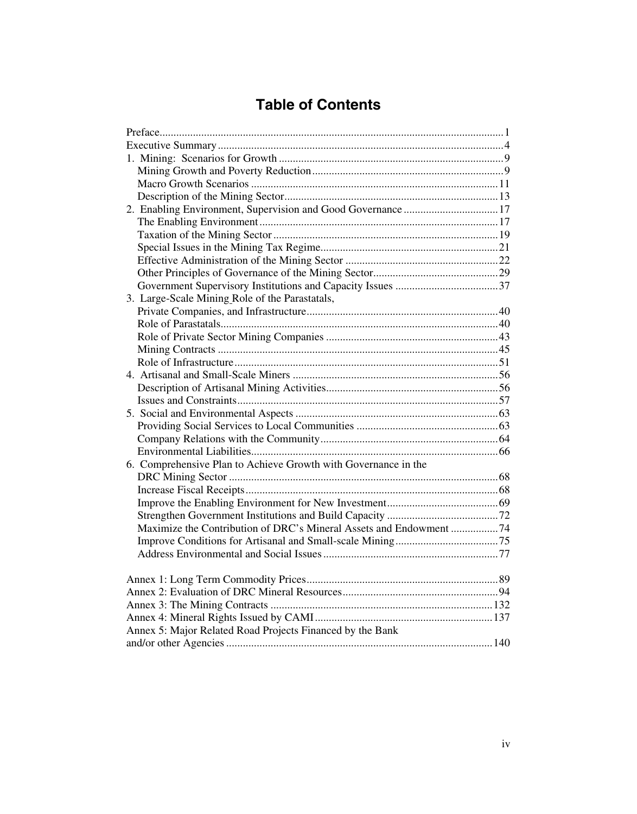## **Table of Contents**

| 2. Enabling Environment, Supervision and Good Governance17          |  |
|---------------------------------------------------------------------|--|
|                                                                     |  |
|                                                                     |  |
|                                                                     |  |
|                                                                     |  |
|                                                                     |  |
|                                                                     |  |
| 3. Large-Scale Mining Role of the Parastatals,                      |  |
|                                                                     |  |
|                                                                     |  |
|                                                                     |  |
|                                                                     |  |
|                                                                     |  |
|                                                                     |  |
|                                                                     |  |
|                                                                     |  |
|                                                                     |  |
|                                                                     |  |
|                                                                     |  |
|                                                                     |  |
| 6. Comprehensive Plan to Achieve Growth with Governance in the      |  |
|                                                                     |  |
|                                                                     |  |
|                                                                     |  |
|                                                                     |  |
| Maximize the Contribution of DRC's Mineral Assets and Endowment  74 |  |
|                                                                     |  |
|                                                                     |  |
|                                                                     |  |
|                                                                     |  |
|                                                                     |  |
|                                                                     |  |
|                                                                     |  |
|                                                                     |  |
| Annex 5: Major Related Road Projects Financed by the Bank           |  |
|                                                                     |  |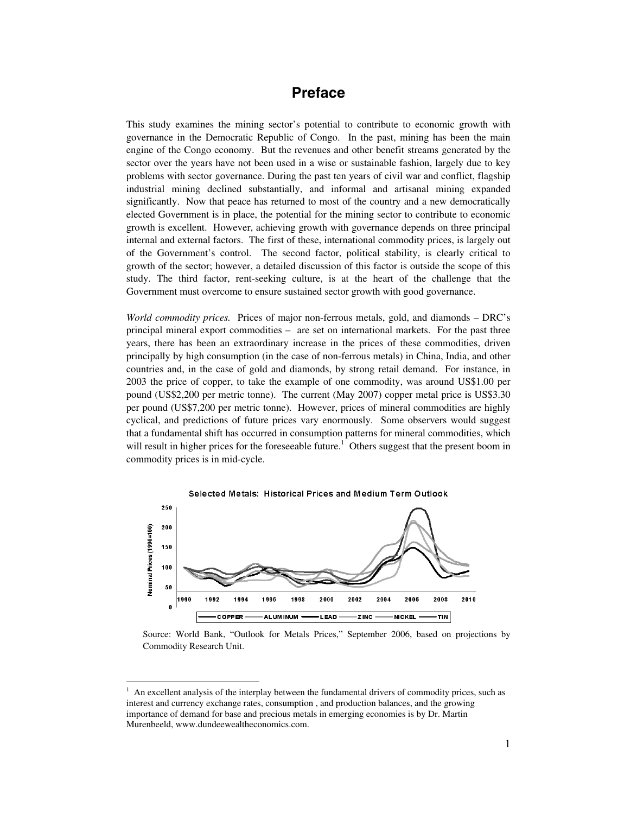## **Preface**

This study examines the mining sector's potential to contribute to economic growth with governance in the Democratic Republic of Congo. In the past, mining has been the main engine of the Congo economy. But the revenues and other benefit streams generated by the sector over the years have not been used in a wise or sustainable fashion, largely due to key problems with sector governance. During the past ten years of civil war and conflict, flagship industrial mining declined substantially, and informal and artisanal mining expanded significantly. Now that peace has returned to most of the country and a new democratically elected Government is in place, the potential for the mining sector to contribute to economic growth is excellent. However, achieving growth with governance depends on three principal internal and external factors. The first of these, international commodity prices, is largely out of the Government's control. The second factor, political stability, is clearly critical to growth of the sector; however, a detailed discussion of this factor is outside the scope of this study. The third factor, rent-seeking culture, is at the heart of the challenge that the Government must overcome to ensure sustained sector growth with good governance.

*World commodity prices.* Prices of major non-ferrous metals, gold, and diamonds – DRC's principal mineral export commodities – are set on international markets. For the past three years, there has been an extraordinary increase in the prices of these commodities, driven principally by high consumption (in the case of non-ferrous metals) in China, India, and other countries and, in the case of gold and diamonds, by strong retail demand. For instance, in 2003 the price of copper, to take the example of one commodity, was around US\$1.00 per pound (US\$2,200 per metric tonne). The current (May 2007) copper metal price is US\$3.30 per pound (US\$7,200 per metric tonne). However, prices of mineral commodities are highly cyclical, and predictions of future prices vary enormously. Some observers would suggest that a fundamental shift has occurred in consumption patterns for mineral commodities, which will result in higher prices for the foreseeable future.<sup>1</sup> Others suggest that the present boom in commodity prices is in mid-cycle.



Source: World Bank, "Outlook for Metals Prices," September 2006, based on projections by Commodity Research Unit.

 $\ddot{\phantom{a}}$ 

<sup>1</sup> An excellent analysis of the interplay between the fundamental drivers of commodity prices, such as interest and currency exchange rates, consumption , and production balances, and the growing importance of demand for base and precious metals in emerging economies is by Dr. Martin Murenbeeld, www.dundeewealtheconomics.com.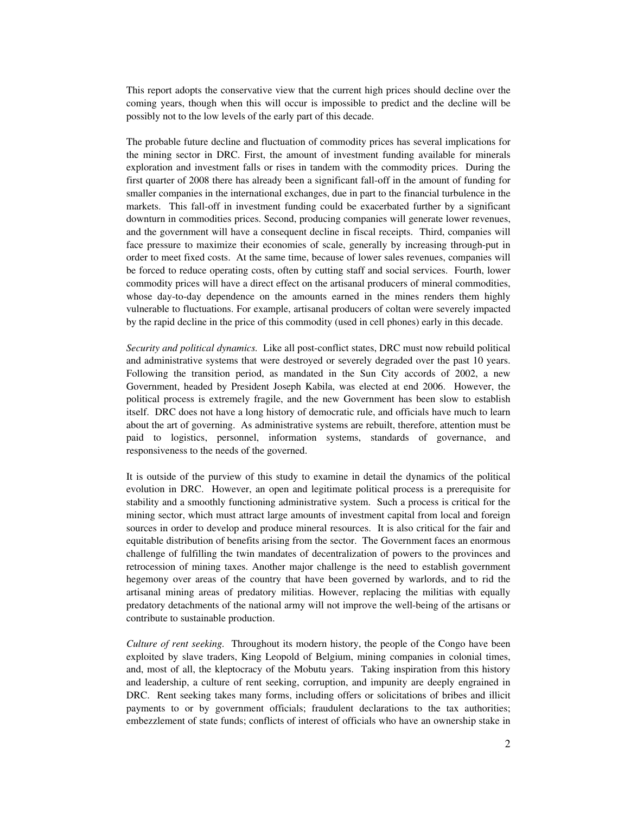This report adopts the conservative view that the current high prices should decline over the coming years, though when this will occur is impossible to predict and the decline will be possibly not to the low levels of the early part of this decade.

The probable future decline and fluctuation of commodity prices has several implications for the mining sector in DRC. First, the amount of investment funding available for minerals exploration and investment falls or rises in tandem with the commodity prices. During the first quarter of 2008 there has already been a significant fall-off in the amount of funding for smaller companies in the international exchanges, due in part to the financial turbulence in the markets. This fall-off in investment funding could be exacerbated further by a significant downturn in commodities prices. Second, producing companies will generate lower revenues, and the government will have a consequent decline in fiscal receipts. Third, companies will face pressure to maximize their economies of scale, generally by increasing through-put in order to meet fixed costs. At the same time, because of lower sales revenues, companies will be forced to reduce operating costs, often by cutting staff and social services. Fourth, lower commodity prices will have a direct effect on the artisanal producers of mineral commodities, whose day-to-day dependence on the amounts earned in the mines renders them highly vulnerable to fluctuations. For example, artisanal producers of coltan were severely impacted by the rapid decline in the price of this commodity (used in cell phones) early in this decade.

*Security and political dynamics.* Like all post-conflict states, DRC must now rebuild political and administrative systems that were destroyed or severely degraded over the past 10 years. Following the transition period, as mandated in the Sun City accords of 2002, a new Government, headed by President Joseph Kabila, was elected at end 2006. However, the political process is extremely fragile, and the new Government has been slow to establish itself. DRC does not have a long history of democratic rule, and officials have much to learn about the art of governing. As administrative systems are rebuilt, therefore, attention must be paid to logistics, personnel, information systems, standards of governance, and responsiveness to the needs of the governed.

It is outside of the purview of this study to examine in detail the dynamics of the political evolution in DRC. However, an open and legitimate political process is a prerequisite for stability and a smoothly functioning administrative system. Such a process is critical for the mining sector, which must attract large amounts of investment capital from local and foreign sources in order to develop and produce mineral resources. It is also critical for the fair and equitable distribution of benefits arising from the sector. The Government faces an enormous challenge of fulfilling the twin mandates of decentralization of powers to the provinces and retrocession of mining taxes. Another major challenge is the need to establish government hegemony over areas of the country that have been governed by warlords, and to rid the artisanal mining areas of predatory militias. However, replacing the militias with equally predatory detachments of the national army will not improve the well-being of the artisans or contribute to sustainable production.

*Culture of rent seeking.* Throughout its modern history, the people of the Congo have been exploited by slave traders, King Leopold of Belgium, mining companies in colonial times, and, most of all, the kleptocracy of the Mobutu years. Taking inspiration from this history and leadership, a culture of rent seeking, corruption, and impunity are deeply engrained in DRC. Rent seeking takes many forms, including offers or solicitations of bribes and illicit payments to or by government officials; fraudulent declarations to the tax authorities; embezzlement of state funds; conflicts of interest of officials who have an ownership stake in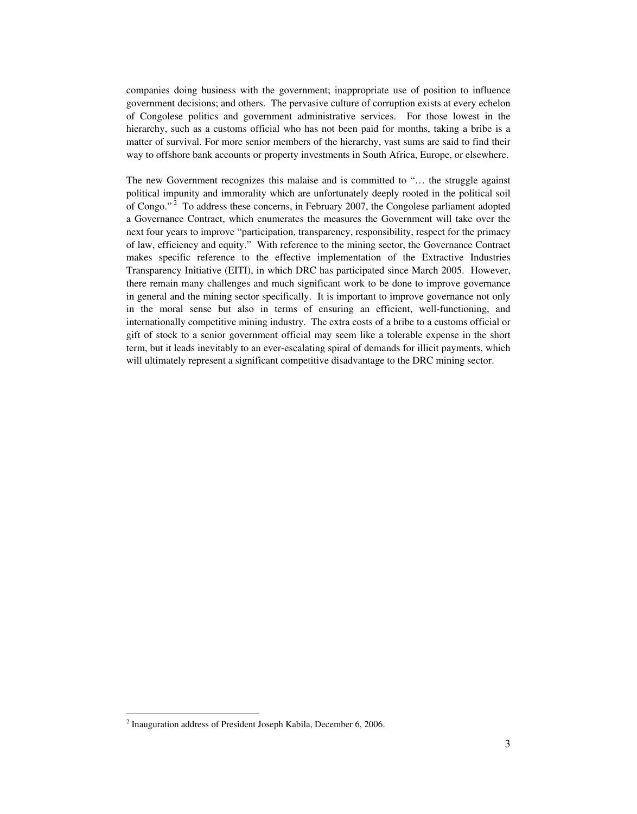companies doing business with the government; inappropriate use of position to influence government decisions; and others. The pervasive culture of corruption exists at every echelon of Congolese politics and government administrative services. For those lowest in the hierarchy, such as a customs official who has not been paid for months, taking a bribe is a matter of survival. For more senior members of the hierarchy, vast sums are said to find their way to offshore bank accounts or property investments in South Africa, Europe, or elsewhere.

The new Government recognizes this malaise and is committed to "… the struggle against political impunity and immorality which are unfortunately deeply rooted in the political soil of Congo." 2 To address these concerns, in February 2007, the Congolese parliament adopted a Governance Contract, which enumerates the measures the Government will take over the next four years to improve "participation, transparency, responsibility, respect for the primacy of law, efficiency and equity." With reference to the mining sector, the Governance Contract makes specific reference to the effective implementation of the Extractive Industries Transparency Initiative (EITI), in which DRC has participated since March 2005. However, there remain many challenges and much significant work to be done to improve governance in general and the mining sector specifically. It is important to improve governance not only in the moral sense but also in terms of ensuring an efficient, well-functioning, and internationally competitive mining industry. The extra costs of a bribe to a customs official or gift of stock to a senior government official may seem like a tolerable expense in the short term, but it leads inevitably to an ever-escalating spiral of demands for illicit payments, which will ultimately represent a significant competitive disadvantage to the DRC mining sector.

 $\overline{a}$ 

 $2$  Inauguration address of President Joseph Kabila, December 6, 2006.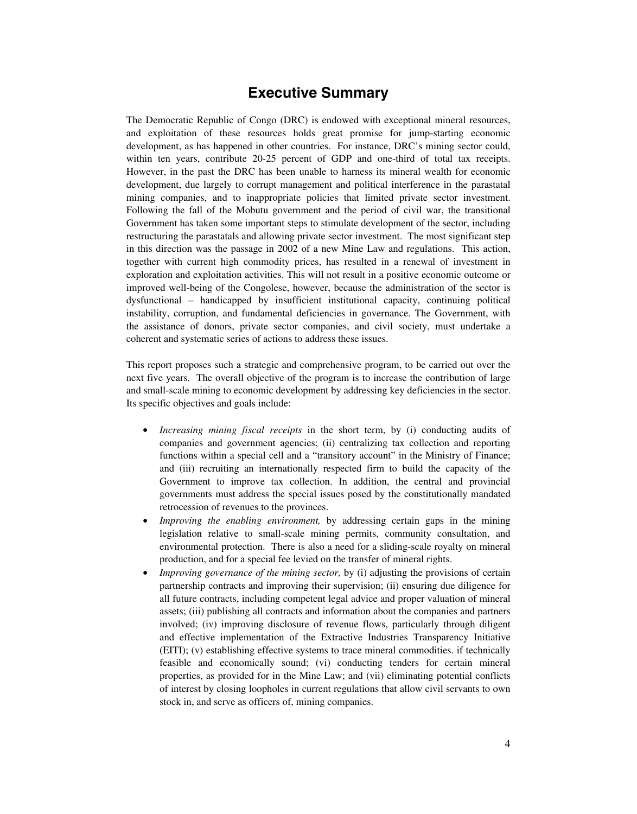## **Executive Summary**

The Democratic Republic of Congo (DRC) is endowed with exceptional mineral resources, and exploitation of these resources holds great promise for jump-starting economic development, as has happened in other countries. For instance, DRC's mining sector could, within ten years, contribute 20-25 percent of GDP and one-third of total tax receipts. However, in the past the DRC has been unable to harness its mineral wealth for economic development, due largely to corrupt management and political interference in the parastatal mining companies, and to inappropriate policies that limited private sector investment. Following the fall of the Mobutu government and the period of civil war, the transitional Government has taken some important steps to stimulate development of the sector, including restructuring the parastatals and allowing private sector investment. The most significant step in this direction was the passage in 2002 of a new Mine Law and regulations. This action, together with current high commodity prices, has resulted in a renewal of investment in exploration and exploitation activities. This will not result in a positive economic outcome or improved well-being of the Congolese, however, because the administration of the sector is dysfunctional – handicapped by insufficient institutional capacity, continuing political instability, corruption, and fundamental deficiencies in governance. The Government, with the assistance of donors, private sector companies, and civil society, must undertake a coherent and systematic series of actions to address these issues.

This report proposes such a strategic and comprehensive program, to be carried out over the next five years. The overall objective of the program is to increase the contribution of large and small-scale mining to economic development by addressing key deficiencies in the sector. Its specific objectives and goals include:

- *Increasing mining fiscal receipts* in the short term, by (i) conducting audits of companies and government agencies; (ii) centralizing tax collection and reporting functions within a special cell and a "transitory account" in the Ministry of Finance; and (iii) recruiting an internationally respected firm to build the capacity of the Government to improve tax collection. In addition, the central and provincial governments must address the special issues posed by the constitutionally mandated retrocession of revenues to the provinces.
- *Improving the enabling environment,* by addressing certain gaps in the mining legislation relative to small-scale mining permits, community consultation, and environmental protection. There is also a need for a sliding-scale royalty on mineral production, and for a special fee levied on the transfer of mineral rights.
- *Improving governance of the mining sector,* by (i) adjusting the provisions of certain partnership contracts and improving their supervision; (ii) ensuring due diligence for all future contracts, including competent legal advice and proper valuation of mineral assets; (iii) publishing all contracts and information about the companies and partners involved; (iv) improving disclosure of revenue flows, particularly through diligent and effective implementation of the Extractive Industries Transparency Initiative (EITI); (v) establishing effective systems to trace mineral commodities. if technically feasible and economically sound; (vi) conducting tenders for certain mineral properties, as provided for in the Mine Law; and (vii) eliminating potential conflicts of interest by closing loopholes in current regulations that allow civil servants to own stock in, and serve as officers of, mining companies.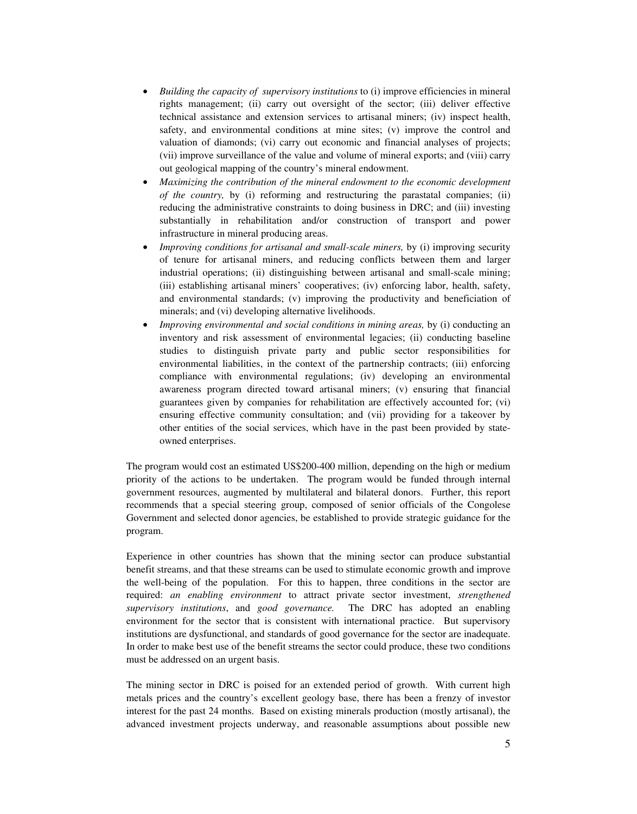- *Building the capacity of supervisory institutions* to (i) improve efficiencies in mineral rights management; (ii) carry out oversight of the sector; (iii) deliver effective technical assistance and extension services to artisanal miners; (iv) inspect health, safety, and environmental conditions at mine sites; (v) improve the control and valuation of diamonds; (vi) carry out economic and financial analyses of projects; (vii) improve surveillance of the value and volume of mineral exports; and (viii) carry out geological mapping of the country's mineral endowment.
- *Maximizing the contribution of the mineral endowment to the economic development of the country,* by (i) reforming and restructuring the parastatal companies; (ii) reducing the administrative constraints to doing business in DRC; and (iii) investing substantially in rehabilitation and/or construction of transport and power infrastructure in mineral producing areas.
- *Improving conditions for artisanal and small-scale miners, by (i) improving security* of tenure for artisanal miners, and reducing conflicts between them and larger industrial operations; (ii) distinguishing between artisanal and small-scale mining; (iii) establishing artisanal miners' cooperatives; (iv) enforcing labor, health, safety, and environmental standards; (v) improving the productivity and beneficiation of minerals; and (vi) developing alternative livelihoods.
- *Improving environmental and social conditions in mining areas, by (i) conducting an* inventory and risk assessment of environmental legacies; (ii) conducting baseline studies to distinguish private party and public sector responsibilities for environmental liabilities, in the context of the partnership contracts; (iii) enforcing compliance with environmental regulations; (iv) developing an environmental awareness program directed toward artisanal miners; (v) ensuring that financial guarantees given by companies for rehabilitation are effectively accounted for; (vi) ensuring effective community consultation; and (vii) providing for a takeover by other entities of the social services, which have in the past been provided by stateowned enterprises.

The program would cost an estimated US\$200-400 million, depending on the high or medium priority of the actions to be undertaken. The program would be funded through internal government resources, augmented by multilateral and bilateral donors. Further, this report recommends that a special steering group, composed of senior officials of the Congolese Government and selected donor agencies, be established to provide strategic guidance for the program.

Experience in other countries has shown that the mining sector can produce substantial benefit streams, and that these streams can be used to stimulate economic growth and improve the well-being of the population. For this to happen, three conditions in the sector are required: *an enabling environment* to attract private sector investment, *strengthened supervisory institutions*, and *good governance.* The DRC has adopted an enabling environment for the sector that is consistent with international practice. But supervisory institutions are dysfunctional, and standards of good governance for the sector are inadequate. In order to make best use of the benefit streams the sector could produce, these two conditions must be addressed on an urgent basis.

The mining sector in DRC is poised for an extended period of growth. With current high metals prices and the country's excellent geology base, there has been a frenzy of investor interest for the past 24 months. Based on existing minerals production (mostly artisanal), the advanced investment projects underway, and reasonable assumptions about possible new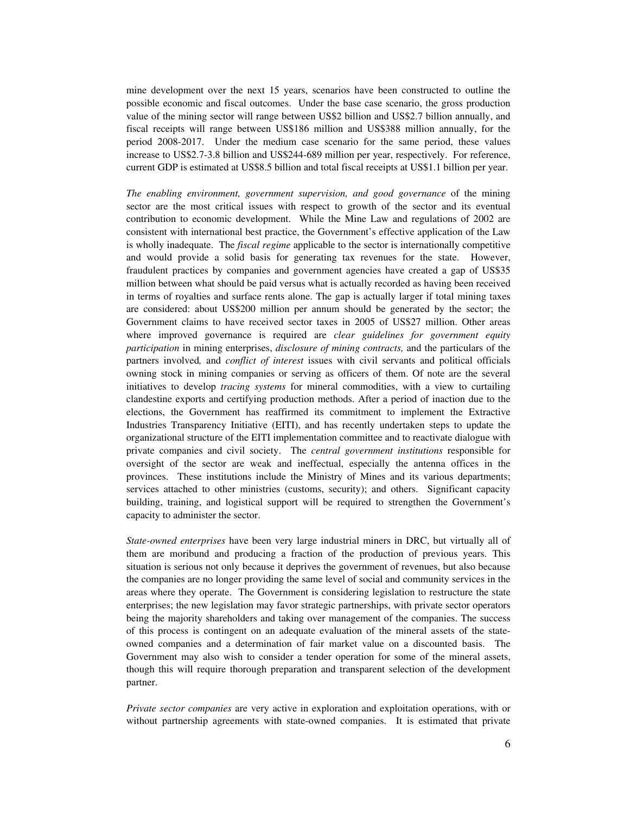mine development over the next 15 years, scenarios have been constructed to outline the possible economic and fiscal outcomes. Under the base case scenario, the gross production value of the mining sector will range between US\$2 billion and US\$2.7 billion annually, and fiscal receipts will range between US\$186 million and US\$388 million annually, for the period 2008-2017. Under the medium case scenario for the same period, these values increase to US\$2.7-3.8 billion and US\$244-689 million per year, respectively. For reference, current GDP is estimated at US\$8.5 billion and total fiscal receipts at US\$1.1 billion per year.

*The enabling environment, government supervision, and good governance* of the mining sector are the most critical issues with respect to growth of the sector and its eventual contribution to economic development. While the Mine Law and regulations of 2002 are consistent with international best practice, the Government's effective application of the Law is wholly inadequate. The *fiscal regime* applicable to the sector is internationally competitive and would provide a solid basis for generating tax revenues for the state. However, fraudulent practices by companies and government agencies have created a gap of US\$35 million between what should be paid versus what is actually recorded as having been received in terms of royalties and surface rents alone. The gap is actually larger if total mining taxes are considered: about US\$200 million per annum should be generated by the sector; the Government claims to have received sector taxes in 2005 of US\$27 million. Other areas where improved governance is required are *clear guidelines for government equity participation* in mining enterprises, *disclosure of mining contracts,* and the particulars of the partners involved*,* and *conflict of interest* issues with civil servants and political officials owning stock in mining companies or serving as officers of them. Of note are the several initiatives to develop *tracing systems* for mineral commodities, with a view to curtailing clandestine exports and certifying production methods. After a period of inaction due to the elections, the Government has reaffirmed its commitment to implement the Extractive Industries Transparency Initiative (EITI), and has recently undertaken steps to update the organizational structure of the EITI implementation committee and to reactivate dialogue with private companies and civil society. The *central government institutions* responsible for oversight of the sector are weak and ineffectual, especially the antenna offices in the provinces. These institutions include the Ministry of Mines and its various departments; services attached to other ministries (customs, security); and others. Significant capacity building, training, and logistical support will be required to strengthen the Government's capacity to administer the sector.

*State-owned enterprises* have been very large industrial miners in DRC, but virtually all of them are moribund and producing a fraction of the production of previous years. This situation is serious not only because it deprives the government of revenues, but also because the companies are no longer providing the same level of social and community services in the areas where they operate. The Government is considering legislation to restructure the state enterprises; the new legislation may favor strategic partnerships, with private sector operators being the majority shareholders and taking over management of the companies. The success of this process is contingent on an adequate evaluation of the mineral assets of the stateowned companies and a determination of fair market value on a discounted basis. The Government may also wish to consider a tender operation for some of the mineral assets, though this will require thorough preparation and transparent selection of the development partner.

*Private sector companies* are very active in exploration and exploitation operations, with or without partnership agreements with state-owned companies. It is estimated that private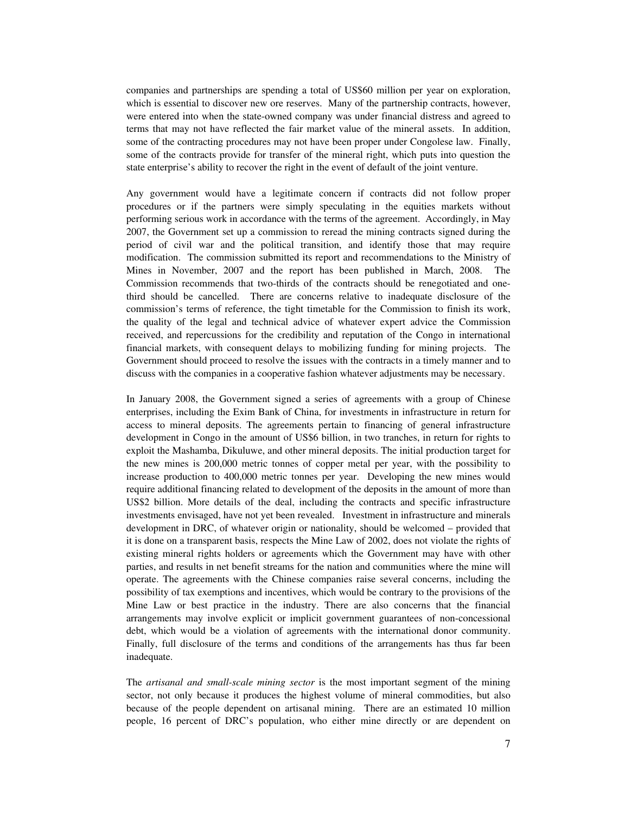companies and partnerships are spending a total of US\$60 million per year on exploration, which is essential to discover new ore reserves. Many of the partnership contracts, however, were entered into when the state-owned company was under financial distress and agreed to terms that may not have reflected the fair market value of the mineral assets. In addition, some of the contracting procedures may not have been proper under Congolese law. Finally, some of the contracts provide for transfer of the mineral right, which puts into question the state enterprise's ability to recover the right in the event of default of the joint venture.

Any government would have a legitimate concern if contracts did not follow proper procedures or if the partners were simply speculating in the equities markets without performing serious work in accordance with the terms of the agreement. Accordingly, in May 2007, the Government set up a commission to reread the mining contracts signed during the period of civil war and the political transition, and identify those that may require modification. The commission submitted its report and recommendations to the Ministry of Mines in November, 2007 and the report has been published in March, 2008. The Commission recommends that two-thirds of the contracts should be renegotiated and onethird should be cancelled. There are concerns relative to inadequate disclosure of the commission's terms of reference, the tight timetable for the Commission to finish its work, the quality of the legal and technical advice of whatever expert advice the Commission received, and repercussions for the credibility and reputation of the Congo in international financial markets, with consequent delays to mobilizing funding for mining projects. The Government should proceed to resolve the issues with the contracts in a timely manner and to discuss with the companies in a cooperative fashion whatever adjustments may be necessary.

In January 2008, the Government signed a series of agreements with a group of Chinese enterprises, including the Exim Bank of China, for investments in infrastructure in return for access to mineral deposits. The agreements pertain to financing of general infrastructure development in Congo in the amount of US\$6 billion, in two tranches, in return for rights to exploit the Mashamba, Dikuluwe, and other mineral deposits. The initial production target for the new mines is 200,000 metric tonnes of copper metal per year, with the possibility to increase production to 400,000 metric tonnes per year. Developing the new mines would require additional financing related to development of the deposits in the amount of more than US\$2 billion. More details of the deal, including the contracts and specific infrastructure investments envisaged, have not yet been revealed. Investment in infrastructure and minerals development in DRC, of whatever origin or nationality, should be welcomed – provided that it is done on a transparent basis, respects the Mine Law of 2002, does not violate the rights of existing mineral rights holders or agreements which the Government may have with other parties, and results in net benefit streams for the nation and communities where the mine will operate. The agreements with the Chinese companies raise several concerns, including the possibility of tax exemptions and incentives, which would be contrary to the provisions of the Mine Law or best practice in the industry. There are also concerns that the financial arrangements may involve explicit or implicit government guarantees of non-concessional debt, which would be a violation of agreements with the international donor community. Finally, full disclosure of the terms and conditions of the arrangements has thus far been inadequate.

The *artisanal and small-scale mining sector* is the most important segment of the mining sector, not only because it produces the highest volume of mineral commodities, but also because of the people dependent on artisanal mining. There are an estimated 10 million people, 16 percent of DRC's population, who either mine directly or are dependent on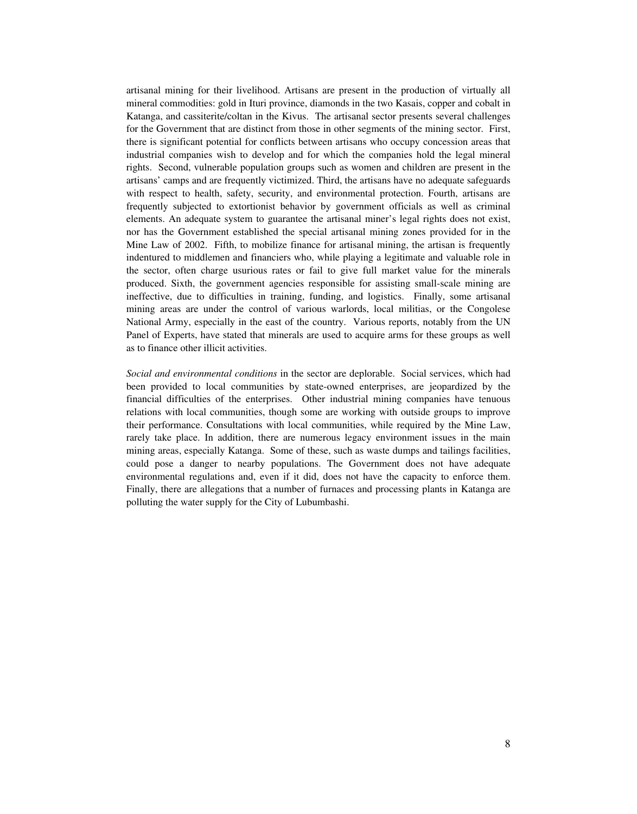artisanal mining for their livelihood. Artisans are present in the production of virtually all mineral commodities: gold in Ituri province, diamonds in the two Kasais, copper and cobalt in Katanga, and cassiterite/coltan in the Kivus. The artisanal sector presents several challenges for the Government that are distinct from those in other segments of the mining sector. First, there is significant potential for conflicts between artisans who occupy concession areas that industrial companies wish to develop and for which the companies hold the legal mineral rights. Second, vulnerable population groups such as women and children are present in the artisans' camps and are frequently victimized. Third, the artisans have no adequate safeguards with respect to health, safety, security, and environmental protection. Fourth, artisans are frequently subjected to extortionist behavior by government officials as well as criminal elements. An adequate system to guarantee the artisanal miner's legal rights does not exist, nor has the Government established the special artisanal mining zones provided for in the Mine Law of 2002. Fifth, to mobilize finance for artisanal mining, the artisan is frequently indentured to middlemen and financiers who, while playing a legitimate and valuable role in the sector, often charge usurious rates or fail to give full market value for the minerals produced. Sixth, the government agencies responsible for assisting small-scale mining are ineffective, due to difficulties in training, funding, and logistics. Finally, some artisanal mining areas are under the control of various warlords, local militias, or the Congolese National Army, especially in the east of the country. Various reports, notably from the UN Panel of Experts, have stated that minerals are used to acquire arms for these groups as well as to finance other illicit activities.

*Social and environmental conditions* in the sector are deplorable. Social services, which had been provided to local communities by state-owned enterprises, are jeopardized by the financial difficulties of the enterprises. Other industrial mining companies have tenuous relations with local communities, though some are working with outside groups to improve their performance. Consultations with local communities, while required by the Mine Law, rarely take place. In addition, there are numerous legacy environment issues in the main mining areas, especially Katanga. Some of these, such as waste dumps and tailings facilities, could pose a danger to nearby populations. The Government does not have adequate environmental regulations and, even if it did, does not have the capacity to enforce them. Finally, there are allegations that a number of furnaces and processing plants in Katanga are polluting the water supply for the City of Lubumbashi.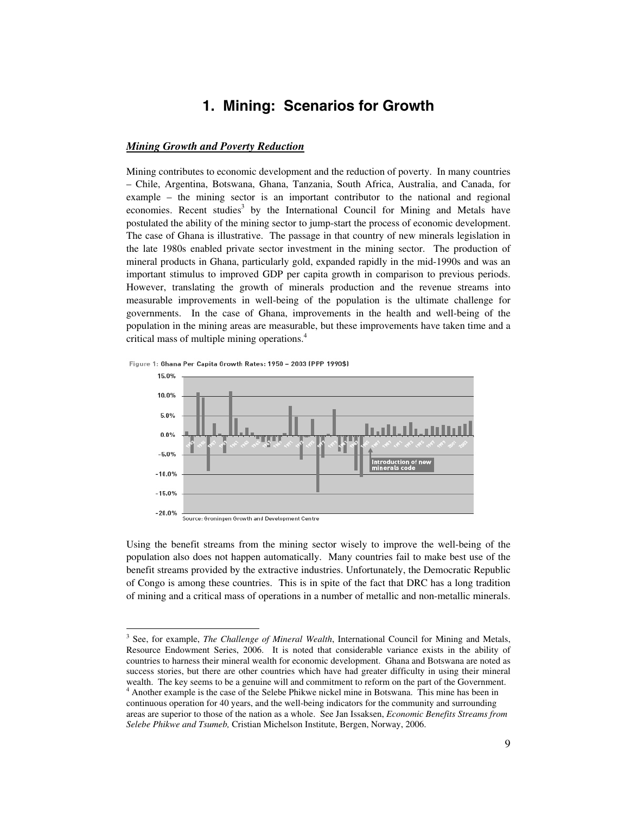## **1. Mining: Scenarios for Growth**

#### *Mining Growth and Poverty Reduction*

Mining contributes to economic development and the reduction of poverty. In many countries – Chile, Argentina, Botswana, Ghana, Tanzania, South Africa, Australia, and Canada, for example – the mining sector is an important contributor to the national and regional economies. Recent studies<sup>3</sup> by the International Council for Mining and Metals have postulated the ability of the mining sector to jump-start the process of economic development. The case of Ghana is illustrative. The passage in that country of new minerals legislation in the late 1980s enabled private sector investment in the mining sector. The production of mineral products in Ghana, particularly gold, expanded rapidly in the mid-1990s and was an important stimulus to improved GDP per capita growth in comparison to previous periods. However, translating the growth of minerals production and the revenue streams into measurable improvements in well-being of the population is the ultimate challenge for governments. In the case of Ghana, improvements in the health and well-being of the population in the mining areas are measurable, but these improvements have taken time and a critical mass of multiple mining operations.<sup>4</sup>



 $\overline{a}$ 



Using the benefit streams from the mining sector wisely to improve the well-being of the population also does not happen automatically. Many countries fail to make best use of the benefit streams provided by the extractive industries. Unfortunately, the Democratic Republic of Congo is among these countries. This is in spite of the fact that DRC has a long tradition of mining and a critical mass of operations in a number of metallic and non-metallic minerals.

<sup>&</sup>lt;sup>3</sup> See, for example, *The Challenge of Mineral Wealth*, International Council for Mining and Metals, Resource Endowment Series, 2006. It is noted that considerable variance exists in the ability of countries to harness their mineral wealth for economic development. Ghana and Botswana are noted as success stories, but there are other countries which have had greater difficulty in using their mineral wealth. The key seems to be a genuine will and commitment to reform on the part of the Government. <sup>4</sup> Another example is the case of the Selebe Phikwe nickel mine in Botswana. This mine has been in continuous operation for 40 years, and the well-being indicators for the community and surrounding areas are superior to those of the nation as a whole. See Jan Issaksen, *Economic Benefits Streams from Selebe Phikwe and Tsumeb,* Cristian Michelson Institute, Bergen, Norway, 2006.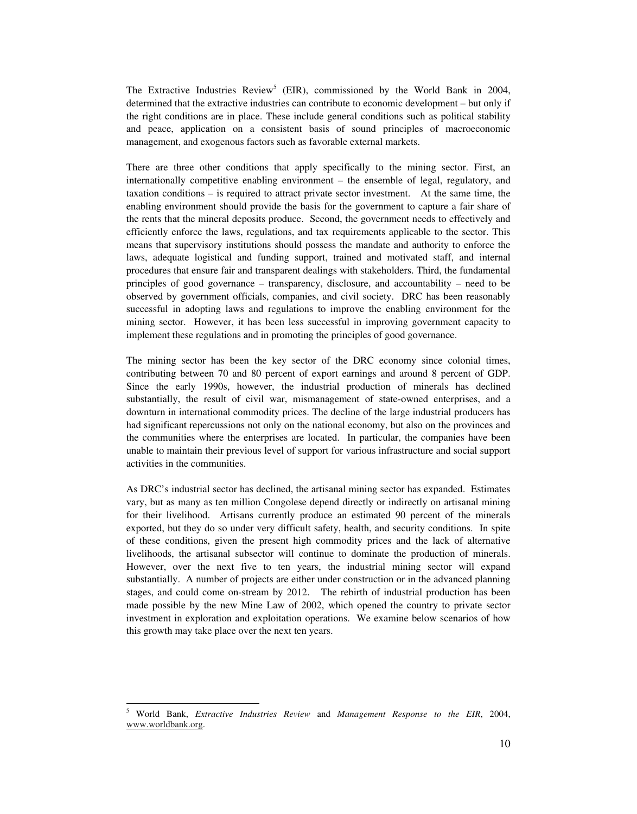The Extractive Industries Review<sup>5</sup> (EIR), commissioned by the World Bank in 2004, determined that the extractive industries can contribute to economic development – but only if the right conditions are in place. These include general conditions such as political stability and peace, application on a consistent basis of sound principles of macroeconomic management, and exogenous factors such as favorable external markets.

There are three other conditions that apply specifically to the mining sector. First, an internationally competitive enabling environment – the ensemble of legal, regulatory, and taxation conditions – is required to attract private sector investment. At the same time, the enabling environment should provide the basis for the government to capture a fair share of the rents that the mineral deposits produce. Second, the government needs to effectively and efficiently enforce the laws, regulations, and tax requirements applicable to the sector. This means that supervisory institutions should possess the mandate and authority to enforce the laws, adequate logistical and funding support, trained and motivated staff, and internal procedures that ensure fair and transparent dealings with stakeholders. Third, the fundamental principles of good governance – transparency, disclosure, and accountability – need to be observed by government officials, companies, and civil society. DRC has been reasonably successful in adopting laws and regulations to improve the enabling environment for the mining sector. However, it has been less successful in improving government capacity to implement these regulations and in promoting the principles of good governance.

The mining sector has been the key sector of the DRC economy since colonial times, contributing between 70 and 80 percent of export earnings and around 8 percent of GDP. Since the early 1990s, however, the industrial production of minerals has declined substantially, the result of civil war, mismanagement of state-owned enterprises, and a downturn in international commodity prices. The decline of the large industrial producers has had significant repercussions not only on the national economy, but also on the provinces and the communities where the enterprises are located. In particular, the companies have been unable to maintain their previous level of support for various infrastructure and social support activities in the communities.

As DRC's industrial sector has declined, the artisanal mining sector has expanded. Estimates vary, but as many as ten million Congolese depend directly or indirectly on artisanal mining for their livelihood. Artisans currently produce an estimated 90 percent of the minerals exported, but they do so under very difficult safety, health, and security conditions. In spite of these conditions, given the present high commodity prices and the lack of alternative livelihoods, the artisanal subsector will continue to dominate the production of minerals. However, over the next five to ten years, the industrial mining sector will expand substantially. A number of projects are either under construction or in the advanced planning stages, and could come on-stream by 2012. The rebirth of industrial production has been made possible by the new Mine Law of 2002, which opened the country to private sector investment in exploration and exploitation operations. We examine below scenarios of how this growth may take place over the next ten years.

 $\overline{\phantom{a}}$ 5 World Bank, *Extractive Industries Review* and *Management Response to the EIR*, 2004, www.worldbank.org.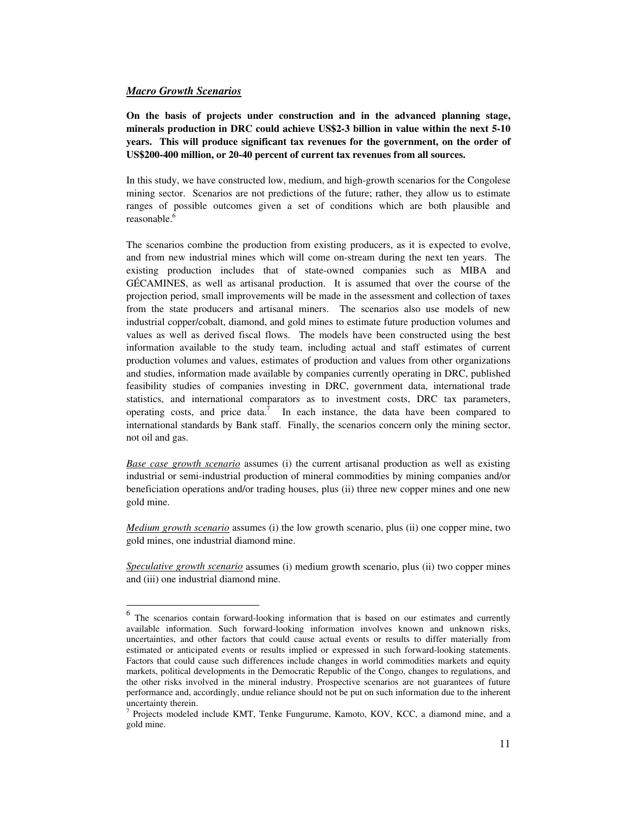#### *Macro Growth Scenarios*

 $\ddot{\phantom{a}}$ 

**On the basis of projects under construction and in the advanced planning stage, minerals production in DRC could achieve US\$2-3 billion in value within the next 5-10 years. This will produce significant tax revenues for the government, on the order of US\$200-400 million, or 20-40 percent of current tax revenues from all sources.** 

In this study, we have constructed low, medium, and high-growth scenarios for the Congolese mining sector. Scenarios are not predictions of the future; rather, they allow us to estimate ranges of possible outcomes given a set of conditions which are both plausible and reasonable.<sup>6</sup>

The scenarios combine the production from existing producers, as it is expected to evolve, and from new industrial mines which will come on-stream during the next ten years. The existing production includes that of state-owned companies such as MIBA and GÉCAMINES, as well as artisanal production. It is assumed that over the course of the projection period, small improvements will be made in the assessment and collection of taxes from the state producers and artisanal miners. The scenarios also use models of new industrial copper/cobalt, diamond, and gold mines to estimate future production volumes and values as well as derived fiscal flows. The models have been constructed using the best information available to the study team, including actual and staff estimates of current production volumes and values, estimates of production and values from other organizations and studies, information made available by companies currently operating in DRC, published feasibility studies of companies investing in DRC, government data, international trade statistics, and international comparators as to investment costs, DRC tax parameters, operating costs, and price data.<sup>7</sup> In each instance, the data have been compared to international standards by Bank staff. Finally, the scenarios concern only the mining sector, not oil and gas.

*Base case growth scenario* assumes (i) the current artisanal production as well as existing industrial or semi-industrial production of mineral commodities by mining companies and/or beneficiation operations and/or trading houses, plus (ii) three new copper mines and one new gold mine.

*Medium growth scenario* assumes (i) the low growth scenario, plus (ii) one copper mine, two gold mines, one industrial diamond mine.

*Speculative growth scenario* assumes (i) medium growth scenario, plus (ii) two copper mines and (iii) one industrial diamond mine.

<sup>&</sup>lt;sup>6</sup> The scenarios contain forward-looking information that is based on our estimates and currently available information. Such forward-looking information involves known and unknown risks, uncertainties, and other factors that could cause actual events or results to differ materially from estimated or anticipated events or results implied or expressed in such forward-looking statements. Factors that could cause such differences include changes in world commodities markets and equity markets, political developments in the Democratic Republic of the Congo, changes to regulations, and the other risks involved in the mineral industry. Prospective scenarios are not guarantees of future performance and, accordingly, undue reliance should not be put on such information due to the inherent uncertainty therein.

<sup>&</sup>lt;sup>7</sup> Projects modeled include KMT, Tenke Fungurume, Kamoto, KOV, KCC, a diamond mine, and a gold mine.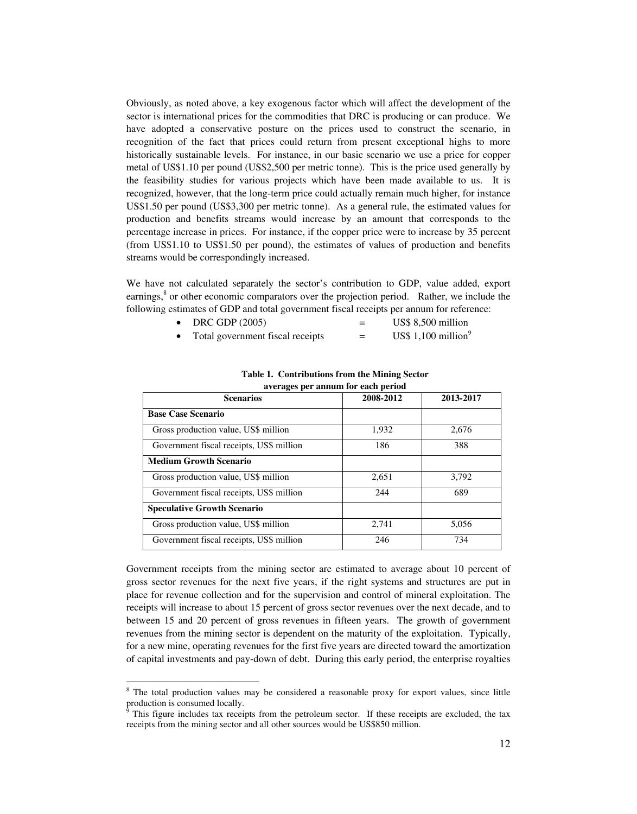Obviously, as noted above, a key exogenous factor which will affect the development of the sector is international prices for the commodities that DRC is producing or can produce. We have adopted a conservative posture on the prices used to construct the scenario, in recognition of the fact that prices could return from present exceptional highs to more historically sustainable levels. For instance, in our basic scenario we use a price for copper metal of US\$1.10 per pound (US\$2,500 per metric tonne). This is the price used generally by the feasibility studies for various projects which have been made available to us. It is recognized, however, that the long-term price could actually remain much higher, for instance US\$1.50 per pound (US\$3,300 per metric tonne). As a general rule, the estimated values for production and benefits streams would increase by an amount that corresponds to the percentage increase in prices. For instance, if the copper price were to increase by 35 percent (from US\$1.10 to US\$1.50 per pound), the estimates of values of production and benefits streams would be correspondingly increased.

We have not calculated separately the sector's contribution to GDP, value added, export earnings,<sup>8</sup> or other economic comparators over the projection period. Rather, we include the following estimates of GDP and total government fiscal receipts per annum for reference:

- $DRC GDP (2005)$  = US\$ 8,500 million
- Total government fiscal receipts  $=$  US\$ 1,100 million<sup>9</sup>

| averages per annum for each period       |           |           |  |  |  |
|------------------------------------------|-----------|-----------|--|--|--|
| <b>Scenarios</b>                         | 2008-2012 | 2013-2017 |  |  |  |
| <b>Base Case Scenario</b>                |           |           |  |  |  |
| Gross production value, US\$ million     | 1,932     | 2,676     |  |  |  |
| Government fiscal receipts, US\$ million | 186       | 388       |  |  |  |
| <b>Medium Growth Scenario</b>            |           |           |  |  |  |
| Gross production value, US\$ million     | 2,651     | 3,792     |  |  |  |
| Government fiscal receipts, US\$ million | 244       | 689       |  |  |  |
| <b>Speculative Growth Scenario</b>       |           |           |  |  |  |
| Gross production value, US\$ million     | 2,741     | 5,056     |  |  |  |
| Government fiscal receipts, US\$ million | 246       | 734       |  |  |  |

**Table 1. Contributions from the Mining Sector averages per annum for each period** 

Government receipts from the mining sector are estimated to average about 10 percent of gross sector revenues for the next five years, if the right systems and structures are put in place for revenue collection and for the supervision and control of mineral exploitation. The receipts will increase to about 15 percent of gross sector revenues over the next decade, and to between 15 and 20 percent of gross revenues in fifteen years. The growth of government revenues from the mining sector is dependent on the maturity of the exploitation. Typically, for a new mine, operating revenues for the first five years are directed toward the amortization of capital investments and pay-down of debt. During this early period, the enterprise royalties

 $\ddot{\phantom{a}}$ 

<sup>&</sup>lt;sup>8</sup> The total production values may be considered a reasonable proxy for export values, since little production is consumed locally.<br><sup>9</sup> This figure includes to receive

This figure includes tax receipts from the petroleum sector. If these receipts are excluded, the tax receipts from the mining sector and all other sources would be US\$850 million.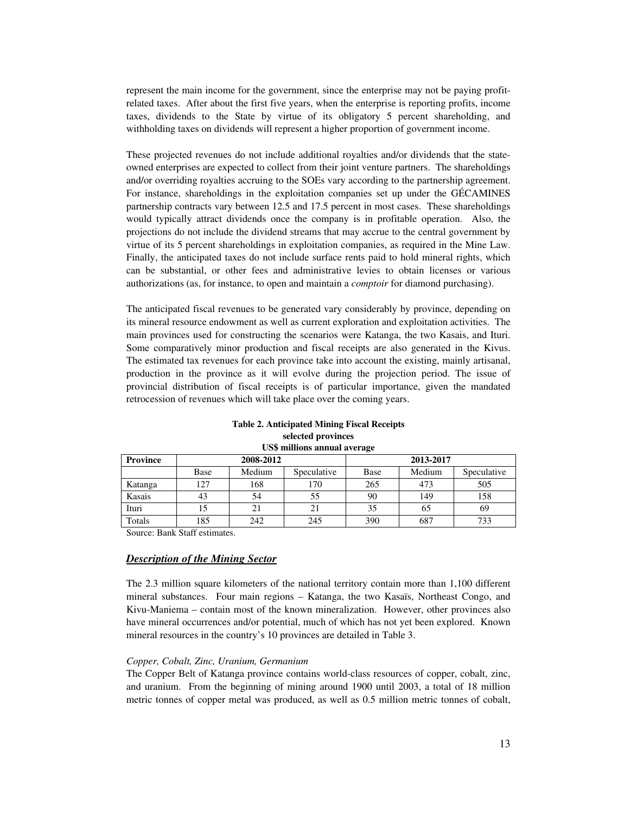represent the main income for the government, since the enterprise may not be paying profitrelated taxes. After about the first five years, when the enterprise is reporting profits, income taxes, dividends to the State by virtue of its obligatory 5 percent shareholding, and withholding taxes on dividends will represent a higher proportion of government income.

These projected revenues do not include additional royalties and/or dividends that the stateowned enterprises are expected to collect from their joint venture partners. The shareholdings and/or overriding royalties accruing to the SOEs vary according to the partnership agreement. For instance, shareholdings in the exploitation companies set up under the GÉCAMINES partnership contracts vary between 12.5 and 17.5 percent in most cases. These shareholdings would typically attract dividends once the company is in profitable operation. Also, the projections do not include the dividend streams that may accrue to the central government by virtue of its 5 percent shareholdings in exploitation companies, as required in the Mine Law. Finally, the anticipated taxes do not include surface rents paid to hold mineral rights, which can be substantial, or other fees and administrative levies to obtain licenses or various authorizations (as, for instance, to open and maintain a *comptoir* for diamond purchasing).

The anticipated fiscal revenues to be generated vary considerably by province, depending on its mineral resource endowment as well as current exploration and exploitation activities. The main provinces used for constructing the scenarios were Katanga, the two Kasais, and Ituri. Some comparatively minor production and fiscal receipts are also generated in the Kivus. The estimated tax revenues for each province take into account the existing, mainly artisanal, production in the province as it will evolve during the projection period. The issue of provincial distribution of fiscal receipts is of particular importance, given the mandated retrocession of revenues which will take place over the coming years.

| <b>Table 2. Anticipated Mining Fiscal Receipts</b> |
|----------------------------------------------------|
| selected provinces                                 |
| US\$ millions annual average                       |

| <b>Province</b> | 2008-2012 |        |             | 2013-2017 |        |             |
|-----------------|-----------|--------|-------------|-----------|--------|-------------|
|                 | Base      | Medium | Speculative | Base      | Medium | Speculative |
| Katanga         | 127       | 168    | 170         | 265       | 473    | 505         |
| Kasais          | 43        | 54     | 55          | 90        | 149    | 158         |
| Ituri           |           |        | 21          | 35        | 65     | 69          |
| Totals          | 185       | 242    | 245         | 390       | 687    | 733         |

Source: Bank Staff estimates.

#### *Description of the Mining Sector*

The 2.3 million square kilometers of the national territory contain more than 1,100 different mineral substances. Four main regions – Katanga, the two Kasaïs, Northeast Congo, and Kivu-Maniema – contain most of the known mineralization. However, other provinces also have mineral occurrences and/or potential, much of which has not yet been explored. Known mineral resources in the country's 10 provinces are detailed in Table 3.

#### *Copper, Cobalt, Zinc, Uranium, Germanium*

The Copper Belt of Katanga province contains world-class resources of copper, cobalt, zinc, and uranium. From the beginning of mining around 1900 until 2003, a total of 18 million metric tonnes of copper metal was produced, as well as 0.5 million metric tonnes of cobalt,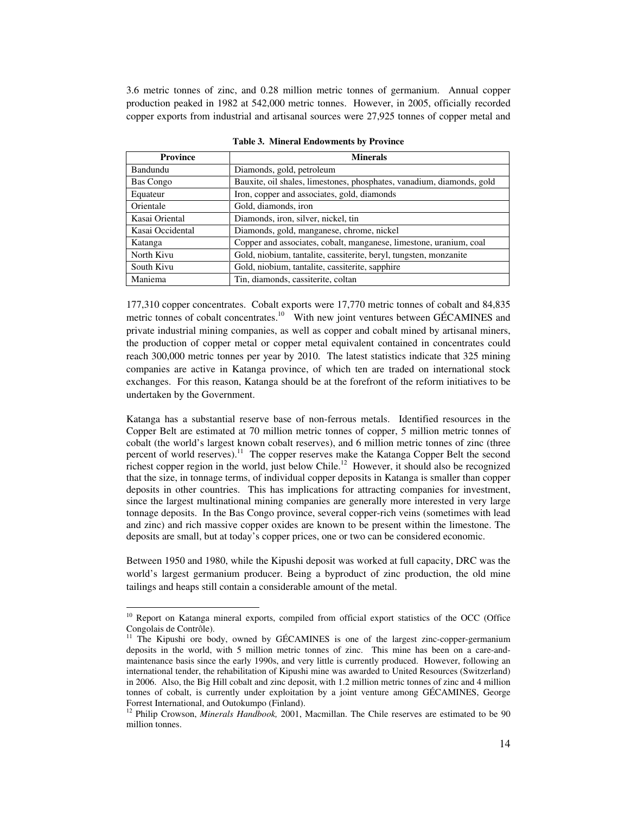3.6 metric tonnes of zinc, and 0.28 million metric tonnes of germanium. Annual copper production peaked in 1982 at 542,000 metric tonnes. However, in 2005, officially recorded copper exports from industrial and artisanal sources were 27,925 tonnes of copper metal and

| <b>Province</b>  | <b>Minerals</b>                                                       |
|------------------|-----------------------------------------------------------------------|
| Bandundu         | Diamonds, gold, petroleum                                             |
| <b>Bas Congo</b> | Bauxite, oil shales, limestones, phosphates, vanadium, diamonds, gold |
| Equateur         | Iron, copper and associates, gold, diamonds                           |
| Orientale        | Gold, diamonds, iron                                                  |
| Kasai Oriental   | Diamonds, iron, silver, nickel, tin                                   |
| Kasai Occidental | Diamonds, gold, manganese, chrome, nickel                             |
| Katanga          | Copper and associates, cobalt, manganese, limestone, uranium, coal    |
| North Kivu       | Gold, niobium, tantalite, cassiterite, beryl, tungsten, monzanite     |
| South Kivu       | Gold, niobium, tantalite, cassiterite, sapphire                       |
| Maniema          | Tin, diamonds, cassiterite, coltan                                    |

**Table 3. Mineral Endowments by Province** 

177,310 copper concentrates. Cobalt exports were 17,770 metric tonnes of cobalt and 84,835 metric tonnes of cobalt concentrates.<sup>10</sup> With new joint ventures between GÉCAMINES and private industrial mining companies, as well as copper and cobalt mined by artisanal miners, the production of copper metal or copper metal equivalent contained in concentrates could reach 300,000 metric tonnes per year by 2010. The latest statistics indicate that 325 mining companies are active in Katanga province, of which ten are traded on international stock exchanges. For this reason, Katanga should be at the forefront of the reform initiatives to be undertaken by the Government.

Katanga has a substantial reserve base of non-ferrous metals. Identified resources in the Copper Belt are estimated at 70 million metric tonnes of copper, 5 million metric tonnes of cobalt (the world's largest known cobalt reserves), and 6 million metric tonnes of zinc (three percent of world reserves).<sup>11</sup> The copper reserves make the Katanga Copper Belt the second richest copper region in the world, just below Chile.<sup>12</sup> However, it should also be recognized that the size, in tonnage terms, of individual copper deposits in Katanga is smaller than copper deposits in other countries. This has implications for attracting companies for investment, since the largest multinational mining companies are generally more interested in very large tonnage deposits. In the Bas Congo province, several copper-rich veins (sometimes with lead and zinc) and rich massive copper oxides are known to be present within the limestone. The deposits are small, but at today's copper prices, one or two can be considered economic.

Between 1950 and 1980, while the Kipushi deposit was worked at full capacity, DRC was the world's largest germanium producer. Being a byproduct of zinc production, the old mine tailings and heaps still contain a considerable amount of the metal.

 $\ddot{\phantom{a}}$ 

<sup>&</sup>lt;sup>10</sup> Report on Katanga mineral exports, compiled from official export statistics of the OCC (Office Congolais de Contrôle).

<sup>&</sup>lt;sup>11</sup> The Kipushi ore body, owned by GÉCAMINES is one of the largest zinc-copper-germanium deposits in the world, with 5 million metric tonnes of zinc. This mine has been on a care-andmaintenance basis since the early 1990s, and very little is currently produced. However, following an international tender, the rehabilitation of Kipushi mine was awarded to United Resources (Switzerland) in 2006. Also, the Big Hill cobalt and zinc deposit, with 1.2 million metric tonnes of zinc and 4 million tonnes of cobalt, is currently under exploitation by a joint venture among GÉCAMINES, George Forrest International, and Outokumpo (Finland).<br><sup>12</sup> Philip Crowson, *Minerals Handbook*, 2001, Macmillan. The Chile reserves are estimated to be 90

million tonnes.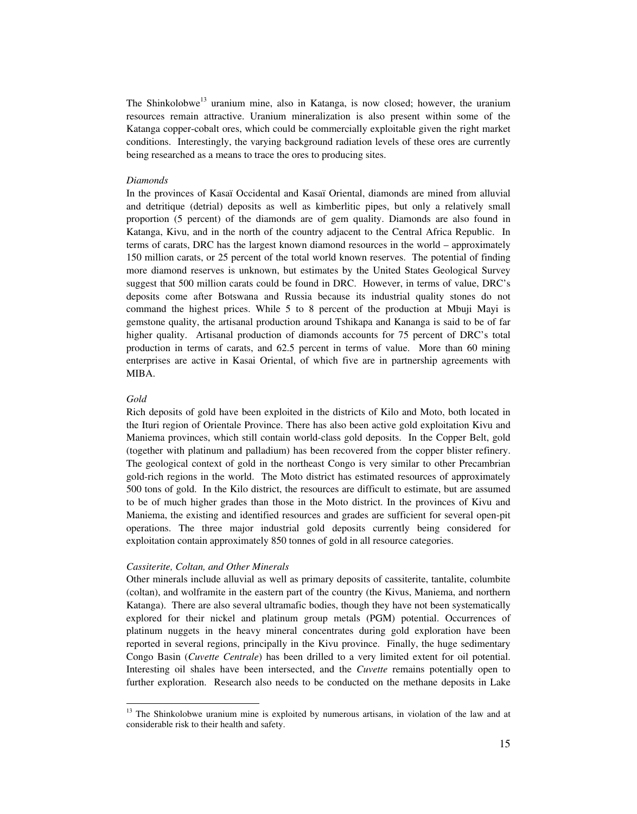The Shinkolobwe<sup>13</sup> uranium mine, also in Katanga, is now closed; however, the uranium resources remain attractive. Uranium mineralization is also present within some of the Katanga copper-cobalt ores, which could be commercially exploitable given the right market conditions. Interestingly, the varying background radiation levels of these ores are currently being researched as a means to trace the ores to producing sites.

#### *Diamonds*

In the provinces of Kasaï Occidental and Kasaï Oriental, diamonds are mined from alluvial and detritique (detrial) deposits as well as kimberlitic pipes, but only a relatively small proportion (5 percent) of the diamonds are of gem quality. Diamonds are also found in Katanga, Kivu, and in the north of the country adjacent to the Central Africa Republic. In terms of carats, DRC has the largest known diamond resources in the world – approximately 150 million carats, or 25 percent of the total world known reserves. The potential of finding more diamond reserves is unknown, but estimates by the United States Geological Survey suggest that 500 million carats could be found in DRC. However, in terms of value, DRC's deposits come after Botswana and Russia because its industrial quality stones do not command the highest prices. While 5 to 8 percent of the production at Mbuji Mayi is gemstone quality, the artisanal production around Tshikapa and Kananga is said to be of far higher quality. Artisanal production of diamonds accounts for 75 percent of DRC's total production in terms of carats, and 62.5 percent in terms of value. More than 60 mining enterprises are active in Kasai Oriental, of which five are in partnership agreements with MIBA.

#### *Gold*

 $\overline{a}$ 

Rich deposits of gold have been exploited in the districts of Kilo and Moto, both located in the Ituri region of Orientale Province. There has also been active gold exploitation Kivu and Maniema provinces, which still contain world-class gold deposits. In the Copper Belt, gold (together with platinum and palladium) has been recovered from the copper blister refinery. The geological context of gold in the northeast Congo is very similar to other Precambrian gold-rich regions in the world. The Moto district has estimated resources of approximately 500 tons of gold. In the Kilo district, the resources are difficult to estimate, but are assumed to be of much higher grades than those in the Moto district. In the provinces of Kivu and Maniema, the existing and identified resources and grades are sufficient for several open-pit operations. The three major industrial gold deposits currently being considered for exploitation contain approximately 850 tonnes of gold in all resource categories.

#### *Cassiterite, Coltan, and Other Minerals*

Other minerals include alluvial as well as primary deposits of cassiterite, tantalite, columbite (coltan), and wolframite in the eastern part of the country (the Kivus, Maniema, and northern Katanga). There are also several ultramafic bodies, though they have not been systematically explored for their nickel and platinum group metals (PGM) potential. Occurrences of platinum nuggets in the heavy mineral concentrates during gold exploration have been reported in several regions, principally in the Kivu province. Finally, the huge sedimentary Congo Basin (*Cuvette Centrale*) has been drilled to a very limited extent for oil potential. Interesting oil shales have been intersected, and the *Cuvette* remains potentially open to further exploration. Research also needs to be conducted on the methane deposits in Lake

<sup>&</sup>lt;sup>13</sup> The Shinkolobwe uranium mine is exploited by numerous artisans, in violation of the law and at considerable risk to their health and safety.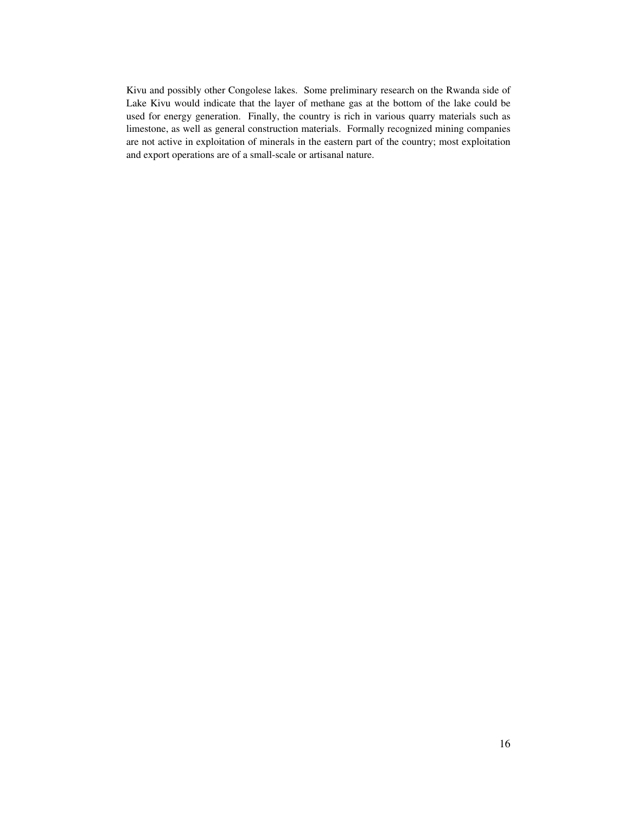Kivu and possibly other Congolese lakes. Some preliminary research on the Rwanda side of Lake Kivu would indicate that the layer of methane gas at the bottom of the lake could be used for energy generation. Finally, the country is rich in various quarry materials such as limestone, as well as general construction materials. Formally recognized mining companies are not active in exploitation of minerals in the eastern part of the country; most exploitation and export operations are of a small-scale or artisanal nature.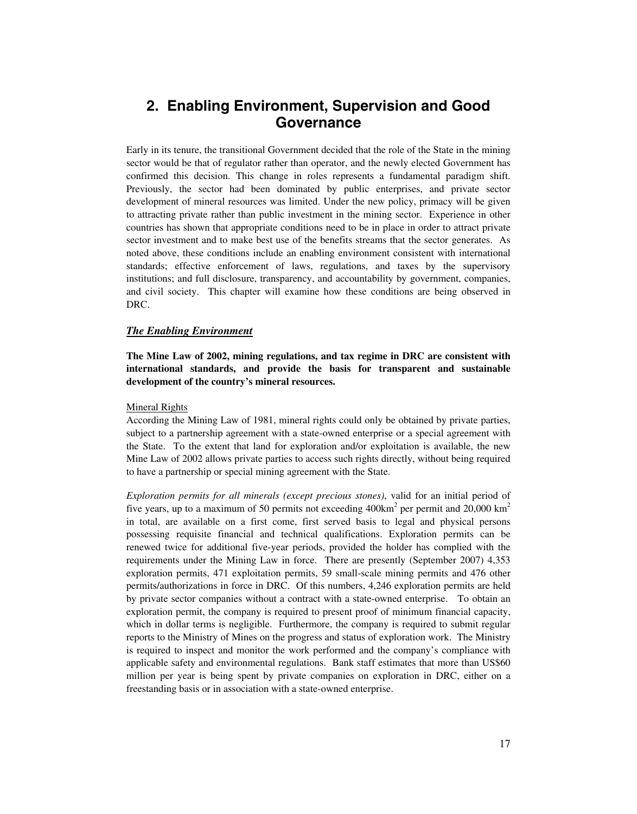## **2. Enabling Environment, Supervision and Good Governance**

Early in its tenure, the transitional Government decided that the role of the State in the mining sector would be that of regulator rather than operator, and the newly elected Government has confirmed this decision. This change in roles represents a fundamental paradigm shift. Previously, the sector had been dominated by public enterprises, and private sector development of mineral resources was limited. Under the new policy, primacy will be given to attracting private rather than public investment in the mining sector. Experience in other countries has shown that appropriate conditions need to be in place in order to attract private sector investment and to make best use of the benefits streams that the sector generates. As noted above, these conditions include an enabling environment consistent with international standards; effective enforcement of laws, regulations, and taxes by the supervisory institutions; and full disclosure, transparency, and accountability by government, companies, and civil society. This chapter will examine how these conditions are being observed in DRC.

#### *The Enabling Environment*

**The Mine Law of 2002, mining regulations, and tax regime in DRC are consistent with international standards, and provide the basis for transparent and sustainable development of the country's mineral resources.** 

#### Mineral Rights

According the Mining Law of 1981, mineral rights could only be obtained by private parties, subject to a partnership agreement with a state-owned enterprise or a special agreement with the State. To the extent that land for exploration and/or exploitation is available, the new Mine Law of 2002 allows private parties to access such rights directly, without being required to have a partnership or special mining agreement with the State.

*Exploration permits for all minerals (except precious stones)*, valid for an initial period of five years, up to a maximum of 50 permits not exceeding  $400 \text{km}^2$  per permit and  $20,000 \text{ km}^2$ in total, are available on a first come, first served basis to legal and physical persons possessing requisite financial and technical qualifications. Exploration permits can be renewed twice for additional five-year periods, provided the holder has complied with the requirements under the Mining Law in force. There are presently (September 2007) 4,353 exploration permits, 471 exploitation permits, 59 small-scale mining permits and 476 other permits/authorizations in force in DRC. Of this numbers, 4,246 exploration permits are held by private sector companies without a contract with a state-owned enterprise. To obtain an exploration permit, the company is required to present proof of minimum financial capacity, which in dollar terms is negligible. Furthermore, the company is required to submit regular reports to the Ministry of Mines on the progress and status of exploration work. The Ministry is required to inspect and monitor the work performed and the company's compliance with applicable safety and environmental regulations. Bank staff estimates that more than US\$60 million per year is being spent by private companies on exploration in DRC, either on a freestanding basis or in association with a state-owned enterprise.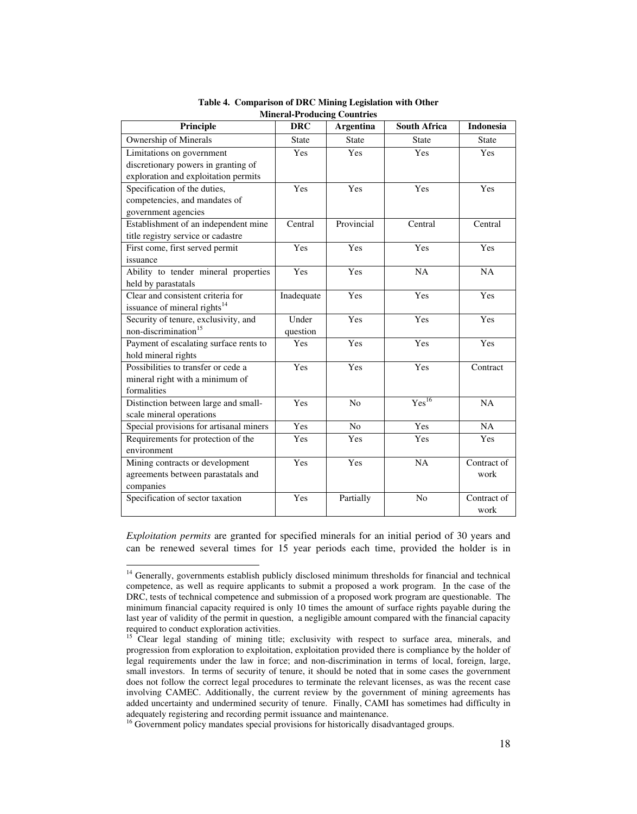| Principle                                | <b>DRC</b>   | <b>Argentina</b> | <b>South Africa</b> | <b>Indonesia</b> |
|------------------------------------------|--------------|------------------|---------------------|------------------|
| Ownership of Minerals                    | <b>State</b> | <b>State</b>     | <b>State</b>        | <b>State</b>     |
| Limitations on government                | Yes          | Yes              | <b>Yes</b>          | Yes              |
| discretionary powers in granting of      |              |                  |                     |                  |
| exploration and exploitation permits     |              |                  |                     |                  |
| Specification of the duties,             | Yes          | Yes              | Yes                 | Yes              |
| competencies, and mandates of            |              |                  |                     |                  |
| government agencies                      |              |                  |                     |                  |
| Establishment of an independent mine     | Central      | Provincial       | Central             | Central          |
| title registry service or cadastre       |              |                  |                     |                  |
| First come, first served permit          | Yes          | Yes              | Yes                 | Yes              |
| issuance                                 |              |                  |                     |                  |
| Ability to tender mineral properties     | Yes          | Yes              | NA                  | NA               |
| held by parastatals                      |              |                  |                     |                  |
| Clear and consistent criteria for        | Inadequate   | Yes              | Yes                 | Yes              |
| issuance of mineral rights <sup>14</sup> |              |                  |                     |                  |
| Security of tenure, exclusivity, and     | Under        | Yes              | Yes                 | Yes              |
| non-discrimination <sup>15</sup>         | question     |                  |                     |                  |
| Payment of escalating surface rents to   | Yes          | Yes              | Yes                 | Yes              |
| hold mineral rights                      |              |                  |                     |                  |
| Possibilities to transfer or cede a      | Yes          | Yes              | Yes                 | Contract         |
| mineral right with a minimum of          |              |                  |                     |                  |
| formalities                              |              |                  |                     |                  |
| Distinction between large and small-     | Yes          | No               | Yes <sup>16</sup>   | NA               |
| scale mineral operations                 |              |                  |                     |                  |
| Special provisions for artisanal miners  | Yes          | N <sub>o</sub>   | Yes                 | NA               |
| Requirements for protection of the       | Yes          | Yes              | Yes                 | Yes              |
| environment                              |              |                  |                     |                  |
| Mining contracts or development          | Yes          | Yes              | NA                  | Contract of      |
| agreements between parastatals and       |              |                  |                     | work             |
| companies                                |              |                  |                     |                  |
| Specification of sector taxation         | Yes          | Partially        | N <sub>o</sub>      | Contract of      |
|                                          |              |                  |                     | work             |

**Table 4. Comparison of DRC Mining Legislation with Other Mineral-Producing Countries** 

*Exploitation permits* are granted for specified minerals for an initial period of 30 years and can be renewed several times for 15 year periods each time, provided the holder is in

 $\overline{a}$ 

<sup>&</sup>lt;sup>14</sup> Generally, governments establish publicly disclosed minimum thresholds for financial and technical competence, as well as require applicants to submit a proposed a work program. In the case of the DRC, tests of technical competence and submission of a proposed work program are questionable. The minimum financial capacity required is only 10 times the amount of surface rights payable during the last year of validity of the permit in question, a negligible amount compared with the financial capacity required to conduct exploration activities.

<sup>&</sup>lt;sup>15</sup> Clear legal standing of mining title; exclusivity with respect to surface area, minerals, and progression from exploration to exploitation, exploitation provided there is compliance by the holder of legal requirements under the law in force; and non-discrimination in terms of local, foreign, large, small investors. In terms of security of tenure, it should be noted that in some cases the government does not follow the correct legal procedures to terminate the relevant licenses, as was the recent case involving CAMEC. Additionally, the current review by the government of mining agreements has added uncertainty and undermined security of tenure. Finally, CAMI has sometimes had difficulty in adequately registering and recording permit issuance and maintenance.

<sup>&</sup>lt;sup>16</sup> Government policy mandates special provisions for historically disadvantaged groups.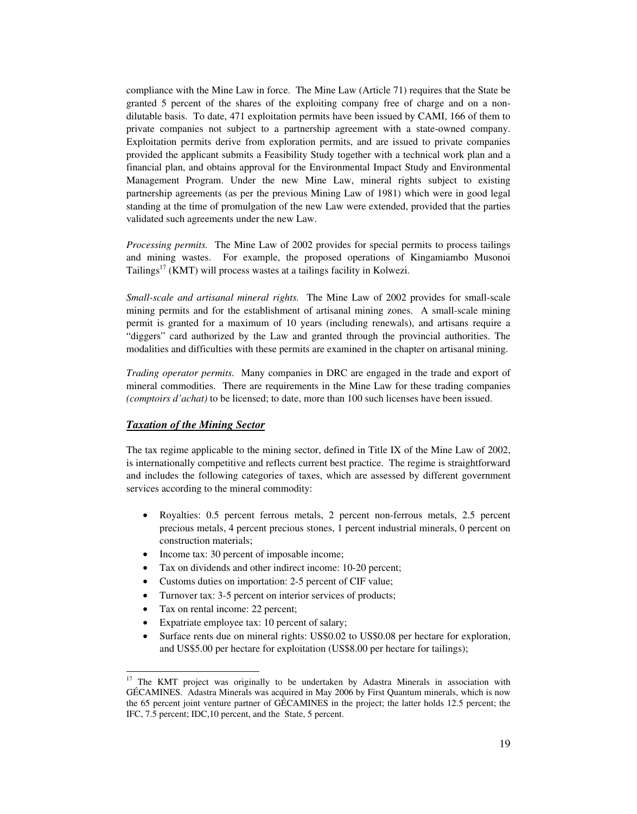compliance with the Mine Law in force. The Mine Law (Article 71) requires that the State be granted 5 percent of the shares of the exploiting company free of charge and on a nondilutable basis. To date, 471 exploitation permits have been issued by CAMI, 166 of them to private companies not subject to a partnership agreement with a state-owned company. Exploitation permits derive from exploration permits, and are issued to private companies provided the applicant submits a Feasibility Study together with a technical work plan and a financial plan, and obtains approval for the Environmental Impact Study and Environmental Management Program. Under the new Mine Law, mineral rights subject to existing partnership agreements (as per the previous Mining Law of 1981) which were in good legal standing at the time of promulgation of the new Law were extended, provided that the parties validated such agreements under the new Law.

*Processing permits.* The Mine Law of 2002 provides for special permits to process tailings and mining wastes. For example, the proposed operations of Kingamiambo Musonoi Tailings $17$  (KMT) will process wastes at a tailings facility in Kolwezi.

*Small-scale and artisanal mineral rights.* The Mine Law of 2002 provides for small-scale mining permits and for the establishment of artisanal mining zones. A small-scale mining permit is granted for a maximum of 10 years (including renewals), and artisans require a "diggers" card authorized by the Law and granted through the provincial authorities. The modalities and difficulties with these permits are examined in the chapter on artisanal mining.

*Trading operator permits.* Many companies in DRC are engaged in the trade and export of mineral commodities. There are requirements in the Mine Law for these trading companies *(comptoirs d'achat)* to be licensed; to date, more than 100 such licenses have been issued.

#### *Taxation of the Mining Sector*

The tax regime applicable to the mining sector, defined in Title IX of the Mine Law of 2002, is internationally competitive and reflects current best practice. The regime is straightforward and includes the following categories of taxes, which are assessed by different government services according to the mineral commodity:

- Royalties: 0.5 percent ferrous metals, 2 percent non-ferrous metals, 2.5 percent precious metals, 4 percent precious stones, 1 percent industrial minerals, 0 percent on construction materials;
- Income tax: 30 percent of imposable income;
- Tax on dividends and other indirect income: 10-20 percent;
- Customs duties on importation: 2-5 percent of CIF value;
- Turnover tax: 3-5 percent on interior services of products;
- Tax on rental income: 22 percent;

 $\ddot{\phantom{a}}$ 

- Expatriate employee tax: 10 percent of salary;
- Surface rents due on mineral rights: US\$0.02 to US\$0.08 per hectare for exploration, and US\$5.00 per hectare for exploitation (US\$8.00 per hectare for tailings);

<sup>17</sup> The KMT project was originally to be undertaken by Adastra Minerals in association with GÉCAMINES. Adastra Minerals was acquired in May 2006 by First Quantum minerals, which is now the 65 percent joint venture partner of GÉCAMINES in the project; the latter holds 12.5 percent; the IFC, 7.5 percent; IDC,10 percent, and the State, 5 percent.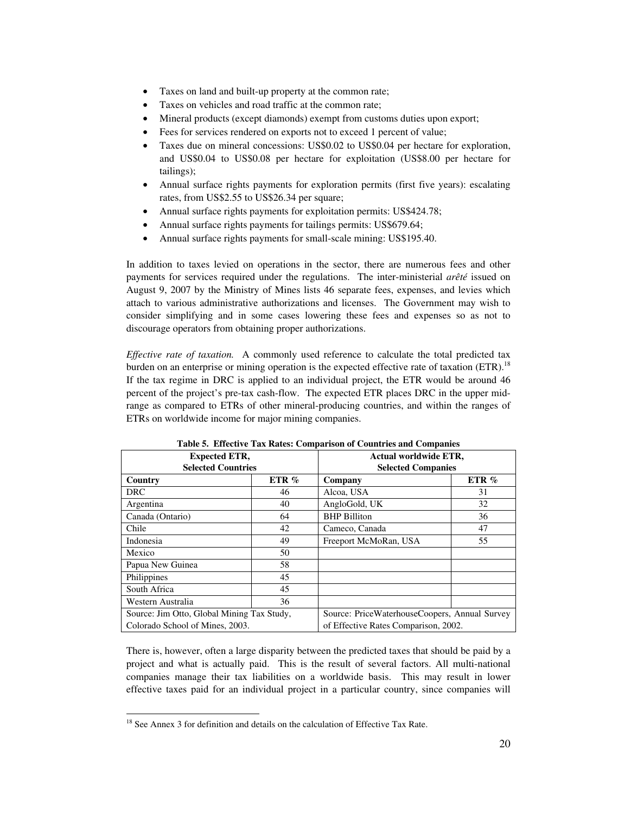- Taxes on land and built-up property at the common rate;
- Taxes on vehicles and road traffic at the common rate;
- Mineral products (except diamonds) exempt from customs duties upon export;
- Fees for services rendered on exports not to exceed 1 percent of value;
- Taxes due on mineral concessions: US\$0.02 to US\$0.04 per hectare for exploration, and US\$0.04 to US\$0.08 per hectare for exploitation (US\$8.00 per hectare for tailings);
- Annual surface rights payments for exploration permits (first five years): escalating rates, from US\$2.55 to US\$26.34 per square;
- Annual surface rights payments for exploitation permits: US\$424.78;
- Annual surface rights payments for tailings permits: US\$679.64;
- Annual surface rights payments for small-scale mining: US\$195.40.

In addition to taxes levied on operations in the sector, there are numerous fees and other payments for services required under the regulations. The inter-ministerial *arêté* issued on August 9, 2007 by the Ministry of Mines lists 46 separate fees, expenses, and levies which attach to various administrative authorizations and licenses. The Government may wish to consider simplifying and in some cases lowering these fees and expenses so as not to discourage operators from obtaining proper authorizations.

*Effective rate of taxation.* A commonly used reference to calculate the total predicted tax burden on an enterprise or mining operation is the expected effective rate of taxation  $(ETR)$ .<sup>18</sup> If the tax regime in DRC is applied to an individual project, the ETR would be around 46 percent of the project's pre-tax cash-flow. The expected ETR places DRC in the upper midrange as compared to ETRs of other mineral-producing countries, and within the ranges of ETRs on worldwide income for major mining companies.

| таріс э. Епіссите тал імпея. Соніратізон от соцінтіся ани сонірання |         |                                               |         |  |  |
|---------------------------------------------------------------------|---------|-----------------------------------------------|---------|--|--|
| <b>Expected ETR,</b>                                                |         | <b>Actual worldwide ETR,</b>                  |         |  |  |
| <b>Selected Countries</b>                                           |         | <b>Selected Companies</b>                     |         |  |  |
| Country                                                             | ETR $%$ | Company                                       | ETR $%$ |  |  |
| <b>DRC</b>                                                          | 46      | Alcoa, USA                                    | 31      |  |  |
| Argentina                                                           | 40      | AngloGold, UK                                 | 32      |  |  |
| Canada (Ontario)                                                    | 64      | <b>BHP</b> Billiton                           | 36      |  |  |
| Chile                                                               | 42      | Cameco, Canada                                | 47      |  |  |
| Indonesia                                                           | 49      | Freeport McMoRan, USA                         | 55      |  |  |
| Mexico                                                              | 50      |                                               |         |  |  |
| Papua New Guinea                                                    | 58      |                                               |         |  |  |
| Philippines                                                         | 45      |                                               |         |  |  |
| South Africa                                                        | 45      |                                               |         |  |  |
| Western Australia                                                   | 36      |                                               |         |  |  |
| Source: Jim Otto, Global Mining Tax Study,                          |         | Source: PriceWaterhouseCoopers, Annual Survey |         |  |  |
| Colorado School of Mines, 2003.                                     |         | of Effective Rates Comparison, 2002.          |         |  |  |

**Table 5. Effective Tax Rates: Comparison of Countries and Companies** 

There is, however, often a large disparity between the predicted taxes that should be paid by a project and what is actually paid. This is the result of several factors. All multi-national companies manage their tax liabilities on a worldwide basis. This may result in lower effective taxes paid for an individual project in a particular country, since companies will

 $\overline{a}$ <sup>18</sup> See Annex 3 for definition and details on the calculation of Effective Tax Rate.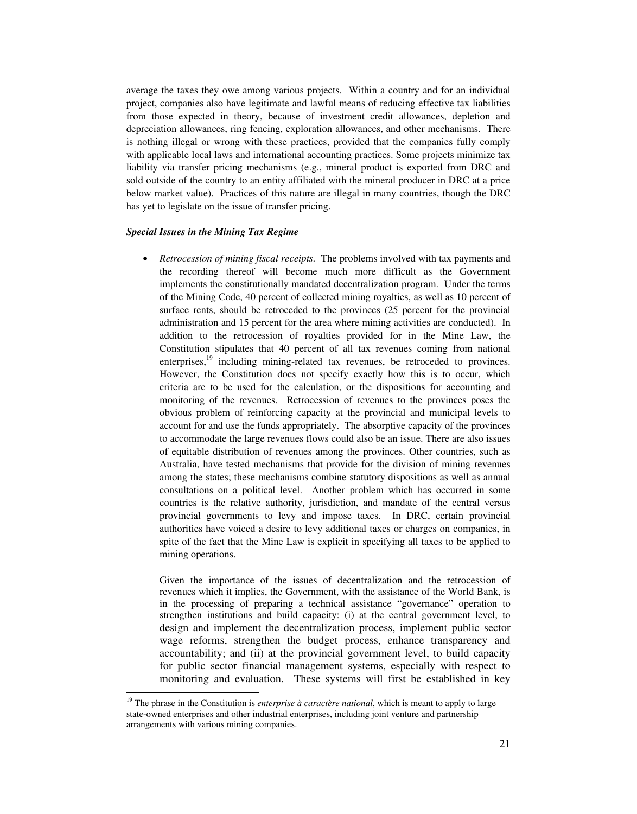average the taxes they owe among various projects. Within a country and for an individual project, companies also have legitimate and lawful means of reducing effective tax liabilities from those expected in theory, because of investment credit allowances, depletion and depreciation allowances, ring fencing, exploration allowances, and other mechanisms. There is nothing illegal or wrong with these practices, provided that the companies fully comply with applicable local laws and international accounting practices. Some projects minimize tax liability via transfer pricing mechanisms (e.g., mineral product is exported from DRC and sold outside of the country to an entity affiliated with the mineral producer in DRC at a price below market value). Practices of this nature are illegal in many countries, though the DRC has yet to legislate on the issue of transfer pricing.

#### *Special Issues in the Mining Tax Regime*

 $\ddot{ }$ 

• *Retrocession of mining fiscal receipts.* The problems involved with tax payments and the recording thereof will become much more difficult as the Government implements the constitutionally mandated decentralization program. Under the terms of the Mining Code, 40 percent of collected mining royalties, as well as 10 percent of surface rents, should be retroceded to the provinces (25 percent for the provincial administration and 15 percent for the area where mining activities are conducted). In addition to the retrocession of royalties provided for in the Mine Law, the Constitution stipulates that 40 percent of all tax revenues coming from national enterprises,<sup>19</sup> including mining-related tax revenues, be retroceded to provinces. However, the Constitution does not specify exactly how this is to occur, which criteria are to be used for the calculation, or the dispositions for accounting and monitoring of the revenues. Retrocession of revenues to the provinces poses the obvious problem of reinforcing capacity at the provincial and municipal levels to account for and use the funds appropriately. The absorptive capacity of the provinces to accommodate the large revenues flows could also be an issue. There are also issues of equitable distribution of revenues among the provinces. Other countries, such as Australia, have tested mechanisms that provide for the division of mining revenues among the states; these mechanisms combine statutory dispositions as well as annual consultations on a political level. Another problem which has occurred in some countries is the relative authority, jurisdiction, and mandate of the central versus provincial governments to levy and impose taxes. In DRC, certain provincial authorities have voiced a desire to levy additional taxes or charges on companies, in spite of the fact that the Mine Law is explicit in specifying all taxes to be applied to mining operations.

Given the importance of the issues of decentralization and the retrocession of revenues which it implies, the Government, with the assistance of the World Bank, is in the processing of preparing a technical assistance "governance" operation to strengthen institutions and build capacity: (i) at the central government level, to design and implement the decentralization process, implement public sector wage reforms, strengthen the budget process, enhance transparency and accountability; and (ii) at the provincial government level, to build capacity for public sector financial management systems, especially with respect to monitoring and evaluation. These systems will first be established in key

<sup>&</sup>lt;sup>19</sup> The phrase in the Constitution is *enterprise à caractère national*, which is meant to apply to large state-owned enterprises and other industrial enterprises, including joint venture and partnership arrangements with various mining companies.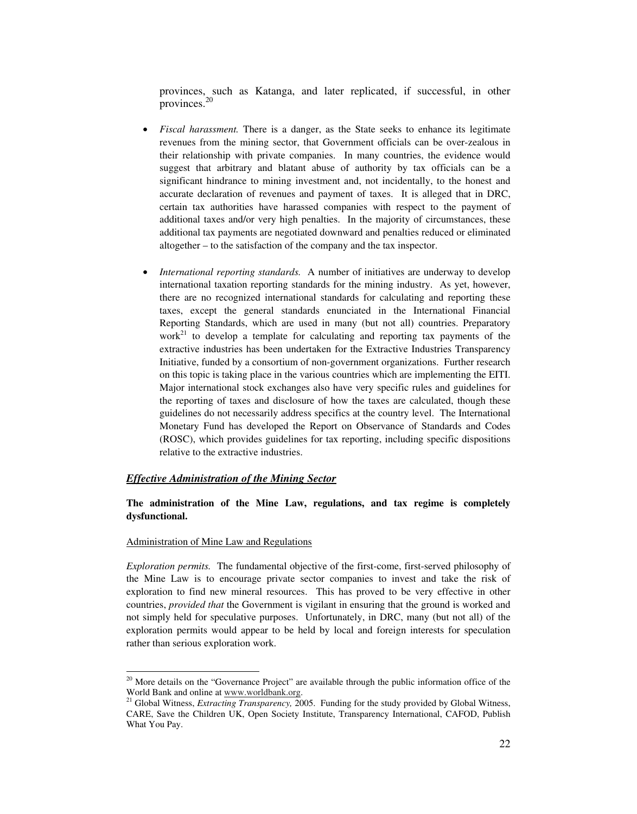provinces, such as Katanga, and later replicated, if successful, in other provinces.20

- *Fiscal harassment*. There is a danger, as the State seeks to enhance its legitimate revenues from the mining sector, that Government officials can be over-zealous in their relationship with private companies. In many countries, the evidence would suggest that arbitrary and blatant abuse of authority by tax officials can be a significant hindrance to mining investment and, not incidentally, to the honest and accurate declaration of revenues and payment of taxes. It is alleged that in DRC, certain tax authorities have harassed companies with respect to the payment of additional taxes and/or very high penalties. In the majority of circumstances, these additional tax payments are negotiated downward and penalties reduced or eliminated altogether – to the satisfaction of the company and the tax inspector.
- *International reporting standards.* A number of initiatives are underway to develop international taxation reporting standards for the mining industry. As yet, however, there are no recognized international standards for calculating and reporting these taxes, except the general standards enunciated in the International Financial Reporting Standards, which are used in many (but not all) countries. Preparatory work<sup>21</sup> to develop a template for calculating and reporting tax payments of the extractive industries has been undertaken for the Extractive Industries Transparency Initiative, funded by a consortium of non-government organizations. Further research on this topic is taking place in the various countries which are implementing the EITI. Major international stock exchanges also have very specific rules and guidelines for the reporting of taxes and disclosure of how the taxes are calculated, though these guidelines do not necessarily address specifics at the country level. The International Monetary Fund has developed the Report on Observance of Standards and Codes (ROSC), which provides guidelines for tax reporting, including specific dispositions relative to the extractive industries.

#### *Effective Administration of the Mining Sector*

#### **The administration of the Mine Law, regulations, and tax regime is completely dysfunctional.**

#### Administration of Mine Law and Regulations

*Exploration permits.* The fundamental objective of the first-come, first-served philosophy of the Mine Law is to encourage private sector companies to invest and take the risk of exploration to find new mineral resources. This has proved to be very effective in other countries, *provided that* the Government is vigilant in ensuring that the ground is worked and not simply held for speculative purposes. Unfortunately, in DRC, many (but not all) of the exploration permits would appear to be held by local and foreign interests for speculation rather than serious exploration work.

 $\ddot{ }$ <sup>20</sup> More details on the "Governance Project" are available through the public information office of the World Bank and online at www.worldbank.org. 21 Global Witness, *Extracting Transparency,* 2005. Funding for the study provided by Global Witness,

CARE, Save the Children UK, Open Society Institute, Transparency International, CAFOD, Publish What You Pay.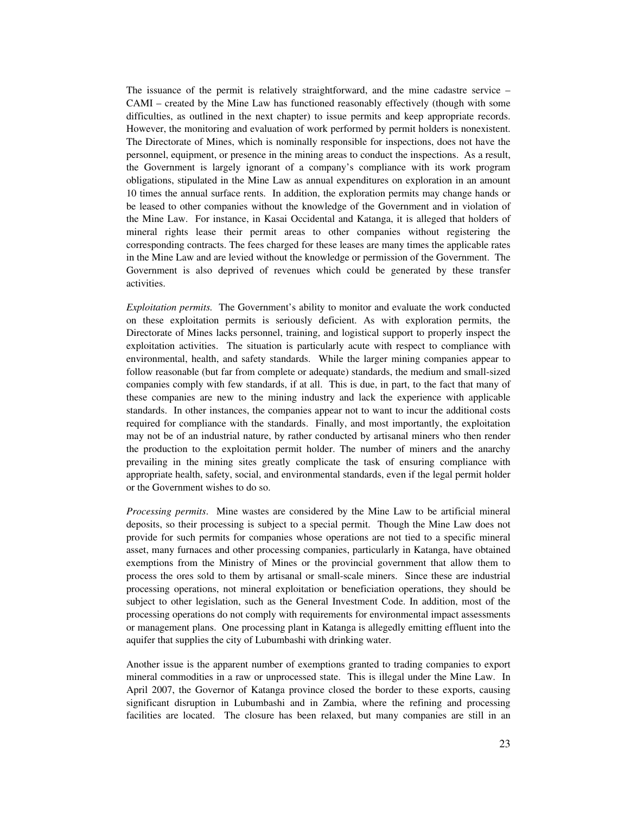The issuance of the permit is relatively straightforward, and the mine cadastre service – CAMI – created by the Mine Law has functioned reasonably effectively (though with some difficulties, as outlined in the next chapter) to issue permits and keep appropriate records. However, the monitoring and evaluation of work performed by permit holders is nonexistent. The Directorate of Mines, which is nominally responsible for inspections, does not have the personnel, equipment, or presence in the mining areas to conduct the inspections. As a result, the Government is largely ignorant of a company's compliance with its work program obligations, stipulated in the Mine Law as annual expenditures on exploration in an amount 10 times the annual surface rents. In addition, the exploration permits may change hands or be leased to other companies without the knowledge of the Government and in violation of the Mine Law. For instance, in Kasai Occidental and Katanga, it is alleged that holders of mineral rights lease their permit areas to other companies without registering the corresponding contracts. The fees charged for these leases are many times the applicable rates in the Mine Law and are levied without the knowledge or permission of the Government. The Government is also deprived of revenues which could be generated by these transfer activities.

*Exploitation permits.* The Government's ability to monitor and evaluate the work conducted on these exploitation permits is seriously deficient. As with exploration permits, the Directorate of Mines lacks personnel, training, and logistical support to properly inspect the exploitation activities. The situation is particularly acute with respect to compliance with environmental, health, and safety standards. While the larger mining companies appear to follow reasonable (but far from complete or adequate) standards, the medium and small-sized companies comply with few standards, if at all. This is due, in part, to the fact that many of these companies are new to the mining industry and lack the experience with applicable standards. In other instances, the companies appear not to want to incur the additional costs required for compliance with the standards. Finally, and most importantly, the exploitation may not be of an industrial nature, by rather conducted by artisanal miners who then render the production to the exploitation permit holder. The number of miners and the anarchy prevailing in the mining sites greatly complicate the task of ensuring compliance with appropriate health, safety, social, and environmental standards, even if the legal permit holder or the Government wishes to do so.

*Processing permits*. Mine wastes are considered by the Mine Law to be artificial mineral deposits, so their processing is subject to a special permit. Though the Mine Law does not provide for such permits for companies whose operations are not tied to a specific mineral asset, many furnaces and other processing companies, particularly in Katanga, have obtained exemptions from the Ministry of Mines or the provincial government that allow them to process the ores sold to them by artisanal or small-scale miners. Since these are industrial processing operations, not mineral exploitation or beneficiation operations, they should be subject to other legislation, such as the General Investment Code. In addition, most of the processing operations do not comply with requirements for environmental impact assessments or management plans. One processing plant in Katanga is allegedly emitting effluent into the aquifer that supplies the city of Lubumbashi with drinking water.

Another issue is the apparent number of exemptions granted to trading companies to export mineral commodities in a raw or unprocessed state. This is illegal under the Mine Law. In April 2007, the Governor of Katanga province closed the border to these exports, causing significant disruption in Lubumbashi and in Zambia, where the refining and processing facilities are located. The closure has been relaxed, but many companies are still in an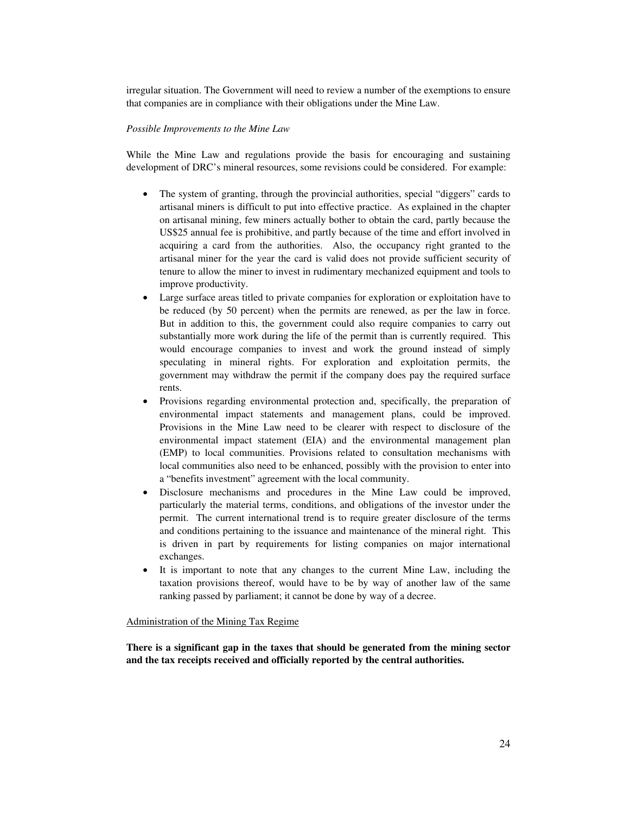irregular situation. The Government will need to review a number of the exemptions to ensure that companies are in compliance with their obligations under the Mine Law.

#### *Possible Improvements to the Mine Law*

While the Mine Law and regulations provide the basis for encouraging and sustaining development of DRC's mineral resources, some revisions could be considered. For example:

- The system of granting, through the provincial authorities, special "diggers" cards to artisanal miners is difficult to put into effective practice. As explained in the chapter on artisanal mining, few miners actually bother to obtain the card, partly because the US\$25 annual fee is prohibitive, and partly because of the time and effort involved in acquiring a card from the authorities. Also, the occupancy right granted to the artisanal miner for the year the card is valid does not provide sufficient security of tenure to allow the miner to invest in rudimentary mechanized equipment and tools to improve productivity.
- Large surface areas titled to private companies for exploration or exploitation have to be reduced (by 50 percent) when the permits are renewed, as per the law in force. But in addition to this, the government could also require companies to carry out substantially more work during the life of the permit than is currently required. This would encourage companies to invest and work the ground instead of simply speculating in mineral rights. For exploration and exploitation permits, the government may withdraw the permit if the company does pay the required surface rents.
- Provisions regarding environmental protection and, specifically, the preparation of environmental impact statements and management plans, could be improved. Provisions in the Mine Law need to be clearer with respect to disclosure of the environmental impact statement (EIA) and the environmental management plan (EMP) to local communities. Provisions related to consultation mechanisms with local communities also need to be enhanced, possibly with the provision to enter into a "benefits investment" agreement with the local community.
- Disclosure mechanisms and procedures in the Mine Law could be improved, particularly the material terms, conditions, and obligations of the investor under the permit. The current international trend is to require greater disclosure of the terms and conditions pertaining to the issuance and maintenance of the mineral right. This is driven in part by requirements for listing companies on major international exchanges.
- It is important to note that any changes to the current Mine Law, including the taxation provisions thereof, would have to be by way of another law of the same ranking passed by parliament; it cannot be done by way of a decree.

#### Administration of the Mining Tax Regime

**There is a significant gap in the taxes that should be generated from the mining sector and the tax receipts received and officially reported by the central authorities.**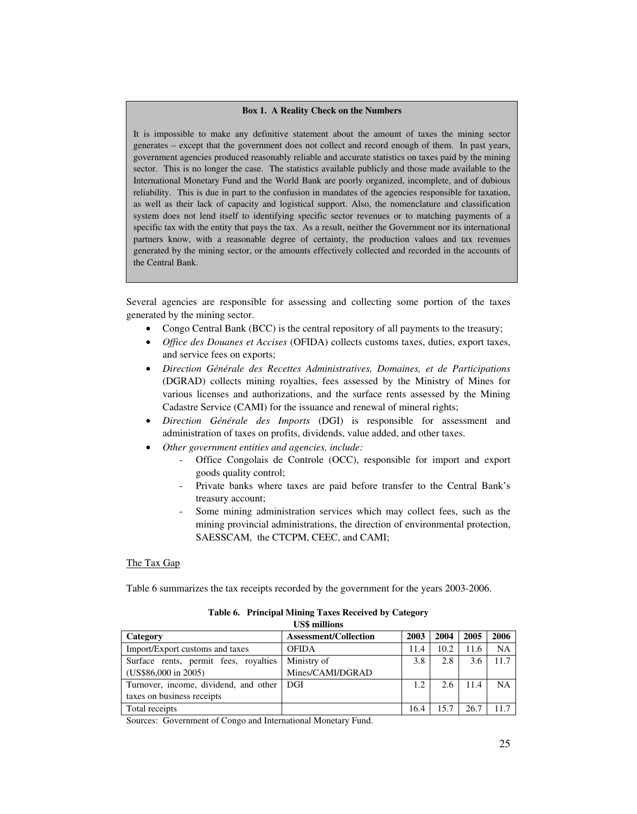#### **Box 1. A Reality Check on the Numbers**

It is impossible to make any definitive statement about the amount of taxes the mining sector generates – except that the government does not collect and record enough of them. In past years, government agencies produced reasonably reliable and accurate statistics on taxes paid by the mining sector. This is no longer the case. The statistics available publicly and those made available to the International Monetary Fund and the World Bank are poorly organized, incomplete, and of dubious reliability. This is due in part to the confusion in mandates of the agencies responsible for taxation, as well as their lack of capacity and logistical support. Also, the nomenclature and classification system does not lend itself to identifying specific sector revenues or to matching payments of a specific tax with the entity that pays the tax. As a result, neither the Government nor its international partners know, with a reasonable degree of certainty, the production values and tax revenues generated by the mining sector, or the amounts effectively collected and recorded in the accounts of the Central Bank.

Several agencies are responsible for assessing and collecting some portion of the taxes generated by the mining sector.

- Congo Central Bank (BCC) is the central repository of all payments to the treasury;
- *Office des Douanes et Accises* (OFIDA) collects customs taxes, duties, export taxes, and service fees on exports;
- *Direction Générale des Recettes Administratives, Domaines, et de Participations*  (DGRAD) collects mining royalties, fees assessed by the Ministry of Mines for various licenses and authorizations, and the surface rents assessed by the Mining Cadastre Service (CAMI) for the issuance and renewal of mineral rights;
- *Direction Générale des Imports* (DGI) is responsible for assessment and administration of taxes on profits, dividends, value added, and other taxes.
- *Other government entities and agencies, include:*
	- Office Congolais de Controle (OCC), responsible for import and export goods quality control;
	- Private banks where taxes are paid before transfer to the Central Bank's treasury account;
	- Some mining administration services which may collect fees, such as the mining provincial administrations, the direction of environmental protection, SAESSCAM, the CTCPM, CEEC, and CAMI;

#### The Tax Gap

Table 6 summarizes the tax receipts recorded by the government for the years 2003-2006.

| Сээ нишонѕ                                  |                              |      |      |      |           |  |
|---------------------------------------------|------------------------------|------|------|------|-----------|--|
| Category                                    | <b>Assessment/Collection</b> | 2003 | 2004 | 2005 | 2006      |  |
| Import/Export customs and taxes             | <b>OFIDA</b>                 | 11.4 | 10.2 | 11.6 | <b>NA</b> |  |
| Surface rents, permit fees, royalties       | Ministry of                  | 3.8  | 2.8  | 3.6  | 11.7      |  |
| (US\$86,000 in 2005)                        | Mines/CAMI/DGRAD             |      |      |      |           |  |
| Turnover, income, dividend, and other   DGI |                              | 1.2  | 2.6  | 11.4 | <b>NA</b> |  |
| taxes on business receipts                  |                              |      |      |      |           |  |
| Total receipts                              |                              | 16.4 |      | 26.7 | 117       |  |

#### **Table 6. Principal Mining Taxes Received by Category US\$ millions**

Sources: Government of Congo and International Monetary Fund.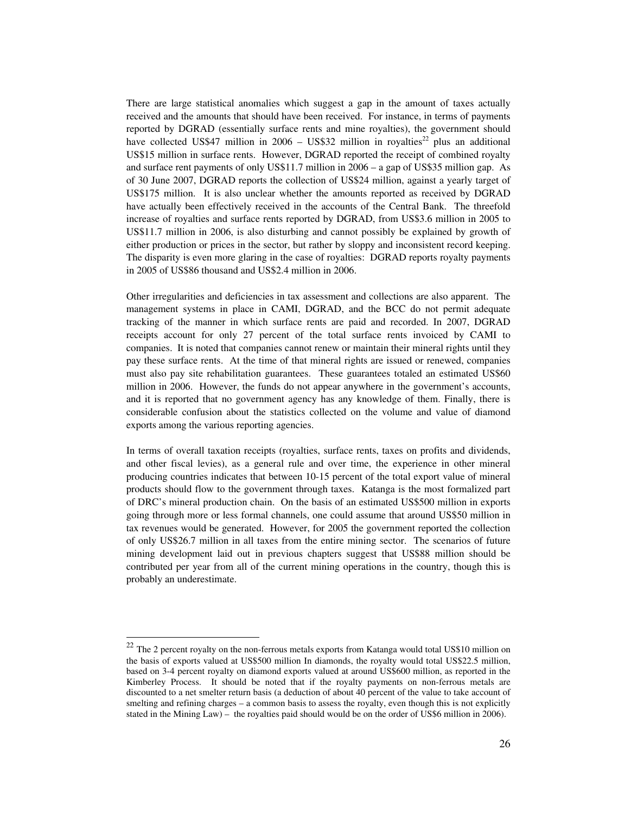There are large statistical anomalies which suggest a gap in the amount of taxes actually received and the amounts that should have been received. For instance, in terms of payments reported by DGRAD (essentially surface rents and mine royalties), the government should have collected US\$47 million in 2006 – US\$32 million in royalties<sup>22</sup> plus an additional US\$15 million in surface rents. However, DGRAD reported the receipt of combined royalty and surface rent payments of only US\$11.7 million in 2006 – a gap of US\$35 million gap. As of 30 June 2007, DGRAD reports the collection of US\$24 million, against a yearly target of US\$175 million. It is also unclear whether the amounts reported as received by DGRAD have actually been effectively received in the accounts of the Central Bank. The threefold increase of royalties and surface rents reported by DGRAD, from US\$3.6 million in 2005 to US\$11.7 million in 2006, is also disturbing and cannot possibly be explained by growth of either production or prices in the sector, but rather by sloppy and inconsistent record keeping. The disparity is even more glaring in the case of royalties: DGRAD reports royalty payments in 2005 of US\$86 thousand and US\$2.4 million in 2006.

Other irregularities and deficiencies in tax assessment and collections are also apparent. The management systems in place in CAMI, DGRAD, and the BCC do not permit adequate tracking of the manner in which surface rents are paid and recorded. In 2007, DGRAD receipts account for only 27 percent of the total surface rents invoiced by CAMI to companies. It is noted that companies cannot renew or maintain their mineral rights until they pay these surface rents. At the time of that mineral rights are issued or renewed, companies must also pay site rehabilitation guarantees. These guarantees totaled an estimated US\$60 million in 2006. However, the funds do not appear anywhere in the government's accounts, and it is reported that no government agency has any knowledge of them. Finally, there is considerable confusion about the statistics collected on the volume and value of diamond exports among the various reporting agencies.

In terms of overall taxation receipts (royalties, surface rents, taxes on profits and dividends, and other fiscal levies), as a general rule and over time, the experience in other mineral producing countries indicates that between 10-15 percent of the total export value of mineral products should flow to the government through taxes. Katanga is the most formalized part of DRC's mineral production chain. On the basis of an estimated US\$500 million in exports going through more or less formal channels, one could assume that around US\$50 million in tax revenues would be generated. However, for 2005 the government reported the collection of only US\$26.7 million in all taxes from the entire mining sector. The scenarios of future mining development laid out in previous chapters suggest that US\$88 million should be contributed per year from all of the current mining operations in the country, though this is probably an underestimate.

 $22\,$ <sup>22</sup> The 2 percent royalty on the non-ferrous metals exports from Katanga would total US\$10 million on the basis of exports valued at US\$500 million In diamonds, the royalty would total US\$22.5 million, based on 3-4 percent royalty on diamond exports valued at around US\$600 million, as reported in the Kimberley Process. It should be noted that if the royalty payments on non-ferrous metals are discounted to a net smelter return basis (a deduction of about 40 percent of the value to take account of smelting and refining charges – a common basis to assess the royalty, even though this is not explicitly stated in the Mining Law) – the royalties paid should would be on the order of US\$6 million in 2006).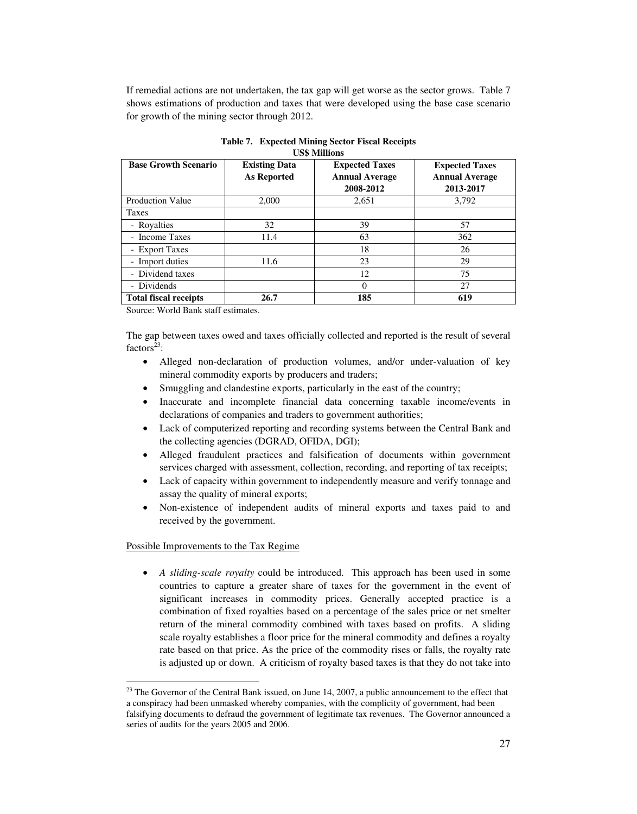If remedial actions are not undertaken, the tax gap will get worse as the sector grows. Table 7 shows estimations of production and taxes that were developed using the base case scenario for growth of the mining sector through 2012.

| <b>Base Growth Scenario</b>  | <b>Existing Data</b><br>As Reported | <b>Expected Taxes</b><br><b>Annual Average</b><br>2008-2012 | <b>Expected Taxes</b><br><b>Annual Average</b><br>2013-2017 |
|------------------------------|-------------------------------------|-------------------------------------------------------------|-------------------------------------------------------------|
| <b>Production Value</b>      | 2,000                               | 2,651                                                       | 3,792                                                       |
| <b>Taxes</b>                 |                                     |                                                             |                                                             |
| - Royalties                  | 32                                  | 39                                                          | 57                                                          |
| - Income Taxes               | 11.4                                | 63                                                          | 362                                                         |
| - Export Taxes               |                                     | 18                                                          | 26                                                          |
| - Import duties              | 11.6                                | 23                                                          | 29                                                          |
| - Dividend taxes             |                                     | 12                                                          | 75                                                          |
| - Dividends                  |                                     | $\Omega$                                                    | 27                                                          |
| <b>Total fiscal receipts</b> | 26.7                                | 185                                                         | 619                                                         |

**Table 7. Expected Mining Sector Fiscal Receipts US\$ Millions** 

Source: World Bank staff estimates.

The gap between taxes owed and taxes officially collected and reported is the result of several factors<sup>23</sup>:

- Alleged non-declaration of production volumes, and/or under-valuation of key mineral commodity exports by producers and traders;
- Smuggling and clandestine exports, particularly in the east of the country;
- Inaccurate and incomplete financial data concerning taxable income/events in declarations of companies and traders to government authorities;
- Lack of computerized reporting and recording systems between the Central Bank and the collecting agencies (DGRAD, OFIDA, DGI);
- Alleged fraudulent practices and falsification of documents within government services charged with assessment, collection, recording, and reporting of tax receipts;
- Lack of capacity within government to independently measure and verify tonnage and assay the quality of mineral exports;
- Non-existence of independent audits of mineral exports and taxes paid to and received by the government.

#### Possible Improvements to the Tax Regime

• *A sliding-scale royalty* could be introduced. This approach has been used in some countries to capture a greater share of taxes for the government in the event of significant increases in commodity prices. Generally accepted practice is a combination of fixed royalties based on a percentage of the sales price or net smelter return of the mineral commodity combined with taxes based on profits. A sliding scale royalty establishes a floor price for the mineral commodity and defines a royalty rate based on that price. As the price of the commodity rises or falls, the royalty rate is adjusted up or down. A criticism of royalty based taxes is that they do not take into

 $\ddot{ }$  $23$  The Governor of the Central Bank issued, on June 14, 2007, a public announcement to the effect that a conspiracy had been unmasked whereby companies, with the complicity of government, had been falsifying documents to defraud the government of legitimate tax revenues. The Governor announced a series of audits for the years 2005 and 2006.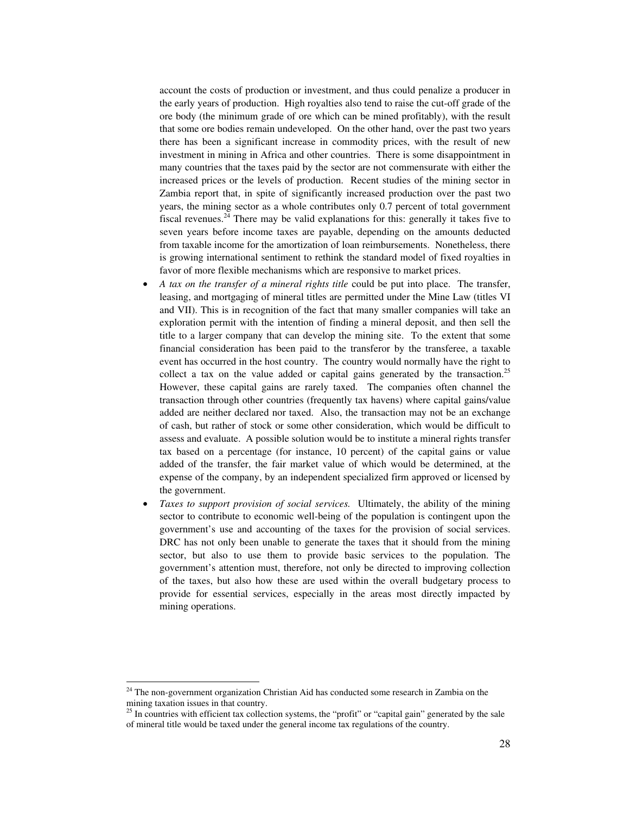account the costs of production or investment, and thus could penalize a producer in the early years of production. High royalties also tend to raise the cut-off grade of the ore body (the minimum grade of ore which can be mined profitably), with the result that some ore bodies remain undeveloped. On the other hand, over the past two years there has been a significant increase in commodity prices, with the result of new investment in mining in Africa and other countries. There is some disappointment in many countries that the taxes paid by the sector are not commensurate with either the increased prices or the levels of production. Recent studies of the mining sector in Zambia report that, in spite of significantly increased production over the past two years, the mining sector as a whole contributes only 0.7 percent of total government fiscal revenues.<sup>24</sup> There may be valid explanations for this: generally it takes five to seven years before income taxes are payable, depending on the amounts deducted from taxable income for the amortization of loan reimbursements. Nonetheless, there is growing international sentiment to rethink the standard model of fixed royalties in favor of more flexible mechanisms which are responsive to market prices.

- *A tax on the transfer of a mineral rights title* could be put into place. The transfer, leasing, and mortgaging of mineral titles are permitted under the Mine Law (titles VI and VII). This is in recognition of the fact that many smaller companies will take an exploration permit with the intention of finding a mineral deposit, and then sell the title to a larger company that can develop the mining site. To the extent that some financial consideration has been paid to the transferor by the transferee, a taxable event has occurred in the host country. The country would normally have the right to collect a tax on the value added or capital gains generated by the transaction.<sup>25</sup> However, these capital gains are rarely taxed. The companies often channel the transaction through other countries (frequently tax havens) where capital gains/value added are neither declared nor taxed. Also, the transaction may not be an exchange of cash, but rather of stock or some other consideration, which would be difficult to assess and evaluate. A possible solution would be to institute a mineral rights transfer tax based on a percentage (for instance, 10 percent) of the capital gains or value added of the transfer, the fair market value of which would be determined, at the expense of the company, by an independent specialized firm approved or licensed by the government.
- *Taxes to support provision of social services.* Ultimately, the ability of the mining sector to contribute to economic well-being of the population is contingent upon the government's use and accounting of the taxes for the provision of social services. DRC has not only been unable to generate the taxes that it should from the mining sector, but also to use them to provide basic services to the population. The government's attention must, therefore, not only be directed to improving collection of the taxes, but also how these are used within the overall budgetary process to provide for essential services, especially in the areas most directly impacted by mining operations.

 $\ddot{ }$ 

 $24$  The non-government organization Christian Aid has conducted some research in Zambia on the mining taxation issues in that country.

 $25$  In countries with efficient tax collection systems, the "profit" or "capital gain" generated by the sale of mineral title would be taxed under the general income tax regulations of the country.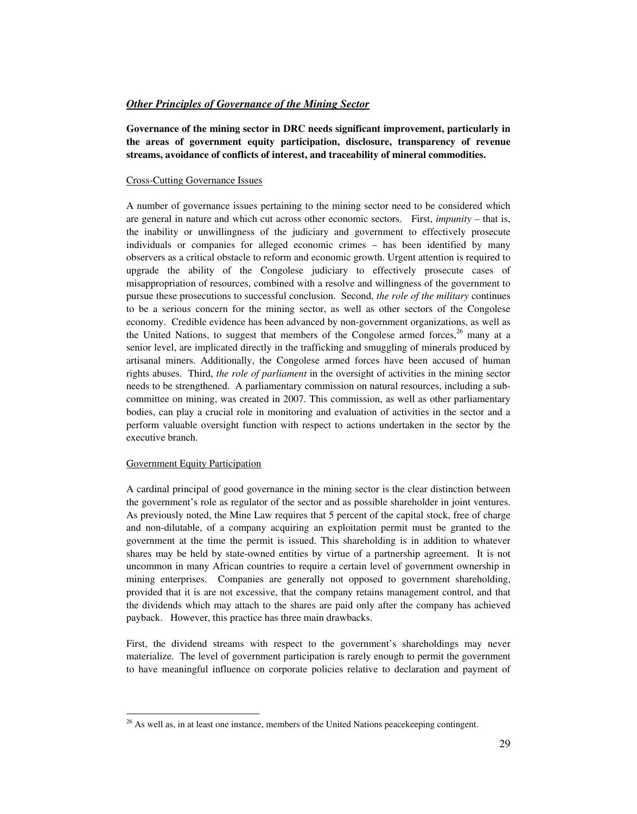#### *Other Principles of Governance of the Mining Sector*

**Governance of the mining sector in DRC needs significant improvement, particularly in the areas of government equity participation, disclosure, transparency of revenue streams, avoidance of conflicts of interest, and traceability of mineral commodities.** 

#### Cross-Cutting Governance Issues

A number of governance issues pertaining to the mining sector need to be considered which are general in nature and which cut across other economic sectors. First, *impunity –* that is, the inability or unwillingness of the judiciary and government to effectively prosecute individuals or companies for alleged economic crimes – has been identified by many observers as a critical obstacle to reform and economic growth. Urgent attention is required to upgrade the ability of the Congolese judiciary to effectively prosecute cases of misappropriation of resources, combined with a resolve and willingness of the government to pursue these prosecutions to successful conclusion. Second, *the role of the military* continues to be a serious concern for the mining sector, as well as other sectors of the Congolese economy. Credible evidence has been advanced by non-government organizations, as well as the United Nations, to suggest that members of the Congolese armed forces,  $^{26}$  many at a senior level, are implicated directly in the trafficking and smuggling of minerals produced by artisanal miners. Additionally, the Congolese armed forces have been accused of human rights abuses. Third, *the role of parliament* in the oversight of activities in the mining sector needs to be strengthened. A parliamentary commission on natural resources, including a subcommittee on mining, was created in 2007. This commission, as well as other parliamentary bodies, can play a crucial role in monitoring and evaluation of activities in the sector and a perform valuable oversight function with respect to actions undertaken in the sector by the executive branch.

#### Government Equity Participation

A cardinal principal of good governance in the mining sector is the clear distinction between the government's role as regulator of the sector and as possible shareholder in joint ventures. As previously noted, the Mine Law requires that 5 percent of the capital stock, free of charge and non-dilutable, of a company acquiring an exploitation permit must be granted to the government at the time the permit is issued. This shareholding is in addition to whatever shares may be held by state-owned entities by virtue of a partnership agreement. It is not uncommon in many African countries to require a certain level of government ownership in mining enterprises. Companies are generally not opposed to government shareholding, provided that it is are not excessive, that the company retains management control, and that the dividends which may attach to the shares are paid only after the company has achieved payback. However, this practice has three main drawbacks.

First, the dividend streams with respect to the government's shareholdings may never materialize. The level of government participation is rarely enough to permit the government to have meaningful influence on corporate policies relative to declaration and payment of

 $\overline{a}$  $26$  As well as, in at least one instance, members of the United Nations peacekeeping contingent.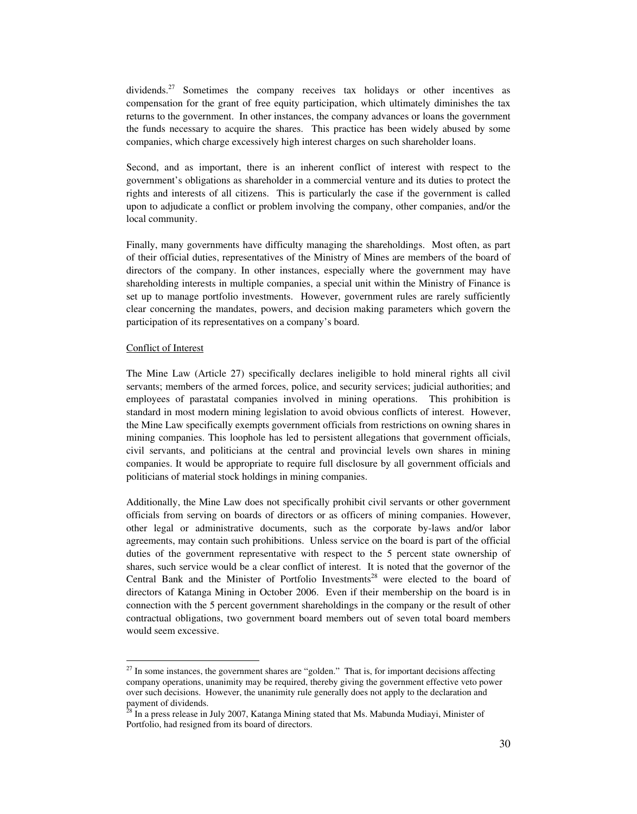dividends.<sup>27</sup> Sometimes the company receives tax holidays or other incentives as compensation for the grant of free equity participation, which ultimately diminishes the tax returns to the government. In other instances, the company advances or loans the government the funds necessary to acquire the shares. This practice has been widely abused by some companies, which charge excessively high interest charges on such shareholder loans.

Second, and as important, there is an inherent conflict of interest with respect to the government's obligations as shareholder in a commercial venture and its duties to protect the rights and interests of all citizens. This is particularly the case if the government is called upon to adjudicate a conflict or problem involving the company, other companies, and/or the local community.

Finally, many governments have difficulty managing the shareholdings. Most often, as part of their official duties, representatives of the Ministry of Mines are members of the board of directors of the company. In other instances, especially where the government may have shareholding interests in multiple companies, a special unit within the Ministry of Finance is set up to manage portfolio investments. However, government rules are rarely sufficiently clear concerning the mandates, powers, and decision making parameters which govern the participation of its representatives on a company's board.

#### Conflict of Interest

 $\ddot{ }$ 

The Mine Law (Article 27) specifically declares ineligible to hold mineral rights all civil servants; members of the armed forces, police, and security services; judicial authorities; and employees of parastatal companies involved in mining operations. This prohibition is standard in most modern mining legislation to avoid obvious conflicts of interest. However, the Mine Law specifically exempts government officials from restrictions on owning shares in mining companies. This loophole has led to persistent allegations that government officials, civil servants, and politicians at the central and provincial levels own shares in mining companies. It would be appropriate to require full disclosure by all government officials and politicians of material stock holdings in mining companies.

Additionally, the Mine Law does not specifically prohibit civil servants or other government officials from serving on boards of directors or as officers of mining companies. However, other legal or administrative documents, such as the corporate by-laws and/or labor agreements, may contain such prohibitions. Unless service on the board is part of the official duties of the government representative with respect to the 5 percent state ownership of shares, such service would be a clear conflict of interest. It is noted that the governor of the Central Bank and the Minister of Portfolio Investments<sup>28</sup> were elected to the board of directors of Katanga Mining in October 2006. Even if their membership on the board is in connection with the 5 percent government shareholdings in the company or the result of other contractual obligations, two government board members out of seven total board members would seem excessive.

 $27$  In some instances, the government shares are "golden." That is, for important decisions affecting company operations, unanimity may be required, thereby giving the government effective veto power over such decisions. However, the unanimity rule generally does not apply to the declaration and payment of dividends.

<sup>&</sup>lt;sup>28</sup> In a press release in July 2007, Katanga Mining stated that Ms. Mabunda Mudiayi, Minister of Portfolio, had resigned from its board of directors.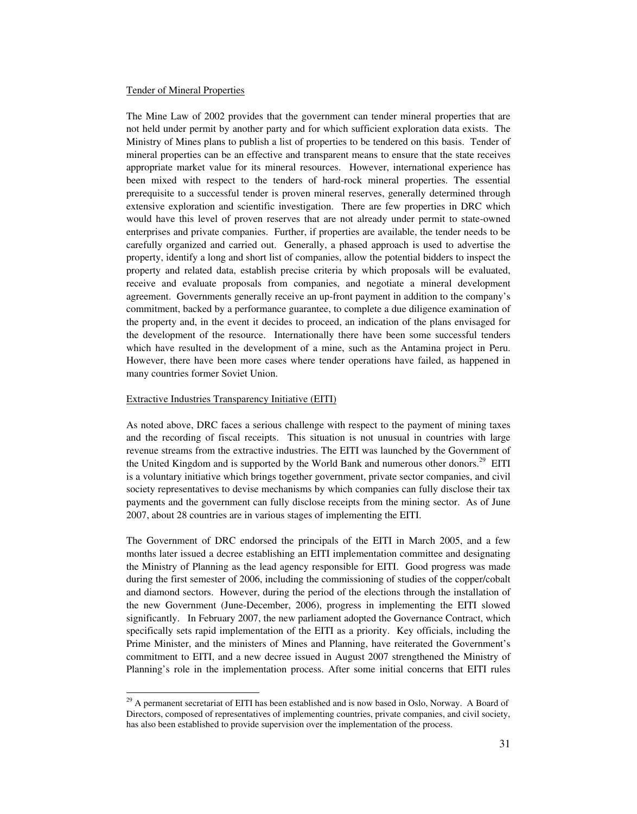#### Tender of Mineral Properties

The Mine Law of 2002 provides that the government can tender mineral properties that are not held under permit by another party and for which sufficient exploration data exists. The Ministry of Mines plans to publish a list of properties to be tendered on this basis. Tender of mineral properties can be an effective and transparent means to ensure that the state receives appropriate market value for its mineral resources. However, international experience has been mixed with respect to the tenders of hard-rock mineral properties. The essential prerequisite to a successful tender is proven mineral reserves, generally determined through extensive exploration and scientific investigation. There are few properties in DRC which would have this level of proven reserves that are not already under permit to state-owned enterprises and private companies. Further, if properties are available, the tender needs to be carefully organized and carried out. Generally, a phased approach is used to advertise the property, identify a long and short list of companies, allow the potential bidders to inspect the property and related data, establish precise criteria by which proposals will be evaluated, receive and evaluate proposals from companies, and negotiate a mineral development agreement. Governments generally receive an up-front payment in addition to the company's commitment, backed by a performance guarantee, to complete a due diligence examination of the property and, in the event it decides to proceed, an indication of the plans envisaged for the development of the resource. Internationally there have been some successful tenders which have resulted in the development of a mine, such as the Antamina project in Peru. However, there have been more cases where tender operations have failed, as happened in many countries former Soviet Union.

#### Extractive Industries Transparency Initiative (EITI)

As noted above, DRC faces a serious challenge with respect to the payment of mining taxes and the recording of fiscal receipts. This situation is not unusual in countries with large revenue streams from the extractive industries. The EITI was launched by the Government of the United Kingdom and is supported by the World Bank and numerous other donors.<sup>29</sup> EITI is a voluntary initiative which brings together government, private sector companies, and civil society representatives to devise mechanisms by which companies can fully disclose their tax payments and the government can fully disclose receipts from the mining sector. As of June 2007, about 28 countries are in various stages of implementing the EITI.

The Government of DRC endorsed the principals of the EITI in March 2005, and a few months later issued a decree establishing an EITI implementation committee and designating the Ministry of Planning as the lead agency responsible for EITI. Good progress was made during the first semester of 2006, including the commissioning of studies of the copper/cobalt and diamond sectors. However, during the period of the elections through the installation of the new Government (June-December, 2006), progress in implementing the EITI slowed significantly. In February 2007, the new parliament adopted the Governance Contract, which specifically sets rapid implementation of the EITI as a priority. Key officials, including the Prime Minister, and the ministers of Mines and Planning, have reiterated the Government's commitment to EITI, and a new decree issued in August 2007 strengthened the Ministry of Planning's role in the implementation process. After some initial concerns that EITI rules

 $\ddot{ }$  $29$  A permanent secretariat of EITI has been established and is now based in Oslo, Norway. A Board of Directors, composed of representatives of implementing countries, private companies, and civil society, has also been established to provide supervision over the implementation of the process.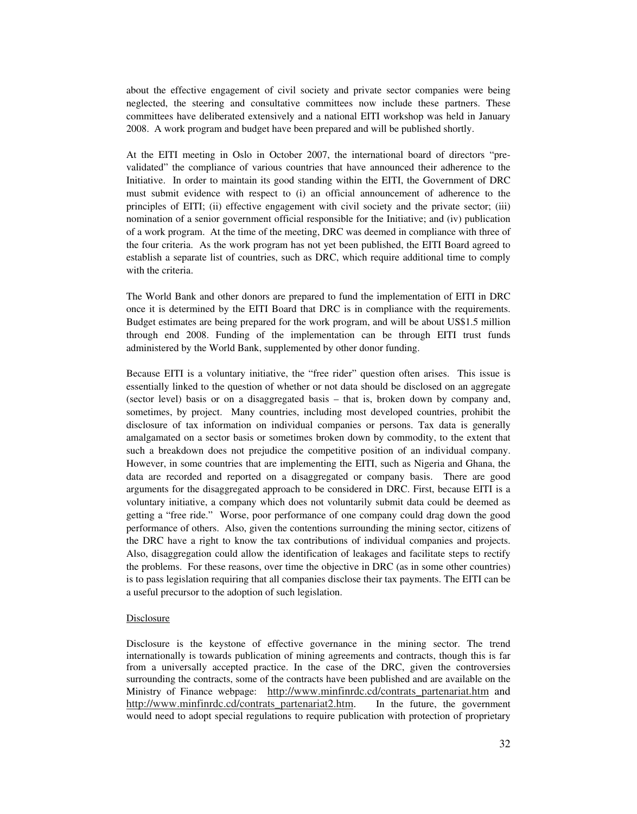about the effective engagement of civil society and private sector companies were being neglected, the steering and consultative committees now include these partners. These committees have deliberated extensively and a national EITI workshop was held in January 2008. A work program and budget have been prepared and will be published shortly.

At the EITI meeting in Oslo in October 2007, the international board of directors "prevalidated" the compliance of various countries that have announced their adherence to the Initiative. In order to maintain its good standing within the EITI, the Government of DRC must submit evidence with respect to (i) an official announcement of adherence to the principles of EITI; (ii) effective engagement with civil society and the private sector; (iii) nomination of a senior government official responsible for the Initiative; and (iv) publication of a work program. At the time of the meeting, DRC was deemed in compliance with three of the four criteria. As the work program has not yet been published, the EITI Board agreed to establish a separate list of countries, such as DRC, which require additional time to comply with the criteria.

The World Bank and other donors are prepared to fund the implementation of EITI in DRC once it is determined by the EITI Board that DRC is in compliance with the requirements. Budget estimates are being prepared for the work program, and will be about US\$1.5 million through end 2008. Funding of the implementation can be through EITI trust funds administered by the World Bank, supplemented by other donor funding.

Because EITI is a voluntary initiative, the "free rider" question often arises. This issue is essentially linked to the question of whether or not data should be disclosed on an aggregate (sector level) basis or on a disaggregated basis – that is, broken down by company and, sometimes, by project. Many countries, including most developed countries, prohibit the disclosure of tax information on individual companies or persons. Tax data is generally amalgamated on a sector basis or sometimes broken down by commodity, to the extent that such a breakdown does not prejudice the competitive position of an individual company. However, in some countries that are implementing the EITI, such as Nigeria and Ghana, the data are recorded and reported on a disaggregated or company basis. There are good arguments for the disaggregated approach to be considered in DRC. First, because EITI is a voluntary initiative, a company which does not voluntarily submit data could be deemed as getting a "free ride." Worse, poor performance of one company could drag down the good performance of others. Also, given the contentions surrounding the mining sector, citizens of the DRC have a right to know the tax contributions of individual companies and projects. Also, disaggregation could allow the identification of leakages and facilitate steps to rectify the problems. For these reasons, over time the objective in DRC (as in some other countries) is to pass legislation requiring that all companies disclose their tax payments. The EITI can be a useful precursor to the adoption of such legislation.

#### **Disclosure**

Disclosure is the keystone of effective governance in the mining sector. The trend internationally is towards publication of mining agreements and contracts, though this is far from a universally accepted practice. In the case of the DRC, given the controversies surrounding the contracts, some of the contracts have been published and are available on the Ministry of Finance webpage: http://www.minfinrdc.cd/contrats\_partenariat.htm and http://www.minfinrdc.cd/contrats\_partenariat2.htm. In the future, the government would need to adopt special regulations to require publication with protection of proprietary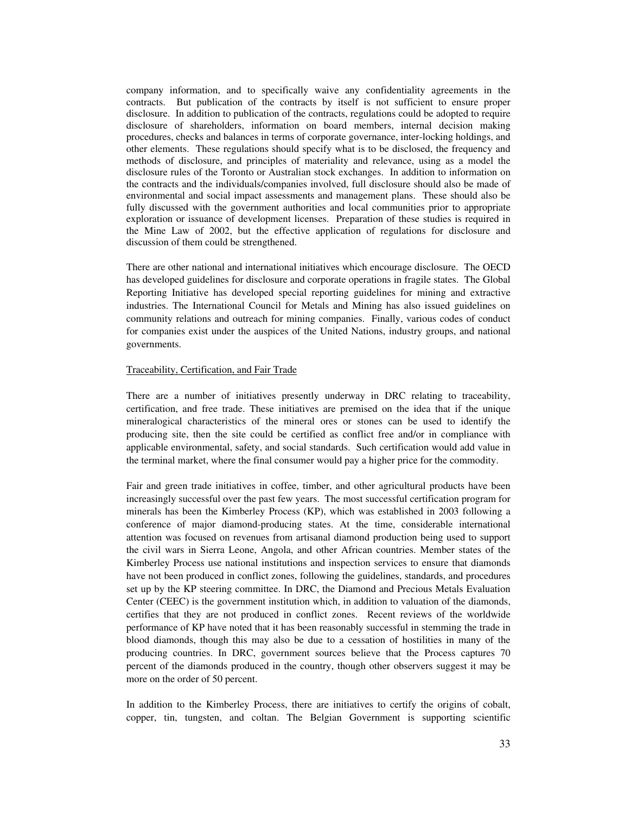company information, and to specifically waive any confidentiality agreements in the contracts. But publication of the contracts by itself is not sufficient to ensure proper disclosure. In addition to publication of the contracts, regulations could be adopted to require disclosure of shareholders, information on board members, internal decision making procedures, checks and balances in terms of corporate governance, inter-locking holdings, and other elements. These regulations should specify what is to be disclosed, the frequency and methods of disclosure, and principles of materiality and relevance, using as a model the disclosure rules of the Toronto or Australian stock exchanges. In addition to information on the contracts and the individuals/companies involved, full disclosure should also be made of environmental and social impact assessments and management plans. These should also be fully discussed with the government authorities and local communities prior to appropriate exploration or issuance of development licenses. Preparation of these studies is required in the Mine Law of 2002, but the effective application of regulations for disclosure and discussion of them could be strengthened.

There are other national and international initiatives which encourage disclosure. The OECD has developed guidelines for disclosure and corporate operations in fragile states. The Global Reporting Initiative has developed special reporting guidelines for mining and extractive industries. The International Council for Metals and Mining has also issued guidelines on community relations and outreach for mining companies. Finally, various codes of conduct for companies exist under the auspices of the United Nations, industry groups, and national governments.

## Traceability, Certification, and Fair Trade

There are a number of initiatives presently underway in DRC relating to traceability, certification, and free trade. These initiatives are premised on the idea that if the unique mineralogical characteristics of the mineral ores or stones can be used to identify the producing site, then the site could be certified as conflict free and/or in compliance with applicable environmental, safety, and social standards. Such certification would add value in the terminal market, where the final consumer would pay a higher price for the commodity.

Fair and green trade initiatives in coffee, timber, and other agricultural products have been increasingly successful over the past few years. The most successful certification program for minerals has been the Kimberley Process (KP), which was established in 2003 following a conference of major diamond-producing states. At the time, considerable international attention was focused on revenues from artisanal diamond production being used to support the civil wars in Sierra Leone, Angola, and other African countries. Member states of the Kimberley Process use national institutions and inspection services to ensure that diamonds have not been produced in conflict zones, following the guidelines, standards, and procedures set up by the KP steering committee. In DRC, the Diamond and Precious Metals Evaluation Center (CEEC) is the government institution which, in addition to valuation of the diamonds, certifies that they are not produced in conflict zones. Recent reviews of the worldwide performance of KP have noted that it has been reasonably successful in stemming the trade in blood diamonds, though this may also be due to a cessation of hostilities in many of the producing countries. In DRC, government sources believe that the Process captures 70 percent of the diamonds produced in the country, though other observers suggest it may be more on the order of 50 percent.

In addition to the Kimberley Process, there are initiatives to certify the origins of cobalt, copper, tin, tungsten, and coltan. The Belgian Government is supporting scientific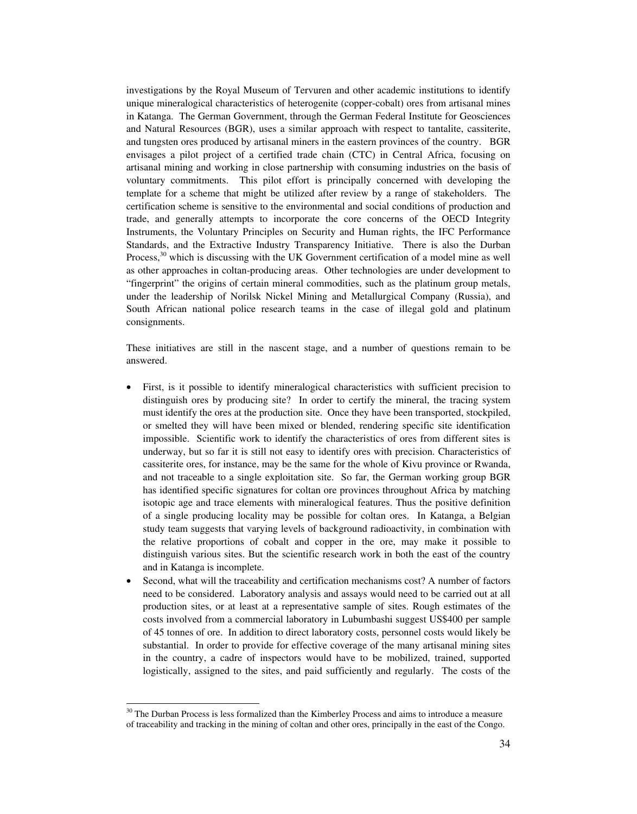investigations by the Royal Museum of Tervuren and other academic institutions to identify unique mineralogical characteristics of heterogenite (copper-cobalt) ores from artisanal mines in Katanga. The German Government, through the German Federal Institute for Geosciences and Natural Resources (BGR), uses a similar approach with respect to tantalite, cassiterite, and tungsten ores produced by artisanal miners in the eastern provinces of the country. BGR envisages a pilot project of a certified trade chain (CTC) in Central Africa, focusing on artisanal mining and working in close partnership with consuming industries on the basis of voluntary commitments. This pilot effort is principally concerned with developing the template for a scheme that might be utilized after review by a range of stakeholders. The certification scheme is sensitive to the environmental and social conditions of production and trade, and generally attempts to incorporate the core concerns of the OECD Integrity Instruments, the Voluntary Principles on Security and Human rights, the IFC Performance Standards, and the Extractive Industry Transparency Initiative. There is also the Durban Process,<sup>30</sup> which is discussing with the UK Government certification of a model mine as well as other approaches in coltan-producing areas. Other technologies are under development to "fingerprint" the origins of certain mineral commodities, such as the platinum group metals, under the leadership of Norilsk Nickel Mining and Metallurgical Company (Russia), and South African national police research teams in the case of illegal gold and platinum consignments.

These initiatives are still in the nascent stage, and a number of questions remain to be answered.

- First, is it possible to identify mineralogical characteristics with sufficient precision to distinguish ores by producing site? In order to certify the mineral, the tracing system must identify the ores at the production site. Once they have been transported, stockpiled, or smelted they will have been mixed or blended, rendering specific site identification impossible. Scientific work to identify the characteristics of ores from different sites is underway, but so far it is still not easy to identify ores with precision. Characteristics of cassiterite ores, for instance, may be the same for the whole of Kivu province or Rwanda, and not traceable to a single exploitation site. So far, the German working group BGR has identified specific signatures for coltan ore provinces throughout Africa by matching isotopic age and trace elements with mineralogical features. Thus the positive definition of a single producing locality may be possible for coltan ores. In Katanga, a Belgian study team suggests that varying levels of background radioactivity, in combination with the relative proportions of cobalt and copper in the ore, may make it possible to distinguish various sites. But the scientific research work in both the east of the country and in Katanga is incomplete.
- Second, what will the traceability and certification mechanisms cost? A number of factors need to be considered. Laboratory analysis and assays would need to be carried out at all production sites, or at least at a representative sample of sites. Rough estimates of the costs involved from a commercial laboratory in Lubumbashi suggest US\$400 per sample of 45 tonnes of ore. In addition to direct laboratory costs, personnel costs would likely be substantial. In order to provide for effective coverage of the many artisanal mining sites in the country, a cadre of inspectors would have to be mobilized, trained, supported logistically, assigned to the sites, and paid sufficiently and regularly. The costs of the

 $\overline{a}$ <sup>30</sup> The Durban Process is less formalized than the Kimberley Process and aims to introduce a measure of traceability and tracking in the mining of coltan and other ores, principally in the east of the Congo.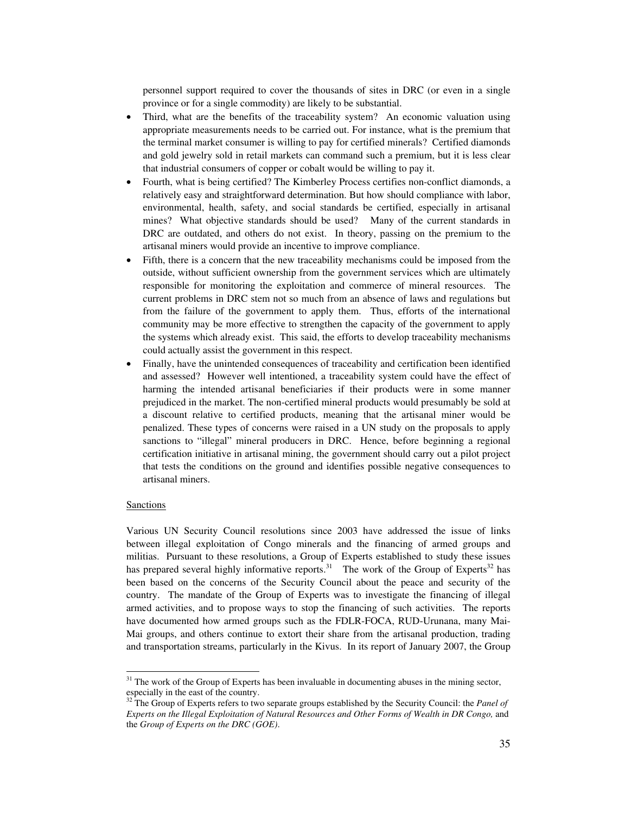personnel support required to cover the thousands of sites in DRC (or even in a single province or for a single commodity) are likely to be substantial.

- Third, what are the benefits of the traceability system? An economic valuation using appropriate measurements needs to be carried out. For instance, what is the premium that the terminal market consumer is willing to pay for certified minerals? Certified diamonds and gold jewelry sold in retail markets can command such a premium, but it is less clear that industrial consumers of copper or cobalt would be willing to pay it.
- Fourth, what is being certified? The Kimberley Process certifies non-conflict diamonds, a relatively easy and straightforward determination. But how should compliance with labor, environmental, health, safety, and social standards be certified, especially in artisanal mines? What objective standards should be used? Many of the current standards in DRC are outdated, and others do not exist. In theory, passing on the premium to the artisanal miners would provide an incentive to improve compliance.
- Fifth, there is a concern that the new traceability mechanisms could be imposed from the outside, without sufficient ownership from the government services which are ultimately responsible for monitoring the exploitation and commerce of mineral resources. The current problems in DRC stem not so much from an absence of laws and regulations but from the failure of the government to apply them. Thus, efforts of the international community may be more effective to strengthen the capacity of the government to apply the systems which already exist. This said, the efforts to develop traceability mechanisms could actually assist the government in this respect.
- Finally, have the unintended consequences of traceability and certification been identified and assessed? However well intentioned, a traceability system could have the effect of harming the intended artisanal beneficiaries if their products were in some manner prejudiced in the market. The non-certified mineral products would presumably be sold at a discount relative to certified products, meaning that the artisanal miner would be penalized. These types of concerns were raised in a UN study on the proposals to apply sanctions to "illegal" mineral producers in DRC. Hence, before beginning a regional certification initiative in artisanal mining, the government should carry out a pilot project that tests the conditions on the ground and identifies possible negative consequences to artisanal miners.

## Sanctions

 $\overline{a}$ 

Various UN Security Council resolutions since 2003 have addressed the issue of links between illegal exploitation of Congo minerals and the financing of armed groups and militias. Pursuant to these resolutions, a Group of Experts established to study these issues has prepared several highly informative reports.<sup>31</sup> The work of the Group of Experts<sup>32</sup> has been based on the concerns of the Security Council about the peace and security of the country. The mandate of the Group of Experts was to investigate the financing of illegal armed activities, and to propose ways to stop the financing of such activities. The reports have documented how armed groups such as the FDLR-FOCA, RUD-Urunana, many Mai-Mai groups, and others continue to extort their share from the artisanal production, trading and transportation streams, particularly in the Kivus. In its report of January 2007, the Group

<sup>&</sup>lt;sup>31</sup> The work of the Group of Experts has been invaluable in documenting abuses in the mining sector, especially in the east of the country.

<sup>&</sup>lt;sup>32</sup> The Group of Experts refers to two separate groups established by the Security Council: the *Panel of Experts on the Illegal Exploitation of Natural Resources and Other Forms of Wealth in DR Congo,* and the *Group of Experts on the DRC (GOE)*.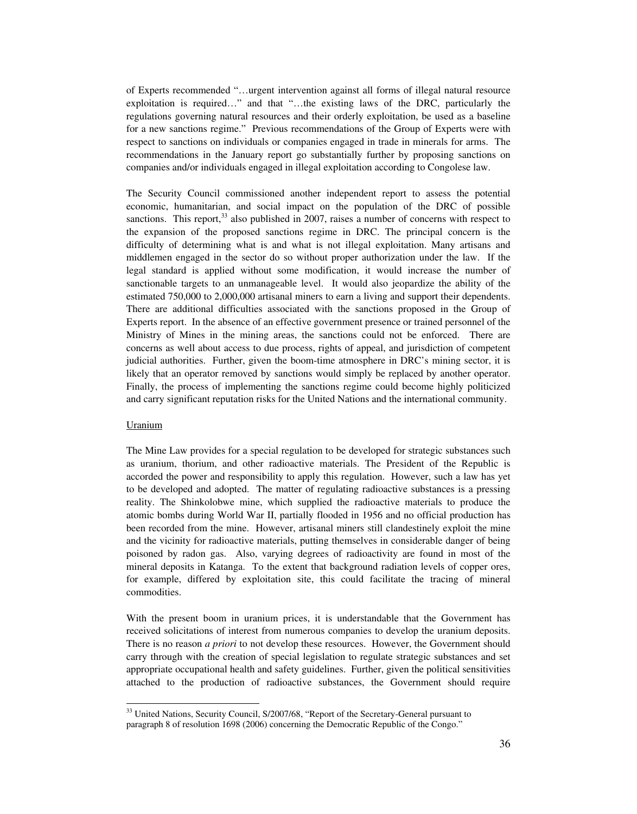of Experts recommended "…urgent intervention against all forms of illegal natural resource exploitation is required…" and that "…the existing laws of the DRC, particularly the regulations governing natural resources and their orderly exploitation, be used as a baseline for a new sanctions regime." Previous recommendations of the Group of Experts were with respect to sanctions on individuals or companies engaged in trade in minerals for arms. The recommendations in the January report go substantially further by proposing sanctions on companies and/or individuals engaged in illegal exploitation according to Congolese law.

The Security Council commissioned another independent report to assess the potential economic, humanitarian, and social impact on the population of the DRC of possible sanctions. This report, $33$  also published in 2007, raises a number of concerns with respect to the expansion of the proposed sanctions regime in DRC. The principal concern is the difficulty of determining what is and what is not illegal exploitation. Many artisans and middlemen engaged in the sector do so without proper authorization under the law. If the legal standard is applied without some modification, it would increase the number of sanctionable targets to an unmanageable level. It would also jeopardize the ability of the estimated 750,000 to 2,000,000 artisanal miners to earn a living and support their dependents. There are additional difficulties associated with the sanctions proposed in the Group of Experts report. In the absence of an effective government presence or trained personnel of the Ministry of Mines in the mining areas, the sanctions could not be enforced. There are concerns as well about access to due process, rights of appeal, and jurisdiction of competent judicial authorities. Further, given the boom-time atmosphere in DRC's mining sector, it is likely that an operator removed by sanctions would simply be replaced by another operator. Finally, the process of implementing the sanctions regime could become highly politicized and carry significant reputation risks for the United Nations and the international community.

## Uranium

 $\overline{a}$ 

The Mine Law provides for a special regulation to be developed for strategic substances such as uranium, thorium, and other radioactive materials. The President of the Republic is accorded the power and responsibility to apply this regulation. However, such a law has yet to be developed and adopted. The matter of regulating radioactive substances is a pressing reality. The Shinkolobwe mine, which supplied the radioactive materials to produce the atomic bombs during World War II, partially flooded in 1956 and no official production has been recorded from the mine. However, artisanal miners still clandestinely exploit the mine and the vicinity for radioactive materials, putting themselves in considerable danger of being poisoned by radon gas. Also, varying degrees of radioactivity are found in most of the mineral deposits in Katanga. To the extent that background radiation levels of copper ores, for example, differed by exploitation site, this could facilitate the tracing of mineral commodities.

With the present boom in uranium prices, it is understandable that the Government has received solicitations of interest from numerous companies to develop the uranium deposits. There is no reason *a priori* to not develop these resources. However, the Government should carry through with the creation of special legislation to regulate strategic substances and set appropriate occupational health and safety guidelines. Further, given the political sensitivities attached to the production of radioactive substances, the Government should require

<sup>&</sup>lt;sup>33</sup> United Nations, Security Council, S/2007/68, "Report of the Secretary-General pursuant to paragraph 8 of resolution 1698 (2006) concerning the Democratic Republic of the Congo."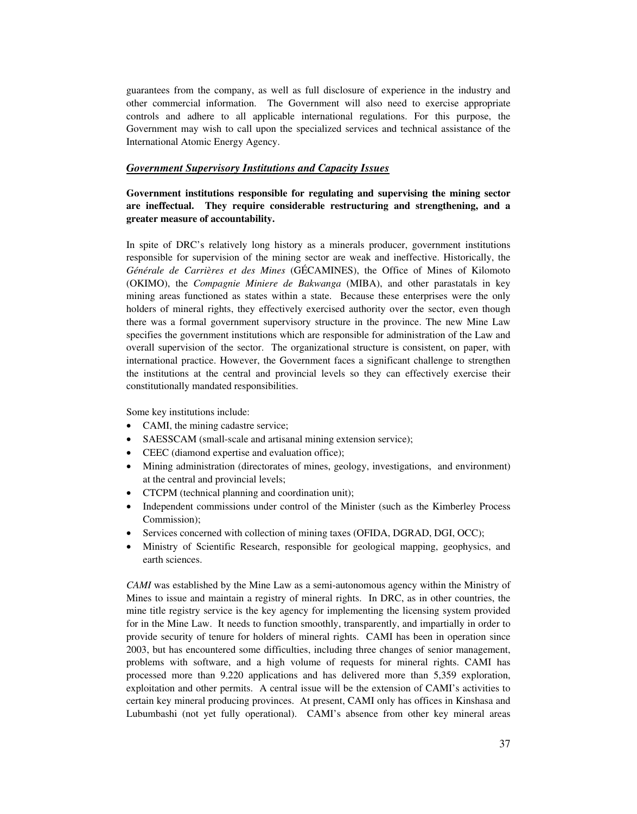guarantees from the company, as well as full disclosure of experience in the industry and other commercial information. The Government will also need to exercise appropriate controls and adhere to all applicable international regulations. For this purpose, the Government may wish to call upon the specialized services and technical assistance of the International Atomic Energy Agency.

# *Government Supervisory Institutions and Capacity Issues*

**Government institutions responsible for regulating and supervising the mining sector are ineffectual. They require considerable restructuring and strengthening, and a greater measure of accountability.** 

In spite of DRC's relatively long history as a minerals producer, government institutions responsible for supervision of the mining sector are weak and ineffective. Historically, the *Générale de Carrières et des Mines* (GÉCAMINES), the Office of Mines of Kilomoto (OKIMO), the *Compagnie Miniere de Bakwanga* (MIBA), and other parastatals in key mining areas functioned as states within a state. Because these enterprises were the only holders of mineral rights, they effectively exercised authority over the sector, even though there was a formal government supervisory structure in the province. The new Mine Law specifies the government institutions which are responsible for administration of the Law and overall supervision of the sector. The organizational structure is consistent, on paper, with international practice. However, the Government faces a significant challenge to strengthen the institutions at the central and provincial levels so they can effectively exercise their constitutionally mandated responsibilities.

Some key institutions include:

- CAMI, the mining cadastre service;
- SAESSCAM (small-scale and artisanal mining extension service);
- CEEC (diamond expertise and evaluation office);
- Mining administration (directorates of mines, geology, investigations, and environment) at the central and provincial levels;
- CTCPM (technical planning and coordination unit);
- Independent commissions under control of the Minister (such as the Kimberley Process Commission);
- Services concerned with collection of mining taxes (OFIDA, DGRAD, DGI, OCC);
- Ministry of Scientific Research, responsible for geological mapping, geophysics, and earth sciences.

*CAMI* was established by the Mine Law as a semi-autonomous agency within the Ministry of Mines to issue and maintain a registry of mineral rights. In DRC, as in other countries, the mine title registry service is the key agency for implementing the licensing system provided for in the Mine Law. It needs to function smoothly, transparently, and impartially in order to provide security of tenure for holders of mineral rights. CAMI has been in operation since 2003, but has encountered some difficulties, including three changes of senior management, problems with software, and a high volume of requests for mineral rights. CAMI has processed more than 9.220 applications and has delivered more than 5,359 exploration, exploitation and other permits. A central issue will be the extension of CAMI's activities to certain key mineral producing provinces. At present, CAMI only has offices in Kinshasa and Lubumbashi (not yet fully operational). CAMI's absence from other key mineral areas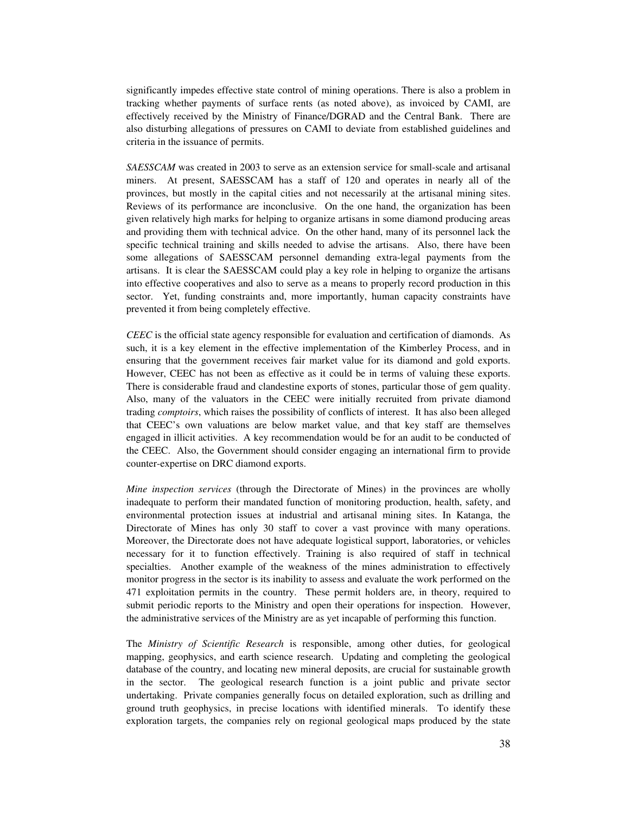significantly impedes effective state control of mining operations. There is also a problem in tracking whether payments of surface rents (as noted above), as invoiced by CAMI, are effectively received by the Ministry of Finance/DGRAD and the Central Bank. There are also disturbing allegations of pressures on CAMI to deviate from established guidelines and criteria in the issuance of permits.

*SAESSCAM* was created in 2003 to serve as an extension service for small-scale and artisanal miners. At present, SAESSCAM has a staff of 120 and operates in nearly all of the provinces, but mostly in the capital cities and not necessarily at the artisanal mining sites. Reviews of its performance are inconclusive. On the one hand, the organization has been given relatively high marks for helping to organize artisans in some diamond producing areas and providing them with technical advice. On the other hand, many of its personnel lack the specific technical training and skills needed to advise the artisans. Also, there have been some allegations of SAESSCAM personnel demanding extra-legal payments from the artisans. It is clear the SAESSCAM could play a key role in helping to organize the artisans into effective cooperatives and also to serve as a means to properly record production in this sector. Yet, funding constraints and, more importantly, human capacity constraints have prevented it from being completely effective.

*CEEC* is the official state agency responsible for evaluation and certification of diamonds. As such, it is a key element in the effective implementation of the Kimberley Process, and in ensuring that the government receives fair market value for its diamond and gold exports. However, CEEC has not been as effective as it could be in terms of valuing these exports. There is considerable fraud and clandestine exports of stones, particular those of gem quality. Also, many of the valuators in the CEEC were initially recruited from private diamond trading *comptoirs*, which raises the possibility of conflicts of interest. It has also been alleged that CEEC's own valuations are below market value, and that key staff are themselves engaged in illicit activities. A key recommendation would be for an audit to be conducted of the CEEC. Also, the Government should consider engaging an international firm to provide counter-expertise on DRC diamond exports.

*Mine inspection services* (through the Directorate of Mines) in the provinces are wholly inadequate to perform their mandated function of monitoring production, health, safety, and environmental protection issues at industrial and artisanal mining sites. In Katanga, the Directorate of Mines has only 30 staff to cover a vast province with many operations. Moreover, the Directorate does not have adequate logistical support, laboratories, or vehicles necessary for it to function effectively. Training is also required of staff in technical specialties. Another example of the weakness of the mines administration to effectively monitor progress in the sector is its inability to assess and evaluate the work performed on the 471 exploitation permits in the country. These permit holders are, in theory, required to submit periodic reports to the Ministry and open their operations for inspection. However, the administrative services of the Ministry are as yet incapable of performing this function.

The *Ministry of Scientific Research* is responsible, among other duties, for geological mapping, geophysics, and earth science research. Updating and completing the geological database of the country, and locating new mineral deposits, are crucial for sustainable growth in the sector. The geological research function is a joint public and private sector undertaking. Private companies generally focus on detailed exploration, such as drilling and ground truth geophysics, in precise locations with identified minerals. To identify these exploration targets, the companies rely on regional geological maps produced by the state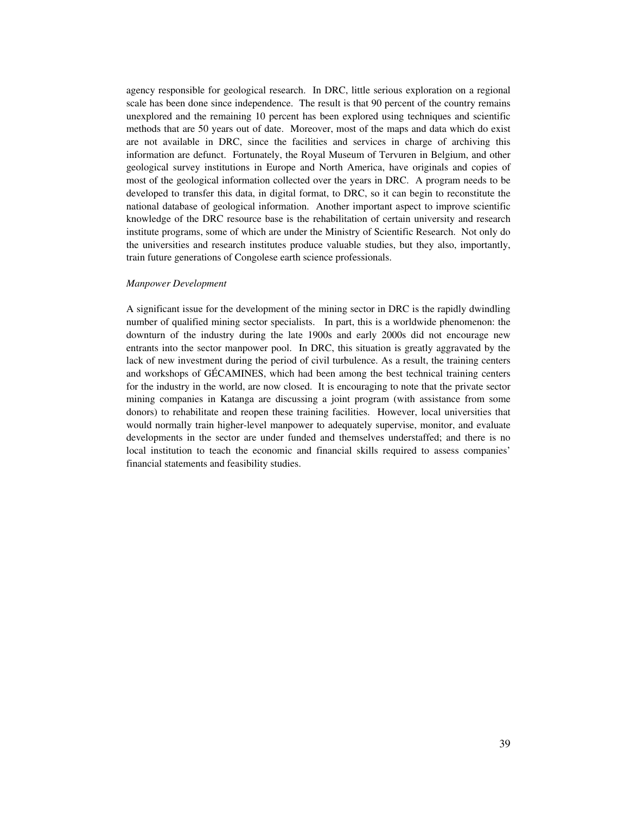agency responsible for geological research. In DRC, little serious exploration on a regional scale has been done since independence. The result is that 90 percent of the country remains unexplored and the remaining 10 percent has been explored using techniques and scientific methods that are 50 years out of date. Moreover, most of the maps and data which do exist are not available in DRC, since the facilities and services in charge of archiving this information are defunct. Fortunately, the Royal Museum of Tervuren in Belgium, and other geological survey institutions in Europe and North America, have originals and copies of most of the geological information collected over the years in DRC. A program needs to be developed to transfer this data, in digital format, to DRC, so it can begin to reconstitute the national database of geological information. Another important aspect to improve scientific knowledge of the DRC resource base is the rehabilitation of certain university and research institute programs, some of which are under the Ministry of Scientific Research. Not only do the universities and research institutes produce valuable studies, but they also, importantly, train future generations of Congolese earth science professionals.

#### *Manpower Development*

A significant issue for the development of the mining sector in DRC is the rapidly dwindling number of qualified mining sector specialists. In part, this is a worldwide phenomenon: the downturn of the industry during the late 1900s and early 2000s did not encourage new entrants into the sector manpower pool. In DRC, this situation is greatly aggravated by the lack of new investment during the period of civil turbulence. As a result, the training centers and workshops of GÉCAMINES, which had been among the best technical training centers for the industry in the world, are now closed. It is encouraging to note that the private sector mining companies in Katanga are discussing a joint program (with assistance from some donors) to rehabilitate and reopen these training facilities. However, local universities that would normally train higher-level manpower to adequately supervise, monitor, and evaluate developments in the sector are under funded and themselves understaffed; and there is no local institution to teach the economic and financial skills required to assess companies' financial statements and feasibility studies.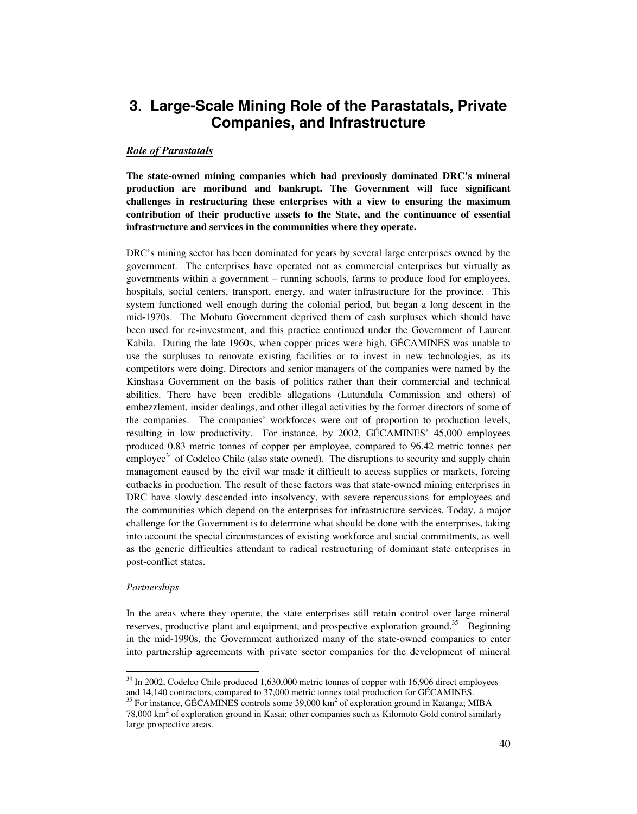# **3. Large-Scale Mining Role of the Parastatals, Private Companies, and Infrastructure**

## *Role of Parastatals*

**The state-owned mining companies which had previously dominated DRC's mineral production are moribund and bankrupt. The Government will face significant challenges in restructuring these enterprises with a view to ensuring the maximum contribution of their productive assets to the State, and the continuance of essential infrastructure and services in the communities where they operate.** 

DRC's mining sector has been dominated for years by several large enterprises owned by the government. The enterprises have operated not as commercial enterprises but virtually as governments within a government – running schools, farms to produce food for employees, hospitals, social centers, transport, energy, and water infrastructure for the province. This system functioned well enough during the colonial period, but began a long descent in the mid-1970s. The Mobutu Government deprived them of cash surpluses which should have been used for re-investment, and this practice continued under the Government of Laurent Kabila. During the late 1960s, when copper prices were high, GÉCAMINES was unable to use the surpluses to renovate existing facilities or to invest in new technologies, as its competitors were doing. Directors and senior managers of the companies were named by the Kinshasa Government on the basis of politics rather than their commercial and technical abilities. There have been credible allegations (Lutundula Commission and others) of embezzlement, insider dealings, and other illegal activities by the former directors of some of the companies. The companies' workforces were out of proportion to production levels, resulting in low productivity. For instance, by 2002, GÉCAMINES' 45,000 employees produced 0.83 metric tonnes of copper per employee, compared to 96.42 metric tonnes per employee<sup>34</sup> of Codelco Chile (also state owned). The disruptions to security and supply chain management caused by the civil war made it difficult to access supplies or markets, forcing cutbacks in production. The result of these factors was that state-owned mining enterprises in DRC have slowly descended into insolvency, with severe repercussions for employees and the communities which depend on the enterprises for infrastructure services. Today, a major challenge for the Government is to determine what should be done with the enterprises, taking into account the special circumstances of existing workforce and social commitments, as well as the generic difficulties attendant to radical restructuring of dominant state enterprises in post-conflict states.

## *Partnerships*

 $\overline{a}$ 

In the areas where they operate, the state enterprises still retain control over large mineral reserves, productive plant and equipment, and prospective exploration ground.<sup>35</sup> Beginning in the mid-1990s, the Government authorized many of the state-owned companies to enter into partnership agreements with private sector companies for the development of mineral

<sup>&</sup>lt;sup>34</sup> In 2002, Codelco Chile produced 1,630,000 metric tonnes of copper with 16,906 direct employees and 14,140 contractors, compared to 37,000 metric tonnes total production for GÉCAMINES.<br><sup>35</sup> For instance, GÉCAMINES controls some 39,000 km<sup>2</sup> of exploration ground in Katanga; MIBA

<sup>78,000</sup>  $\text{km}^2$  of exploration ground in Kasai; other companies such as Kilomoto Gold control similarly large prospective areas.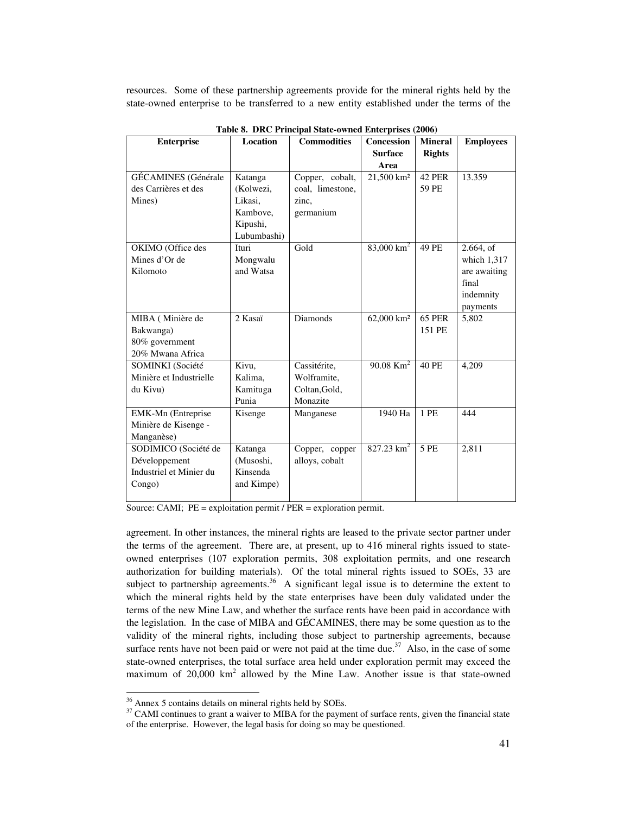resources. Some of these partnership agreements provide for the mineral rights held by the state-owned enterprise to be transferred to a new entity established under the terms of the

| <b>Enterprise</b>          | <b>Location</b> | <b>Commodities</b> | <b>Concession</b><br><b>Surface</b> | <b>Mineral</b><br><b>Rights</b> | <b>Employees</b> |
|----------------------------|-----------------|--------------------|-------------------------------------|---------------------------------|------------------|
|                            |                 |                    | Area                                |                                 |                  |
| <b>GÉCAMINES</b> (Générale | Katanga         | Copper, cobalt,    | 21,500 km <sup>2</sup>              | <b>42 PER</b>                   | 13.359           |
| des Carrières et des       | (Kolwezi,       | coal, limestone,   |                                     | 59 PE                           |                  |
| Mines)                     | Likasi,         | zinc,              |                                     |                                 |                  |
|                            | Kambove,        | germanium          |                                     |                                 |                  |
|                            | Kipushi,        |                    |                                     |                                 |                  |
|                            | Lubumbashi)     |                    |                                     |                                 |                  |
| OKIMO (Office des          | Ituri           | Gold               | $83,000 \text{ km}^2$               | 49 PE                           | 2.664, of        |
| Mines d'Or de              | Mongwalu        |                    |                                     |                                 | which 1,317      |
| Kilomoto                   | and Watsa       |                    |                                     |                                 | are awaiting     |
|                            |                 |                    |                                     |                                 | final            |
|                            |                 |                    |                                     |                                 | indemnity        |
|                            |                 |                    |                                     |                                 | payments         |
| MIBA (Minière de           | 2 Kasaï         | <b>Diamonds</b>    | 62,000 km <sup>2</sup>              | <b>65 PER</b>                   | 5,802            |
| Bakwanga)                  |                 |                    |                                     | 151 PE                          |                  |
| 80% government             |                 |                    |                                     |                                 |                  |
| 20% Mwana Africa           |                 |                    |                                     |                                 |                  |
| SOMINKI (Société           | Kivu,           | Cassitérite,       | 90.08 $\overline{\text{Km}^2}$      | 40 PE                           | 4,209            |
| Minière et Industrielle    | Kalima.         | Wolframite,        |                                     |                                 |                  |
| du Kivu)                   | Kamituga        | Coltan, Gold,      |                                     |                                 |                  |
|                            | Punia           | Monazite           |                                     |                                 |                  |
| EMK-Mn (Entreprise         | Kisenge         | Manganese          | 1940 Ha                             | 1 PE                            | 444              |
| Minière de Kisenge -       |                 |                    |                                     |                                 |                  |
| Manganèse)                 |                 |                    |                                     |                                 |                  |
| SODIMICO (Société de       | Katanga         | Copper, copper     | 827.23 $km^2$                       | 5 PE                            | 2,811            |
| Développement              | (Musoshi,       | alloys, cobalt     |                                     |                                 |                  |
| Industriel et Minier du    | Kinsenda        |                    |                                     |                                 |                  |
| Congo)                     | and Kimpe)      |                    |                                     |                                 |                  |
|                            |                 |                    |                                     |                                 |                  |

**Table 8. DRC Principal State-owned Enterprises (2006)** 

Source: CAMI; PE = exploitation permit / PER = exploration permit.

agreement. In other instances, the mineral rights are leased to the private sector partner under the terms of the agreement. There are, at present, up to 416 mineral rights issued to stateowned enterprises (107 exploration permits, 308 exploitation permits, and one research authorization for building materials). Of the total mineral rights issued to SOEs, 33 are subject to partnership agreements.<sup>36</sup> A significant legal issue is to determine the extent to which the mineral rights held by the state enterprises have been duly validated under the terms of the new Mine Law, and whether the surface rents have been paid in accordance with the legislation. In the case of MIBA and GÉCAMINES, there may be some question as to the validity of the mineral rights, including those subject to partnership agreements, because surface rents have not been paid or were not paid at the time due. $37$  Also, in the case of some state-owned enterprises, the total surface area held under exploration permit may exceed the maximum of  $20,000 \text{ km}^2$  allowed by the Mine Law. Another issue is that state-owned

<sup>&</sup>lt;sup>36</sup> Annex 5 contains details on mineral rights held by SOEs.

 $37$  CAMI continues to grant a waiver to MIBA for the payment of surface rents, given the financial state of the enterprise. However, the legal basis for doing so may be questioned.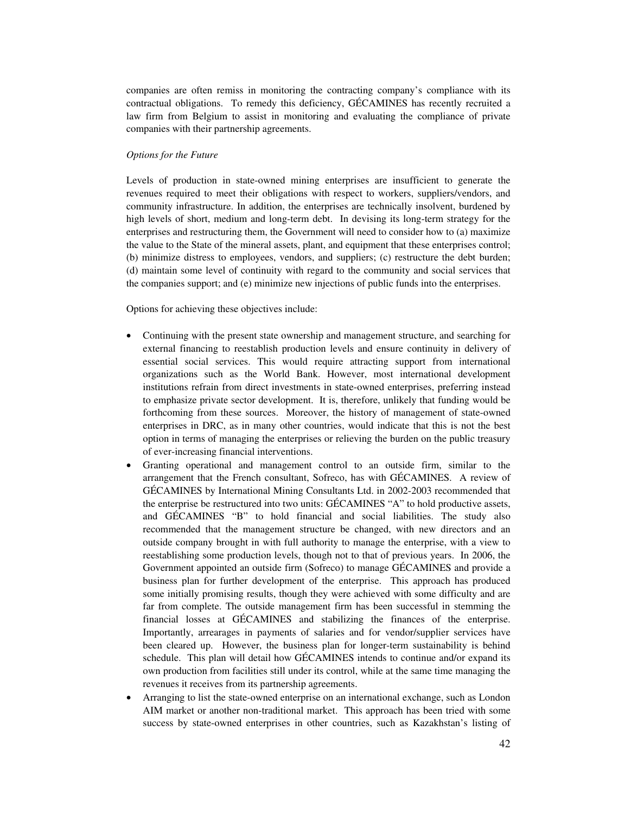companies are often remiss in monitoring the contracting company's compliance with its contractual obligations. To remedy this deficiency, GÉCAMINES has recently recruited a law firm from Belgium to assist in monitoring and evaluating the compliance of private companies with their partnership agreements.

#### *Options for the Future*

Levels of production in state-owned mining enterprises are insufficient to generate the revenues required to meet their obligations with respect to workers, suppliers/vendors, and community infrastructure. In addition, the enterprises are technically insolvent, burdened by high levels of short, medium and long-term debt. In devising its long-term strategy for the enterprises and restructuring them, the Government will need to consider how to (a) maximize the value to the State of the mineral assets, plant, and equipment that these enterprises control; (b) minimize distress to employees, vendors, and suppliers; (c) restructure the debt burden; (d) maintain some level of continuity with regard to the community and social services that the companies support; and (e) minimize new injections of public funds into the enterprises.

Options for achieving these objectives include:

- Continuing with the present state ownership and management structure, and searching for external financing to reestablish production levels and ensure continuity in delivery of essential social services. This would require attracting support from international organizations such as the World Bank. However, most international development institutions refrain from direct investments in state-owned enterprises, preferring instead to emphasize private sector development. It is, therefore, unlikely that funding would be forthcoming from these sources. Moreover, the history of management of state-owned enterprises in DRC, as in many other countries, would indicate that this is not the best option in terms of managing the enterprises or relieving the burden on the public treasury of ever-increasing financial interventions.
- Granting operational and management control to an outside firm, similar to the arrangement that the French consultant, Sofreco, has with GÉCAMINES. A review of GÉCAMINES by International Mining Consultants Ltd. in 2002-2003 recommended that the enterprise be restructured into two units: GÉCAMINES "A" to hold productive assets, and GÉCAMINES "B" to hold financial and social liabilities. The study also recommended that the management structure be changed, with new directors and an outside company brought in with full authority to manage the enterprise, with a view to reestablishing some production levels, though not to that of previous years. In 2006, the Government appointed an outside firm (Sofreco) to manage GÉCAMINES and provide a business plan for further development of the enterprise. This approach has produced some initially promising results, though they were achieved with some difficulty and are far from complete. The outside management firm has been successful in stemming the financial losses at GÉCAMINES and stabilizing the finances of the enterprise. Importantly, arrearages in payments of salaries and for vendor/supplier services have been cleared up. However, the business plan for longer-term sustainability is behind schedule. This plan will detail how GÉCAMINES intends to continue and/or expand its own production from facilities still under its control, while at the same time managing the revenues it receives from its partnership agreements.
- Arranging to list the state-owned enterprise on an international exchange, such as London AIM market or another non-traditional market. This approach has been tried with some success by state-owned enterprises in other countries, such as Kazakhstan's listing of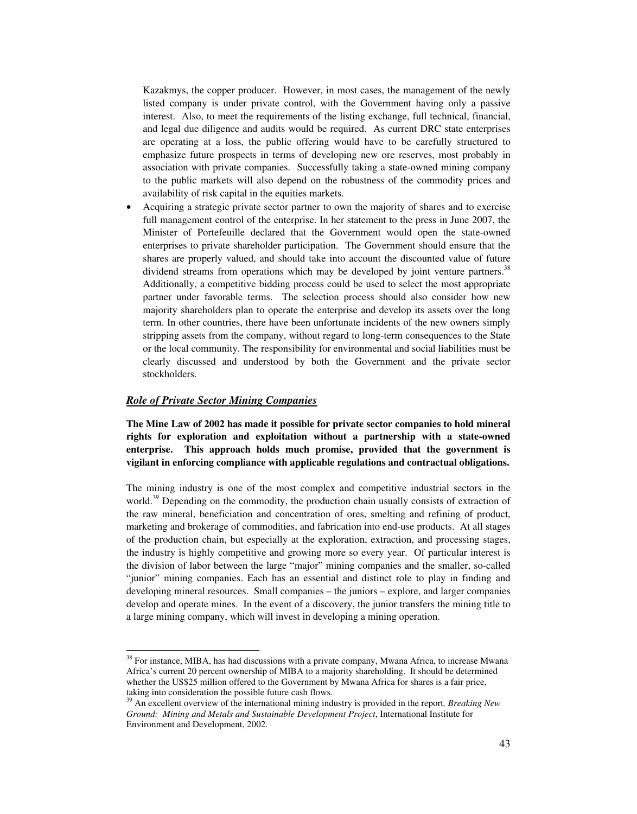Kazakmys, the copper producer. However, in most cases, the management of the newly listed company is under private control, with the Government having only a passive interest. Also, to meet the requirements of the listing exchange, full technical, financial, and legal due diligence and audits would be required. As current DRC state enterprises are operating at a loss, the public offering would have to be carefully structured to emphasize future prospects in terms of developing new ore reserves, most probably in association with private companies. Successfully taking a state-owned mining company to the public markets will also depend on the robustness of the commodity prices and availability of risk capital in the equities markets.

• Acquiring a strategic private sector partner to own the majority of shares and to exercise full management control of the enterprise. In her statement to the press in June 2007, the Minister of Portefeuille declared that the Government would open the state-owned enterprises to private shareholder participation. The Government should ensure that the shares are properly valued, and should take into account the discounted value of future dividend streams from operations which may be developed by joint venture partners.<sup>38</sup> Additionally, a competitive bidding process could be used to select the most appropriate partner under favorable terms. The selection process should also consider how new majority shareholders plan to operate the enterprise and develop its assets over the long term. In other countries, there have been unfortunate incidents of the new owners simply stripping assets from the company, without regard to long-term consequences to the State or the local community. The responsibility for environmental and social liabilities must be clearly discussed and understood by both the Government and the private sector stockholders.

## *Role of Private Sector Mining Companies*

 $\overline{a}$ 

**The Mine Law of 2002 has made it possible for private sector companies to hold mineral rights for exploration and exploitation without a partnership with a state-owned enterprise. This approach holds much promise, provided that the government is vigilant in enforcing compliance with applicable regulations and contractual obligations.** 

The mining industry is one of the most complex and competitive industrial sectors in the world.<sup>39</sup> Depending on the commodity, the production chain usually consists of extraction of the raw mineral, beneficiation and concentration of ores, smelting and refining of product, marketing and brokerage of commodities, and fabrication into end-use products. At all stages of the production chain, but especially at the exploration, extraction, and processing stages, the industry is highly competitive and growing more so every year. Of particular interest is the division of labor between the large "major" mining companies and the smaller, so-called "junior" mining companies. Each has an essential and distinct role to play in finding and developing mineral resources. Small companies – the juniors – explore, and larger companies develop and operate mines.In the event of a discovery, the junior transfers the mining title to a large mining company, which will invest in developing a mining operation.

<sup>&</sup>lt;sup>38</sup> For instance, MIBA, has had discussions with a private company, Mwana Africa, to increase Mwana Africa's current 20 percent ownership of MIBA to a majority shareholding. It should be determined whether the US\$25 million offered to the Government by Mwana Africa for shares is a fair price, taking into consideration the possible future cash flows.

<sup>39</sup> An excellent overview of the international mining industry is provided in the report*, Breaking New Ground: Mining and Metals and Sustainable Development Project*, International Institute for Environment and Development, 2002.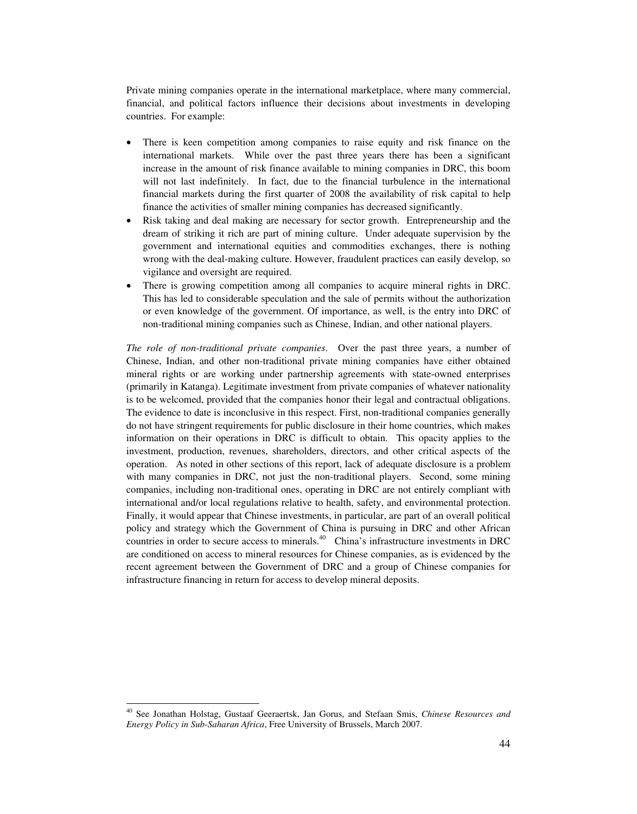Private mining companies operate in the international marketplace, where many commercial, financial, and political factors influence their decisions about investments in developing countries. For example:

- There is keen competition among companies to raise equity and risk finance on the international markets.While over the past three years there has been a significant increase in the amount of risk finance available to mining companies in DRC, this boom will not last indefinitely. In fact, due to the financial turbulence in the international financial markets during the first quarter of 2008 the availability of risk capital to help finance the activities of smaller mining companies has decreased significantly.
- Risk taking and deal making are necessary for sector growth. Entrepreneurship and the dream of striking it rich are part of mining culture. Under adequate supervision by the government and international equities and commodities exchanges, there is nothing wrong with the deal-making culture. However, fraudulent practices can easily develop, so vigilance and oversight are required.
- There is growing competition among all companies to acquire mineral rights in DRC. This has led to considerable speculation and the sale of permits without the authorization or even knowledge of the government. Of importance, as well, is the entry into DRC of non-traditional mining companies such as Chinese, Indian, and other national players.

*The role of non-traditional private companies*. Over the past three years, a number of Chinese, Indian, and other non-traditional private mining companies have either obtained mineral rights or are working under partnership agreements with state-owned enterprises (primarily in Katanga). Legitimate investment from private companies of whatever nationality is to be welcomed, provided that the companies honor their legal and contractual obligations. The evidence to date is inconclusive in this respect. First, non-traditional companies generally do not have stringent requirements for public disclosure in their home countries, which makes information on their operations in DRC is difficult to obtain. This opacity applies to the investment, production, revenues, shareholders, directors, and other critical aspects of the operation. As noted in other sections of this report, lack of adequate disclosure is a problem with many companies in DRC, not just the non-traditional players. Second, some mining companies, including non-traditional ones, operating in DRC are not entirely compliant with international and/or local regulations relative to health, safety, and environmental protection. Finally, it would appear that Chinese investments, in particular, are part of an overall political policy and strategy which the Government of China is pursuing in DRC and other African countries in order to secure access to minerals.<sup>40</sup> China's infrastructure investments in DRC are conditioned on access to mineral resources for Chinese companies, as is evidenced by the recent agreement between the Government of DRC and a group of Chinese companies for infrastructure financing in return for access to develop mineral deposits.

 $\overline{\phantom{a}}$ 

<sup>40</sup> See Jonathan Holstag, Gustaaf Geeraertsk, Jan Gorus, and Stefaan Smis, *Chinese Resources and Energy Policy in Sub-Saharan Africa*, Free University of Brussels, March 2007.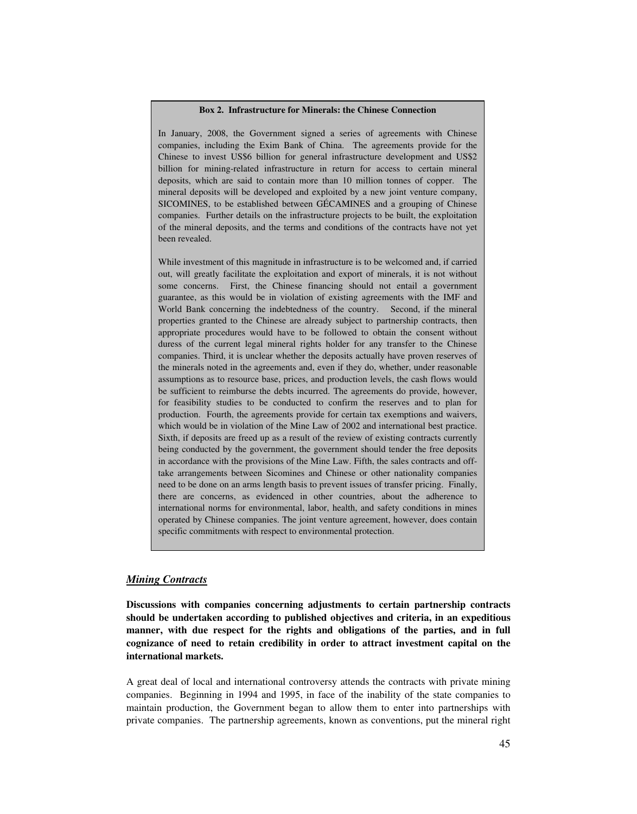#### **Box 2. Infrastructure for Minerals: the Chinese Connection**

In January, 2008, the Government signed a series of agreements with Chinese companies, including the Exim Bank of China. The agreements provide for the Chinese to invest US\$6 billion for general infrastructure development and US\$2 billion for mining-related infrastructure in return for access to certain mineral deposits, which are said to contain more than 10 million tonnes of copper. The mineral deposits will be developed and exploited by a new joint venture company, SICOMINES, to be established between GÉCAMINES and a grouping of Chinese companies. Further details on the infrastructure projects to be built, the exploitation of the mineral deposits, and the terms and conditions of the contracts have not yet been revealed.

While investment of this magnitude in infrastructure is to be welcomed and, if carried out, will greatly facilitate the exploitation and export of minerals, it is not without some concerns. First, the Chinese financing should not entail a government guarantee, as this would be in violation of existing agreements with the IMF and World Bank concerning the indebtedness of the country. Second, if the mineral properties granted to the Chinese are already subject to partnership contracts, then appropriate procedures would have to be followed to obtain the consent without duress of the current legal mineral rights holder for any transfer to the Chinese companies. Third, it is unclear whether the deposits actually have proven reserves of the minerals noted in the agreements and, even if they do, whether, under reasonable assumptions as to resource base, prices, and production levels, the cash flows would be sufficient to reimburse the debts incurred. The agreements do provide, however, for feasibility studies to be conducted to confirm the reserves and to plan for production. Fourth, the agreements provide for certain tax exemptions and waivers, which would be in violation of the Mine Law of 2002 and international best practice. Sixth, if deposits are freed up as a result of the review of existing contracts currently being conducted by the government, the government should tender the free deposits in accordance with the provisions of the Mine Law. Fifth, the sales contracts and offtake arrangements between Sicomines and Chinese or other nationality companies need to be done on an arms length basis to prevent issues of transfer pricing. Finally, there are concerns, as evidenced in other countries, about the adherence to international norms for environmental, labor, health, and safety conditions in mines operated by Chinese companies. The joint venture agreement, however, does contain specific commitments with respect to environmental protection.

# *Mining Contracts*

**Discussions with companies concerning adjustments to certain partnership contracts should be undertaken according to published objectives and criteria, in an expeditious manner, with due respect for the rights and obligations of the parties, and in full cognizance of need to retain credibility in order to attract investment capital on the international markets.** 

A great deal of local and international controversy attends the contracts with private mining companies. Beginning in 1994 and 1995, in face of the inability of the state companies to maintain production, the Government began to allow them to enter into partnerships with private companies. The partnership agreements, known as conventions, put the mineral right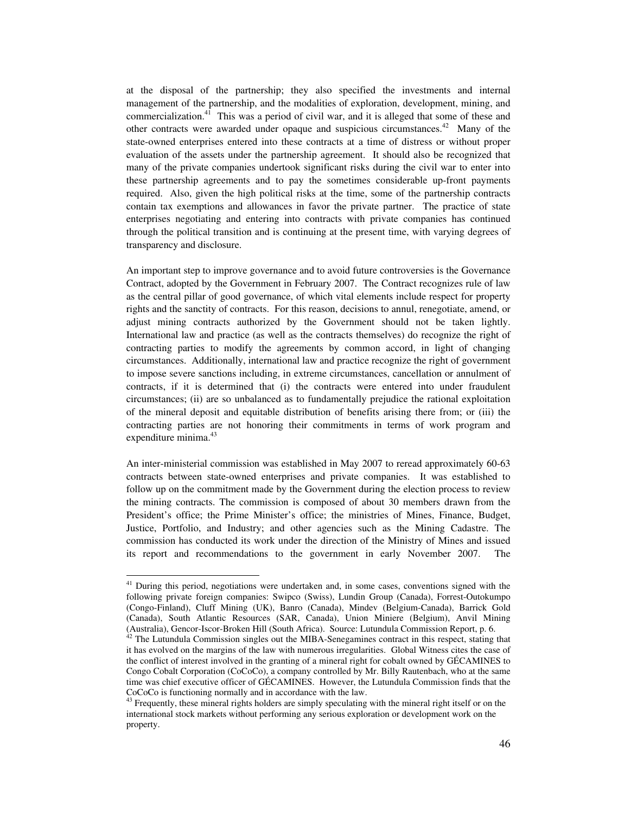at the disposal of the partnership; they also specified the investments and internal management of the partnership, and the modalities of exploration, development, mining, and commercialization.41 This was a period of civil war, and it is alleged that some of these and other contracts were awarded under opaque and suspicious circumstances.<sup>42</sup> Many of the state-owned enterprises entered into these contracts at a time of distress or without proper evaluation of the assets under the partnership agreement. It should also be recognized that many of the private companies undertook significant risks during the civil war to enter into these partnership agreements and to pay the sometimes considerable up-front payments required. Also, given the high political risks at the time, some of the partnership contracts contain tax exemptions and allowances in favor the private partner. The practice of state enterprises negotiating and entering into contracts with private companies has continued through the political transition and is continuing at the present time, with varying degrees of transparency and disclosure.

An important step to improve governance and to avoid future controversies is the Governance Contract, adopted by the Government in February 2007. The Contract recognizes rule of law as the central pillar of good governance, of which vital elements include respect for property rights and the sanctity of contracts. For this reason, decisions to annul, renegotiate, amend, or adjust mining contracts authorized by the Government should not be taken lightly. International law and practice (as well as the contracts themselves) do recognize the right of contracting parties to modify the agreements by common accord, in light of changing circumstances. Additionally, international law and practice recognize the right of government to impose severe sanctions including, in extreme circumstances, cancellation or annulment of contracts, if it is determined that (i) the contracts were entered into under fraudulent circumstances; (ii) are so unbalanced as to fundamentally prejudice the rational exploitation of the mineral deposit and equitable distribution of benefits arising there from; or (iii) the contracting parties are not honoring their commitments in terms of work program and expenditure minima.<sup>43</sup>

An inter-ministerial commission was established in May 2007 to reread approximately 60-63 contracts between state-owned enterprises and private companies. It was established to follow up on the commitment made by the Government during the election process to review the mining contracts. The commission is composed of about 30 members drawn from the President's office; the Prime Minister's office; the ministries of Mines, Finance, Budget, Justice, Portfolio, and Industry; and other agencies such as the Mining Cadastre. The commission has conducted its work under the direction of the Ministry of Mines and issued its report and recommendations to the government in early November 2007. The

<sup>&</sup>lt;sup>41</sup> During this period, negotiations were undertaken and, in some cases, conventions signed with the following private foreign companies: Swipco (Swiss), Lundin Group (Canada), Forrest-Outokumpo (Congo-Finland), Cluff Mining (UK), Banro (Canada), Mindev (Belgium-Canada), Barrick Gold (Canada), South Atlantic Resources (SAR, Canada), Union Miniere (Belgium), Anvil Mining

 $A<sup>2</sup>$  The Lutundula Commission singles out the MIBA-Senegamines contract in this respect, stating that it has evolved on the margins of the law with numerous irregularities. Global Witness cites the case of the conflict of interest involved in the granting of a mineral right for cobalt owned by GÉCAMINES to Congo Cobalt Corporation (CoCoCo), a company controlled by Mr. Billy Rautenbach, who at the same time was chief executive officer of GÉCAMINES. However, the Lutundula Commission finds that the CoCoCo is functioning normally and in accordance with the law.

 $43$  Frequently, these mineral rights holders are simply speculating with the mineral right itself or on the international stock markets without performing any serious exploration or development work on the property.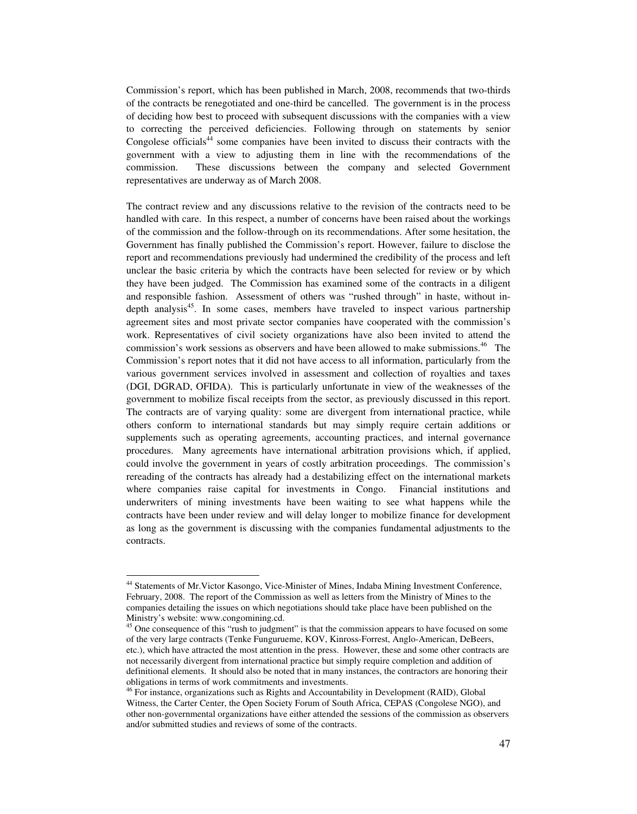Commission's report, which has been published in March, 2008, recommends that two-thirds of the contracts be renegotiated and one-third be cancelled. The government is in the process of deciding how best to proceed with subsequent discussions with the companies with a view to correcting the perceived deficiencies. Following through on statements by senior Congolese officials<sup>44</sup> some companies have been invited to discuss their contracts with the government with a view to adjusting them in line with the recommendations of the commission. These discussions between the company and selected Government representatives are underway as of March 2008.

The contract review and any discussions relative to the revision of the contracts need to be handled with care. In this respect, a number of concerns have been raised about the workings of the commission and the follow-through on its recommendations. After some hesitation, the Government has finally published the Commission's report. However, failure to disclose the report and recommendations previously had undermined the credibility of the process and left unclear the basic criteria by which the contracts have been selected for review or by which they have been judged. The Commission has examined some of the contracts in a diligent and responsible fashion. Assessment of others was "rushed through" in haste, without indepth analysis $45$ . In some cases, members have traveled to inspect various partnership agreement sites and most private sector companies have cooperated with the commission's work. Representatives of civil society organizations have also been invited to attend the commission's work sessions as observers and have been allowed to make submissions.46 The Commission's report notes that it did not have access to all information, particularly from the various government services involved in assessment and collection of royalties and taxes (DGI, DGRAD, OFIDA). This is particularly unfortunate in view of the weaknesses of the government to mobilize fiscal receipts from the sector, as previously discussed in this report. The contracts are of varying quality: some are divergent from international practice, while others conform to international standards but may simply require certain additions or supplements such as operating agreements, accounting practices, and internal governance procedures. Many agreements have international arbitration provisions which, if applied, could involve the government in years of costly arbitration proceedings. The commission's rereading of the contracts has already had a destabilizing effect on the international markets where companies raise capital for investments in Congo. Financial institutions and underwriters of mining investments have been waiting to see what happens while the contracts have been under review and will delay longer to mobilize finance for development as long as the government is discussing with the companies fundamental adjustments to the contracts.

<sup>&</sup>lt;sup>44</sup> Statements of Mr. Victor Kasongo, Vice-Minister of Mines, Indaba Mining Investment Conference, February, 2008. The report of the Commission as well as letters from the Ministry of Mines to the companies detailing the issues on which negotiations should take place have been published on the Ministry's website: www.congomining.cd.

<sup>&</sup>lt;sup>45</sup> One consequence of this "rush to judgment" is that the commission appears to have focused on some of the very large contracts (Tenke Fungurueme, KOV, Kinross-Forrest, Anglo-American, DeBeers, etc.), which have attracted the most attention in the press. However, these and some other contracts are not necessarily divergent from international practice but simply require completion and addition of definitional elements. It should also be noted that in many instances, the contractors are honoring their obligations in terms of work commitments and investments. 46 For instance, organizations such as Rights and Accountability in Development (RAID), Global

Witness, the Carter Center, the Open Society Forum of South Africa, CEPAS (Congolese NGO), and other non-governmental organizations have either attended the sessions of the commission as observers and/or submitted studies and reviews of some of the contracts.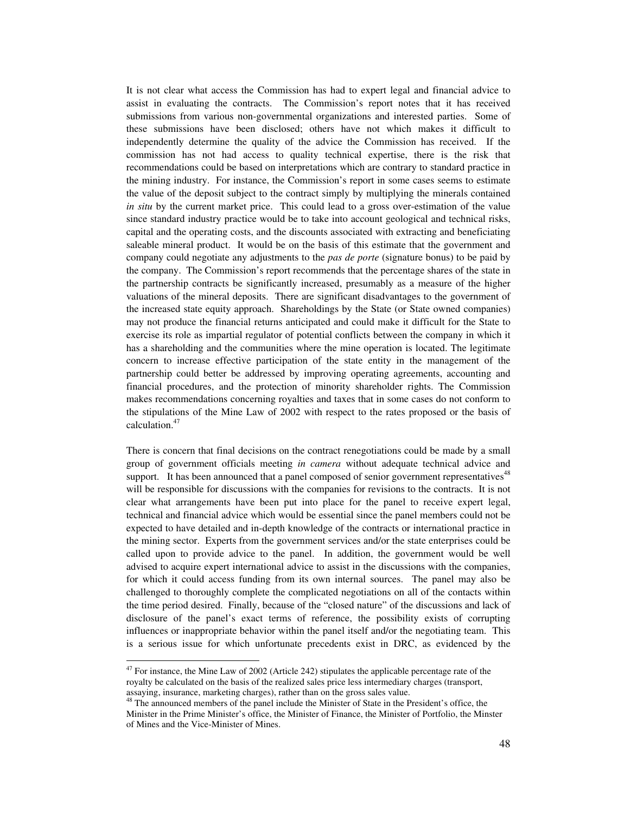It is not clear what access the Commission has had to expert legal and financial advice to assist in evaluating the contracts. The Commission's report notes that it has received submissions from various non-governmental organizations and interested parties. Some of these submissions have been disclosed; others have not which makes it difficult to independently determine the quality of the advice the Commission has received. If the commission has not had access to quality technical expertise, there is the risk that recommendations could be based on interpretations which are contrary to standard practice in the mining industry. For instance, the Commission's report in some cases seems to estimate the value of the deposit subject to the contract simply by multiplying the minerals contained *in situ* by the current market price. This could lead to a gross over-estimation of the value since standard industry practice would be to take into account geological and technical risks, capital and the operating costs, and the discounts associated with extracting and beneficiating saleable mineral product. It would be on the basis of this estimate that the government and company could negotiate any adjustments to the *pas de porte* (signature bonus) to be paid by the company. The Commission's report recommends that the percentage shares of the state in the partnership contracts be significantly increased, presumably as a measure of the higher valuations of the mineral deposits. There are significant disadvantages to the government of the increased state equity approach. Shareholdings by the State (or State owned companies) may not produce the financial returns anticipated and could make it difficult for the State to exercise its role as impartial regulator of potential conflicts between the company in which it has a shareholding and the communities where the mine operation is located. The legitimate concern to increase effective participation of the state entity in the management of the partnership could better be addressed by improving operating agreements, accounting and financial procedures, and the protection of minority shareholder rights. The Commission makes recommendations concerning royalties and taxes that in some cases do not conform to the stipulations of the Mine Law of 2002 with respect to the rates proposed or the basis of calculation.47

There is concern that final decisions on the contract renegotiations could be made by a small group of government officials meeting *in camera* without adequate technical advice and support. It has been announced that a panel composed of senior government representatives<sup>48</sup> will be responsible for discussions with the companies for revisions to the contracts. It is not clear what arrangements have been put into place for the panel to receive expert legal, technical and financial advice which would be essential since the panel members could not be expected to have detailed and in-depth knowledge of the contracts or international practice in the mining sector. Experts from the government services and/or the state enterprises could be called upon to provide advice to the panel. In addition, the government would be well advised to acquire expert international advice to assist in the discussions with the companies, for which it could access funding from its own internal sources. The panel may also be challenged to thoroughly complete the complicated negotiations on all of the contacts within the time period desired. Finally, because of the "closed nature" of the discussions and lack of disclosure of the panel's exact terms of reference, the possibility exists of corrupting influences or inappropriate behavior within the panel itself and/or the negotiating team. This is a serious issue for which unfortunate precedents exist in DRC, as evidenced by the

<sup>&</sup>lt;sup>47</sup> For instance, the Mine Law of 2002 (Article 242) stipulates the applicable percentage rate of the royalty be calculated on the basis of the realized sales price less intermediary charges (transport, assaying, insurance, marketing charges), rather than on the gross sales value.

<sup>&</sup>lt;sup>48</sup> The announced members of the panel include the Minister of State in the President's office, the Minister in the Prime Minister's office, the Minister of Finance, the Minister of Portfolio, the Minster of Mines and the Vice-Minister of Mines.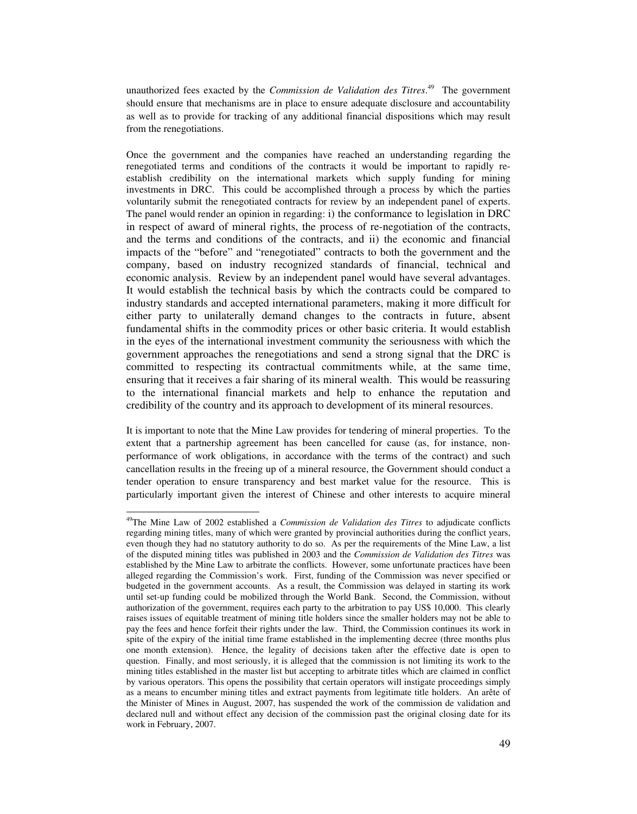unauthorized fees exacted by the *Commission de Validation des Titres*. 49 The government should ensure that mechanisms are in place to ensure adequate disclosure and accountability as well as to provide for tracking of any additional financial dispositions which may result from the renegotiations.

Once the government and the companies have reached an understanding regarding the renegotiated terms and conditions of the contracts it would be important to rapidly reestablish credibility on the international markets which supply funding for mining investments in DRC. This could be accomplished through a process by which the parties voluntarily submit the renegotiated contracts for review by an independent panel of experts. The panel would render an opinion in regarding: i) the conformance to legislation in DRC in respect of award of mineral rights, the process of re-negotiation of the contracts, and the terms and conditions of the contracts, and ii) the economic and financial impacts of the "before" and "renegotiated" contracts to both the government and the company, based on industry recognized standards of financial, technical and economic analysis. Review by an independent panel would have several advantages. It would establish the technical basis by which the contracts could be compared to industry standards and accepted international parameters, making it more difficult for either party to unilaterally demand changes to the contracts in future, absent fundamental shifts in the commodity prices or other basic criteria. It would establish in the eyes of the international investment community the seriousness with which the government approaches the renegotiations and send a strong signal that the DRC is committed to respecting its contractual commitments while, at the same time, ensuring that it receives a fair sharing of its mineral wealth. This would be reassuring to the international financial markets and help to enhance the reputation and credibility of the country and its approach to development of its mineral resources.

It is important to note that the Mine Law provides for tendering of mineral properties. To the extent that a partnership agreement has been cancelled for cause (as, for instance, nonperformance of work obligations, in accordance with the terms of the contract) and such cancellation results in the freeing up of a mineral resource, the Government should conduct a tender operation to ensure transparency and best market value for the resource. This is particularly important given the interest of Chinese and other interests to acquire mineral

<sup>49</sup>The Mine Law of 2002 established a *Commission de Validation des Titres* to adjudicate conflicts regarding mining titles, many of which were granted by provincial authorities during the conflict years, even though they had no statutory authority to do so. As per the requirements of the Mine Law, a list of the disputed mining titles was published in 2003 and the *Commission de Validation des Titres* was established by the Mine Law to arbitrate the conflicts. However, some unfortunate practices have been alleged regarding the Commission's work. First, funding of the Commission was never specified or budgeted in the government accounts. As a result, the Commission was delayed in starting its work until set-up funding could be mobilized through the World Bank. Second, the Commission, without authorization of the government, requires each party to the arbitration to pay US\$ 10,000. This clearly raises issues of equitable treatment of mining title holders since the smaller holders may not be able to pay the fees and hence forfeit their rights under the law. Third, the Commission continues its work in spite of the expiry of the initial time frame established in the implementing decree (three months plus one month extension). Hence, the legality of decisions taken after the effective date is open to question. Finally, and most seriously, it is alleged that the commission is not limiting its work to the mining titles established in the master list but accepting to arbitrate titles which are claimed in conflict by various operators. This opens the possibility that certain operators will instigate proceedings simply as a means to encumber mining titles and extract payments from legitimate title holders. An arête of the Minister of Mines in August, 2007, has suspended the work of the commission de validation and declared null and without effect any decision of the commission past the original closing date for its work in February, 2007.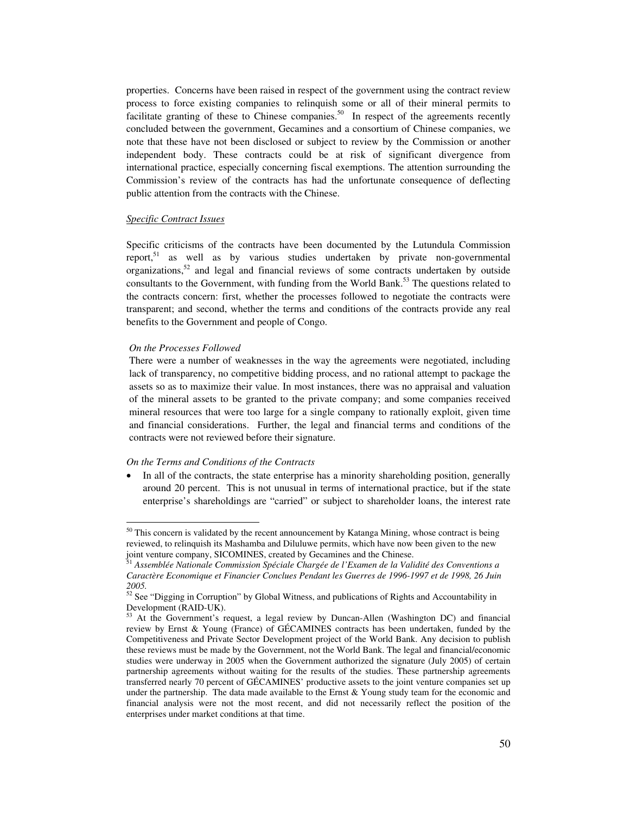properties. Concerns have been raised in respect of the government using the contract review process to force existing companies to relinquish some or all of their mineral permits to facilitate granting of these to Chinese companies.<sup>50</sup> In respect of the agreements recently concluded between the government, Gecamines and a consortium of Chinese companies, we note that these have not been disclosed or subject to review by the Commission or another independent body. These contracts could be at risk of significant divergence from international practice, especially concerning fiscal exemptions. The attention surrounding the Commission's review of the contracts has had the unfortunate consequence of deflecting public attention from the contracts with the Chinese.

### *Specific Contract Issues*

Specific criticisms of the contracts have been documented by the Lutundula Commission report,<sup>51</sup> as well as by various studies undertaken by private non-governmental organizations,<sup>52</sup> and legal and financial reviews of some contracts undertaken by outside consultants to the Government, with funding from the World Bank.<sup>53</sup> The questions related to the contracts concern: first, whether the processes followed to negotiate the contracts were transparent; and second, whether the terms and conditions of the contracts provide any real benefits to the Government and people of Congo.

## *On the Processes Followed*

 $\overline{a}$ 

There were a number of weaknesses in the way the agreements were negotiated, including lack of transparency, no competitive bidding process, and no rational attempt to package the assets so as to maximize their value. In most instances, there was no appraisal and valuation of the mineral assets to be granted to the private company; and some companies received mineral resources that were too large for a single company to rationally exploit, given time and financial considerations. Further, the legal and financial terms and conditions of the contracts were not reviewed before their signature.

## *On the Terms and Conditions of the Contracts*

In all of the contracts, the state enterprise has a minority shareholding position, generally around 20 percent. This is not unusual in terms of international practice, but if the state enterprise's shareholdings are "carried" or subject to shareholder loans, the interest rate

 $50$  This concern is validated by the recent announcement by Katanga Mining, whose contract is being reviewed, to relinquish its Mashamba and Diluluwe permits, which have now been given to the new joint venture company, SICOMINES, created by Gecamines and the Chinese. 51 *Assemblée Nationale Commission Spéciale Chargée de l'Examen de la Validité des Conventions a* 

*Caractère Economique et Financier Conclues Pendant les Guerres de 1996-1997 et de 1998, 26 Juin 2005.* 

 $52$  See "Digging in Corruption" by Global Witness, and publications of Rights and Accountability in Development (RAID-UK).

<sup>&</sup>lt;sup>53</sup> At the Government's request, a legal review by Duncan-Allen (Washington DC) and financial review by Ernst & Young (France) of GÉCAMINES contracts has been undertaken, funded by the Competitiveness and Private Sector Development project of the World Bank. Any decision to publish these reviews must be made by the Government, not the World Bank. The legal and financial/economic studies were underway in 2005 when the Government authorized the signature (July 2005) of certain partnership agreements without waiting for the results of the studies. These partnership agreements transferred nearly 70 percent of GÉCAMINES' productive assets to the joint venture companies set up under the partnership. The data made available to the Ernst  $&$  Young study team for the economic and financial analysis were not the most recent, and did not necessarily reflect the position of the enterprises under market conditions at that time.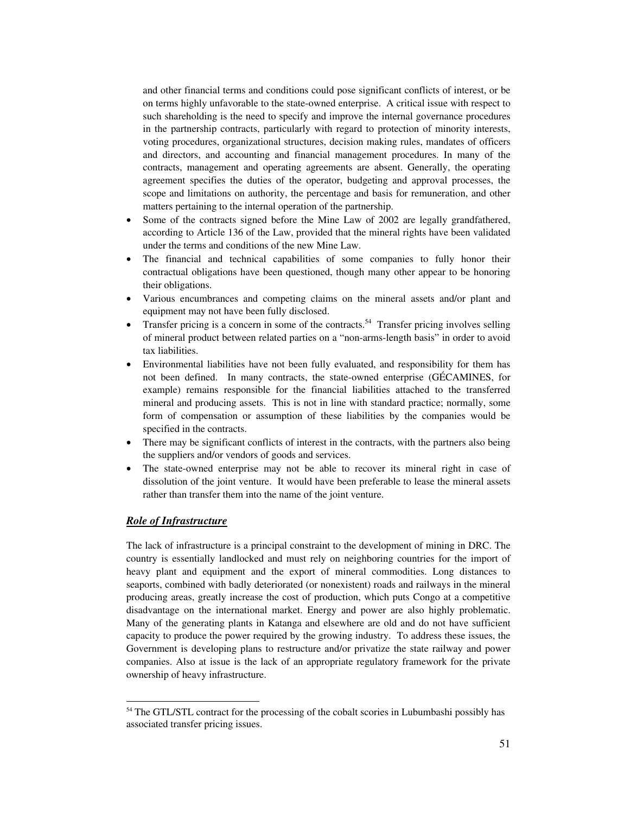and other financial terms and conditions could pose significant conflicts of interest, or be on terms highly unfavorable to the state-owned enterprise. A critical issue with respect to such shareholding is the need to specify and improve the internal governance procedures in the partnership contracts, particularly with regard to protection of minority interests, voting procedures, organizational structures, decision making rules, mandates of officers and directors, and accounting and financial management procedures. In many of the contracts, management and operating agreements are absent. Generally, the operating agreement specifies the duties of the operator, budgeting and approval processes, the scope and limitations on authority, the percentage and basis for remuneration, and other matters pertaining to the internal operation of the partnership.

- Some of the contracts signed before the Mine Law of 2002 are legally grandfathered, according to Article 136 of the Law, provided that the mineral rights have been validated under the terms and conditions of the new Mine Law.
- The financial and technical capabilities of some companies to fully honor their contractual obligations have been questioned, though many other appear to be honoring their obligations.
- Various encumbrances and competing claims on the mineral assets and/or plant and equipment may not have been fully disclosed.
- Transfer pricing is a concern in some of the contracts.<sup>54</sup> Transfer pricing involves selling of mineral product between related parties on a "non-arms-length basis" in order to avoid tax liabilities.
- Environmental liabilities have not been fully evaluated, and responsibility for them has not been defined. In many contracts, the state-owned enterprise (GÉCAMINES, for example) remains responsible for the financial liabilities attached to the transferred mineral and producing assets. This is not in line with standard practice; normally, some form of compensation or assumption of these liabilities by the companies would be specified in the contracts.
- There may be significant conflicts of interest in the contracts, with the partners also being the suppliers and/or vendors of goods and services.
- The state-owned enterprise may not be able to recover its mineral right in case of dissolution of the joint venture. It would have been preferable to lease the mineral assets rather than transfer them into the name of the joint venture.

# *Role of Infrastructure*

 $\overline{a}$ 

The lack of infrastructure is a principal constraint to the development of mining in DRC. The country is essentially landlocked and must rely on neighboring countries for the import of heavy plant and equipment and the export of mineral commodities. Long distances to seaports, combined with badly deteriorated (or nonexistent) roads and railways in the mineral producing areas, greatly increase the cost of production, which puts Congo at a competitive disadvantage on the international market. Energy and power are also highly problematic. Many of the generating plants in Katanga and elsewhere are old and do not have sufficient capacity to produce the power required by the growing industry. To address these issues, the Government is developing plans to restructure and/or privatize the state railway and power companies. Also at issue is the lack of an appropriate regulatory framework for the private ownership of heavy infrastructure.

<sup>54</sup> The GTL/STL contract for the processing of the cobalt scories in Lubumbashi possibly has associated transfer pricing issues.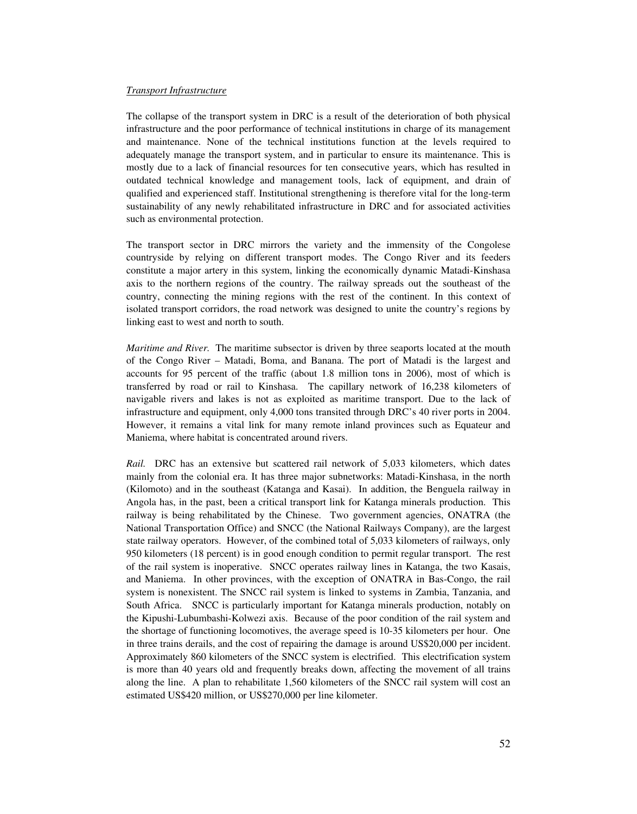### *Transport Infrastructure*

The collapse of the transport system in DRC is a result of the deterioration of both physical infrastructure and the poor performance of technical institutions in charge of its management and maintenance. None of the technical institutions function at the levels required to adequately manage the transport system, and in particular to ensure its maintenance. This is mostly due to a lack of financial resources for ten consecutive years, which has resulted in outdated technical knowledge and management tools, lack of equipment, and drain of qualified and experienced staff. Institutional strengthening is therefore vital for the long-term sustainability of any newly rehabilitated infrastructure in DRC and for associated activities such as environmental protection.

The transport sector in DRC mirrors the variety and the immensity of the Congolese countryside by relying on different transport modes. The Congo River and its feeders constitute a major artery in this system, linking the economically dynamic Matadi-Kinshasa axis to the northern regions of the country. The railway spreads out the southeast of the country, connecting the mining regions with the rest of the continent. In this context of isolated transport corridors, the road network was designed to unite the country's regions by linking east to west and north to south.

*Maritime and River.* The maritime subsector is driven by three seaports located at the mouth of the Congo River – Matadi, Boma, and Banana. The port of Matadi is the largest and accounts for 95 percent of the traffic (about 1.8 million tons in 2006), most of which is transferred by road or rail to Kinshasa.The capillary network of 16,238 kilometers of navigable rivers and lakes is not as exploited as maritime transport. Due to the lack of infrastructure and equipment, only 4,000 tons transited through DRC's 40 river ports in 2004. However, it remains a vital link for many remote inland provinces such as Equateur and Maniema, where habitat is concentrated around rivers.

*Rail.*DRC has an extensive but scattered rail network of 5,033 kilometers, which dates mainly from the colonial era. It has three major subnetworks: Matadi-Kinshasa, in the north (Kilomoto) and in the southeast (Katanga and Kasai). In addition, the Benguela railway in Angola has, in the past, been a critical transport link for Katanga minerals production. This railway is being rehabilitated by the Chinese. Two government agencies, ONATRA (the National Transportation Office) and SNCC (the National Railways Company), are the largest state railway operators. However, of the combined total of 5,033 kilometers of railways, only 950 kilometers (18 percent) is in good enough condition to permit regular transport. The rest of the rail system is inoperative. SNCC operates railway lines in Katanga, the two Kasais, and Maniema. In other provinces, with the exception of ONATRA in Bas-Congo, the rail system is nonexistent. The SNCC rail system is linked to systems in Zambia, Tanzania, and South Africa. SNCC is particularly important for Katanga minerals production, notably on the Kipushi-Lubumbashi-Kolwezi axis. Because of the poor condition of the rail system and the shortage of functioning locomotives, the average speed is 10-35 kilometers per hour. One in three trains derails, and the cost of repairing the damage is around US\$20,000 per incident. Approximately 860 kilometers of the SNCC system is electrified. This electrification system is more than 40 years old and frequently breaks down, affecting the movement of all trains along the line. A plan to rehabilitate 1,560 kilometers of the SNCC rail system will cost an estimated US\$420 million, or US\$270,000 per line kilometer.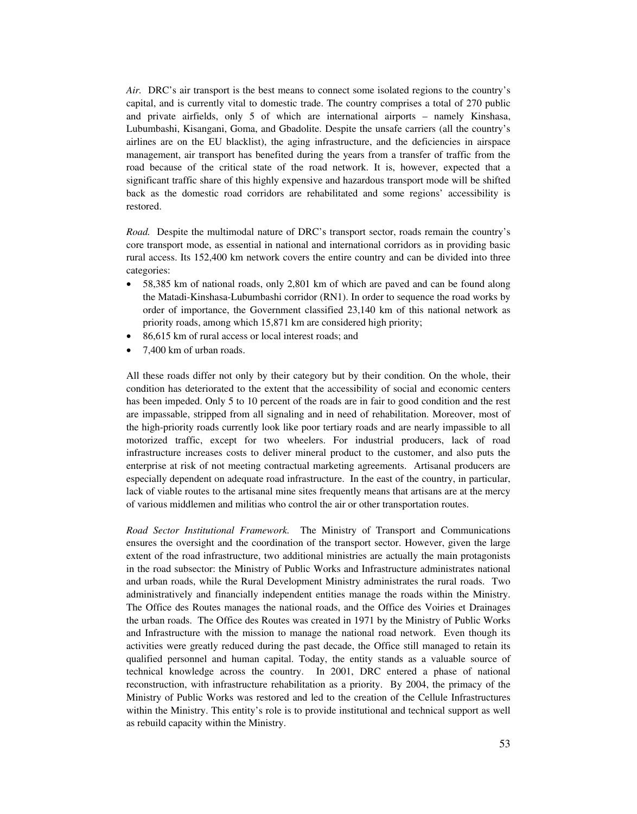*Air.*DRC's air transport is the best means to connect some isolated regions to the country's capital, and is currently vital to domestic trade. The country comprises a total of 270 public and private airfields, only 5 of which are international airports – namely Kinshasa, Lubumbashi, Kisangani, Goma, and Gbadolite. Despite the unsafe carriers (all the country's airlines are on the EU blacklist), the aging infrastructure, and the deficiencies in airspace management, air transport has benefited during the years from a transfer of traffic from the road because of the critical state of the road network. It is, however, expected that a significant traffic share of this highly expensive and hazardous transport mode will be shifted back as the domestic road corridors are rehabilitated and some regions' accessibility is restored.

*Road.* Despite the multimodal nature of DRC's transport sector, roads remain the country's core transport mode, as essential in national and international corridors as in providing basic rural access. Its 152,400 km network covers the entire country and can be divided into three categories:

- 58,385 km of national roads, only 2,801 km of which are paved and can be found along the Matadi-Kinshasa-Lubumbashi corridor (RN1). In order to sequence the road works by order of importance, the Government classified 23,140 km of this national network as priority roads, among which 15,871 km are considered high priority;
- 86,615 km of rural access or local interest roads; and
- 7,400 km of urban roads.

All these roads differ not only by their category but by their condition. On the whole, their condition has deteriorated to the extent that the accessibility of social and economic centers has been impeded. Only 5 to 10 percent of the roads are in fair to good condition and the rest are impassable, stripped from all signaling and in need of rehabilitation. Moreover, most of the high-priority roads currently look like poor tertiary roads and are nearly impassible to all motorized traffic, except for two wheelers. For industrial producers, lack of road infrastructure increases costs to deliver mineral product to the customer, and also puts the enterprise at risk of not meeting contractual marketing agreements. Artisanal producers are especially dependent on adequate road infrastructure. In the east of the country, in particular, lack of viable routes to the artisanal mine sites frequently means that artisans are at the mercy of various middlemen and militias who control the air or other transportation routes.

*Road Sector Institutional Framework.*The Ministry of Transport and Communications ensures the oversight and the coordination of the transport sector. However, given the large extent of the road infrastructure, two additional ministries are actually the main protagonists in the road subsector: the Ministry of Public Works and Infrastructure administrates national and urban roads, while the Rural Development Ministry administrates the rural roads.Two administratively and financially independent entities manage the roads within the Ministry. The Office des Routes manages the national roads, and the Office des Voiries et Drainages the urban roads.The Office des Routes was created in 1971 by the Ministry of Public Works and Infrastructure with the mission to manage the national road network. Even though its activities were greatly reduced during the past decade, the Office still managed to retain its qualified personnel and human capital. Today, the entity stands as a valuable source of technical knowledge across the country.In 2001, DRC entered a phase of national reconstruction, with infrastructure rehabilitation as a priority. By 2004, the primacy of the Ministry of Public Works was restored and led to the creation of the Cellule Infrastructures within the Ministry. This entity's role is to provide institutional and technical support as well as rebuild capacity within the Ministry.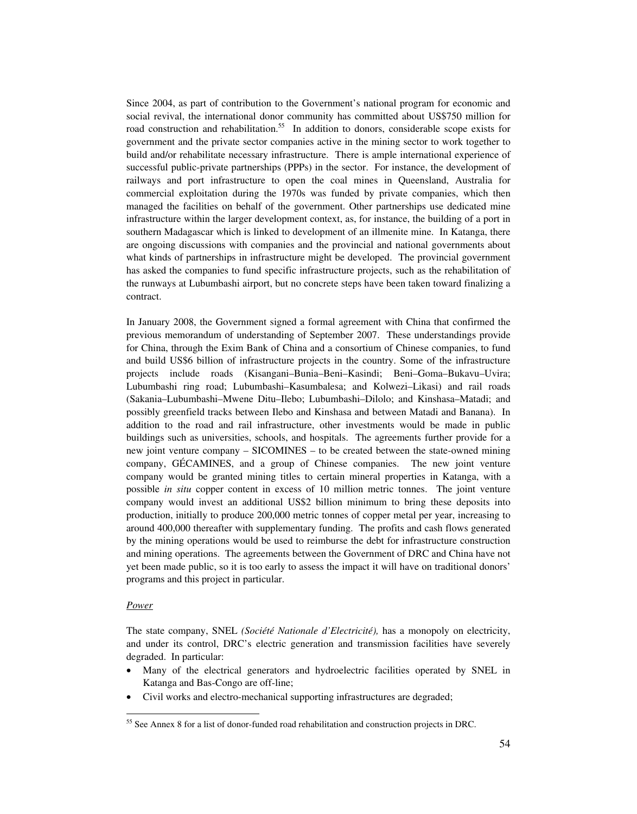Since 2004, as part of contribution to the Government's national program for economic and social revival, the international donor community has committed about US\$750 million for road construction and rehabilitation.<sup>55</sup> In addition to donors, considerable scope exists for government and the private sector companies active in the mining sector to work together to build and/or rehabilitate necessary infrastructure. There is ample international experience of successful public-private partnerships (PPPs) in the sector. For instance, the development of railways and port infrastructure to open the coal mines in Queensland, Australia for commercial exploitation during the 1970s was funded by private companies, which then managed the facilities on behalf of the government. Other partnerships use dedicated mine infrastructure within the larger development context, as, for instance, the building of a port in southern Madagascar which is linked to development of an illmenite mine. In Katanga, there are ongoing discussions with companies and the provincial and national governments about what kinds of partnerships in infrastructure might be developed. The provincial government has asked the companies to fund specific infrastructure projects, such as the rehabilitation of the runways at Lubumbashi airport, but no concrete steps have been taken toward finalizing a contract.

In January 2008, the Government signed a formal agreement with China that confirmed the previous memorandum of understanding of September 2007. These understandings provide for China, through the Exim Bank of China and a consortium of Chinese companies, to fund and build US\$6 billion of infrastructure projects in the country. Some of the infrastructure projects include roads (Kisangani–Bunia–Beni–Kasindi; Beni–Goma–Bukavu–Uvira; Lubumbashi ring road; Lubumbashi–Kasumbalesa; and Kolwezi–Likasi) and rail roads (Sakania–Lubumbashi–Mwene Ditu–Ilebo; Lubumbashi–Dilolo; and Kinshasa–Matadi; and possibly greenfield tracks between Ilebo and Kinshasa and between Matadi and Banana). In addition to the road and rail infrastructure, other investments would be made in public buildings such as universities, schools, and hospitals. The agreements further provide for a new joint venture company – SICOMINES – to be created between the state-owned mining company, GÉCAMINES, and a group of Chinese companies. The new joint venture company would be granted mining titles to certain mineral properties in Katanga, with a possible *in situ* copper content in excess of 10 million metric tonnes. The joint venture company would invest an additional US\$2 billion minimum to bring these deposits into production, initially to produce 200,000 metric tonnes of copper metal per year, increasing to around 400,000 thereafter with supplementary funding. The profits and cash flows generated by the mining operations would be used to reimburse the debt for infrastructure construction and mining operations. The agreements between the Government of DRC and China have not yet been made public, so it is too early to assess the impact it will have on traditional donors' programs and this project in particular.

### *Power*

 $\overline{a}$ 

The state company, SNEL *(Société Nationale d'Electricité),* has a monopoly on electricity, and under its control, DRC's electric generation and transmission facilities have severely degraded. In particular:

- Many of the electrical generators and hydroelectric facilities operated by SNEL in Katanga and Bas-Congo are off-line;
- Civil works and electro-mechanical supporting infrastructures are degraded;

<sup>&</sup>lt;sup>55</sup> See Annex 8 for a list of donor-funded road rehabilitation and construction projects in DRC.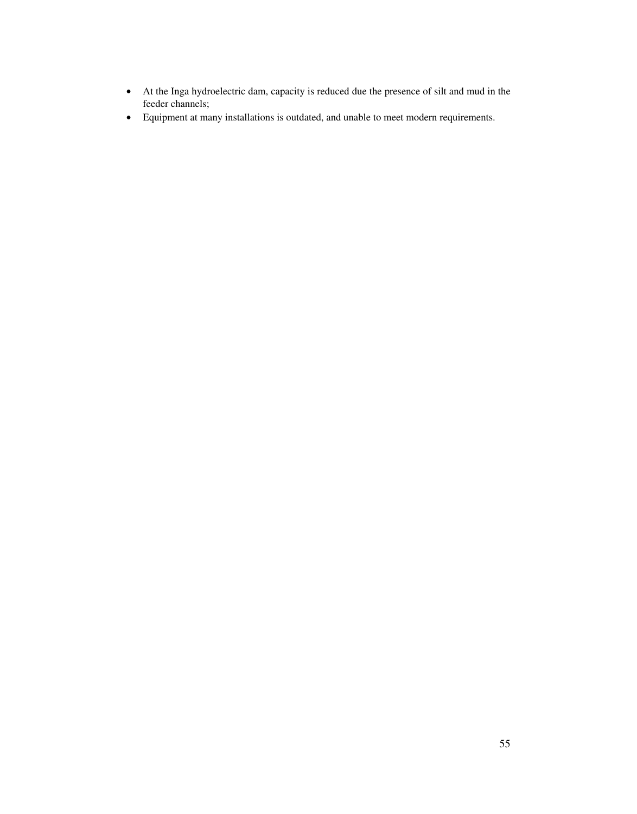- At the Inga hydroelectric dam, capacity is reduced due the presence of silt and mud in the feeder channels;
- Equipment at many installations is outdated, and unable to meet modern requirements.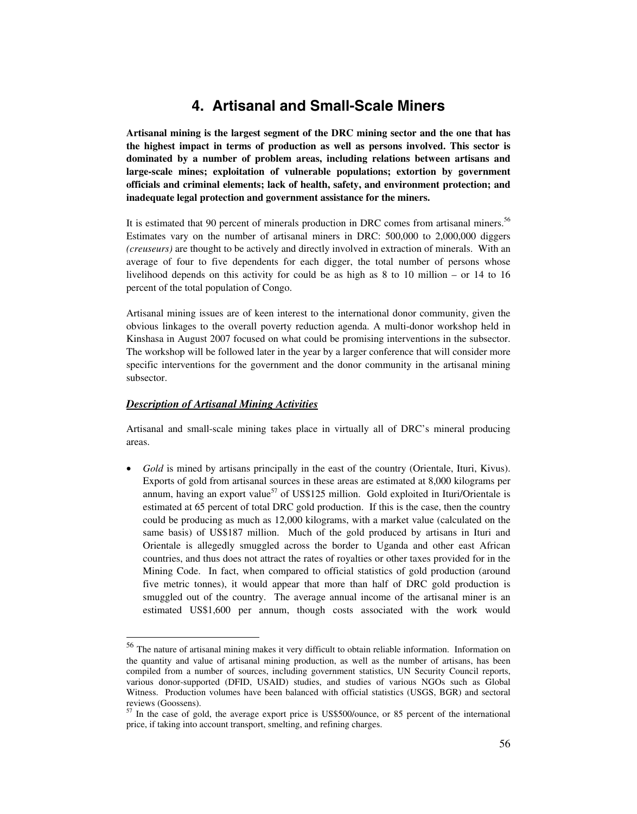# **4. Artisanal and Small-Scale Miners**

**Artisanal mining is the largest segment of the DRC mining sector and the one that has the highest impact in terms of production as well as persons involved. This sector is dominated by a number of problem areas, including relations between artisans and large-scale mines; exploitation of vulnerable populations; extortion by government officials and criminal elements; lack of health, safety, and environment protection; and inadequate legal protection and government assistance for the miners.** 

It is estimated that 90 percent of minerals production in DRC comes from artisanal miners.<sup>56</sup> Estimates vary on the number of artisanal miners in DRC: 500,000 to 2,000,000 diggers *(creuseurs)* are thought to be actively and directly involved in extraction of minerals. With an average of four to five dependents for each digger, the total number of persons whose livelihood depends on this activity for could be as high as 8 to 10 million – or 14 to 16 percent of the total population of Congo.

Artisanal mining issues are of keen interest to the international donor community, given the obvious linkages to the overall poverty reduction agenda. A multi-donor workshop held in Kinshasa in August 2007 focused on what could be promising interventions in the subsector. The workshop will be followed later in the year by a larger conference that will consider more specific interventions for the government and the donor community in the artisanal mining subsector.

## *Description of Artisanal Mining Activities*

 $\overline{a}$ 

Artisanal and small-scale mining takes place in virtually all of DRC's mineral producing areas.

• *Gold* is mined by artisans principally in the east of the country (Orientale, Ituri, Kivus). Exports of gold from artisanal sources in these areas are estimated at 8,000 kilograms per annum, having an export value<sup>57</sup> of US\$125 million. Gold exploited in Ituri/Orientale is estimated at 65 percent of total DRC gold production. If this is the case, then the country could be producing as much as 12,000 kilograms, with a market value (calculated on the same basis) of US\$187 million. Much of the gold produced by artisans in Ituri and Orientale is allegedly smuggled across the border to Uganda and other east African countries, and thus does not attract the rates of royalties or other taxes provided for in the Mining Code. In fact, when compared to official statistics of gold production (around five metric tonnes), it would appear that more than half of DRC gold production is smuggled out of the country. The average annual income of the artisanal miner is an estimated US\$1,600 per annum, though costs associated with the work would

<sup>&</sup>lt;sup>56</sup> The nature of artisanal mining makes it very difficult to obtain reliable information. Information on the quantity and value of artisanal mining production, as well as the number of artisans, has been compiled from a number of sources, including government statistics, UN Security Council reports, various donor-supported (DFID, USAID) studies, and studies of various NGOs such as Global Witness. Production volumes have been balanced with official statistics (USGS, BGR) and sectoral reviews (Goossens).

 $57$  In the case of gold, the average export price is US\$500/ounce, or 85 percent of the international price, if taking into account transport, smelting, and refining charges.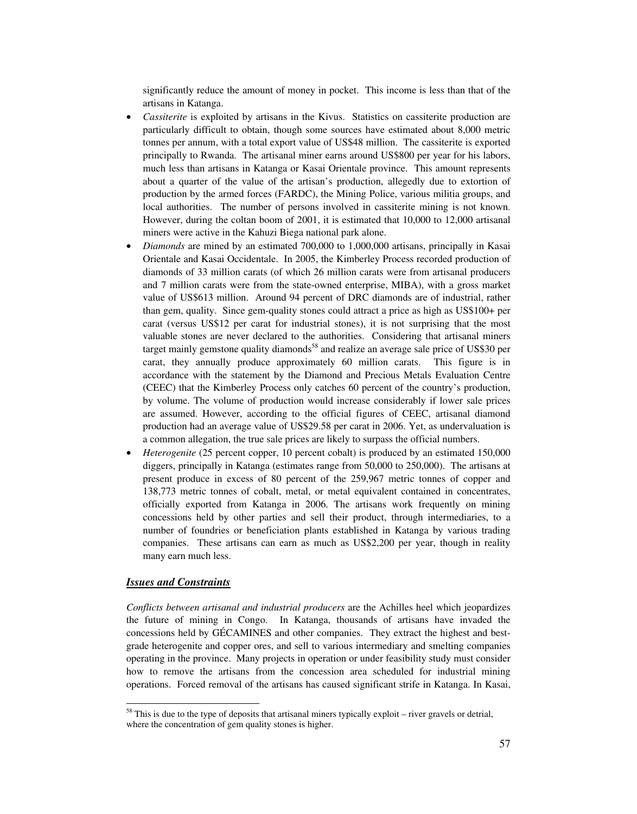significantly reduce the amount of money in pocket. This income is less than that of the artisans in Katanga.

- *Cassiterite* is exploited by artisans in the Kivus. Statistics on cassiterite production are particularly difficult to obtain, though some sources have estimated about 8,000 metric tonnes per annum, with a total export value of US\$48 million. The cassiterite is exported principally to Rwanda. The artisanal miner earns around US\$800 per year for his labors, much less than artisans in Katanga or Kasai Orientale province. This amount represents about a quarter of the value of the artisan's production, allegedly due to extortion of production by the armed forces (FARDC), the Mining Police, various militia groups, and local authorities. The number of persons involved in cassiterite mining is not known. However, during the coltan boom of 2001, it is estimated that 10,000 to 12,000 artisanal miners were active in the Kahuzi Biega national park alone.
- *Diamonds* are mined by an estimated 700,000 to 1,000,000 artisans, principally in Kasai Orientale and Kasai Occidentale. In 2005, the Kimberley Process recorded production of diamonds of 33 million carats (of which 26 million carats were from artisanal producers and 7 million carats were from the state-owned enterprise, MIBA), with a gross market value of US\$613 million. Around 94 percent of DRC diamonds are of industrial, rather than gem, quality. Since gem-quality stones could attract a price as high as US\$100+ per carat (versus US\$12 per carat for industrial stones), it is not surprising that the most valuable stones are never declared to the authorities. Considering that artisanal miners target mainly gemstone quality diamonds<sup>58</sup> and realize an average sale price of US\$30 per carat, they annually produce approximately 60 million carats. This figure is in accordance with the statement by the Diamond and Precious Metals Evaluation Centre (CEEC) that the Kimberley Process only catches 60 percent of the country's production, by volume. The volume of production would increase considerably if lower sale prices are assumed. However, according to the official figures of CEEC, artisanal diamond production had an average value of US\$29.58 per carat in 2006. Yet, as undervaluation is a common allegation, the true sale prices are likely to surpass the official numbers.
- *Heterogenite* (25 percent copper, 10 percent cobalt) is produced by an estimated 150,000 diggers, principally in Katanga (estimates range from 50,000 to 250,000). The artisans at present produce in excess of 80 percent of the 259,967 metric tonnes of copper and 138,773 metric tonnes of cobalt, metal, or metal equivalent contained in concentrates, officially exported from Katanga in 2006. The artisans work frequently on mining concessions held by other parties and sell their product, through intermediaries, to a number of foundries or beneficiation plants established in Katanga by various trading companies. These artisans can earn as much as US\$2,200 per year, though in reality many earn much less.

## *Issues and Constraints*

 $\overline{\phantom{a}}$ 

*Conflicts between artisanal and industrial producers* are the Achilles heel which jeopardizes the future of mining in Congo. In Katanga, thousands of artisans have invaded the concessions held by GÉCAMINES and other companies. They extract the highest and bestgrade heterogenite and copper ores, and sell to various intermediary and smelting companies operating in the province. Many projects in operation or under feasibility study must consider how to remove the artisans from the concession area scheduled for industrial mining operations. Forced removal of the artisans has caused significant strife in Katanga. In Kasai,

 $<sup>58</sup>$  This is due to the type of deposits that artisanal miners typically exploit – river gravels or detrial,</sup> where the concentration of gem quality stones is higher.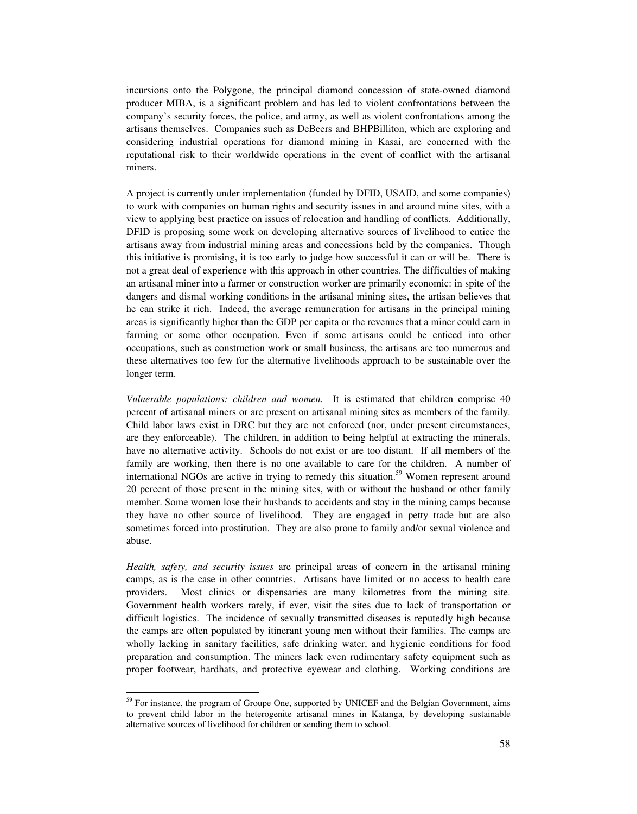incursions onto the Polygone, the principal diamond concession of state-owned diamond producer MIBA, is a significant problem and has led to violent confrontations between the company's security forces, the police, and army, as well as violent confrontations among the artisans themselves. Companies such as DeBeers and BHPBilliton, which are exploring and considering industrial operations for diamond mining in Kasai, are concerned with the reputational risk to their worldwide operations in the event of conflict with the artisanal miners.

A project is currently under implementation (funded by DFID, USAID, and some companies) to work with companies on human rights and security issues in and around mine sites, with a view to applying best practice on issues of relocation and handling of conflicts. Additionally, DFID is proposing some work on developing alternative sources of livelihood to entice the artisans away from industrial mining areas and concessions held by the companies. Though this initiative is promising, it is too early to judge how successful it can or will be. There is not a great deal of experience with this approach in other countries. The difficulties of making an artisanal miner into a farmer or construction worker are primarily economic: in spite of the dangers and dismal working conditions in the artisanal mining sites, the artisan believes that he can strike it rich. Indeed, the average remuneration for artisans in the principal mining areas is significantly higher than the GDP per capita or the revenues that a miner could earn in farming or some other occupation. Even if some artisans could be enticed into other occupations, such as construction work or small business, the artisans are too numerous and these alternatives too few for the alternative livelihoods approach to be sustainable over the longer term.

*Vulnerable populations: children and women.* It is estimated that children comprise 40 percent of artisanal miners or are present on artisanal mining sites as members of the family. Child labor laws exist in DRC but they are not enforced (nor, under present circumstances, are they enforceable). The children, in addition to being helpful at extracting the minerals, have no alternative activity. Schools do not exist or are too distant. If all members of the family are working, then there is no one available to care for the children. A number of international NGOs are active in trying to remedy this situation.<sup>59</sup> Women represent around 20 percent of those present in the mining sites, with or without the husband or other family member. Some women lose their husbands to accidents and stay in the mining camps because they have no other source of livelihood. They are engaged in petty trade but are also sometimes forced into prostitution. They are also prone to family and/or sexual violence and abuse.

*Health, safety, and security issues* are principal areas of concern in the artisanal mining camps, as is the case in other countries. Artisans have limited or no access to health care providers. Most clinics or dispensaries are many kilometres from the mining site. Government health workers rarely, if ever, visit the sites due to lack of transportation or difficult logistics. The incidence of sexually transmitted diseases is reputedly high because the camps are often populated by itinerant young men without their families. The camps are wholly lacking in sanitary facilities, safe drinking water, and hygienic conditions for food preparation and consumption. The miners lack even rudimentary safety equipment such as proper footwear, hardhats, and protective eyewear and clothing. Working conditions are

<sup>&</sup>lt;sup>59</sup> For instance, the program of Groupe One, supported by UNICEF and the Belgian Government, aims to prevent child labor in the heterogenite artisanal mines in Katanga, by developing sustainable alternative sources of livelihood for children or sending them to school.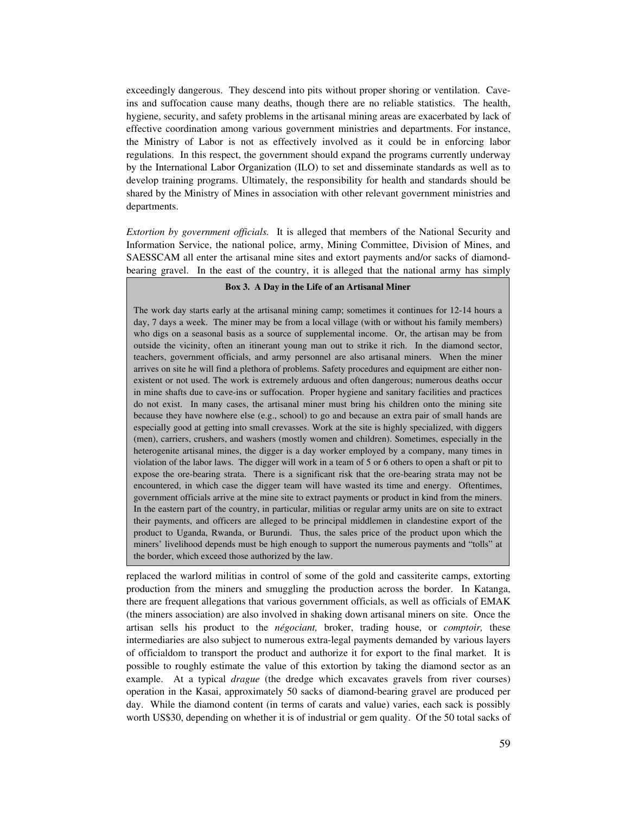exceedingly dangerous. They descend into pits without proper shoring or ventilation. Caveins and suffocation cause many deaths, though there are no reliable statistics. The health, hygiene, security, and safety problems in the artisanal mining areas are exacerbated by lack of effective coordination among various government ministries and departments. For instance, the Ministry of Labor is not as effectively involved as it could be in enforcing labor regulations. In this respect, the government should expand the programs currently underway by the International Labor Organization (ILO) to set and disseminate standards as well as to develop training programs. Ultimately, the responsibility for health and standards should be shared by the Ministry of Mines in association with other relevant government ministries and departments.

*Extortion by government officials.* It is alleged that members of the National Security and Information Service, the national police, army, Mining Committee, Division of Mines, and SAESSCAM all enter the artisanal mine sites and extort payments and/or sacks of diamondbearing gravel. In the east of the country, it is alleged that the national army has simply

### **Box 3. A Day in the Life of an Artisanal Miner**

The work day starts early at the artisanal mining camp; sometimes it continues for 12-14 hours a day, 7 days a week. The miner may be from a local village (with or without his family members) who digs on a seasonal basis as a source of supplemental income. Or, the artisan may be from outside the vicinity, often an itinerant young man out to strike it rich. In the diamond sector, teachers, government officials, and army personnel are also artisanal miners. When the miner arrives on site he will find a plethora of problems. Safety procedures and equipment are either nonexistent or not used. The work is extremely arduous and often dangerous; numerous deaths occur in mine shafts due to cave-ins or suffocation. Proper hygiene and sanitary facilities and practices do not exist. In many cases, the artisanal miner must bring his children onto the mining site because they have nowhere else (e.g., school) to go and because an extra pair of small hands are especially good at getting into small crevasses. Work at the site is highly specialized, with diggers (men), carriers, crushers, and washers (mostly women and children). Sometimes, especially in the heterogenite artisanal mines, the digger is a day worker employed by a company, many times in violation of the labor laws. The digger will work in a team of 5 or 6 others to open a shaft or pit to expose the ore-bearing strata. There is a significant risk that the ore-bearing strata may not be encountered, in which case the digger team will have wasted its time and energy. Oftentimes, government officials arrive at the mine site to extract payments or product in kind from the miners. In the eastern part of the country, in particular, militias or regular army units are on site to extract their payments, and officers are alleged to be principal middlemen in clandestine export of the product to Uganda, Rwanda, or Burundi. Thus, the sales price of the product upon which the miners' livelihood depends must be high enough to support the numerous payments and "tolls" at the border, which exceed those authorized by the law.

replaced the warlord militias in control of some of the gold and cassiterite camps, extorting production from the miners and smuggling the production across the border. In Katanga, there are frequent allegations that various government officials, as well as officials of EMAK (the miners association) are also involved in shaking down artisanal miners on site. Once the artisan sells his product to the *négociant,* broker, trading house, or *comptoir,* these intermediaries are also subject to numerous extra-legal payments demanded by various layers of officialdom to transport the product and authorize it for export to the final market. It is possible to roughly estimate the value of this extortion by taking the diamond sector as an example. At a typical *drague* (the dredge which excavates gravels from river courses) operation in the Kasai, approximately 50 sacks of diamond-bearing gravel are produced per day. While the diamond content (in terms of carats and value) varies, each sack is possibly worth US\$30, depending on whether it is of industrial or gem quality. Of the 50 total sacks of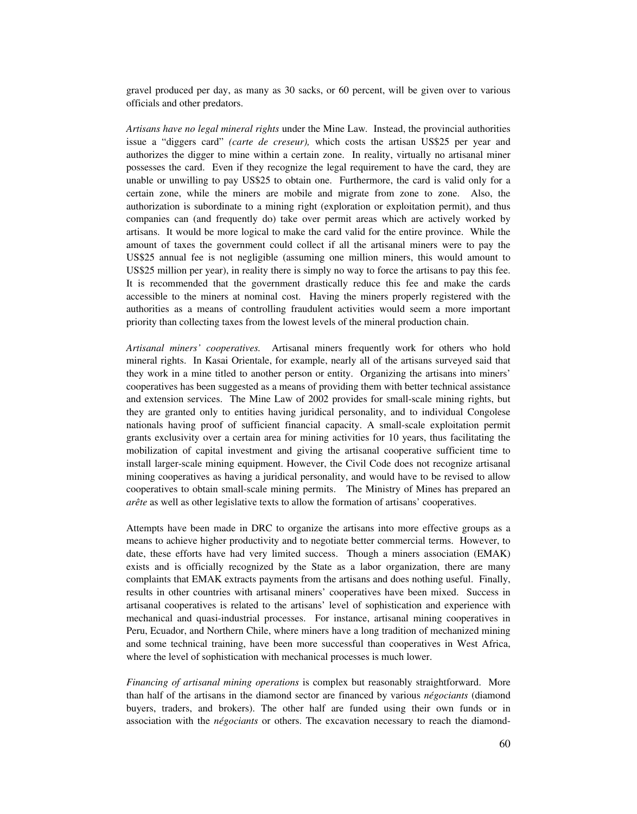gravel produced per day, as many as 30 sacks, or 60 percent, will be given over to various officials and other predators.

*Artisans have no legal mineral rights* under the Mine Law*.* Instead, the provincial authorities issue a "diggers card" *(carte de creseur),* which costs the artisan US\$25 per year and authorizes the digger to mine within a certain zone. In reality, virtually no artisanal miner possesses the card. Even if they recognize the legal requirement to have the card, they are unable or unwilling to pay US\$25 to obtain one. Furthermore, the card is valid only for a certain zone, while the miners are mobile and migrate from zone to zone. Also, the authorization is subordinate to a mining right (exploration or exploitation permit), and thus companies can (and frequently do) take over permit areas which are actively worked by artisans. It would be more logical to make the card valid for the entire province. While the amount of taxes the government could collect if all the artisanal miners were to pay the US\$25 annual fee is not negligible (assuming one million miners, this would amount to US\$25 million per year), in reality there is simply no way to force the artisans to pay this fee. It is recommended that the government drastically reduce this fee and make the cards accessible to the miners at nominal cost. Having the miners properly registered with the authorities as a means of controlling fraudulent activities would seem a more important priority than collecting taxes from the lowest levels of the mineral production chain.

*Artisanal miners' cooperatives.* Artisanal miners frequently work for others who hold mineral rights. In Kasai Orientale, for example, nearly all of the artisans surveyed said that they work in a mine titled to another person or entity. Organizing the artisans into miners' cooperatives has been suggested as a means of providing them with better technical assistance and extension services. The Mine Law of 2002 provides for small-scale mining rights, but they are granted only to entities having juridical personality, and to individual Congolese nationals having proof of sufficient financial capacity. A small-scale exploitation permit grants exclusivity over a certain area for mining activities for 10 years, thus facilitating the mobilization of capital investment and giving the artisanal cooperative sufficient time to install larger-scale mining equipment. However, the Civil Code does not recognize artisanal mining cooperatives as having a juridical personality, and would have to be revised to allow cooperatives to obtain small-scale mining permits. The Ministry of Mines has prepared an *arête* as well as other legislative texts to allow the formation of artisans' cooperatives.

Attempts have been made in DRC to organize the artisans into more effective groups as a means to achieve higher productivity and to negotiate better commercial terms. However, to date, these efforts have had very limited success. Though a miners association (EMAK) exists and is officially recognized by the State as a labor organization, there are many complaints that EMAK extracts payments from the artisans and does nothing useful. Finally, results in other countries with artisanal miners' cooperatives have been mixed. Success in artisanal cooperatives is related to the artisans' level of sophistication and experience with mechanical and quasi-industrial processes. For instance, artisanal mining cooperatives in Peru, Ecuador, and Northern Chile, where miners have a long tradition of mechanized mining and some technical training, have been more successful than cooperatives in West Africa, where the level of sophistication with mechanical processes is much lower.

*Financing of artisanal mining operations* is complex but reasonably straightforward. More than half of the artisans in the diamond sector are financed by various *négociants* (diamond buyers, traders, and brokers). The other half are funded using their own funds or in association with the *négociants* or others. The excavation necessary to reach the diamond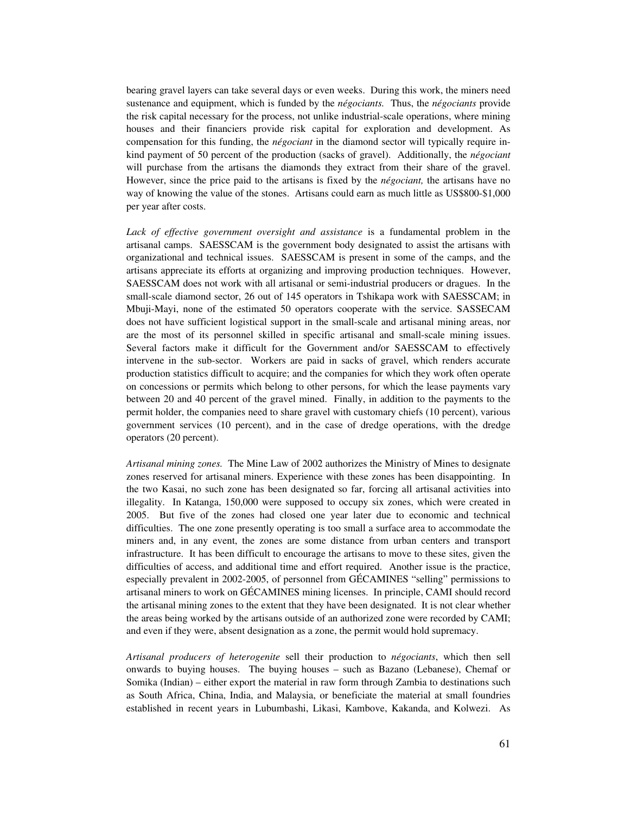bearing gravel layers can take several days or even weeks. During this work, the miners need sustenance and equipment, which is funded by the *négociants.* Thus, the *négociants* provide the risk capital necessary for the process, not unlike industrial-scale operations, where mining houses and their financiers provide risk capital for exploration and development. As compensation for this funding, the *négociant* in the diamond sector will typically require inkind payment of 50 percent of the production (sacks of gravel). Additionally, the *négociant* will purchase from the artisans the diamonds they extract from their share of the gravel. However, since the price paid to the artisans is fixed by the *négociant,* the artisans have no way of knowing the value of the stones. Artisans could earn as much little as US\$800-\$1,000 per year after costs.

*Lack of effective government oversight and assistance* is a fundamental problem in the artisanal camps. SAESSCAM is the government body designated to assist the artisans with organizational and technical issues. SAESSCAM is present in some of the camps, and the artisans appreciate its efforts at organizing and improving production techniques. However, SAESSCAM does not work with all artisanal or semi-industrial producers or dragues. In the small-scale diamond sector, 26 out of 145 operators in Tshikapa work with SAESSCAM; in Mbuji-Mayi, none of the estimated 50 operators cooperate with the service. SASSECAM does not have sufficient logistical support in the small-scale and artisanal mining areas, nor are the most of its personnel skilled in specific artisanal and small-scale mining issues. Several factors make it difficult for the Government and/or SAESSCAM to effectively intervene in the sub-sector. Workers are paid in sacks of gravel, which renders accurate production statistics difficult to acquire; and the companies for which they work often operate on concessions or permits which belong to other persons, for which the lease payments vary between 20 and 40 percent of the gravel mined. Finally, in addition to the payments to the permit holder, the companies need to share gravel with customary chiefs (10 percent), various government services (10 percent), and in the case of dredge operations, with the dredge operators (20 percent).

*Artisanal mining zones.* The Mine Law of 2002 authorizes the Ministry of Mines to designate zones reserved for artisanal miners. Experience with these zones has been disappointing. In the two Kasai, no such zone has been designated so far, forcing all artisanal activities into illegality. In Katanga, 150,000 were supposed to occupy six zones, which were created in 2005. But five of the zones had closed one year later due to economic and technical difficulties. The one zone presently operating is too small a surface area to accommodate the miners and, in any event, the zones are some distance from urban centers and transport infrastructure. It has been difficult to encourage the artisans to move to these sites, given the difficulties of access, and additional time and effort required. Another issue is the practice, especially prevalent in 2002-2005, of personnel from GÉCAMINES "selling" permissions to artisanal miners to work on GÉCAMINES mining licenses. In principle, CAMI should record the artisanal mining zones to the extent that they have been designated. It is not clear whether the areas being worked by the artisans outside of an authorized zone were recorded by CAMI; and even if they were, absent designation as a zone, the permit would hold supremacy.

*Artisanal producers of heterogenite* sell their production to *négociants*, which then sell onwards to buying houses. The buying houses – such as Bazano (Lebanese), Chemaf or Somika (Indian) – either export the material in raw form through Zambia to destinations such as South Africa, China, India, and Malaysia, or beneficiate the material at small foundries established in recent years in Lubumbashi, Likasi, Kambove, Kakanda, and Kolwezi. As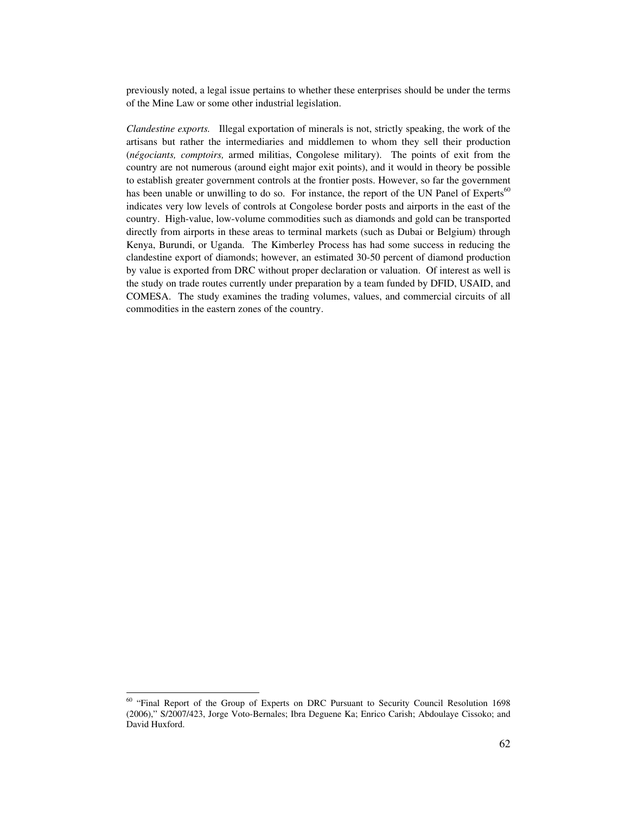previously noted, a legal issue pertains to whether these enterprises should be under the terms of the Mine Law or some other industrial legislation.

*Clandestine exports.* Illegal exportation of minerals is not, strictly speaking, the work of the artisans but rather the intermediaries and middlemen to whom they sell their production (*négociants, comptoirs,* armed militias, Congolese military). The points of exit from the country are not numerous (around eight major exit points), and it would in theory be possible to establish greater government controls at the frontier posts. However, so far the government has been unable or unwilling to do so. For instance, the report of the UN Panel of Experts<sup>60</sup> indicates very low levels of controls at Congolese border posts and airports in the east of the country. High-value, low-volume commodities such as diamonds and gold can be transported directly from airports in these areas to terminal markets (such as Dubai or Belgium) through Kenya, Burundi, or Uganda. The Kimberley Process has had some success in reducing the clandestine export of diamonds; however, an estimated 30-50 percent of diamond production by value is exported from DRC without proper declaration or valuation. Of interest as well is the study on trade routes currently under preparation by a team funded by DFID, USAID, and COMESA. The study examines the trading volumes, values, and commercial circuits of all commodities in the eastern zones of the country.

<sup>&</sup>lt;sup>60</sup> "Final Report of the Group of Experts on DRC Pursuant to Security Council Resolution 1698 (2006)," S/2007/423, Jorge Voto-Bernales; Ibra Deguene Ka; Enrico Carish; Abdoulaye Cissoko; and David Huxford.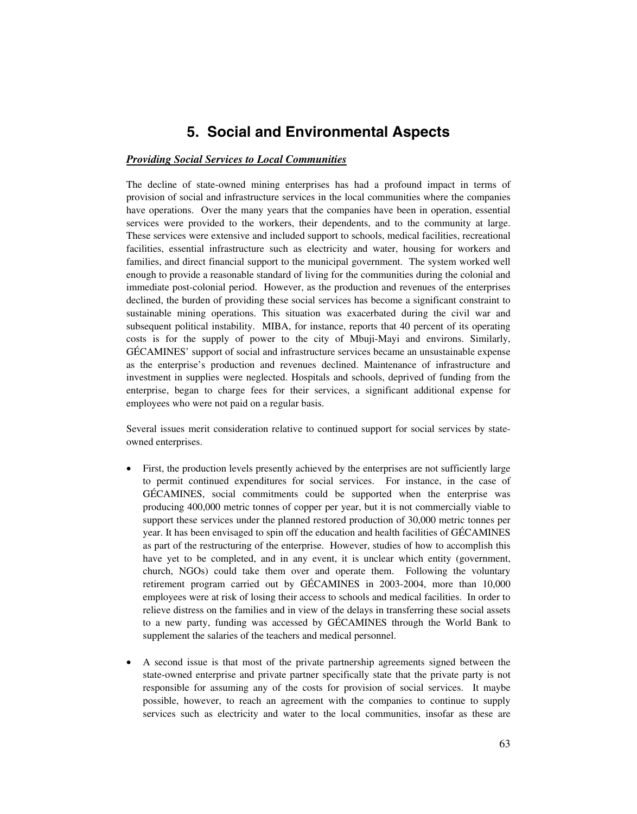# **5. Social and Environmental Aspects**

# *Providing Social Services to Local Communities*

The decline of state-owned mining enterprises has had a profound impact in terms of provision of social and infrastructure services in the local communities where the companies have operations. Over the many years that the companies have been in operation, essential services were provided to the workers, their dependents, and to the community at large. These services were extensive and included support to schools, medical facilities, recreational facilities, essential infrastructure such as electricity and water, housing for workers and families, and direct financial support to the municipal government. The system worked well enough to provide a reasonable standard of living for the communities during the colonial and immediate post-colonial period. However, as the production and revenues of the enterprises declined, the burden of providing these social services has become a significant constraint to sustainable mining operations. This situation was exacerbated during the civil war and subsequent political instability. MIBA, for instance, reports that 40 percent of its operating costs is for the supply of power to the city of Mbuji-Mayi and environs. Similarly, GÉCAMINES' support of social and infrastructure services became an unsustainable expense as the enterprise's production and revenues declined. Maintenance of infrastructure and investment in supplies were neglected. Hospitals and schools, deprived of funding from the enterprise, began to charge fees for their services, a significant additional expense for employees who were not paid on a regular basis.

Several issues merit consideration relative to continued support for social services by stateowned enterprises.

- First, the production levels presently achieved by the enterprises are not sufficiently large to permit continued expenditures for social services. For instance, in the case of GÉCAMINES, social commitments could be supported when the enterprise was producing 400,000 metric tonnes of copper per year, but it is not commercially viable to support these services under the planned restored production of 30,000 metric tonnes per year. It has been envisaged to spin off the education and health facilities of GÉCAMINES as part of the restructuring of the enterprise. However, studies of how to accomplish this have yet to be completed, and in any event, it is unclear which entity (government, church, NGOs) could take them over and operate them. Following the voluntary retirement program carried out by GÉCAMINES in 2003-2004, more than 10,000 employees were at risk of losing their access to schools and medical facilities. In order to relieve distress on the families and in view of the delays in transferring these social assets to a new party, funding was accessed by GÉCAMINES through the World Bank to supplement the salaries of the teachers and medical personnel.
- A second issue is that most of the private partnership agreements signed between the state-owned enterprise and private partner specifically state that the private party is not responsible for assuming any of the costs for provision of social services. It maybe possible, however, to reach an agreement with the companies to continue to supply services such as electricity and water to the local communities, insofar as these are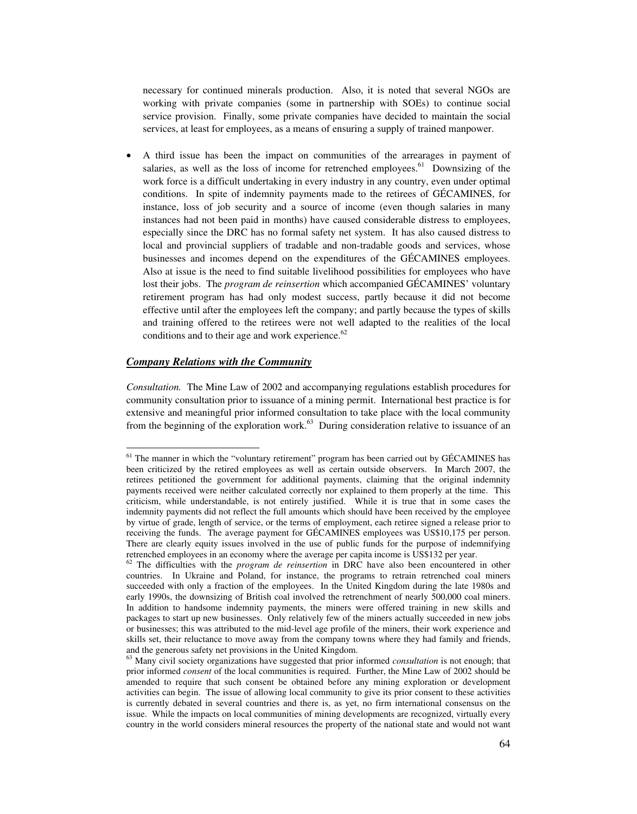necessary for continued minerals production. Also, it is noted that several NGOs are working with private companies (some in partnership with SOEs) to continue social service provision. Finally, some private companies have decided to maintain the social services, at least for employees, as a means of ensuring a supply of trained manpower.

• A third issue has been the impact on communities of the arrearages in payment of salaries, as well as the loss of income for retrenched employees. $61$  Downsizing of the work force is a difficult undertaking in every industry in any country, even under optimal conditions. In spite of indemnity payments made to the retirees of GÉCAMINES, for instance, loss of job security and a source of income (even though salaries in many instances had not been paid in months) have caused considerable distress to employees, especially since the DRC has no formal safety net system. It has also caused distress to local and provincial suppliers of tradable and non-tradable goods and services, whose businesses and incomes depend on the expenditures of the GÉCAMINES employees. Also at issue is the need to find suitable livelihood possibilities for employees who have lost their jobs. The *program de reinsertion* which accompanied GÉCAMINES' voluntary retirement program has had only modest success, partly because it did not become effective until after the employees left the company; and partly because the types of skills and training offered to the retirees were not well adapted to the realities of the local conditions and to their age and work experience.<sup>62</sup>

## *Company Relations with the Community*

 $\overline{a}$ 

*Consultation.* The Mine Law of 2002 and accompanying regulations establish procedures for community consultation prior to issuance of a mining permit. International best practice is for extensive and meaningful prior informed consultation to take place with the local community from the beginning of the exploration work. $63$  During consideration relative to issuance of an

<sup>&</sup>lt;sup>61</sup> The manner in which the "voluntary retirement" program has been carried out by GÉCAMINES has been criticized by the retired employees as well as certain outside observers. In March 2007, the retirees petitioned the government for additional payments, claiming that the original indemnity payments received were neither calculated correctly nor explained to them properly at the time. This criticism, while understandable, is not entirely justified. While it is true that in some cases the indemnity payments did not reflect the full amounts which should have been received by the employee by virtue of grade, length of service, or the terms of employment, each retiree signed a release prior to receiving the funds. The average payment for GÉCAMINES employees was US\$10,175 per person. There are clearly equity issues involved in the use of public funds for the purpose of indemnifying retrenched employees in an economy where the average per capita income is US\$132 per year. 62 The difficulties with the *program de reinsertion* in DRC have also been encountered in other

countries. In Ukraine and Poland, for instance, the programs to retrain retrenched coal miners succeeded with only a fraction of the employees. In the United Kingdom during the late 1980s and early 1990s, the downsizing of British coal involved the retrenchment of nearly 500,000 coal miners. In addition to handsome indemnity payments, the miners were offered training in new skills and packages to start up new businesses. Only relatively few of the miners actually succeeded in new jobs or businesses; this was attributed to the mid-level age profile of the miners, their work experience and skills set, their reluctance to move away from the company towns where they had family and friends,

and the generous safety net provisions in the United Kingdom.<br><sup>63</sup> Many civil society organizations have suggested that prior informed *consultation* is not enough; that prior informed *consent* of the local communities is required. Further, the Mine Law of 2002 should be amended to require that such consent be obtained before any mining exploration or development activities can begin. The issue of allowing local community to give its prior consent to these activities is currently debated in several countries and there is, as yet, no firm international consensus on the issue. While the impacts on local communities of mining developments are recognized, virtually every country in the world considers mineral resources the property of the national state and would not want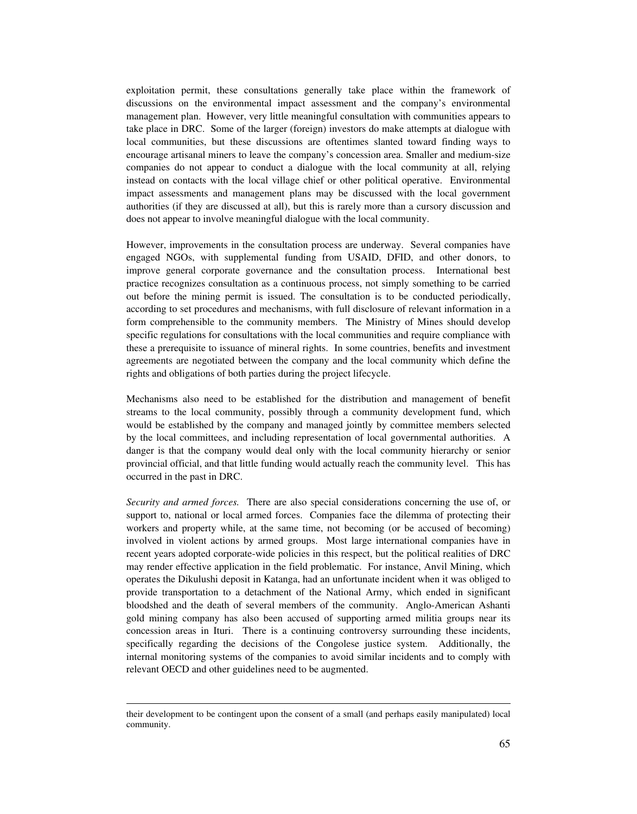exploitation permit, these consultations generally take place within the framework of discussions on the environmental impact assessment and the company's environmental management plan. However, very little meaningful consultation with communities appears to take place in DRC. Some of the larger (foreign) investors do make attempts at dialogue with local communities, but these discussions are oftentimes slanted toward finding ways to encourage artisanal miners to leave the company's concession area. Smaller and medium-size companies do not appear to conduct a dialogue with the local community at all, relying instead on contacts with the local village chief or other political operative. Environmental impact assessments and management plans may be discussed with the local government authorities (if they are discussed at all), but this is rarely more than a cursory discussion and does not appear to involve meaningful dialogue with the local community.

However, improvements in the consultation process are underway. Several companies have engaged NGOs, with supplemental funding from USAID, DFID, and other donors, to improve general corporate governance and the consultation process. International best practice recognizes consultation as a continuous process, not simply something to be carried out before the mining permit is issued. The consultation is to be conducted periodically, according to set procedures and mechanisms, with full disclosure of relevant information in a form comprehensible to the community members. The Ministry of Mines should develop specific regulations for consultations with the local communities and require compliance with these a prerequisite to issuance of mineral rights. In some countries, benefits and investment agreements are negotiated between the company and the local community which define the rights and obligations of both parties during the project lifecycle.

Mechanisms also need to be established for the distribution and management of benefit streams to the local community, possibly through a community development fund, which would be established by the company and managed jointly by committee members selected by the local committees, and including representation of local governmental authorities. A danger is that the company would deal only with the local community hierarchy or senior provincial official, and that little funding would actually reach the community level. This has occurred in the past in DRC.

*Security and armed forces.* There are also special considerations concerning the use of, or support to, national or local armed forces. Companies face the dilemma of protecting their workers and property while, at the same time, not becoming (or be accused of becoming) involved in violent actions by armed groups. Most large international companies have in recent years adopted corporate-wide policies in this respect, but the political realities of DRC may render effective application in the field problematic. For instance, Anvil Mining, which operates the Dikulushi deposit in Katanga, had an unfortunate incident when it was obliged to provide transportation to a detachment of the National Army, which ended in significant bloodshed and the death of several members of the community. Anglo-American Ashanti gold mining company has also been accused of supporting armed militia groups near its concession areas in Ituri. There is a continuing controversy surrounding these incidents, specifically regarding the decisions of the Congolese justice system. Additionally, the internal monitoring systems of the companies to avoid similar incidents and to comply with relevant OECD and other guidelines need to be augmented.

their development to be contingent upon the consent of a small (and perhaps easily manipulated) local community.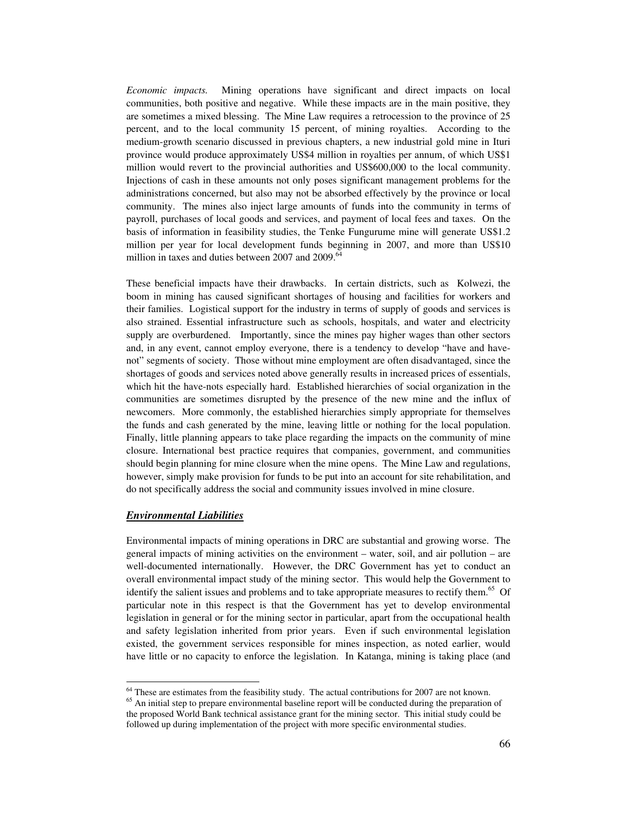*Economic impacts.* Mining operations have significant and direct impacts on local communities, both positive and negative. While these impacts are in the main positive, they are sometimes a mixed blessing. The Mine Law requires a retrocession to the province of 25 percent, and to the local community 15 percent, of mining royalties. According to the medium-growth scenario discussed in previous chapters, a new industrial gold mine in Ituri province would produce approximately US\$4 million in royalties per annum, of which US\$1 million would revert to the provincial authorities and US\$600,000 to the local community. Injections of cash in these amounts not only poses significant management problems for the administrations concerned, but also may not be absorbed effectively by the province or local community. The mines also inject large amounts of funds into the community in terms of payroll, purchases of local goods and services, and payment of local fees and taxes. On the basis of information in feasibility studies, the Tenke Fungurume mine will generate US\$1.2 million per year for local development funds beginning in 2007, and more than US\$10 million in taxes and duties between  $2007$  and  $2009$ .<sup>64</sup>

These beneficial impacts have their drawbacks. In certain districts, such as Kolwezi, the boom in mining has caused significant shortages of housing and facilities for workers and their families. Logistical support for the industry in terms of supply of goods and services is also strained. Essential infrastructure such as schools, hospitals, and water and electricity supply are overburdened. Importantly, since the mines pay higher wages than other sectors and, in any event, cannot employ everyone, there is a tendency to develop "have and havenot" segments of society. Those without mine employment are often disadvantaged, since the shortages of goods and services noted above generally results in increased prices of essentials, which hit the have-nots especially hard. Established hierarchies of social organization in the communities are sometimes disrupted by the presence of the new mine and the influx of newcomers. More commonly, the established hierarchies simply appropriate for themselves the funds and cash generated by the mine, leaving little or nothing for the local population. Finally, little planning appears to take place regarding the impacts on the community of mine closure. International best practice requires that companies, government, and communities should begin planning for mine closure when the mine opens. The Mine Law and regulations, however, simply make provision for funds to be put into an account for site rehabilitation, and do not specifically address the social and community issues involved in mine closure.

## *Environmental Liabilities*

Environmental impacts of mining operations in DRC are substantial and growing worse. The general impacts of mining activities on the environment – water, soil, and air pollution – are well-documented internationally. However, the DRC Government has yet to conduct an overall environmental impact study of the mining sector. This would help the Government to identify the salient issues and problems and to take appropriate measures to rectify them.<sup>65</sup> Of particular note in this respect is that the Government has yet to develop environmental legislation in general or for the mining sector in particular, apart from the occupational health and safety legislation inherited from prior years. Even if such environmental legislation existed, the government services responsible for mines inspection, as noted earlier, would have little or no capacity to enforce the legislation. In Katanga, mining is taking place (and

 $<sup>64</sup>$  These are estimates from the feasibility study. The actual contributions for 2007 are not known.</sup>

 $65$  An initial step to prepare environmental baseline report will be conducted during the preparation of the proposed World Bank technical assistance grant for the mining sector. This initial study could be followed up during implementation of the project with more specific environmental studies.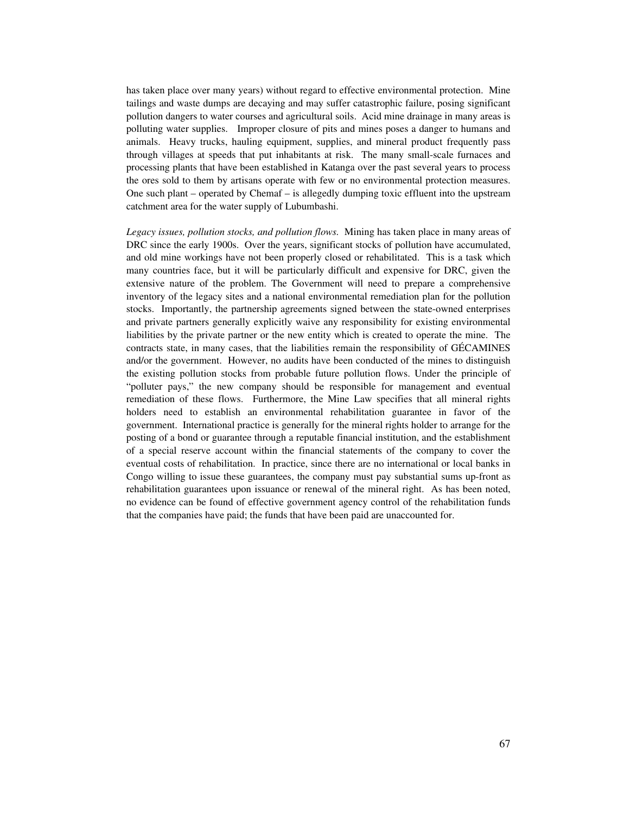has taken place over many years) without regard to effective environmental protection. Mine tailings and waste dumps are decaying and may suffer catastrophic failure, posing significant pollution dangers to water courses and agricultural soils. Acid mine drainage in many areas is polluting water supplies. Improper closure of pits and mines poses a danger to humans and animals. Heavy trucks, hauling equipment, supplies, and mineral product frequently pass through villages at speeds that put inhabitants at risk. The many small-scale furnaces and processing plants that have been established in Katanga over the past several years to process the ores sold to them by artisans operate with few or no environmental protection measures. One such plant – operated by Chemaf – is allegedly dumping toxic effluent into the upstream catchment area for the water supply of Lubumbashi.

*Legacy issues, pollution stocks, and pollution flows.* Mining has taken place in many areas of DRC since the early 1900s. Over the years, significant stocks of pollution have accumulated, and old mine workings have not been properly closed or rehabilitated. This is a task which many countries face, but it will be particularly difficult and expensive for DRC, given the extensive nature of the problem. The Government will need to prepare a comprehensive inventory of the legacy sites and a national environmental remediation plan for the pollution stocks. Importantly, the partnership agreements signed between the state-owned enterprises and private partners generally explicitly waive any responsibility for existing environmental liabilities by the private partner or the new entity which is created to operate the mine. The contracts state, in many cases, that the liabilities remain the responsibility of GÉCAMINES and/or the government. However, no audits have been conducted of the mines to distinguish the existing pollution stocks from probable future pollution flows. Under the principle of "polluter pays," the new company should be responsible for management and eventual remediation of these flows. Furthermore, the Mine Law specifies that all mineral rights holders need to establish an environmental rehabilitation guarantee in favor of the government. International practice is generally for the mineral rights holder to arrange for the posting of a bond or guarantee through a reputable financial institution, and the establishment of a special reserve account within the financial statements of the company to cover the eventual costs of rehabilitation. In practice, since there are no international or local banks in Congo willing to issue these guarantees, the company must pay substantial sums up-front as rehabilitation guarantees upon issuance or renewal of the mineral right. As has been noted, no evidence can be found of effective government agency control of the rehabilitation funds that the companies have paid; the funds that have been paid are unaccounted for.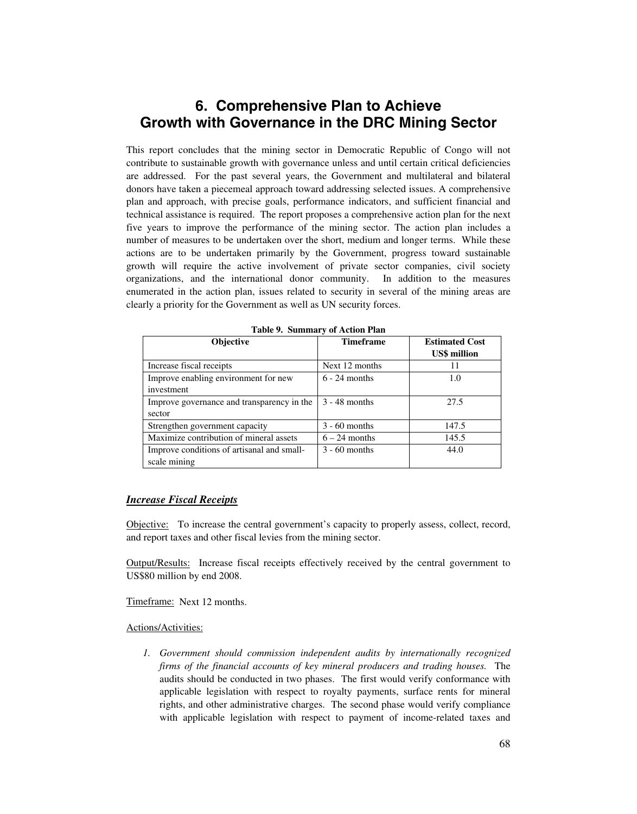# **6. Comprehensive Plan to Achieve Growth with Governance in the DRC Mining Sector**

This report concludes that the mining sector in Democratic Republic of Congo will not contribute to sustainable growth with governance unless and until certain critical deficiencies are addressed. For the past several years, the Government and multilateral and bilateral donors have taken a piecemeal approach toward addressing selected issues. A comprehensive plan and approach, with precise goals, performance indicators, and sufficient financial and technical assistance is required. The report proposes a comprehensive action plan for the next five years to improve the performance of the mining sector. The action plan includes a number of measures to be undertaken over the short, medium and longer terms. While these actions are to be undertaken primarily by the Government, progress toward sustainable growth will require the active involvement of private sector companies, civil society organizations, and the international donor community. In addition to the measures enumerated in the action plan, issues related to security in several of the mining areas are clearly a priority for the Government as well as UN security forces.

| <b>Objective</b>                           | <b>Timeframe</b> | <b>Estimated Cost</b> |  |
|--------------------------------------------|------------------|-----------------------|--|
|                                            |                  | <b>US\$</b> million   |  |
| Increase fiscal receipts                   | Next 12 months   | 11                    |  |
| Improve enabling environment for new       | $6 - 24$ months  | 1.0                   |  |
| investment                                 |                  |                       |  |
| Improve governance and transparency in the | $3 - 48$ months  | 27.5                  |  |
| sector                                     |                  |                       |  |
| Strengthen government capacity             | $3 - 60$ months  | 147.5                 |  |
| Maximize contribution of mineral assets    | $6 - 24$ months  | 145.5                 |  |
| Improve conditions of artisanal and small- | $3 - 60$ months  | 44.0                  |  |
| scale mining                               |                  |                       |  |

**Table 9. Summary of Action Plan** 

## *Increase Fiscal Receipts*

Objective: To increase the central government's capacity to properly assess, collect, record, and report taxes and other fiscal levies from the mining sector.

Output/Results: Increase fiscal receipts effectively received by the central government to US\$80 million by end 2008.

Timeframe: Next 12 months.

## Actions/Activities:

*1. Government should commission independent audits by internationally recognized firms of the financial accounts of key mineral producers and trading houses.* The audits should be conducted in two phases. The first would verify conformance with applicable legislation with respect to royalty payments, surface rents for mineral rights, and other administrative charges. The second phase would verify compliance with applicable legislation with respect to payment of income-related taxes and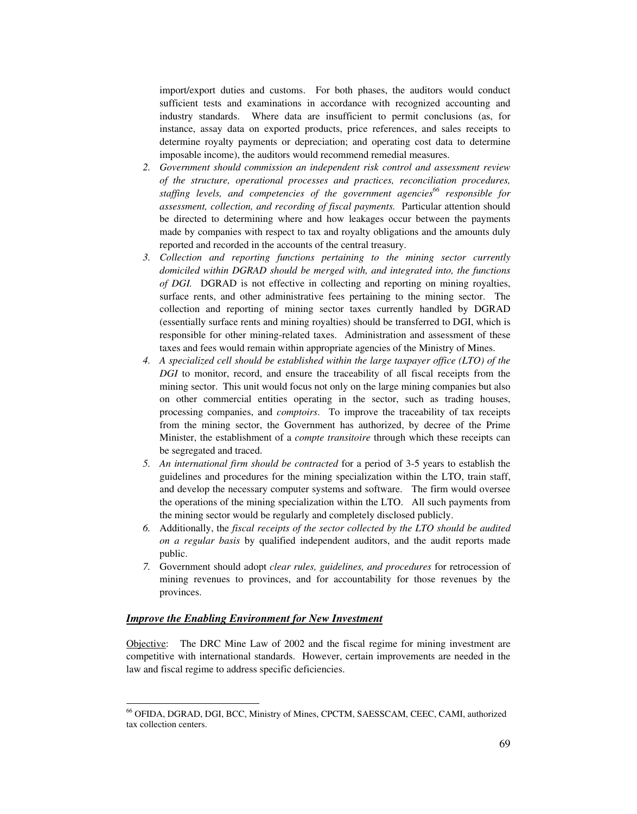import/export duties and customs. For both phases, the auditors would conduct sufficient tests and examinations in accordance with recognized accounting and industry standards. Where data are insufficient to permit conclusions (as, for instance, assay data on exported products, price references, and sales receipts to determine royalty payments or depreciation; and operating cost data to determine imposable income), the auditors would recommend remedial measures.

- *2. Government should commission an independent risk control and assessment review of the structure, operational processes and practices, reconciliation procedures, staffing levels, and competencies of the government agencies66 responsible for assessment, collection, and recording of fiscal payments.* Particular attention should be directed to determining where and how leakages occur between the payments made by companies with respect to tax and royalty obligations and the amounts duly reported and recorded in the accounts of the central treasury.
- *3. Collection and reporting functions pertaining to the mining sector currently domiciled within DGRAD should be merged with, and integrated into, the functions of DGI.* DGRAD is not effective in collecting and reporting on mining royalties, surface rents, and other administrative fees pertaining to the mining sector. The collection and reporting of mining sector taxes currently handled by DGRAD (essentially surface rents and mining royalties) should be transferred to DGI, which is responsible for other mining-related taxes. Administration and assessment of these taxes and fees would remain within appropriate agencies of the Ministry of Mines.
- *4. A specialized cell should be established within the large taxpayer office (LTO) of the DGI* to monitor, record, and ensure the traceability of all fiscal receipts from the mining sector. This unit would focus not only on the large mining companies but also on other commercial entities operating in the sector, such as trading houses, processing companies, and *comptoirs*. To improve the traceability of tax receipts from the mining sector, the Government has authorized, by decree of the Prime Minister, the establishment of a *compte transitoire* through which these receipts can be segregated and traced.
- *5. An international firm should be contracted* for a period of 3-5 years to establish the guidelines and procedures for the mining specialization within the LTO, train staff, and develop the necessary computer systems and software. The firm would oversee the operations of the mining specialization within the LTO. All such payments from the mining sector would be regularly and completely disclosed publicly.
- *6.* Additionally, the *fiscal receipts of the sector collected by the LTO should be audited on a regular basis* by qualified independent auditors, and the audit reports made public.
- *7.* Government should adopt *clear rules, guidelines, and procedures* for retrocession of mining revenues to provinces, and for accountability for those revenues by the provinces.

# *Improve the Enabling Environment for New Investment*

 $\overline{\phantom{a}}$ 

Objective: The DRC Mine Law of 2002 and the fiscal regime for mining investment are competitive with international standards. However, certain improvements are needed in the law and fiscal regime to address specific deficiencies.

<sup>66</sup> OFIDA, DGRAD, DGI, BCC, Ministry of Mines, CPCTM, SAESSCAM, CEEC, CAMI, authorized tax collection centers.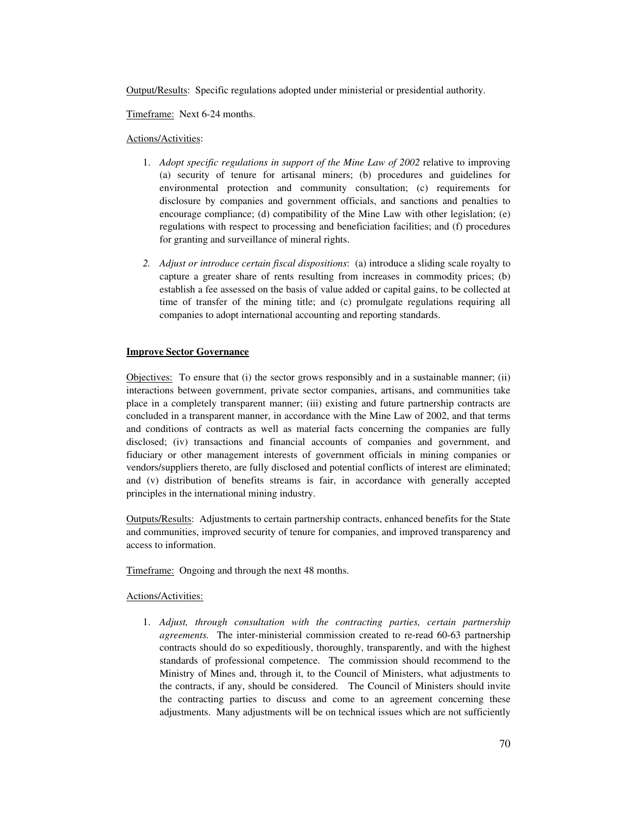Output/Results: Specific regulations adopted under ministerial or presidential authority.

Timeframe: Next 6-24 months.

# Actions/Activities:

- 1. *Adopt specific regulations in support of the Mine Law of 2002* relative to improving (a) security of tenure for artisanal miners; (b) procedures and guidelines for environmental protection and community consultation; (c) requirements for disclosure by companies and government officials, and sanctions and penalties to encourage compliance; (d) compatibility of the Mine Law with other legislation; (e) regulations with respect to processing and beneficiation facilities; and (f) procedures for granting and surveillance of mineral rights.
- *2. Adjust or introduce certain fiscal dispositions*: (a) introduce a sliding scale royalty to capture a greater share of rents resulting from increases in commodity prices; (b) establish a fee assessed on the basis of value added or capital gains, to be collected at time of transfer of the mining title; and (c) promulgate regulations requiring all companies to adopt international accounting and reporting standards.

# **Improve Sector Governance**

Objectives: To ensure that (i) the sector grows responsibly and in a sustainable manner; (ii) interactions between government, private sector companies, artisans, and communities take place in a completely transparent manner; (iii) existing and future partnership contracts are concluded in a transparent manner, in accordance with the Mine Law of 2002, and that terms and conditions of contracts as well as material facts concerning the companies are fully disclosed; (iv) transactions and financial accounts of companies and government, and fiduciary or other management interests of government officials in mining companies or vendors/suppliers thereto, are fully disclosed and potential conflicts of interest are eliminated; and (v) distribution of benefits streams is fair, in accordance with generally accepted principles in the international mining industry.

Outputs/Results: Adjustments to certain partnership contracts, enhanced benefits for the State and communities, improved security of tenure for companies, and improved transparency and access to information.

Timeframe: Ongoing and through the next 48 months.

# Actions/Activities:

1. *Adjust, through consultation with the contracting parties, certain partnership agreements.* The inter-ministerial commission created to re-read 60-63 partnership contracts should do so expeditiously, thoroughly, transparently, and with the highest standards of professional competence. The commission should recommend to the Ministry of Mines and, through it, to the Council of Ministers, what adjustments to the contracts, if any, should be considered. The Council of Ministers should invite the contracting parties to discuss and come to an agreement concerning these adjustments. Many adjustments will be on technical issues which are not sufficiently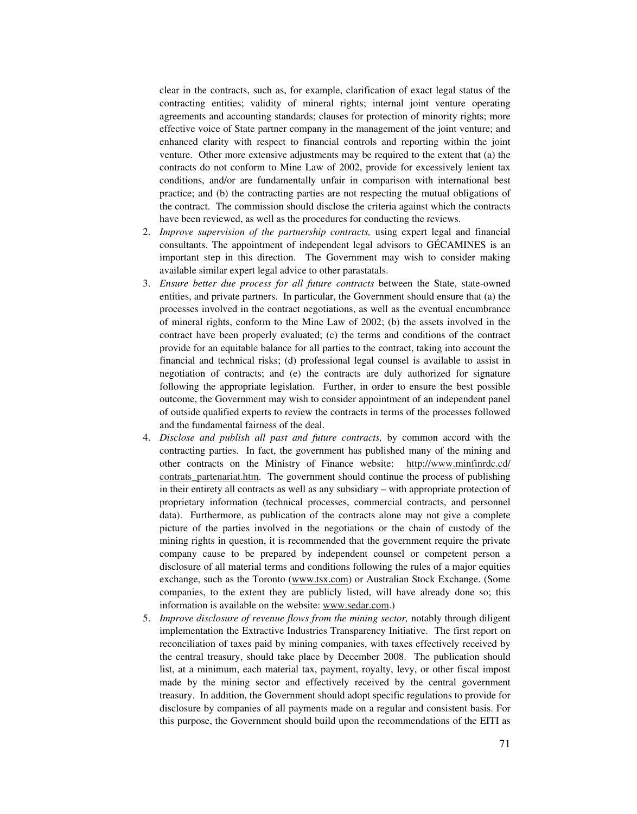clear in the contracts, such as, for example, clarification of exact legal status of the contracting entities; validity of mineral rights; internal joint venture operating agreements and accounting standards; clauses for protection of minority rights; more effective voice of State partner company in the management of the joint venture; and enhanced clarity with respect to financial controls and reporting within the joint venture. Other more extensive adjustments may be required to the extent that (a) the contracts do not conform to Mine Law of 2002, provide for excessively lenient tax conditions, and/or are fundamentally unfair in comparison with international best practice; and (b) the contracting parties are not respecting the mutual obligations of the contract. The commission should disclose the criteria against which the contracts have been reviewed, as well as the procedures for conducting the reviews.

- 2. *Improve supervision of the partnership contracts,* using expert legal and financial consultants. The appointment of independent legal advisors to GÉCAMINES is an important step in this direction. The Government may wish to consider making available similar expert legal advice to other parastatals.
- 3. *Ensure better due process for all future contracts* between the State, state-owned entities, and private partners. In particular, the Government should ensure that (a) the processes involved in the contract negotiations, as well as the eventual encumbrance of mineral rights, conform to the Mine Law of 2002; (b) the assets involved in the contract have been properly evaluated; (c) the terms and conditions of the contract provide for an equitable balance for all parties to the contract, taking into account the financial and technical risks; (d) professional legal counsel is available to assist in negotiation of contracts; and (e) the contracts are duly authorized for signature following the appropriate legislation. Further, in order to ensure the best possible outcome, the Government may wish to consider appointment of an independent panel of outside qualified experts to review the contracts in terms of the processes followed and the fundamental fairness of the deal.
- 4. *Disclose and publish all past and future contracts,* by common accord with the contracting parties. In fact, the government has published many of the mining and other contracts on the Ministry of Finance website: http://www.minfinrdc.cd/ contrats partenariat.htm. The government should continue the process of publishing in their entirety all contracts as well as any subsidiary – with appropriate protection of proprietary information (technical processes, commercial contracts, and personnel data). Furthermore, as publication of the contracts alone may not give a complete picture of the parties involved in the negotiations or the chain of custody of the mining rights in question, it is recommended that the government require the private company cause to be prepared by independent counsel or competent person a disclosure of all material terms and conditions following the rules of a major equities exchange, such as the Toronto (www.tsx.com) or Australian Stock Exchange. (Some companies, to the extent they are publicly listed, will have already done so; this information is available on the website: www.sedar.com.)
- 5. *Improve disclosure of revenue flows from the mining sector,* notably through diligent implementation the Extractive Industries Transparency Initiative. The first report on reconciliation of taxes paid by mining companies, with taxes effectively received by the central treasury, should take place by December 2008. The publication should list, at a minimum, each material tax, payment, royalty, levy, or other fiscal impost made by the mining sector and effectively received by the central government treasury. In addition, the Government should adopt specific regulations to provide for disclosure by companies of all payments made on a regular and consistent basis. For this purpose, the Government should build upon the recommendations of the EITI as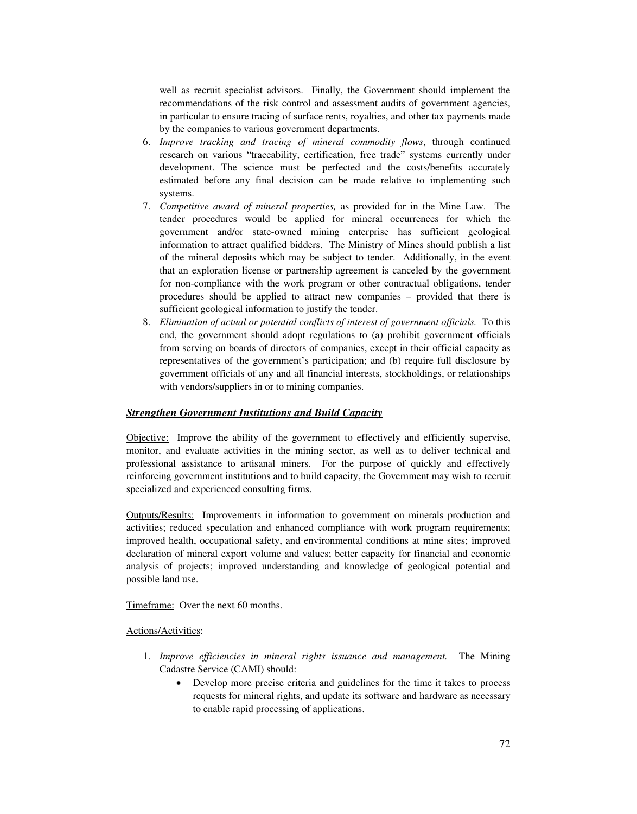well as recruit specialist advisors. Finally, the Government should implement the recommendations of the risk control and assessment audits of government agencies, in particular to ensure tracing of surface rents, royalties, and other tax payments made by the companies to various government departments.

- 6. *Improve tracking and tracing of mineral commodity flows*, through continued research on various "traceability, certification, free trade" systems currently under development. The science must be perfected and the costs/benefits accurately estimated before any final decision can be made relative to implementing such systems.
- 7. *Competitive award of mineral properties,* as provided for in the Mine Law. The tender procedures would be applied for mineral occurrences for which the government and/or state-owned mining enterprise has sufficient geological information to attract qualified bidders. The Ministry of Mines should publish a list of the mineral deposits which may be subject to tender. Additionally, in the event that an exploration license or partnership agreement is canceled by the government for non-compliance with the work program or other contractual obligations, tender procedures should be applied to attract new companies – provided that there is sufficient geological information to justify the tender.
- 8. *Elimination of actual or potential conflicts of interest of government officials.* To this end, the government should adopt regulations to (a) prohibit government officials from serving on boards of directors of companies, except in their official capacity as representatives of the government's participation; and (b) require full disclosure by government officials of any and all financial interests, stockholdings, or relationships with vendors/suppliers in or to mining companies.

# *Strengthen Government Institutions and Build Capacity*

Objective: Improve the ability of the government to effectively and efficiently supervise, monitor, and evaluate activities in the mining sector, as well as to deliver technical and professional assistance to artisanal miners. For the purpose of quickly and effectively reinforcing government institutions and to build capacity, the Government may wish to recruit specialized and experienced consulting firms.

Outputs/Results: Improvements in information to government on minerals production and activities; reduced speculation and enhanced compliance with work program requirements; improved health, occupational safety, and environmental conditions at mine sites; improved declaration of mineral export volume and values; better capacity for financial and economic analysis of projects; improved understanding and knowledge of geological potential and possible land use.

Timeframe: Over the next 60 months.

# Actions/Activities:

- 1. *Improve efficiencies in mineral rights issuance and management.* The Mining Cadastre Service (CAMI) should:
	- Develop more precise criteria and guidelines for the time it takes to process requests for mineral rights, and update its software and hardware as necessary to enable rapid processing of applications.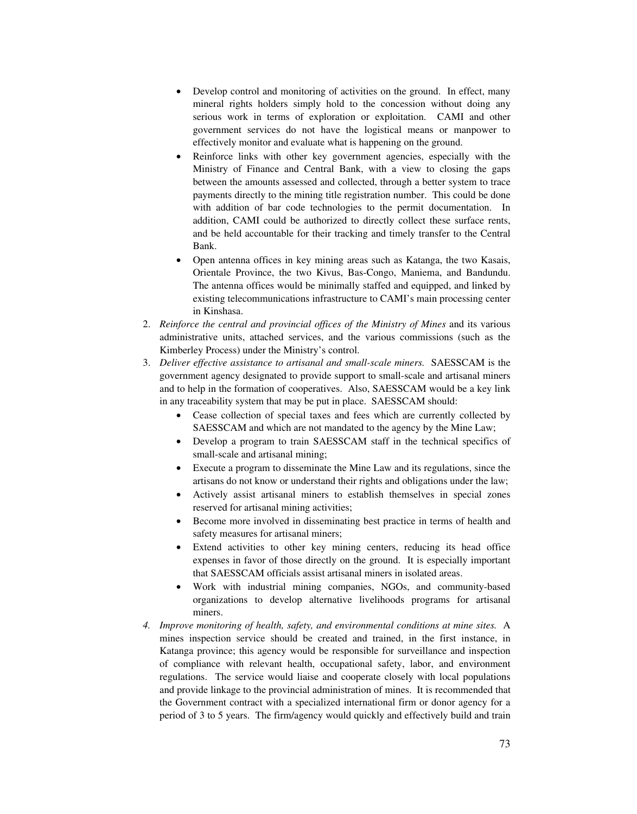- Develop control and monitoring of activities on the ground. In effect, many mineral rights holders simply hold to the concession without doing any serious work in terms of exploration or exploitation. CAMI and other government services do not have the logistical means or manpower to effectively monitor and evaluate what is happening on the ground.
- Reinforce links with other key government agencies, especially with the Ministry of Finance and Central Bank, with a view to closing the gaps between the amounts assessed and collected, through a better system to trace payments directly to the mining title registration number. This could be done with addition of bar code technologies to the permit documentation. In addition, CAMI could be authorized to directly collect these surface rents, and be held accountable for their tracking and timely transfer to the Central Bank.
- Open antenna offices in key mining areas such as Katanga, the two Kasais, Orientale Province, the two Kivus, Bas-Congo, Maniema, and Bandundu. The antenna offices would be minimally staffed and equipped, and linked by existing telecommunications infrastructure to CAMI's main processing center in Kinshasa.
- 2. *Reinforce the central and provincial offices of the Ministry of Mines* and its various administrative units, attached services, and the various commissions (such as the Kimberley Process) under the Ministry's control.
- 3. *Deliver effective assistance to artisanal and small-scale miners.* SAESSCAM is the government agency designated to provide support to small-scale and artisanal miners and to help in the formation of cooperatives. Also, SAESSCAM would be a key link in any traceability system that may be put in place. SAESSCAM should:
	- Cease collection of special taxes and fees which are currently collected by SAESSCAM and which are not mandated to the agency by the Mine Law;
	- Develop a program to train SAESSCAM staff in the technical specifics of small-scale and artisanal mining;
	- Execute a program to disseminate the Mine Law and its regulations, since the artisans do not know or understand their rights and obligations under the law;
	- Actively assist artisanal miners to establish themselves in special zones reserved for artisanal mining activities;
	- Become more involved in disseminating best practice in terms of health and safety measures for artisanal miners;
	- Extend activities to other key mining centers, reducing its head office expenses in favor of those directly on the ground. It is especially important that SAESSCAM officials assist artisanal miners in isolated areas.
	- Work with industrial mining companies, NGOs, and community-based organizations to develop alternative livelihoods programs for artisanal miners.
- *4. Improve monitoring of health, safety, and environmental conditions at mine sites.* A mines inspection service should be created and trained, in the first instance, in Katanga province; this agency would be responsible for surveillance and inspection of compliance with relevant health, occupational safety, labor, and environment regulations. The service would liaise and cooperate closely with local populations and provide linkage to the provincial administration of mines. It is recommended that the Government contract with a specialized international firm or donor agency for a period of 3 to 5 years. The firm/agency would quickly and effectively build and train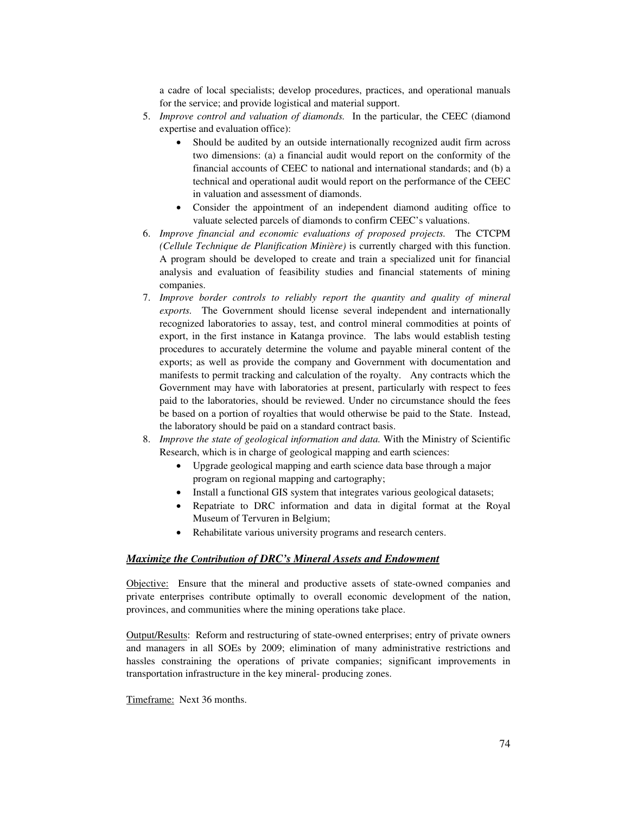a cadre of local specialists; develop procedures, practices, and operational manuals for the service; and provide logistical and material support.

- 5. *Improve control and valuation of diamonds.* In the particular, the CEEC (diamond expertise and evaluation office):
	- Should be audited by an outside internationally recognized audit firm across two dimensions: (a) a financial audit would report on the conformity of the financial accounts of CEEC to national and international standards; and (b) a technical and operational audit would report on the performance of the CEEC in valuation and assessment of diamonds.
	- Consider the appointment of an independent diamond auditing office to valuate selected parcels of diamonds to confirm CEEC's valuations.
- 6. *Improve financial and economic evaluations of proposed projects.* The CTCPM *(Cellule Technique de Planification Minière)* is currently charged with this function. A program should be developed to create and train a specialized unit for financial analysis and evaluation of feasibility studies and financial statements of mining companies.
- 7. *Improve border controls to reliably report the quantity and quality of mineral exports.* The Government should license several independent and internationally recognized laboratories to assay, test, and control mineral commodities at points of export, in the first instance in Katanga province. The labs would establish testing procedures to accurately determine the volume and payable mineral content of the exports; as well as provide the company and Government with documentation and manifests to permit tracking and calculation of the royalty. Any contracts which the Government may have with laboratories at present, particularly with respect to fees paid to the laboratories, should be reviewed. Under no circumstance should the fees be based on a portion of royalties that would otherwise be paid to the State. Instead, the laboratory should be paid on a standard contract basis.
- 8. *Improve the state of geological information and data.* With the Ministry of Scientific Research, which is in charge of geological mapping and earth sciences:
	- Upgrade geological mapping and earth science data base through a major program on regional mapping and cartography;
	- Install a functional GIS system that integrates various geological datasets;
	- Repatriate to DRC information and data in digital format at the Royal Museum of Tervuren in Belgium;
	- Rehabilitate various university programs and research centers.

# *Maximize the Contribution of DRC's Mineral Assets and Endowment*

Objective: Ensure that the mineral and productive assets of state-owned companies and private enterprises contribute optimally to overall economic development of the nation, provinces, and communities where the mining operations take place.

Output/Results: Reform and restructuring of state-owned enterprises; entry of private owners and managers in all SOEs by 2009; elimination of many administrative restrictions and hassles constraining the operations of private companies; significant improvements in transportation infrastructure in the key mineral- producing zones.

Timeframe: Next 36 months.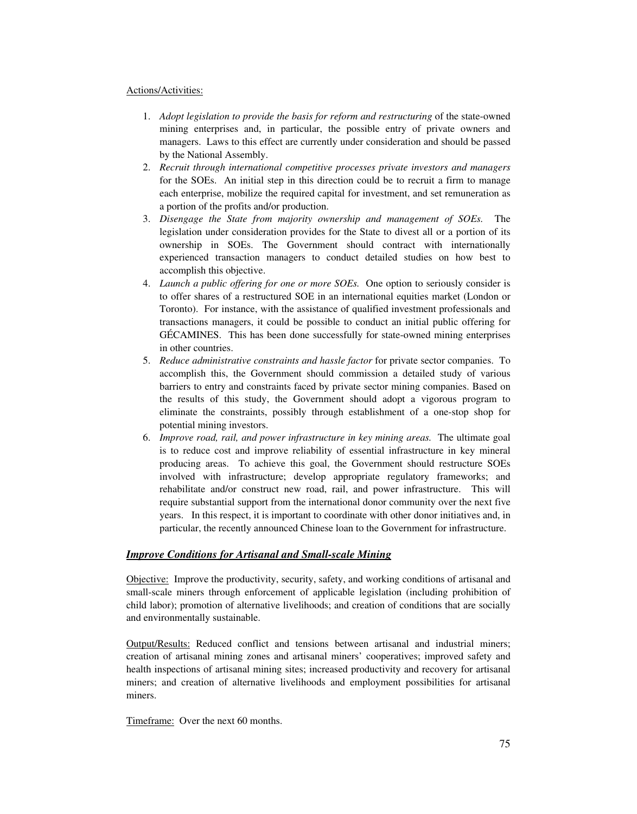# Actions/Activities:

- 1. *Adopt legislation to provide the basis for reform and restructuring* of the state-owned mining enterprises and, in particular, the possible entry of private owners and managers. Laws to this effect are currently under consideration and should be passed by the National Assembly.
- 2. *Recruit through international competitive processes private investors and managers* for the SOEs. An initial step in this direction could be to recruit a firm to manage each enterprise, mobilize the required capital for investment, and set remuneration as a portion of the profits and/or production.
- 3. *Disengage the State from majority ownership and management of SOEs.* The legislation under consideration provides for the State to divest all or a portion of its ownership in SOEs. The Government should contract with internationally experienced transaction managers to conduct detailed studies on how best to accomplish this objective.
- 4. *Launch a public offering for one or more SOEs.* One option to seriously consider is to offer shares of a restructured SOE in an international equities market (London or Toronto). For instance, with the assistance of qualified investment professionals and transactions managers, it could be possible to conduct an initial public offering for GÉCAMINES. This has been done successfully for state-owned mining enterprises in other countries.
- 5. *Reduce administrative constraints and hassle factor* for private sector companies. To accomplish this, the Government should commission a detailed study of various barriers to entry and constraints faced by private sector mining companies. Based on the results of this study, the Government should adopt a vigorous program to eliminate the constraints, possibly through establishment of a one-stop shop for potential mining investors.
- 6. *Improve road, rail, and power infrastructure in key mining areas.* The ultimate goal is to reduce cost and improve reliability of essential infrastructure in key mineral producing areas. To achieve this goal, the Government should restructure SOEs involved with infrastructure; develop appropriate regulatory frameworks; and rehabilitate and/or construct new road, rail, and power infrastructure. This will require substantial support from the international donor community over the next five years. In this respect, it is important to coordinate with other donor initiatives and, in particular, the recently announced Chinese loan to the Government for infrastructure.

# *Improve Conditions for Artisanal and Small-scale Mining*

Objective: Improve the productivity, security, safety, and working conditions of artisanal and small-scale miners through enforcement of applicable legislation (including prohibition of child labor); promotion of alternative livelihoods; and creation of conditions that are socially and environmentally sustainable.

Output/Results: Reduced conflict and tensions between artisanal and industrial miners; creation of artisanal mining zones and artisanal miners' cooperatives; improved safety and health inspections of artisanal mining sites; increased productivity and recovery for artisanal miners; and creation of alternative livelihoods and employment possibilities for artisanal miners.

Timeframe: Over the next 60 months.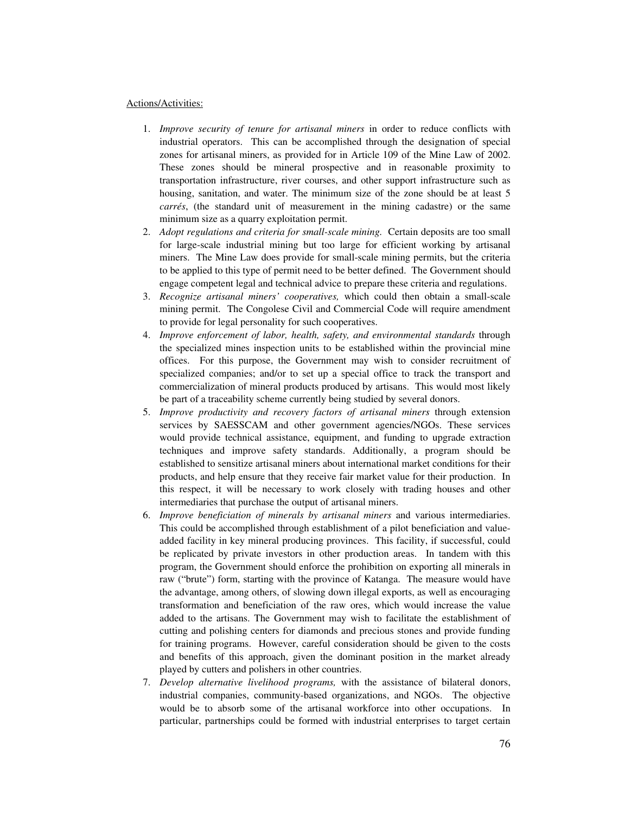#### Actions/Activities:

- 1. *Improve security of tenure for artisanal miners* in order to reduce conflicts with industrial operators. This can be accomplished through the designation of special zones for artisanal miners, as provided for in Article 109 of the Mine Law of 2002. These zones should be mineral prospective and in reasonable proximity to transportation infrastructure, river courses, and other support infrastructure such as housing, sanitation, and water. The minimum size of the zone should be at least 5 *carrés*, (the standard unit of measurement in the mining cadastre) or the same minimum size as a quarry exploitation permit.
- 2. *Adopt regulations and criteria for small-scale mining.* Certain deposits are too small for large-scale industrial mining but too large for efficient working by artisanal miners. The Mine Law does provide for small-scale mining permits, but the criteria to be applied to this type of permit need to be better defined. The Government should engage competent legal and technical advice to prepare these criteria and regulations.
- 3. *Recognize artisanal miners' cooperatives,* which could then obtain a small-scale mining permit. The Congolese Civil and Commercial Code will require amendment to provide for legal personality for such cooperatives.
- 4. *Improve enforcement of labor, health, safety, and environmental standards* through the specialized mines inspection units to be established within the provincial mine offices. For this purpose, the Government may wish to consider recruitment of specialized companies; and/or to set up a special office to track the transport and commercialization of mineral products produced by artisans. This would most likely be part of a traceability scheme currently being studied by several donors.
- 5. *Improve productivity and recovery factors of artisanal miners* through extension services by SAESSCAM and other government agencies/NGOs. These services would provide technical assistance, equipment, and funding to upgrade extraction techniques and improve safety standards. Additionally, a program should be established to sensitize artisanal miners about international market conditions for their products, and help ensure that they receive fair market value for their production. In this respect, it will be necessary to work closely with trading houses and other intermediaries that purchase the output of artisanal miners.
- 6. *Improve beneficiation of minerals by artisanal miners* and various intermediaries. This could be accomplished through establishment of a pilot beneficiation and valueadded facility in key mineral producing provinces. This facility, if successful, could be replicated by private investors in other production areas. In tandem with this program, the Government should enforce the prohibition on exporting all minerals in raw ("brute") form, starting with the province of Katanga. The measure would have the advantage, among others, of slowing down illegal exports, as well as encouraging transformation and beneficiation of the raw ores, which would increase the value added to the artisans. The Government may wish to facilitate the establishment of cutting and polishing centers for diamonds and precious stones and provide funding for training programs. However, careful consideration should be given to the costs and benefits of this approach, given the dominant position in the market already played by cutters and polishers in other countries.
- 7. *Develop alternative livelihood programs,* with the assistance of bilateral donors, industrial companies, community-based organizations, and NGOs. The objective would be to absorb some of the artisanal workforce into other occupations. In particular, partnerships could be formed with industrial enterprises to target certain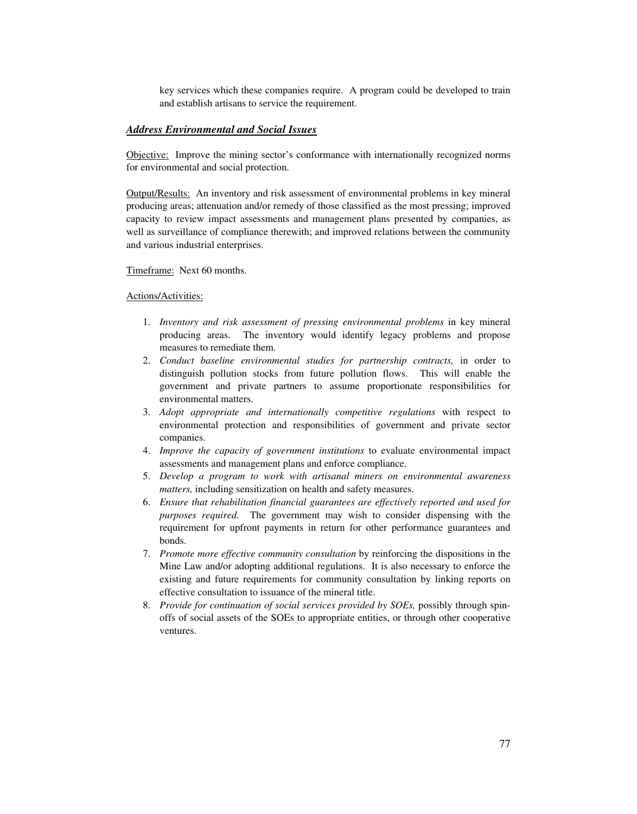key services which these companies require. A program could be developed to train and establish artisans to service the requirement.

# *Address Environmental and Social Issues*

Objective: Improve the mining sector's conformance with internationally recognized norms for environmental and social protection.

Output/Results: An inventory and risk assessment of environmental problems in key mineral producing areas; attenuation and/or remedy of those classified as the most pressing; improved capacity to review impact assessments and management plans presented by companies, as well as surveillance of compliance therewith; and improved relations between the community and various industrial enterprises.

#### Timeframe: Next 60 months.

#### Actions/Activities:

- 1. *Inventory and risk assessment of pressing environmental problems* in key mineral producing areas. The inventory would identify legacy problems and propose measures to remediate them.
- 2. *Conduct baseline environmental studies for partnership contracts,* in order to distinguish pollution stocks from future pollution flows. This will enable the government and private partners to assume proportionate responsibilities for environmental matters.
- 3. *Adopt appropriate and internationally competitive regulations* with respect to environmental protection and responsibilities of government and private sector companies.
- 4. *Improve the capacity of government institutions* to evaluate environmental impact assessments and management plans and enforce compliance.
- 5. *Develop a program to work with artisanal miners on environmental awareness matters,* including sensitization on health and safety measures.
- 6. *Ensure that rehabilitation financial guarantees are effectively reported and used for purposes required.* The government may wish to consider dispensing with the requirement for upfront payments in return for other performance guarantees and bonds.
- 7. *Promote more effective community consultation* by reinforcing the dispositions in the Mine Law and/or adopting additional regulations. It is also necessary to enforce the existing and future requirements for community consultation by linking reports on effective consultation to issuance of the mineral title.
- 8. *Provide for continuation of social services provided by SOEs,* possibly through spinoffs of social assets of the SOEs to appropriate entities, or through other cooperative ventures.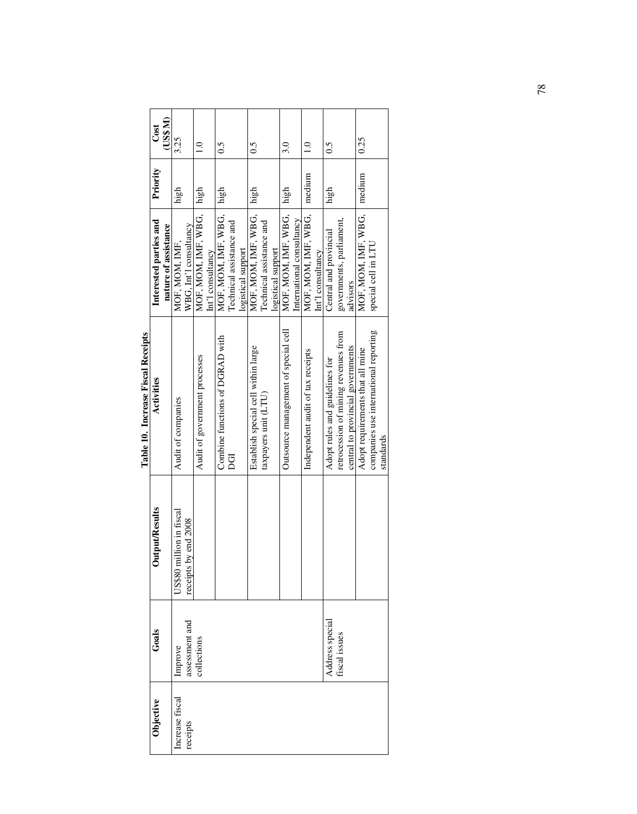|                                    | Cost                   | (US\$ M)             | 3.25                     |                        | $\frac{0}{1}$                 |                   | $\tilde{c}$                     |                          |                    | 0.5                                 |                          |                    | $\dot{3.0}$                          |                           | $\frac{0}{1}$                     |                   | $\tilde{0}$ .                  |                                      |                                   | 0.25                             |                                       |           |
|------------------------------------|------------------------|----------------------|--------------------------|------------------------|-------------------------------|-------------------|---------------------------------|--------------------------|--------------------|-------------------------------------|--------------------------|--------------------|--------------------------------------|---------------------------|-----------------------------------|-------------------|--------------------------------|--------------------------------------|-----------------------------------|----------------------------------|---------------------------------------|-----------|
|                                    | Priority               |                      | high                     |                        | high                          |                   | high                            |                          |                    | high                                |                          |                    | high                                 |                           | medium                            |                   | high                           |                                      |                                   | medium                           |                                       |           |
|                                    | Interested parties and | nature of assistance | MOF, MOM, IMF,           | WBG, Int'l consultancy | MOF, MOM, IMF, WBG,           | Int'l consultancy | MOF, MOM, IMF, WBG,             | Technical assistance and | logistical support | MOF, MOM, IMF, WBG,                 | Technical assistance and | logistical support | MOF, MOM, IMF, WBG,                  | International consultancy | MOF, MOM, IMF, WBG,               | Int'l consultancy | Central and provincial         | governments, parliament,             | advisors                          | MOF, MOM, IMF, WBG,              | special cell in LTU                   |           |
| Table 10. Increase Fiscal Receipts | Activities             |                      | Audit of companies       |                        | Audit of government processes |                   | Combine functions of DGRAD with | DGI                      |                    | Establish special cell within large | taxpayers unit (LTU)     |                    | Outsource management of special cell |                           | Independent audit of tax receipts |                   | Adopt rules and guidelines for | retrocession of mining revenues from | central to provincial governments | Adopt requirements that all mine | companies use international reporting | standards |
|                                    | Output/Results         |                      | US\$80 million in fiscal | receipts by end 2008   |                               |                   |                                 |                          |                    |                                     |                          |                    |                                      |                           |                                   |                   |                                |                                      |                                   |                                  |                                       |           |
|                                    | Goals                  |                      | Improve                  | assessment and         | collections                   |                   |                                 |                          |                    |                                     |                          |                    |                                      |                           |                                   |                   | Address special                | fiscal issues                        |                                   |                                  |                                       |           |
|                                    | <b>Objective</b>       |                      | Increase fiscal          | receipts               |                               |                   |                                 |                          |                    |                                     |                          |                    |                                      |                           |                                   |                   |                                |                                      |                                   |                                  |                                       |           |

| $\ddot{\phantom{0}}$ |
|----------------------|
|                      |
| $\tilde{c}$          |
| ו<br>ו<br>i          |
|                      |
|                      |
|                      |
|                      |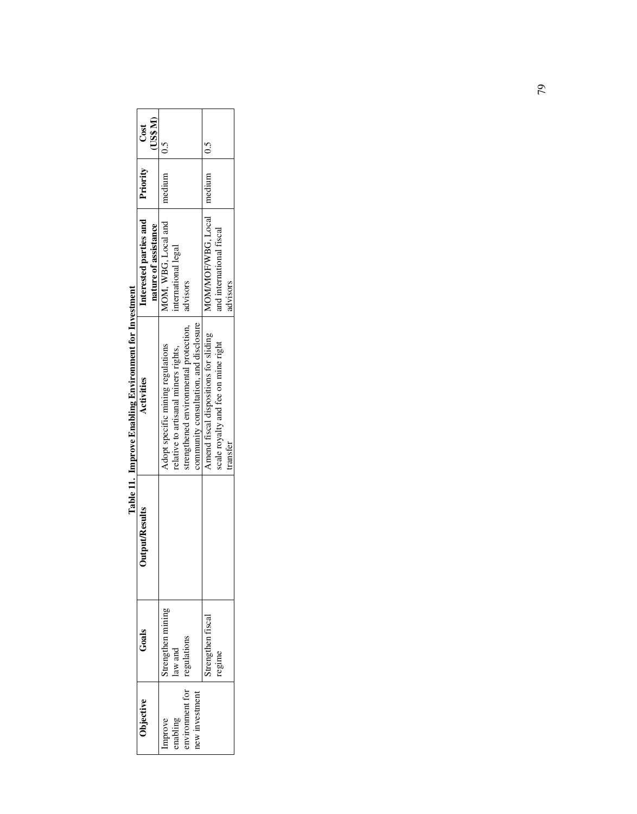| Objective      | Gaals             | <b>Jutput/Results</b> | Activities                             | Interested parties and      | Priority | Cost   |
|----------------|-------------------|-----------------------|----------------------------------------|-----------------------------|----------|--------|
|                |                   |                       |                                        | nature of assistance        |          | US\$M) |
| mprove         | trengthen mining  |                       | Adopt specific mining regulations      | MOM, WBG, Local and         | medium   |        |
| nabling        | law and           |                       | relative to artisanal miners rights,   | nternational legal          |          |        |
| nvironment for | regulations       |                       | strengthened environmental protection, | advisors                    |          |        |
| lew investment |                   |                       | community consultation, and disclosure |                             |          |        |
|                | strengthen fiscal |                       | Amend fiscal dispositions for sliding  | MOM/MOF/WBG, Local   medium |          |        |
|                | regime            |                       | scale royalty and fee on mine right    | and international fiscal    |          |        |
|                |                   |                       | ransfer                                | dvisors                     |          |        |

Table 11. Improve Enabling Environment for Investment **Table 11. Improve Enabling Environment for Investment**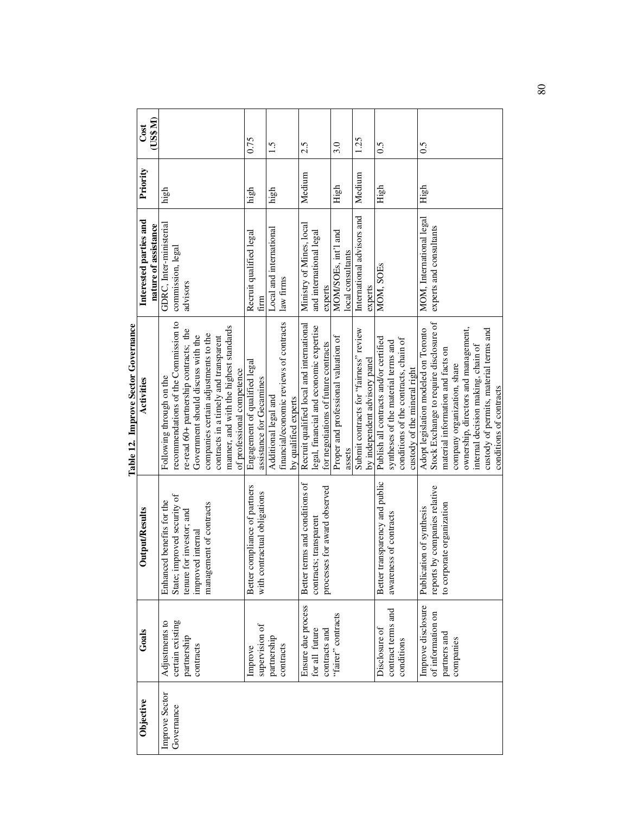|                |                    |                                | UVU Luqillo<br>Tann Tel Timbi Accent      |                            |          |             |
|----------------|--------------------|--------------------------------|-------------------------------------------|----------------------------|----------|-------------|
| Objective      | Goals              | Output/Results                 | Activities                                | Interested parties and     | Priority | Cost        |
|                |                    |                                |                                           | nature of assistance       |          | $(15$ \$ M) |
| Improve Sector | Adjustments to     | Enhanced benefits for the      | Following through on the                  | GDRC, Inter-ministerial    | high     |             |
| Governance     | certain existing   | State; improved security of    | recommendations of the Commission to      | commission, legal          |          |             |
|                | partnership        | tenure for investor; and       | re-read 60+ partnership contracts; the    | advisors                   |          |             |
|                | contracts          | improved internal              | Government should discuss with the        |                            |          |             |
|                |                    | management of contracts        | companies certain adjustments to the      |                            |          |             |
|                |                    |                                | contracts in a timely and transparent     |                            |          |             |
|                |                    |                                | manner, and with the highest standards    |                            |          |             |
|                |                    |                                | of professional competence                |                            |          |             |
|                | Improve            | Better compliance of partners  | Engagement of qualified legal             | Recruit qualified legal    | high     | 0.75        |
|                | supervision of     | with contractual obligations   | assistance for Gecamines                  | firm                       |          |             |
|                | partnership        |                                | Additional legal and                      | Local and international    | high     | 1.5         |
|                | contracts          |                                | financial/economic reviews of contracts   | law firms                  |          |             |
|                |                    |                                | by qualified experts                      |                            |          |             |
|                | Ensure due process | Better terms and conditions of | Recruit qualified local and international | Ministry of Mines, local   | Medium   | 2.5         |
|                | for all future     | contracts; transparent         | legal, financial and economic expertise   | and international legal    |          |             |
|                | contracts and      | processes for award observed   | for negotiations of future contracts      | experts                    |          |             |
|                | "fairer" contracts |                                | Proper and professional valuation of      | MOM/SOEs, int'l and        | High     | 3.0         |
|                |                    |                                | assets                                    | local consultants          |          |             |
|                |                    |                                | Submit contracts for "fairness" review    | International advisors and | Medium   | 1.25        |
|                |                    |                                | by independent advisory panel             | experts                    |          |             |
|                | Disclosure of      | Better transparency and public | Publish all contracts and/or certified    | MOM, SOEs                  | High     | 0.5         |
|                | contract terms and | awareness of contracts         | syntheses of the material terms and       |                            |          |             |
|                | conditions         |                                | conditions of the contracts, chain of     |                            |          |             |
|                |                    |                                | custody of the mineral right              |                            |          |             |
|                | Improve disclosure | of synthesis<br>Publication    | Adopt legislation modeled on Toronto      | MOM, International legal   | High     | 0.5         |
|                | of information on  | reports by companies relative  | Stock Exchange to require disclosure of   | experts and consultants    |          |             |
|                | partners and       | organization<br>to corporate   | material information and facts on         |                            |          |             |
|                | companies          |                                | company organization, share               |                            |          |             |
|                |                    |                                | ownership, directors and management,      |                            |          |             |
|                |                    |                                | internal decision making, chain of        |                            |          |             |
|                |                    |                                | custody of permits, material terms and    |                            |          |             |
|                |                    |                                | conditions of contracts                   |                            |          |             |

Table 12. Improve Sector Governance **Table 12. Improve Sector Governance**  80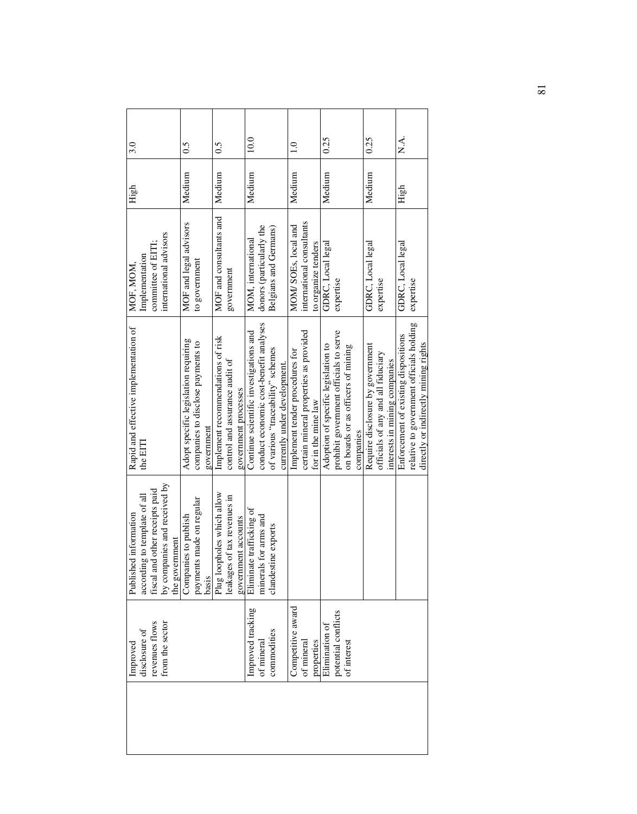| 3.0                                                                                                                                       | 0.5                                                                                     | $\widetilde{\phantom{0}}$                                                                   | 10.0                                                                                                                                                  | $\frac{0}{1}$                                                                                    | 0.25                                                                                                                             | 0.25                                                                                                    | X.A.                                                                                                                     |
|-------------------------------------------------------------------------------------------------------------------------------------------|-----------------------------------------------------------------------------------------|---------------------------------------------------------------------------------------------|-------------------------------------------------------------------------------------------------------------------------------------------------------|--------------------------------------------------------------------------------------------------|----------------------------------------------------------------------------------------------------------------------------------|---------------------------------------------------------------------------------------------------------|--------------------------------------------------------------------------------------------------------------------------|
| High                                                                                                                                      | Medium                                                                                  | Medium                                                                                      | Medium                                                                                                                                                | Medium                                                                                           | Medium                                                                                                                           | Medium                                                                                                  | High                                                                                                                     |
| international advisors<br>committee of EITI<br>Implementation<br>MOF, MOM                                                                 | MOF and legal advisors<br>to government                                                 | MOF and consultants and<br>government                                                       | donors (particularly the<br>Belgians and Germans)<br>MOM, international                                                                               | international consultants<br>MOM/SOEs, local and<br>to organize tenders                          | GDRC, Local legal<br>expertise                                                                                                   | GDRC, Local legal<br>expertise                                                                          | GDRC, Local legal<br>expertise                                                                                           |
| Rapid and effective implementation of<br>the EITI                                                                                         | Adopt specific legislation requiring<br>companies to disclose payments to<br>government | Implement recommendations of risk<br>control and assurance audit of<br>government processes | conduct economic cost-benefit analyses<br>Continue scientific investigations and<br>of various "traceability" schemes<br>currently under development. | certain mineral properties as provided<br>Implement tender procedures for<br>for in the mine law | prohibit government officials to serve<br>Adoption of specific legislation to<br>on boards or as officers of mining<br>companies | Require disclosure by government<br>officials of any and all fiduciary<br>interests in mining companies | relative to government officials holding<br>Enforcement of existing dispositions<br>directly or indirectly mining rights |
| by companies and received by<br>the government<br>fiscal and other receipts paid<br>according to template of all<br>Published information | payments made on regular<br>basis<br>Companies to publish                               | Plug loopholes which allow<br>leakages of tax revenues in<br>government accounts            | Eliminate trafficking of<br>minerals for arms and<br>clandestine exports                                                                              |                                                                                                  |                                                                                                                                  |                                                                                                         |                                                                                                                          |
| revenues flows<br>from the sector<br>disclosure of<br>Improved                                                                            |                                                                                         |                                                                                             | Improved tracking<br>commodities<br>of mineral                                                                                                        | Competitive award<br>of mineral<br>properties                                                    | potential conflicts<br>Elimination of<br>of interest                                                                             |                                                                                                         |                                                                                                                          |
|                                                                                                                                           |                                                                                         |                                                                                             |                                                                                                                                                       |                                                                                                  |                                                                                                                                  |                                                                                                         |                                                                                                                          |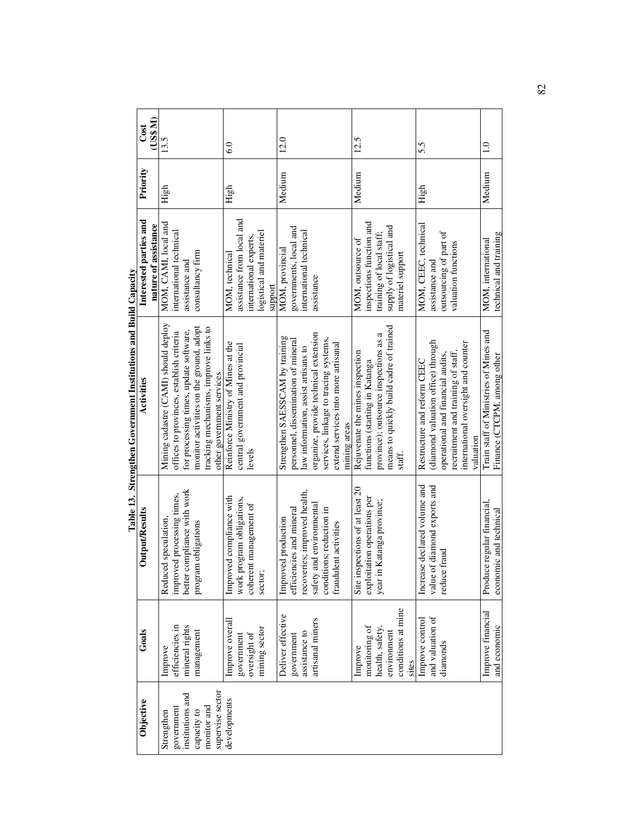|                  |                    |                                 | ""°'                                                                             |                                                      |          |               |
|------------------|--------------------|---------------------------------|----------------------------------------------------------------------------------|------------------------------------------------------|----------|---------------|
| Objective        | Goals              | tput/Results<br>ā               | Activities                                                                       | Interested parties and                               | Priority | Cost          |
|                  |                    |                                 |                                                                                  | nature of assistance                                 |          | (US\$ M)      |
| Strengthen       | Improve            | Reduced speculation,            | Mining cadastre (CAMI) should deploy                                             | MOM, CAMI, local and                                 | High     | 13.5          |
| government       | efficiencies in    | improved processing times,      | offices to provinces, establish criteria                                         | international technical                              |          |               |
| institutions and | mineral rights     | better compliance with work     | for processing times, update software,                                           | assistance and                                       |          |               |
| capacity to      | management         | program obligations             | monitor activities on the ground, adopt                                          | consultancy firm                                     |          |               |
| monitor and      |                    |                                 | tracking mechanisms, improve links to                                            |                                                      |          |               |
| supervise sector |                    |                                 | other government services                                                        |                                                      |          |               |
| developments     | Improve overall    | Improved compliance with        | Reinforce Ministry of Mines at the                                               | MOM, technical                                       | High     | 6.0           |
|                  | government         | work program obligations,       | central government and provincial                                                | assistance from local and                            |          |               |
|                  | oversight of       | coherent management of          | levels                                                                           | international experts,                               |          |               |
|                  | mining sector      | sector;                         |                                                                                  | logistical and materiel                              |          |               |
|                  |                    |                                 |                                                                                  | support                                              |          |               |
|                  | Deliver effective  | Improved production             | Strengthen SAESSCAM by training                                                  | MOM, provincial                                      | Medium   | 12.0          |
|                  | government         | and mineral<br>efficiencies     | personnel, dissemination of mineral                                              | governments, local and                               |          |               |
|                  | assistance to      | recoveries; improved health,    | law information, assist artisans to                                              | international technical                              |          |               |
|                  | artisanal miners   | safety and environmental        | organize, provide technical extension                                            | assistance                                           |          |               |
|                  |                    | conditions; reduction in        | services, linkage to tracing systems,                                            |                                                      |          |               |
|                  |                    | fraudulent activities           | extend services into more artisanal                                              |                                                      |          |               |
|                  |                    |                                 | mining areas                                                                     |                                                      |          |               |
|                  | Improve            | Site inspections of at least 20 | Rejuvenate the mines inspection                                                  | MOM, outsource of                                    | Medium   | 12.5          |
|                  | monitoring of      | exploitation operations per     | functions (starting in Katanga                                                   | inspections function and                             |          |               |
|                  | health, safety     | year in Katanga province;       |                                                                                  |                                                      |          |               |
|                  | environment        |                                 | means to quickly build cadre of trained<br>province); outsource inspections as a | supply of logistical and<br>training of local staff; |          |               |
|                  | conditions at mine |                                 | staff.                                                                           | materiel support                                     |          |               |
|                  | sites              |                                 |                                                                                  |                                                      |          |               |
|                  | Improve control    | Increase declared volume and    | Restructure and reform CEEC                                                      | MOM, CEEC, technical                                 | High     | 5.5           |
|                  | and valuation of   | value of diamond exports and    | (diamond valuation office) through                                               | assistance and                                       |          |               |
|                  | diamonds           | reduce fraud                    | operational and financial audits,                                                | outsourcing of part of                               |          |               |
|                  |                    |                                 | recruitment and training of staff,                                               | valuation functions                                  |          |               |
|                  |                    |                                 | international oversight and counter                                              |                                                      |          |               |
|                  |                    |                                 | valuation                                                                        |                                                      |          |               |
|                  | Improve financial  | Produce regular financial,      | Train staff of Ministries of Mines and                                           | MOM, international                                   | Medium   | $\frac{0}{1}$ |
|                  | and economic       | economic and technical          | Finance (CTCPM, among other                                                      | technical and training                               |          |               |

Table 13. Strengthen Government Institutions and Build Capacity **Table 13. Strengthen Government Institutions and Build Capacity**  82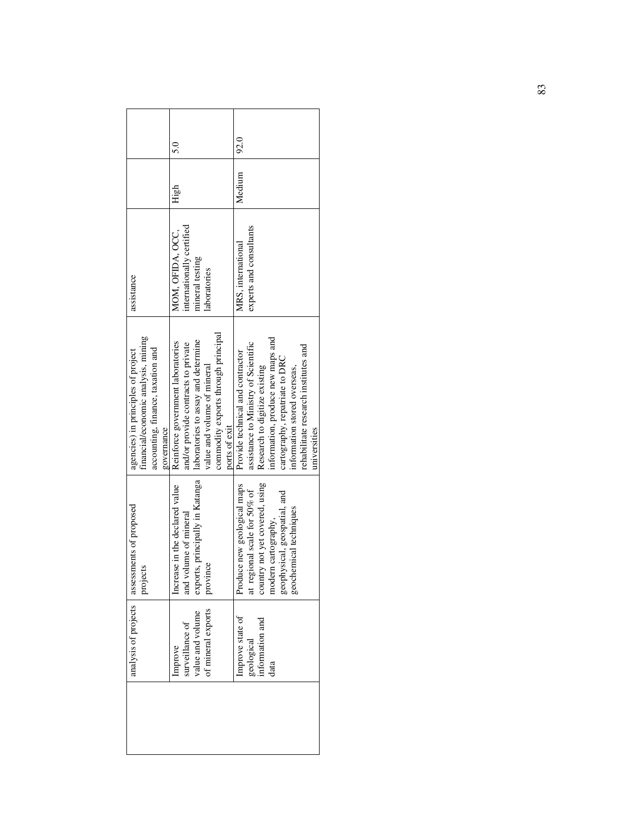|                                                                                                                              | 5.0                                                                                                                                                                                                    | 92.0                                                                                                                                                                                                                                                                     |
|------------------------------------------------------------------------------------------------------------------------------|--------------------------------------------------------------------------------------------------------------------------------------------------------------------------------------------------------|--------------------------------------------------------------------------------------------------------------------------------------------------------------------------------------------------------------------------------------------------------------------------|
|                                                                                                                              | High                                                                                                                                                                                                   | Medium                                                                                                                                                                                                                                                                   |
| assistance                                                                                                                   | internationally certified<br>MOM. OFIDA. OCC.<br>mineral testing<br>laboratories                                                                                                                       | experts and consultants<br>MRS, international                                                                                                                                                                                                                            |
| financial/economic analysis, mining<br>accounting, finance, taxation and<br>agencies) in principles of project<br>governance | commodity exports through principal<br>laboratories to assay and determine<br>Reinforce government laboratories<br>and/or provide contracts to private<br>value and volume of mineral<br>ports of exit | information, produce new maps and<br>assistance to Ministry of Scientific<br>rehabilitate research institutes and<br>Provide technical and contractor<br>cartography, repatriate to DRC<br>Research to digitize existing<br>information stored overseas,<br>universities |
| analysis of projects   assessments of proposed<br>projects                                                                   | exports, principally in Katanga<br>Increase in the declared value<br>and volume of mineral<br>province                                                                                                 | country not yet covered, using<br>Produce new geological maps<br>at regional scale for 50% of<br>geospatial, and<br>techniques<br>modern cartography,<br>geophysical,<br>geochemical                                                                                     |
|                                                                                                                              | of mineral exports<br>value and volume<br>surveillance of<br>Improve                                                                                                                                   | Improve state of<br>information and<br>geological<br>data                                                                                                                                                                                                                |
|                                                                                                                              |                                                                                                                                                                                                        |                                                                                                                                                                                                                                                                          |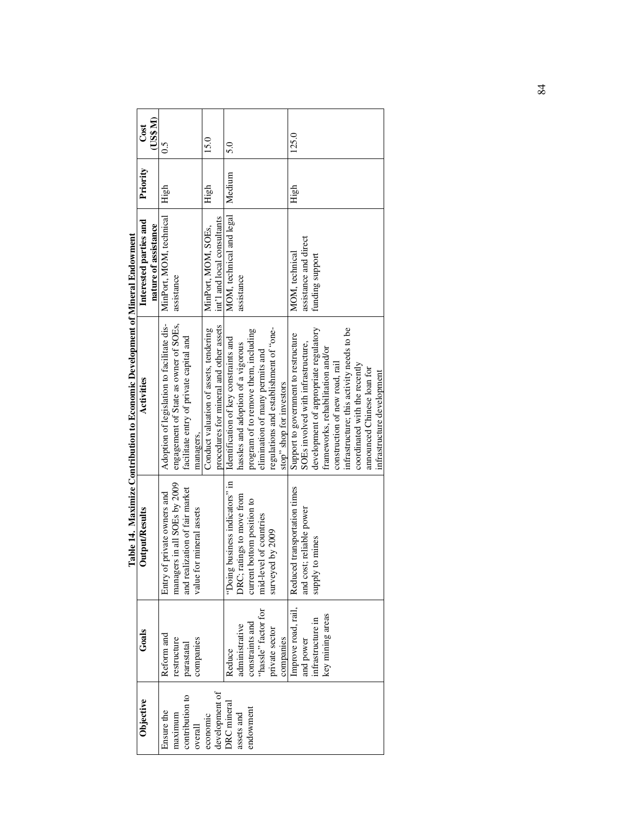|                                                                              | $\cos$                 | (US\$ M)             | 0.5                                        |                                       |                                         |                          | 15.0                                   |                                         | 5.0                                   |                                    |                                      |                                 |                                        |                          | 125.0                                |                                    |                                       |                                   |                                |                                           |                               |                            |                            |
|------------------------------------------------------------------------------|------------------------|----------------------|--------------------------------------------|---------------------------------------|-----------------------------------------|--------------------------|----------------------------------------|-----------------------------------------|---------------------------------------|------------------------------------|--------------------------------------|---------------------------------|----------------------------------------|--------------------------|--------------------------------------|------------------------------------|---------------------------------------|-----------------------------------|--------------------------------|-------------------------------------------|-------------------------------|----------------------------|----------------------------|
|                                                                              | Priority               |                      | High                                       |                                       |                                         |                          | High                                   |                                         | Medium                                |                                    |                                      |                                 |                                        |                          | High                                 |                                    |                                       |                                   |                                |                                           |                               |                            |                            |
|                                                                              | Interested parties and | nature of assistance | MinPort, MOM, technical                    | assistance                            |                                         |                          | MinPort, MOM, SOEs,                    | int'l and local consultants             | MOM, technical and legal              | assistance                         |                                      |                                 |                                        |                          | MOM, technical                       | assistance and direct              | funding support                       |                                   |                                |                                           |                               |                            |                            |
| Table 14. Maximize Contribution to Economic Development of Mineral Endowment | Activities             |                      | Adoption of legislation to facilitate dis- | engagement of State as owner of SOEs, | facilitate entry of private capital and | managers.                | Conduct valuation of assets, tendering | procedures for mineral and other assets | Identification of key constraints and | hassles and adoption of a vigorous | program of to remove them, including | elimination of many permits and | regulations and establishment of "one- | stop" shop for investors | Support to government to restructure | SOEs involved with infrastructure, | development of appropriate regulatory | frameworks, rehabilitation and/or | construction of new road, rail | infrastructure; this activity needs to be | coordinated with the recently | announced Chinese loan for | infrastructure development |
|                                                                              | Output/Results         |                      | Entry of private owners and                | managers in all SOEs by 2009          | and realization of fair market          | value for mineral assets |                                        |                                         | "Doing business indicators" in        | DRC; ratings to move from          | current bottom position to           | mid-level of countries          | surveyed by 2009                       |                          | Reduced transportation times         | and cost; reliable power           | supply to mines                       |                                   |                                |                                           |                               |                            |                            |
|                                                                              | Goals                  |                      | Reform and                                 | restructure                           | parastatal                              | companies                |                                        |                                         | Reduce                                | administrative                     | constraints and                      | "hassle" factor for             | private sector                         | companies                | Improve road, rail,                  | and power                          | infrastructure in                     | key mining areas                  |                                |                                           |                               |                            |                            |
|                                                                              | Objective              |                      | Ensure the                                 | maximum                               | contribution to                         | overall                  | economic                               | development of                          | <b>DRC</b> mineral                    | assets and                         | endowment                            |                                 |                                        |                          |                                      |                                    |                                       |                                   |                                |                                           |                               |                            |                            |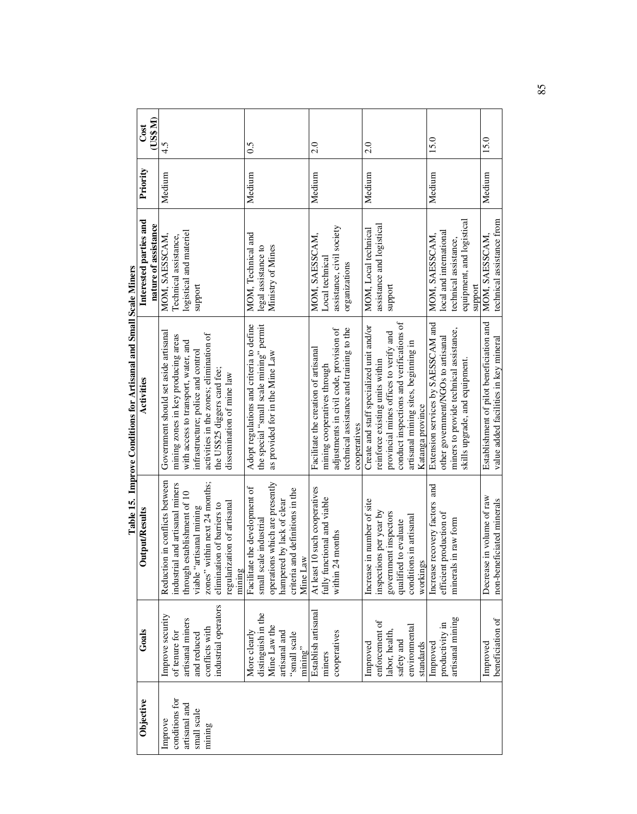| Objective      | Goals                              | <b>put/Results</b><br>J                                                                  | Activities                               | Interested parties and    | Priority | Cost    |
|----------------|------------------------------------|------------------------------------------------------------------------------------------|------------------------------------------|---------------------------|----------|---------|
|                |                                    |                                                                                          |                                          | nature of assistance      |          | (1088M) |
| Improve        | Improve security                   | Reduction in conflicts between                                                           | Government should set aside artisanal    | MOM, SAESSCAM,            | Medium   | 4.5     |
| conditions for | of tenure for                      | industrial and artisanal miners                                                          | mining zones in key producing areas      | Technical assistance,     |          |         |
| artisanal and  | artisanal miners                   |                                                                                          | with access to transport, water, and     | logistical and materiel   |          |         |
| small scale    | and reduced                        | through establishment of 10<br>viable "artisanal mining<br>zones" within next 24 months; | infrastructure; police and control       | support                   |          |         |
| mining         | conflicts with                     |                                                                                          | activities in the zones; elimination of  |                           |          |         |
|                | industrial operators               | elimination of barriers to                                                               | the US\$25 diggers card fee;             |                           |          |         |
|                |                                    | regularization of artisanal                                                              | dissemination of mine law                |                           |          |         |
|                |                                    | mining                                                                                   |                                          |                           |          |         |
|                | More clearly                       | Facilitate the development of                                                            | Adopt regulations and criteria to define | MOM, Technical and        | Medium   | 0.5     |
|                |                                    | small scale industrial                                                                   | the special "small scale mining" permit  | legal assistance to       |          |         |
|                | distinguish in the<br>Mine Law the | operations which are presently                                                           | as provided for in the Mine Law          | Ministry of Mines         |          |         |
|                | artisanal and                      | hampered by lack of clear                                                                |                                          |                           |          |         |
|                | "small scale                       | definitions in the<br>criteria and                                                       |                                          |                           |          |         |
|                | mining"                            | Mine Law                                                                                 |                                          |                           |          |         |
|                | Establish artisanal                | such cooperatives<br>At least 10                                                         | Facilitate the creation of artisanal     | MOM, SAESSCAM,            | Medium   | 2.0     |
|                | miners                             | fully functional and viable                                                              | mining cooperatives through              | Local technical           |          |         |
|                | cooperatives                       | within 24 months                                                                         | adjustments in civil code, provision of  | assistance, civil society |          |         |
|                |                                    |                                                                                          | technical assistance and training to the | organizations             |          |         |
|                |                                    |                                                                                          | cooperatives                             |                           |          |         |
|                |                                    |                                                                                          |                                          |                           |          |         |
|                | Improved                           | Increase in number of site                                                               | Create and staff specialized unit and/or | MOM, Local technical      | Medium   | 2.0     |
|                | enforcement of                     | inspections per year by                                                                  | reinforce existing units within          | assistance and logistical |          |         |
|                | labor, health,                     | government inspectors                                                                    | provincial mines offices to verify and   | support                   |          |         |
|                | safety and                         | evaluate<br>qualified to                                                                 | conduct inspections and verifications of |                           |          |         |
|                | environmental                      | conditions in artisanal                                                                  | artisanal mining sites, beginning in     |                           |          |         |
|                | standards                          | workings                                                                                 | Katanga province                         |                           |          |         |
|                | Improved                           | Increase recovery factors and                                                            | Extension services by SAESSCAM and       | MOM, SAESSCAM,            | Medium   | 15.0    |
|                | productivity in                    | efficient production of                                                                  | other government/NGOs to artisanal       | local and international   |          |         |
|                | artisanal mining                   | raw form<br>minerals in                                                                  | miners to provide technical assistance,  | technical assistance,     |          |         |
|                |                                    |                                                                                          | skills upgrade, and equipment.           | equipment, and logistical |          |         |
|                |                                    |                                                                                          |                                          | support                   |          |         |
|                | Improved                           | volume of raw<br>Decrease in                                                             | Establishment of pilot beneficiation and | MOM, SAESSCAM             | Medium   | 15.0    |
|                | beneficiation of                   | non-beneficiated minerals                                                                | value added facilities in key mineral    | technical assistance from |          |         |

Table 15. Improve Conditions for Artisanal and Small Scale Miners **Table 15. Improve Conditions for Artisanal and Small Scale Miners**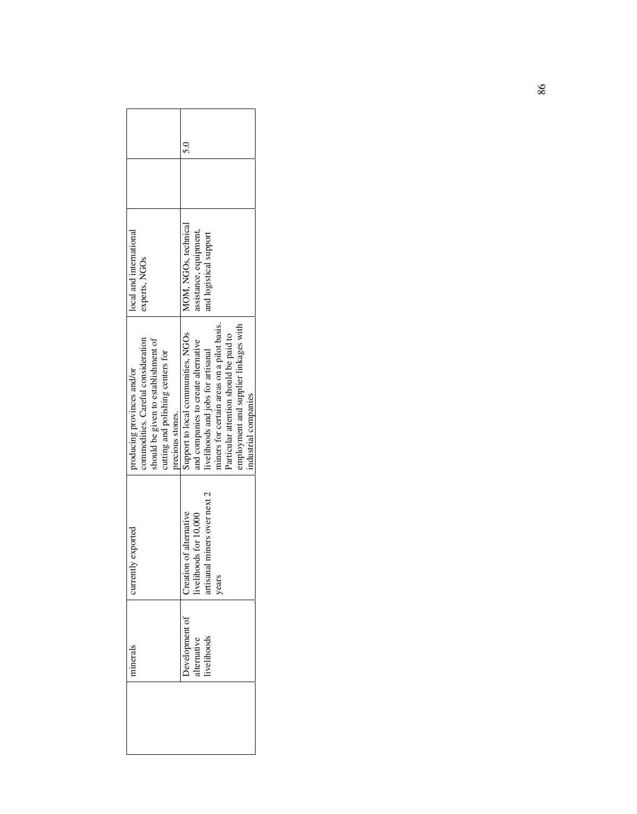| ninerals   | urrently exported                      | producing provinces and/or                 | local and international |  |
|------------|----------------------------------------|--------------------------------------------|-------------------------|--|
|            |                                        | commodities. Careful consideration         | experts, NGOs           |  |
|            |                                        | should be given to establishment of        |                         |  |
|            |                                        | cutting and polishing centers for          |                         |  |
|            |                                        | precious stones.                           |                         |  |
|            | Development of Creation of alternative | Support to local communities, NGOs         | MOM, NGOs, technical    |  |
| dternative | for 10,000<br>ivelihoods f             | and companies to create alternative        | assistance, equipment,  |  |
| ivelihoods | artisanal miners over next 2           | livelihoods and jobs for artisanal         | and logistical support  |  |
|            | years                                  | miners for certain areas on a pilot basis. |                         |  |
|            |                                        | Particular attention should be paid to     |                         |  |
|            |                                        | employment and supplier linkages with      |                         |  |
|            |                                        | industrial companies                       |                         |  |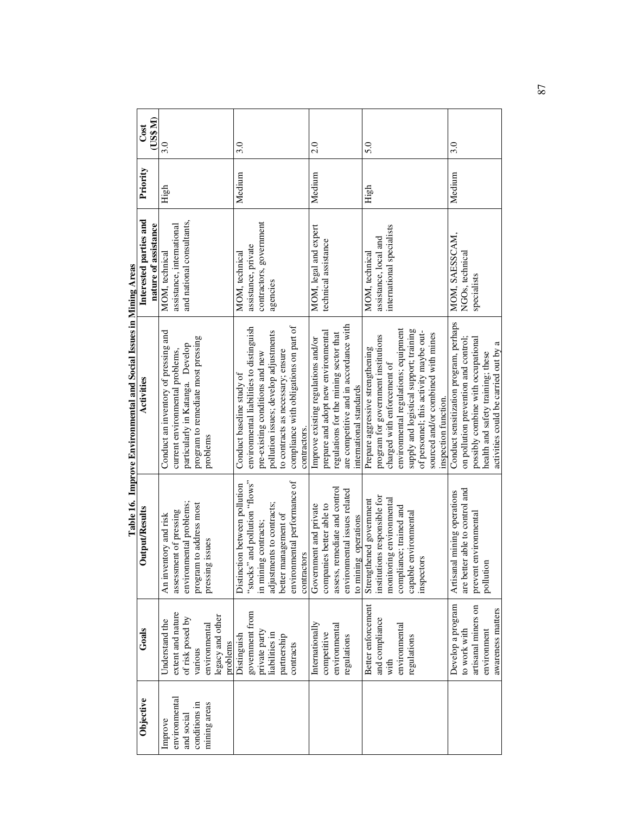|               |                              |                                  | Table 16. Improve Environmental and Social Issues in Mining Areas |                                                |          |                  |
|---------------|------------------------------|----------------------------------|-------------------------------------------------------------------|------------------------------------------------|----------|------------------|
| Objective     | Goals                        | Output/Results                   | Activities                                                        | Interested parties and<br>nature of assistance | Priority | (US\$ M)<br>Cost |
| Improve       | Understand the               | An inventory and risk            | Conduct an inventory of pressing and                              | MOM, technical                                 | High     | 3.0              |
| environmental | extent and nature            | assessment of pressing           | current environmental problems,                                   | assistance, international                      |          |                  |
| and social    | of risk posed by             | environmental problems;          | particularly in Katanga. Develop                                  | and national consultants,                      |          |                  |
| conditions in | various                      | program to address most          | program to remediate most pressing                                |                                                |          |                  |
| mining areas  | environmental                | pressing issues                  | problems                                                          |                                                |          |                  |
|               | legacy and other<br>problems |                                  |                                                                   |                                                |          |                  |
|               | Distinguish                  | between pollution<br>Distinction | Conduct baseline study of                                         | MOM, technical                                 | Medium   | 3.0              |
|               | government from              | "stocks" and pollution "flows"   | environmental liabilities to distinguish                          | assistance, private                            |          |                  |
|               | private party                | in mining contracts;             | pre-existing conditions and new                                   | contractors, government                        |          |                  |
|               | liabilities in               | adjustments to contracts;        | pollution issues; develop adjustments                             | agencies                                       |          |                  |
|               | partnership                  | better management of             | to contracts as necessary; ensure                                 |                                                |          |                  |
|               | contracts                    | environmental performance of     | compliance with obligations on part of                            |                                                |          |                  |
|               |                              | contractors                      | contractors.                                                      |                                                |          |                  |
|               | Internationally              | Government and private           | Improve existing regulations and/or                               | MOM, legal and expert                          | Medium   | 2.0              |
|               | competitive                  | companies better able to         | prepare and adopt new environmental                               | technical assistance                           |          |                  |
|               | environmental                | assess, remediate and control    | regulations for the mining sector that                            |                                                |          |                  |
|               | regulations                  | environmental issues related     | are competitive and in accordance with                            |                                                |          |                  |
|               |                              | operations<br>to mining          | international standards                                           |                                                |          |                  |
|               | Better enforcement           | Strengthened government          | Prepare aggressive strengthening                                  | MOM, technical                                 | High     | 5.0              |
|               | and compliance               | institutions responsible for     | program for government institutions                               | assistance, local and                          |          |                  |
|               | with                         | monitoring environmental         | charged with enforcement of                                       | international specialists                      |          |                  |
|               | environmental                | compliance; trained and          | environmental regulations; equipment                              |                                                |          |                  |
|               | regulations                  | capable environmental            | supply and logistical support; training                           |                                                |          |                  |
|               |                              | inspectors                       | of personnel; this activity maybe out-                            |                                                |          |                  |
|               |                              |                                  | sourced and/or combined with mines                                |                                                |          |                  |
|               |                              |                                  | inspection function.                                              |                                                |          |                  |
|               | Develop a program            | Artisanal mining operations      | Conduct sensitization program, perhaps                            | MOM, SAESSCAM,                                 | Medium   | 3.0              |
|               | to work with                 | are better able to control and   | on pollution prevention and control;                              | NGOs, technical                                |          |                  |
|               | artisanal miners on          | prevent environmental            | possibly combine with occupational                                | specialists                                    |          |                  |
|               | environment                  | pollution                        | health and safety training; these                                 |                                                |          |                  |
|               | awareness matters            |                                  | activities could be carried out by a                              |                                                |          |                  |

87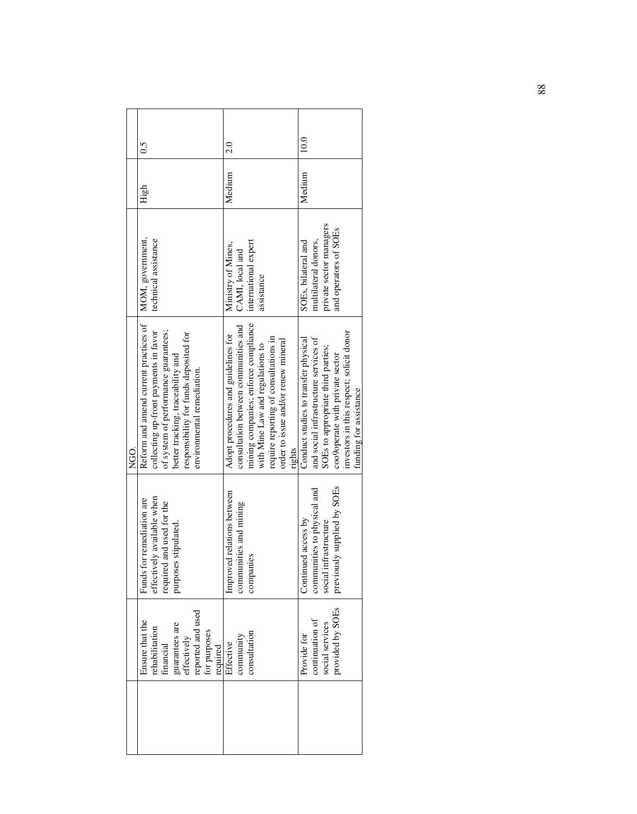|          | $\tilde{0}$                                                                                                                                                                                                                         | 2.0                                                                                                                                                                                                                                               | 10.0                                                                                                                                                                                                                         |
|----------|-------------------------------------------------------------------------------------------------------------------------------------------------------------------------------------------------------------------------------------|---------------------------------------------------------------------------------------------------------------------------------------------------------------------------------------------------------------------------------------------------|------------------------------------------------------------------------------------------------------------------------------------------------------------------------------------------------------------------------------|
|          | High                                                                                                                                                                                                                                | Medium                                                                                                                                                                                                                                            | Medium                                                                                                                                                                                                                       |
|          | MOM, government,<br>technical assistance                                                                                                                                                                                            | international expert<br>Ministry of Mines,<br>CAMI, local and<br>assistance                                                                                                                                                                       | private sector managers<br>and operators of SOEs<br>multilateral donors,<br>SOEs, bilateral and                                                                                                                              |
| CO<br>NG | Reform and amend current practices of<br>of system of performance guarantees;<br>collecting up-front payments in favor<br>responsibility for funds deposited for<br>better tracking, traceability and<br>environmental remediation. | mining companies; enforce compliance<br>consultation between communities and<br>Adopt procedures and guidelines for<br>require reporting of consultations in<br>order to issue and/or renew mineral<br>with Mine Law and regulations to<br>rights | investors in this respect; solicit donor<br>and social infrastructure services of<br>Conduct studies to transfer physical<br>SOEs to appropriate third parties;<br>coo9operate with private sector<br>funding for assistance |
|          | effectively available when<br>Funds for remediation are<br>required and used for the<br>purposes stipulated.                                                                                                                        | Improved relations between<br>communities and mining<br>companies                                                                                                                                                                                 | previously supplied by SOEs<br>communities to physical and<br>access by<br>social infrastructure<br>Continued                                                                                                                |
|          | reported and used<br>Ensure that the<br>guarantees are<br>effectively<br>rehabilitation<br>for purposes<br>financial<br>required                                                                                                    | consultation<br>community<br>Effective                                                                                                                                                                                                            | provided by SOEs<br>continuation of<br>social services<br>Provide for                                                                                                                                                        |
|          |                                                                                                                                                                                                                                     |                                                                                                                                                                                                                                                   |                                                                                                                                                                                                                              |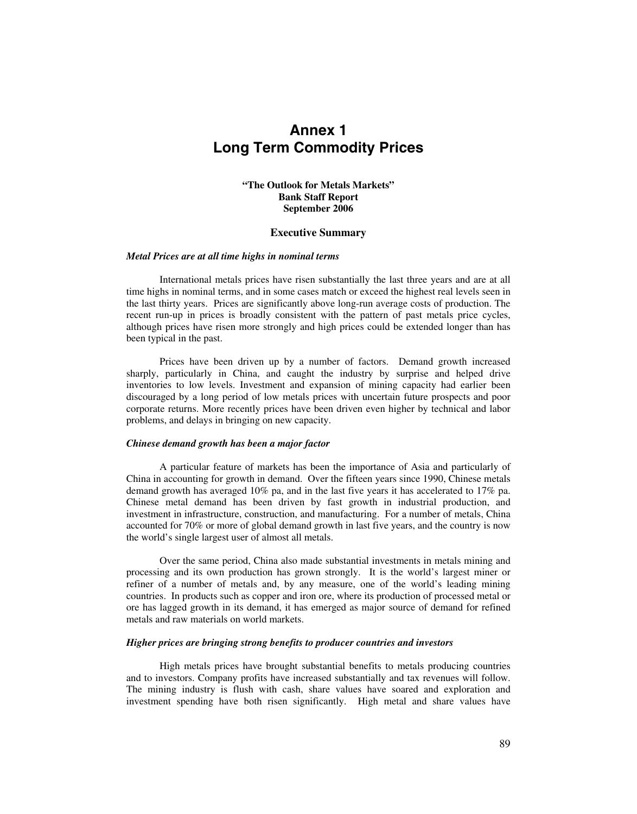# **Annex 1 Long Term Commodity Prices**

# **"The Outlook for Metals Markets" Bank Staff Report September 2006**

#### **Executive Summary**

#### *Metal Prices are at all time highs in nominal terms*

International metals prices have risen substantially the last three years and are at all time highs in nominal terms, and in some cases match or exceed the highest real levels seen in the last thirty years. Prices are significantly above long-run average costs of production. The recent run-up in prices is broadly consistent with the pattern of past metals price cycles, although prices have risen more strongly and high prices could be extended longer than has been typical in the past.

Prices have been driven up by a number of factors. Demand growth increased sharply, particularly in China, and caught the industry by surprise and helped drive inventories to low levels. Investment and expansion of mining capacity had earlier been discouraged by a long period of low metals prices with uncertain future prospects and poor corporate returns. More recently prices have been driven even higher by technical and labor problems, and delays in bringing on new capacity.

#### *Chinese demand growth has been a major factor*

A particular feature of markets has been the importance of Asia and particularly of China in accounting for growth in demand. Over the fifteen years since 1990, Chinese metals demand growth has averaged 10% pa, and in the last five years it has accelerated to 17% pa. Chinese metal demand has been driven by fast growth in industrial production, and investment in infrastructure, construction, and manufacturing. For a number of metals, China accounted for 70% or more of global demand growth in last five years, and the country is now the world's single largest user of almost all metals.

Over the same period, China also made substantial investments in metals mining and processing and its own production has grown strongly. It is the world's largest miner or refiner of a number of metals and, by any measure, one of the world's leading mining countries. In products such as copper and iron ore, where its production of processed metal or ore has lagged growth in its demand, it has emerged as major source of demand for refined metals and raw materials on world markets.

#### *Higher prices are bringing strong benefits to producer countries and investors*

High metals prices have brought substantial benefits to metals producing countries and to investors. Company profits have increased substantially and tax revenues will follow. The mining industry is flush with cash, share values have soared and exploration and investment spending have both risen significantly. High metal and share values have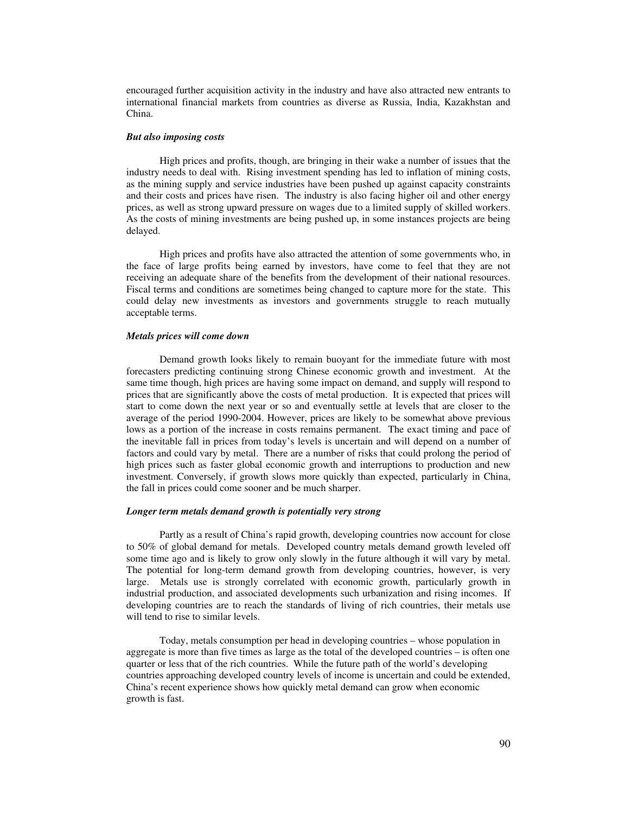encouraged further acquisition activity in the industry and have also attracted new entrants to international financial markets from countries as diverse as Russia, India, Kazakhstan and China.

#### *But also imposing costs*

High prices and profits, though, are bringing in their wake a number of issues that the industry needs to deal with. Rising investment spending has led to inflation of mining costs, as the mining supply and service industries have been pushed up against capacity constraints and their costs and prices have risen. The industry is also facing higher oil and other energy prices, as well as strong upward pressure on wages due to a limited supply of skilled workers. As the costs of mining investments are being pushed up, in some instances projects are being delayed.

High prices and profits have also attracted the attention of some governments who, in the face of large profits being earned by investors, have come to feel that they are not receiving an adequate share of the benefits from the development of their national resources. Fiscal terms and conditions are sometimes being changed to capture more for the state. This could delay new investments as investors and governments struggle to reach mutually acceptable terms.

#### *Metals prices will come down*

Demand growth looks likely to remain buoyant for the immediate future with most forecasters predicting continuing strong Chinese economic growth and investment. At the same time though, high prices are having some impact on demand, and supply will respond to prices that are significantly above the costs of metal production. It is expected that prices will start to come down the next year or so and eventually settle at levels that are closer to the average of the period 1990-2004. However, prices are likely to be somewhat above previous lows as a portion of the increase in costs remains permanent. The exact timing and pace of the inevitable fall in prices from today's levels is uncertain and will depend on a number of factors and could vary by metal. There are a number of risks that could prolong the period of high prices such as faster global economic growth and interruptions to production and new investment. Conversely, if growth slows more quickly than expected, particularly in China, the fall in prices could come sooner and be much sharper.

#### *Longer term metals demand growth is potentially very strong*

Partly as a result of China's rapid growth, developing countries now account for close to 50% of global demand for metals. Developed country metals demand growth leveled off some time ago and is likely to grow only slowly in the future although it will vary by metal. The potential for long-term demand growth from developing countries, however, is very large. Metals use is strongly correlated with economic growth, particularly growth in industrial production, and associated developments such urbanization and rising incomes. If developing countries are to reach the standards of living of rich countries, their metals use will tend to rise to similar levels.

Today, metals consumption per head in developing countries – whose population in aggregate is more than five times as large as the total of the developed countries – is often one quarter or less that of the rich countries. While the future path of the world's developing countries approaching developed country levels of income is uncertain and could be extended, China's recent experience shows how quickly metal demand can grow when economic growth is fast.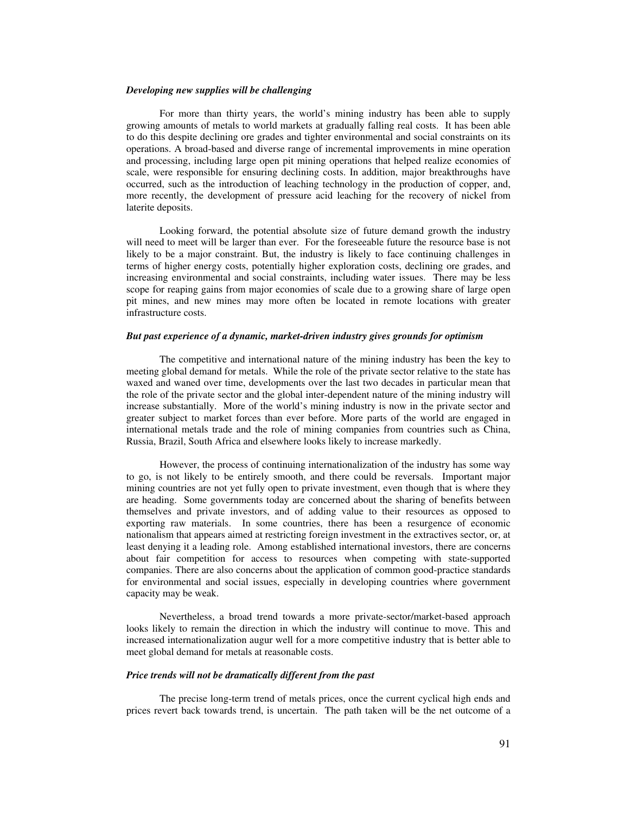#### *Developing new supplies will be challenging*

For more than thirty years, the world's mining industry has been able to supply growing amounts of metals to world markets at gradually falling real costs. It has been able to do this despite declining ore grades and tighter environmental and social constraints on its operations. A broad-based and diverse range of incremental improvements in mine operation and processing, including large open pit mining operations that helped realize economies of scale, were responsible for ensuring declining costs. In addition, major breakthroughs have occurred, such as the introduction of leaching technology in the production of copper, and, more recently, the development of pressure acid leaching for the recovery of nickel from laterite deposits.

Looking forward, the potential absolute size of future demand growth the industry will need to meet will be larger than ever. For the foreseeable future the resource base is not likely to be a major constraint. But, the industry is likely to face continuing challenges in terms of higher energy costs, potentially higher exploration costs, declining ore grades, and increasing environmental and social constraints, including water issues. There may be less scope for reaping gains from major economies of scale due to a growing share of large open pit mines, and new mines may more often be located in remote locations with greater infrastructure costs.

#### *But past experience of a dynamic, market-driven industry gives grounds for optimism*

The competitive and international nature of the mining industry has been the key to meeting global demand for metals. While the role of the private sector relative to the state has waxed and waned over time, developments over the last two decades in particular mean that the role of the private sector and the global inter-dependent nature of the mining industry will increase substantially. More of the world's mining industry is now in the private sector and greater subject to market forces than ever before. More parts of the world are engaged in international metals trade and the role of mining companies from countries such as China, Russia, Brazil, South Africa and elsewhere looks likely to increase markedly.

However, the process of continuing internationalization of the industry has some way to go, is not likely to be entirely smooth, and there could be reversals. Important major mining countries are not yet fully open to private investment, even though that is where they are heading. Some governments today are concerned about the sharing of benefits between themselves and private investors, and of adding value to their resources as opposed to exporting raw materials. In some countries, there has been a resurgence of economic nationalism that appears aimed at restricting foreign investment in the extractives sector, or, at least denying it a leading role. Among established international investors, there are concerns about fair competition for access to resources when competing with state-supported companies. There are also concerns about the application of common good-practice standards for environmental and social issues, especially in developing countries where government capacity may be weak.

Nevertheless, a broad trend towards a more private-sector/market-based approach looks likely to remain the direction in which the industry will continue to move. This and increased internationalization augur well for a more competitive industry that is better able to meet global demand for metals at reasonable costs.

#### *Price trends will not be dramatically different from the past*

The precise long-term trend of metals prices, once the current cyclical high ends and prices revert back towards trend, is uncertain. The path taken will be the net outcome of a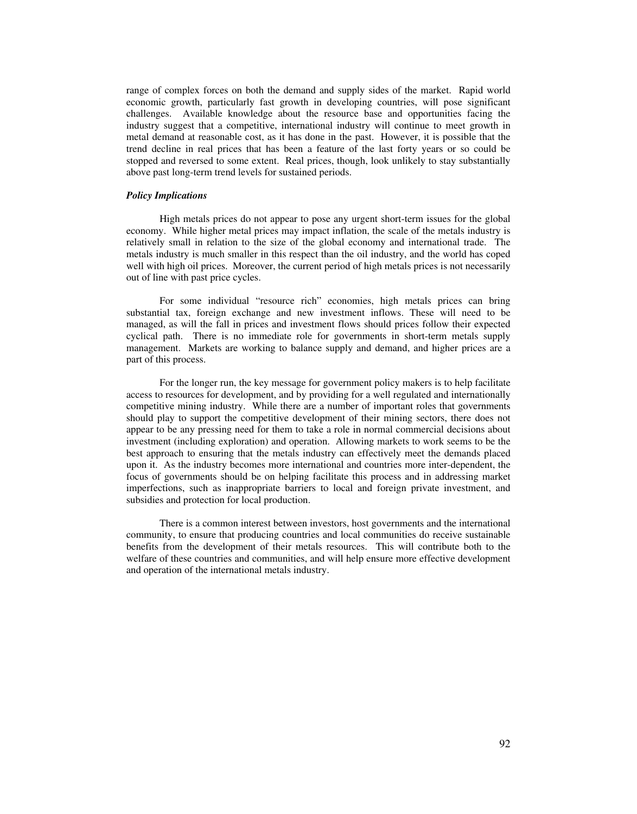range of complex forces on both the demand and supply sides of the market. Rapid world economic growth, particularly fast growth in developing countries, will pose significant challenges. Available knowledge about the resource base and opportunities facing the industry suggest that a competitive, international industry will continue to meet growth in metal demand at reasonable cost, as it has done in the past. However, it is possible that the trend decline in real prices that has been a feature of the last forty years or so could be stopped and reversed to some extent. Real prices, though, look unlikely to stay substantially above past long-term trend levels for sustained periods.

#### *Policy Implications*

High metals prices do not appear to pose any urgent short-term issues for the global economy. While higher metal prices may impact inflation, the scale of the metals industry is relatively small in relation to the size of the global economy and international trade. The metals industry is much smaller in this respect than the oil industry, and the world has coped well with high oil prices. Moreover, the current period of high metals prices is not necessarily out of line with past price cycles.

For some individual "resource rich" economies, high metals prices can bring substantial tax, foreign exchange and new investment inflows. These will need to be managed, as will the fall in prices and investment flows should prices follow their expected cyclical path. There is no immediate role for governments in short-term metals supply management. Markets are working to balance supply and demand, and higher prices are a part of this process.

For the longer run, the key message for government policy makers is to help facilitate access to resources for development, and by providing for a well regulated and internationally competitive mining industry. While there are a number of important roles that governments should play to support the competitive development of their mining sectors, there does not appear to be any pressing need for them to take a role in normal commercial decisions about investment (including exploration) and operation. Allowing markets to work seems to be the best approach to ensuring that the metals industry can effectively meet the demands placed upon it. As the industry becomes more international and countries more inter-dependent, the focus of governments should be on helping facilitate this process and in addressing market imperfections, such as inappropriate barriers to local and foreign private investment, and subsidies and protection for local production.

There is a common interest between investors, host governments and the international community, to ensure that producing countries and local communities do receive sustainable benefits from the development of their metals resources. This will contribute both to the welfare of these countries and communities, and will help ensure more effective development and operation of the international metals industry.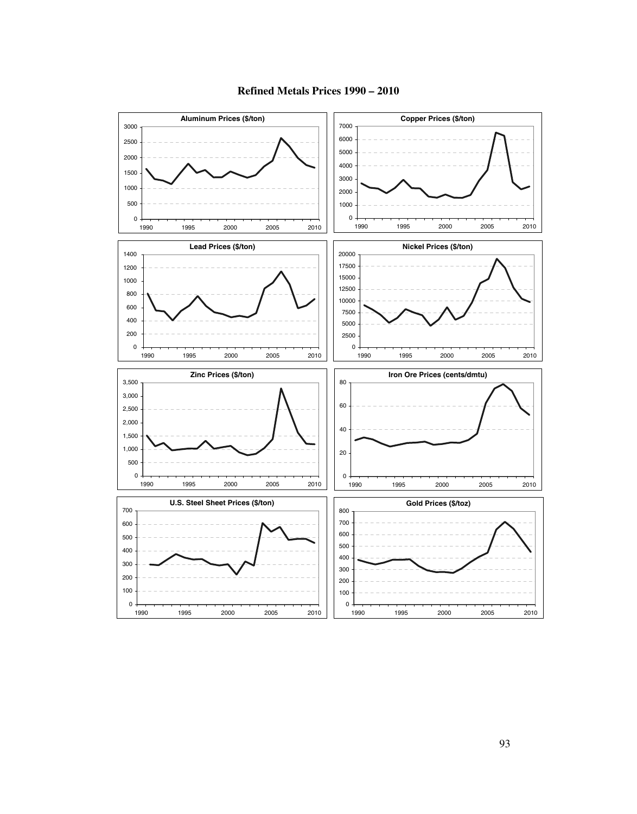

**Refined Metals Prices 1990 – 2010**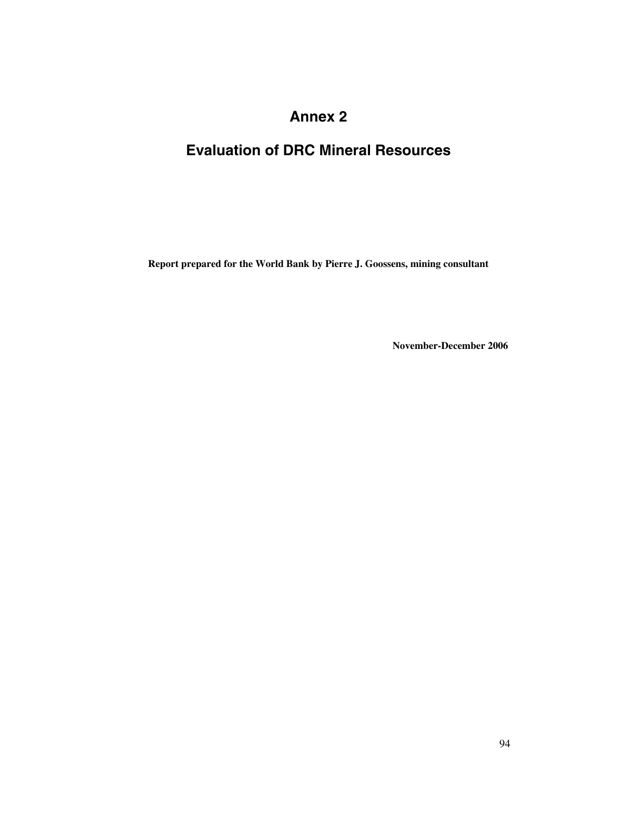# **Annex 2**

# **Evaluation of DRC Mineral Resources**

**Report prepared for the World Bank by Pierre J. Goossens, mining consultant** 

 **November-December 2006**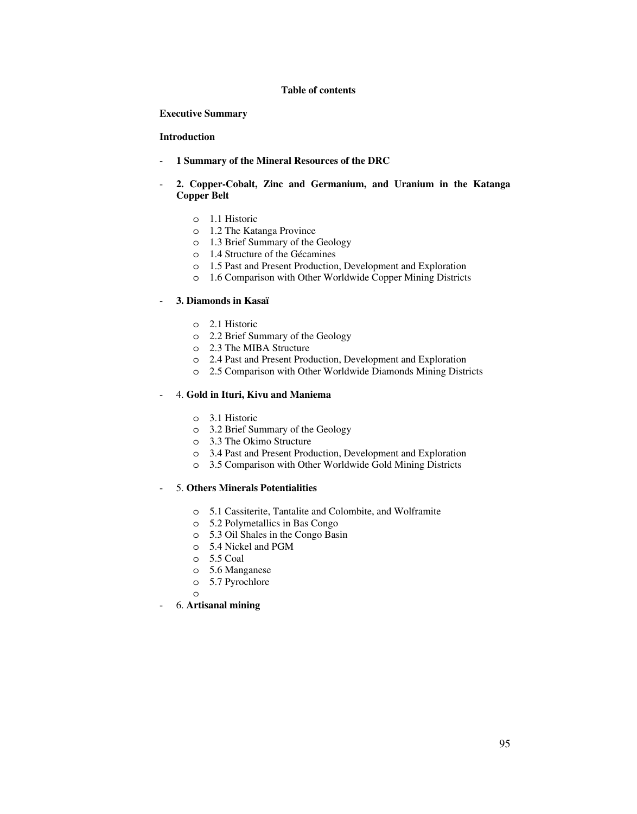#### **Table of contents**

 **Executive Summary** 

# **Introduction**

- **1 Summary of the Mineral Resources of the DRC**
- **2. Copper-Cobalt, Zinc and Germanium, and Uranium in the Katanga Copper Belt** 
	- o 1.1 Historic
	- o 1.2 The Katanga Province
	- o 1.3 Brief Summary of the Geology
	- o 1.4 Structure of the Gécamines
	- o 1.5 Past and Present Production, Development and Exploration
	- o 1.6 Comparison with Other Worldwide Copper Mining Districts

#### - **3. Diamonds in Kasaï**

- o 2.1 Historic
- o 2.2 Brief Summary of the Geology
- o 2.3 The MIBA Structure
- o 2.4 Past and Present Production, Development and Exploration
- o 2.5 Comparison with Other Worldwide Diamonds Mining Districts

# - 4. **Gold in Ituri, Kivu and Maniema**

- o 3.1 Historic
- o 3.2 Brief Summary of the Geology
- o 3.3 The Okimo Structure
- o 3.4 Past and Present Production, Development and Exploration
- o 3.5 Comparison with Other Worldwide Gold Mining Districts

# - 5. **Others Minerals Potentialities**

- o 5.1 Cassiterite, Tantalite and Colombite, and Wolframite
- o 5.2 Polymetallics in Bas Congo
- o 5.3 Oil Shales in the Congo Basin
- o 5.4 Nickel and PGM
- o 5.5 Coal
- o 5.6 Manganese
- o 5.7 Pyrochlore
- o
- 6. **Artisanal mining**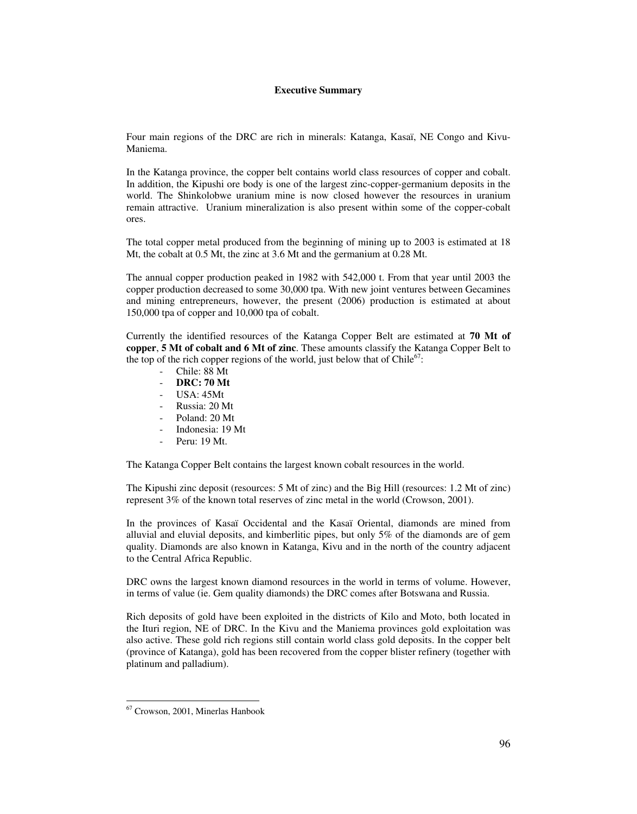# **Executive Summary**

Four main regions of the DRC are rich in minerals: Katanga, Kasaï, NE Congo and Kivu-Maniema.

In the Katanga province, the copper belt contains world class resources of copper and cobalt. In addition, the Kipushi ore body is one of the largest zinc-copper-germanium deposits in the world. The Shinkolobwe uranium mine is now closed however the resources in uranium remain attractive. Uranium mineralization is also present within some of the copper-cobalt ores.

The total copper metal produced from the beginning of mining up to 2003 is estimated at 18 Mt, the cobalt at 0.5 Mt, the zinc at 3.6 Mt and the germanium at 0.28 Mt.

The annual copper production peaked in 1982 with 542,000 t. From that year until 2003 the copper production decreased to some 30,000 tpa. With new joint ventures between Gecamines and mining entrepreneurs, however, the present (2006) production is estimated at about 150,000 tpa of copper and 10,000 tpa of cobalt.

Currently the identified resources of the Katanga Copper Belt are estimated at **70 Mt of copper**, **5 Mt of cobalt and 6 Mt of zinc**. These amounts classify the Katanga Copper Belt to the top of the rich copper regions of the world, just below that of  $\text{Chile}^{67}$ :

- Chile: 88 Mt
- **DRC: 70 Mt**
- USA: 45Mt
- Russia: 20 Mt
- Poland: 20 Mt
- Indonesia: 19 Mt
- Peru: 19 Mt.

The Katanga Copper Belt contains the largest known cobalt resources in the world.

The Kipushi zinc deposit (resources: 5 Mt of zinc) and the Big Hill (resources: 1.2 Mt of zinc) represent 3% of the known total reserves of zinc metal in the world (Crowson, 2001).

In the provinces of Kasaï Occidental and the Kasaï Oriental, diamonds are mined from alluvial and eluvial deposits, and kimberlitic pipes, but only 5% of the diamonds are of gem quality. Diamonds are also known in Katanga, Kivu and in the north of the country adjacent to the Central Africa Republic.

DRC owns the largest known diamond resources in the world in terms of volume. However, in terms of value (ie. Gem quality diamonds) the DRC comes after Botswana and Russia.

Rich deposits of gold have been exploited in the districts of Kilo and Moto, both located in the Ituri region, NE of DRC. In the Kivu and the Maniema provinces gold exploitation was also active. These gold rich regions still contain world class gold deposits. In the copper belt (province of Katanga), gold has been recovered from the copper blister refinery (together with platinum and palladium).

 $\ddot{ }$ 

<sup>67</sup> Crowson, 2001, Minerlas Hanbook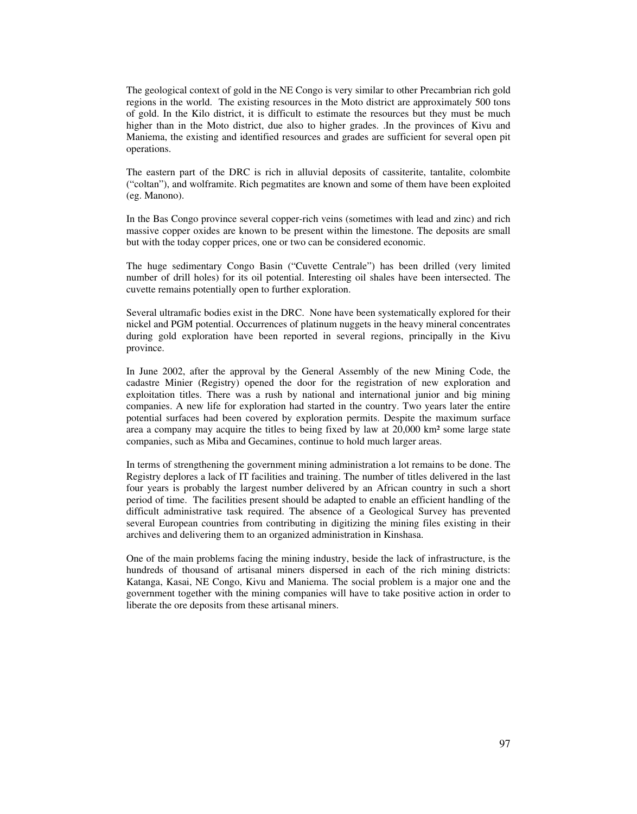The geological context of gold in the NE Congo is very similar to other Precambrian rich gold regions in the world. The existing resources in the Moto district are approximately 500 tons of gold. In the Kilo district, it is difficult to estimate the resources but they must be much higher than in the Moto district, due also to higher grades. .In the provinces of Kivu and Maniema, the existing and identified resources and grades are sufficient for several open pit operations.

The eastern part of the DRC is rich in alluvial deposits of cassiterite, tantalite, colombite ("coltan"), and wolframite. Rich pegmatites are known and some of them have been exploited (eg. Manono).

In the Bas Congo province several copper-rich veins (sometimes with lead and zinc) and rich massive copper oxides are known to be present within the limestone. The deposits are small but with the today copper prices, one or two can be considered economic.

The huge sedimentary Congo Basin ("Cuvette Centrale") has been drilled (very limited number of drill holes) for its oil potential. Interesting oil shales have been intersected. The cuvette remains potentially open to further exploration.

Several ultramafic bodies exist in the DRC. None have been systematically explored for their nickel and PGM potential. Occurrences of platinum nuggets in the heavy mineral concentrates during gold exploration have been reported in several regions, principally in the Kivu province.

In June 2002, after the approval by the General Assembly of the new Mining Code, the cadastre Minier (Registry) opened the door for the registration of new exploration and exploitation titles. There was a rush by national and international junior and big mining companies. A new life for exploration had started in the country. Two years later the entire potential surfaces had been covered by exploration permits. Despite the maximum surface area a company may acquire the titles to being fixed by law at 20,000 km² some large state companies, such as Miba and Gecamines, continue to hold much larger areas.

In terms of strengthening the government mining administration a lot remains to be done. The Registry deplores a lack of IT facilities and training. The number of titles delivered in the last four years is probably the largest number delivered by an African country in such a short period of time. The facilities present should be adapted to enable an efficient handling of the difficult administrative task required. The absence of a Geological Survey has prevented several European countries from contributing in digitizing the mining files existing in their archives and delivering them to an organized administration in Kinshasa.

One of the main problems facing the mining industry, beside the lack of infrastructure, is the hundreds of thousand of artisanal miners dispersed in each of the rich mining districts: Katanga, Kasai, NE Congo, Kivu and Maniema. The social problem is a major one and the government together with the mining companies will have to take positive action in order to liberate the ore deposits from these artisanal miners.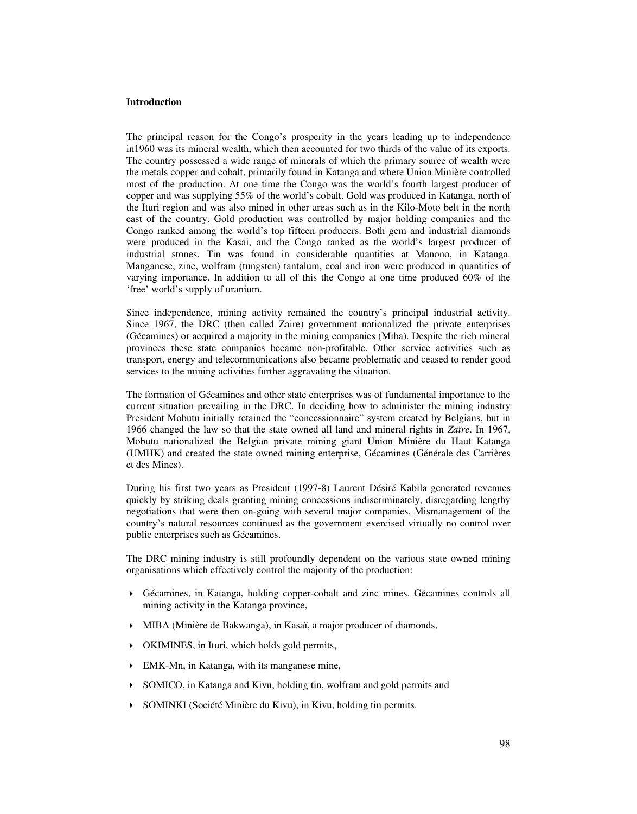#### **Introduction**

The principal reason for the Congo's prosperity in the years leading up to independence in1960 was its mineral wealth, which then accounted for two thirds of the value of its exports. The country possessed a wide range of minerals of which the primary source of wealth were the metals copper and cobalt, primarily found in Katanga and where Union Minière controlled most of the production. At one time the Congo was the world's fourth largest producer of copper and was supplying 55% of the world's cobalt. Gold was produced in Katanga, north of the Ituri region and was also mined in other areas such as in the Kilo-Moto belt in the north east of the country. Gold production was controlled by major holding companies and the Congo ranked among the world's top fifteen producers. Both gem and industrial diamonds were produced in the Kasai, and the Congo ranked as the world's largest producer of industrial stones. Tin was found in considerable quantities at Manono, in Katanga. Manganese, zinc, wolfram (tungsten) tantalum, coal and iron were produced in quantities of varying importance. In addition to all of this the Congo at one time produced 60% of the 'free' world's supply of uranium.

Since independence, mining activity remained the country's principal industrial activity. Since 1967, the DRC (then called Zaire) government nationalized the private enterprises (Gécamines) or acquired a majority in the mining companies (Miba). Despite the rich mineral provinces these state companies became non-profitable. Other service activities such as transport, energy and telecommunications also became problematic and ceased to render good services to the mining activities further aggravating the situation.

The formation of Gécamines and other state enterprises was of fundamental importance to the current situation prevailing in the DRC. In deciding how to administer the mining industry President Mobutu initially retained the "concessionnaire" system created by Belgians, but in 1966 changed the law so that the state owned all land and mineral rights in *Zaïre*. In 1967, Mobutu nationalized the Belgian private mining giant Union Minière du Haut Katanga (UMHK) and created the state owned mining enterprise, Gécamines (Générale des Carrières et des Mines).

During his first two years as President (1997-8) Laurent Désiré Kabila generated revenues quickly by striking deals granting mining concessions indiscriminately, disregarding lengthy negotiations that were then on-going with several major companies. Mismanagement of the country's natural resources continued as the government exercised virtually no control over public enterprises such as Gécamines.

The DRC mining industry is still profoundly dependent on the various state owned mining organisations which effectively control the majority of the production:

- Gécamines, in Katanga, holding copper-cobalt and zinc mines. Gécamines controls all mining activity in the Katanga province,
- MIBA (Minière de Bakwanga), in Kasaï, a major producer of diamonds,
- OKIMINES, in Ituri, which holds gold permits,
- EMK-Mn, in Katanga, with its manganese mine,
- SOMICO, in Katanga and Kivu, holding tin, wolfram and gold permits and
- SOMINKI (Société Minière du Kivu), in Kivu, holding tin permits.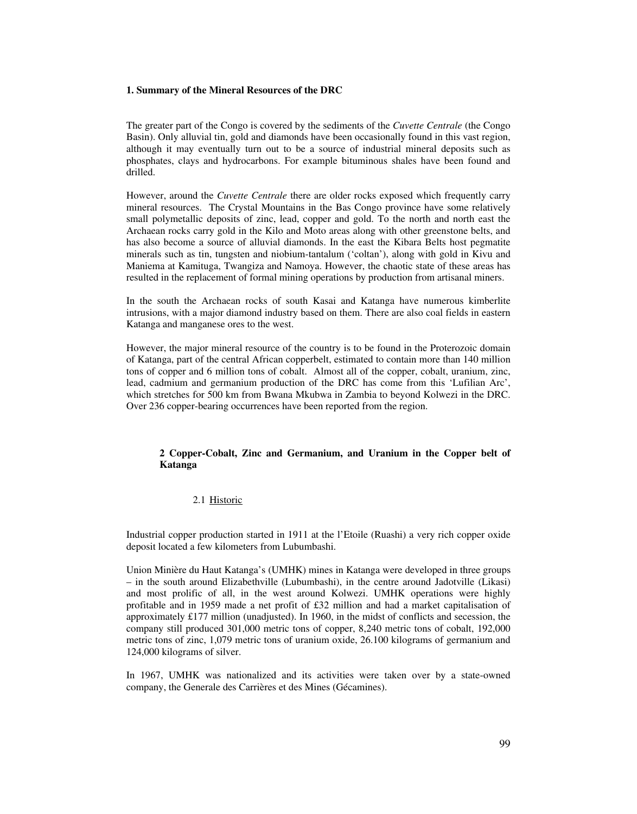#### **1. Summary of the Mineral Resources of the DRC**

The greater part of the Congo is covered by the sediments of the *Cuvette Centrale* (the Congo Basin). Only alluvial tin, gold and diamonds have been occasionally found in this vast region, although it may eventually turn out to be a source of industrial mineral deposits such as phosphates, clays and hydrocarbons. For example bituminous shales have been found and drilled.

However, around the *Cuvette Centrale* there are older rocks exposed which frequently carry mineral resources. The Crystal Mountains in the Bas Congo province have some relatively small polymetallic deposits of zinc, lead, copper and gold. To the north and north east the Archaean rocks carry gold in the Kilo and Moto areas along with other greenstone belts, and has also become a source of alluvial diamonds. In the east the Kibara Belts host pegmatite minerals such as tin, tungsten and niobium-tantalum ('coltan'), along with gold in Kivu and Maniema at Kamituga, Twangiza and Namoya. However, the chaotic state of these areas has resulted in the replacement of formal mining operations by production from artisanal miners.

In the south the Archaean rocks of south Kasai and Katanga have numerous kimberlite intrusions, with a major diamond industry based on them. There are also coal fields in eastern Katanga and manganese ores to the west.

However, the major mineral resource of the country is to be found in the Proterozoic domain of Katanga, part of the central African copperbelt, estimated to contain more than 140 million tons of copper and 6 million tons of cobalt. Almost all of the copper, cobalt, uranium, zinc, lead, cadmium and germanium production of the DRC has come from this 'Lufilian Arc', which stretches for 500 km from Bwana Mkubwa in Zambia to beyond Kolwezi in the DRC. Over 236 copper-bearing occurrences have been reported from the region.

# **2 Copper-Cobalt, Zinc and Germanium, and Uranium in the Copper belt of Katanga**

# 2.1 Historic

Industrial copper production started in 1911 at the l'Etoile (Ruashi) a very rich copper oxide deposit located a few kilometers from Lubumbashi.

Union Minière du Haut Katanga's (UMHK) mines in Katanga were developed in three groups – in the south around Elizabethville (Lubumbashi), in the centre around Jadotville (Likasi) and most prolific of all, in the west around Kolwezi. UMHK operations were highly profitable and in 1959 made a net profit of £32 million and had a market capitalisation of approximately £177 million (unadjusted). In 1960, in the midst of conflicts and secession, the company still produced 301,000 metric tons of copper, 8,240 metric tons of cobalt, 192,000 metric tons of zinc, 1,079 metric tons of uranium oxide, 26.100 kilograms of germanium and 124,000 kilograms of silver.

In 1967, UMHK was nationalized and its activities were taken over by a state-owned company, the Generale des Carrières et des Mines (Gécamines).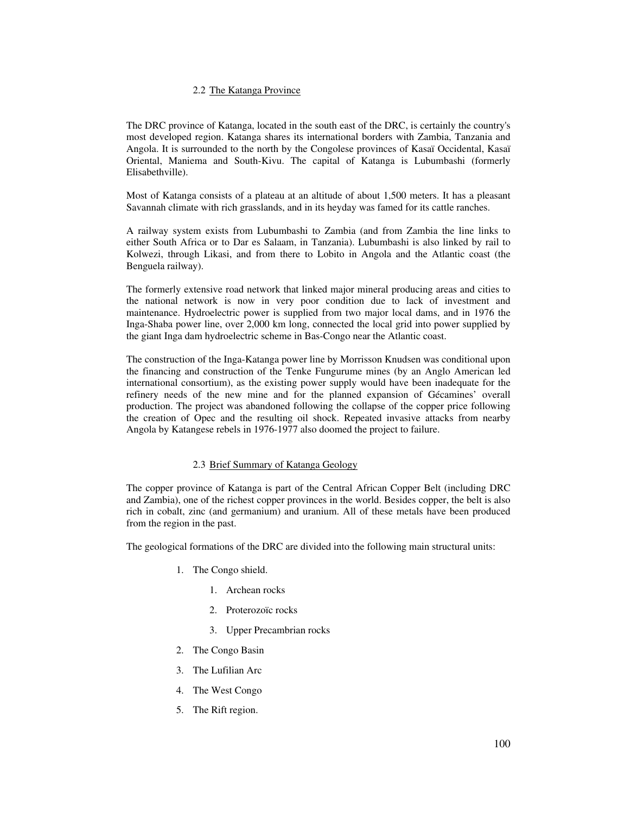# 2.2 The Katanga Province

The DRC province of Katanga, located in the south east of the DRC, is certainly the country's most developed region. Katanga shares its international borders with Zambia, Tanzania and Angola. It is surrounded to the north by the Congolese provinces of Kasaï Occidental, Kasaï Oriental, Maniema and South-Kivu. The capital of Katanga is Lubumbashi (formerly Elisabethville).

Most of Katanga consists of a plateau at an altitude of about 1,500 meters. It has a pleasant Savannah climate with rich grasslands, and in its heyday was famed for its cattle ranches.

A railway system exists from Lubumbashi to Zambia (and from Zambia the line links to either South Africa or to Dar es Salaam, in Tanzania). Lubumbashi is also linked by rail to Kolwezi, through Likasi, and from there to Lobito in Angola and the Atlantic coast (the Benguela railway).

The formerly extensive road network that linked major mineral producing areas and cities to the national network is now in very poor condition due to lack of investment and maintenance. Hydroelectric power is supplied from two major local dams, and in 1976 the Inga-Shaba power line, over 2,000 km long, connected the local grid into power supplied by the giant Inga dam hydroelectric scheme in Bas-Congo near the Atlantic coast.

The construction of the Inga-Katanga power line by Morrisson Knudsen was conditional upon the financing and construction of the Tenke Fungurume mines (by an Anglo American led international consortium), as the existing power supply would have been inadequate for the refinery needs of the new mine and for the planned expansion of Gécamines' overall production. The project was abandoned following the collapse of the copper price following the creation of Opec and the resulting oil shock. Repeated invasive attacks from nearby Angola by Katangese rebels in 1976-1977 also doomed the project to failure.

# 2.3 Brief Summary of Katanga Geology

The copper province of Katanga is part of the Central African Copper Belt (including DRC and Zambia), one of the richest copper provinces in the world. Besides copper, the belt is also rich in cobalt, zinc (and germanium) and uranium. All of these metals have been produced from the region in the past.

The geological formations of the DRC are divided into the following main structural units:

- 1. The Congo shield.
	- 1. Archean rocks
	- 2. Proterozoïc rocks
	- 3. Upper Precambrian rocks
- 2. The Congo Basin
- 3. The Lufilian Arc
- 4. The West Congo
- 5. The Rift region.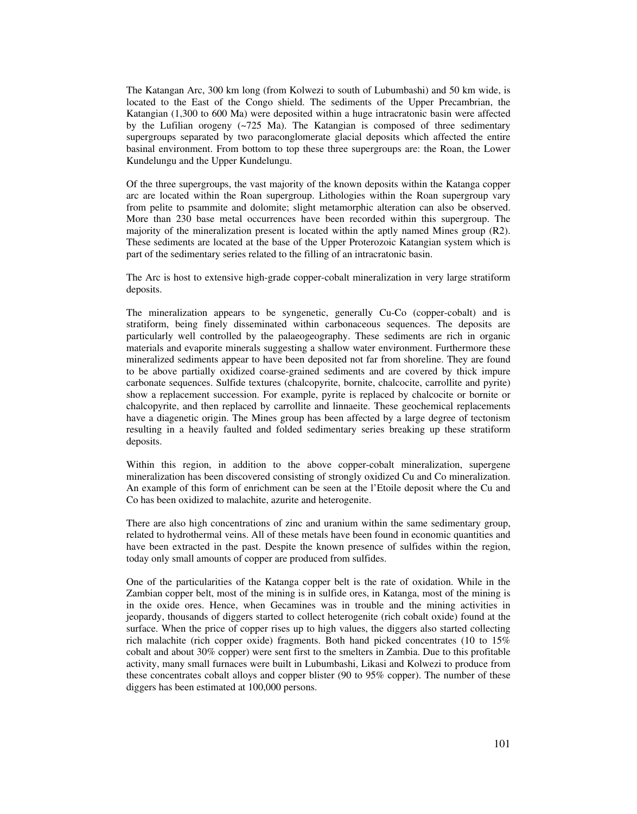The Katangan Arc, 300 km long (from Kolwezi to south of Lubumbashi) and 50 km wide, is located to the East of the Congo shield. The sediments of the Upper Precambrian, the Katangian (1,300 to 600 Ma) were deposited within a huge intracratonic basin were affected by the Lufilian orogeny (~725 Ma). The Katangian is composed of three sedimentary supergroups separated by two paraconglomerate glacial deposits which affected the entire basinal environment. From bottom to top these three supergroups are: the Roan, the Lower Kundelungu and the Upper Kundelungu.

Of the three supergroups, the vast majority of the known deposits within the Katanga copper arc are located within the Roan supergroup. Lithologies within the Roan supergroup vary from pelite to psammite and dolomite; slight metamorphic alteration can also be observed. More than 230 base metal occurrences have been recorded within this supergroup. The majority of the mineralization present is located within the aptly named Mines group (R2). These sediments are located at the base of the Upper Proterozoic Katangian system which is part of the sedimentary series related to the filling of an intracratonic basin.

The Arc is host to extensive high-grade copper-cobalt mineralization in very large stratiform deposits.

The mineralization appears to be syngenetic, generally Cu-Co (copper-cobalt) and is stratiform, being finely disseminated within carbonaceous sequences. The deposits are particularly well controlled by the palaeogeography. These sediments are rich in organic materials and evaporite minerals suggesting a shallow water environment. Furthermore these mineralized sediments appear to have been deposited not far from shoreline. They are found to be above partially oxidized coarse-grained sediments and are covered by thick impure carbonate sequences. Sulfide textures (chalcopyrite, bornite, chalcocite, carrollite and pyrite) show a replacement succession. For example, pyrite is replaced by chalcocite or bornite or chalcopyrite, and then replaced by carrollite and linnaeite. These geochemical replacements have a diagenetic origin. The Mines group has been affected by a large degree of tectonism resulting in a heavily faulted and folded sedimentary series breaking up these stratiform deposits.

Within this region, in addition to the above copper-cobalt mineralization, supergene mineralization has been discovered consisting of strongly oxidized Cu and Co mineralization. An example of this form of enrichment can be seen at the l'Etoile deposit where the Cu and Co has been oxidized to malachite, azurite and heterogenite.

There are also high concentrations of zinc and uranium within the same sedimentary group, related to hydrothermal veins. All of these metals have been found in economic quantities and have been extracted in the past. Despite the known presence of sulfides within the region, today only small amounts of copper are produced from sulfides.

One of the particularities of the Katanga copper belt is the rate of oxidation. While in the Zambian copper belt, most of the mining is in sulfide ores, in Katanga, most of the mining is in the oxide ores. Hence, when Gecamines was in trouble and the mining activities in jeopardy, thousands of diggers started to collect heterogenite (rich cobalt oxide) found at the surface. When the price of copper rises up to high values, the diggers also started collecting rich malachite (rich copper oxide) fragments. Both hand picked concentrates (10 to 15% cobalt and about 30% copper) were sent first to the smelters in Zambia. Due to this profitable activity, many small furnaces were built in Lubumbashi, Likasi and Kolwezi to produce from these concentrates cobalt alloys and copper blister (90 to 95% copper). The number of these diggers has been estimated at 100,000 persons.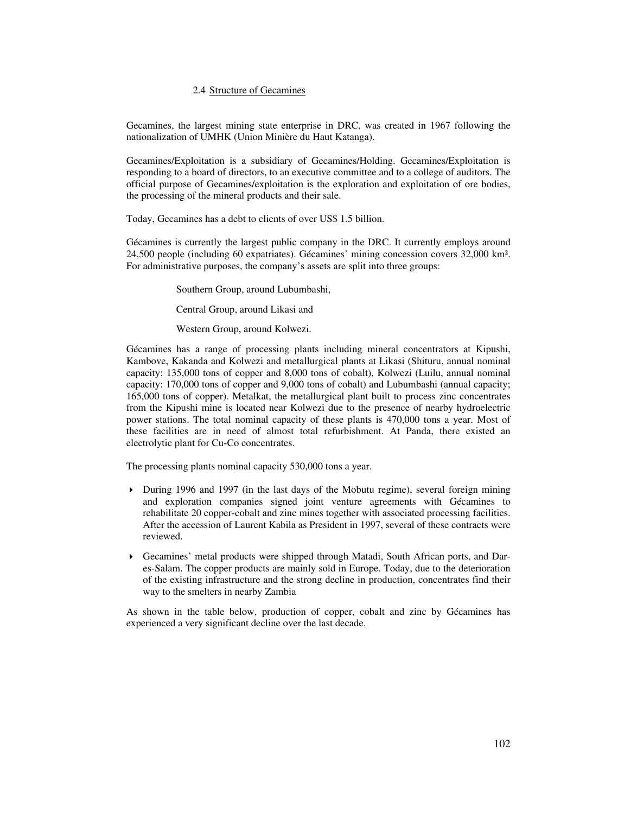# 2.4 Structure of Gecamines

Gecamines, the largest mining state enterprise in DRC, was created in 1967 following the nationalization of UMHK (Union Minière du Haut Katanga).

Gecamines/Exploitation is a subsidiary of Gecamines/Holding. Gecamines/Exploitation is responding to a board of directors, to an executive committee and to a college of auditors. The official purpose of Gecamines/exploitation is the exploration and exploitation of ore bodies, the processing of the mineral products and their sale.

Today, Gecamines has a debt to clients of over US\$ 1.5 billion.

Gécamines is currently the largest public company in the DRC. It currently employs around 24,500 people (including 60 expatriates). Gécamines' mining concession covers 32,000 km². For administrative purposes, the company's assets are split into three groups:

Southern Group, around Lubumbashi,

Central Group, around Likasi and

Western Group, around Kolwezi.

Gécamines has a range of processing plants including mineral concentrators at Kipushi, Kambove, Kakanda and Kolwezi and metallurgical plants at Likasi (Shituru, annual nominal capacity: 135,000 tons of copper and 8,000 tons of cobalt), Kolwezi (Luilu, annual nominal capacity: 170,000 tons of copper and 9,000 tons of cobalt) and Lubumbashi (annual capacity; 165,000 tons of copper). Metalkat, the metallurgical plant built to process zinc concentrates from the Kipushi mine is located near Kolwezi due to the presence of nearby hydroelectric power stations. The total nominal capacity of these plants is 470,000 tons a year. Most of these facilities are in need of almost total refurbishment. At Panda, there existed an electrolytic plant for Cu-Co concentrates.

The processing plants nominal capacity 530,000 tons a year.

- During 1996 and 1997 (in the last days of the Mobutu regime), several foreign mining and exploration companies signed joint venture agreements with Gécamines to rehabilitate 20 copper-cobalt and zinc mines together with associated processing facilities. After the accession of Laurent Kabila as President in 1997, several of these contracts were reviewed.
- Gecamines' metal products were shipped through Matadi, South African ports, and Dares-Salam. The copper products are mainly sold in Europe. Today, due to the deterioration of the existing infrastructure and the strong decline in production, concentrates find their way to the smelters in nearby Zambia

As shown in the table below, production of copper, cobalt and zinc by Gécamines has experienced a very significant decline over the last decade.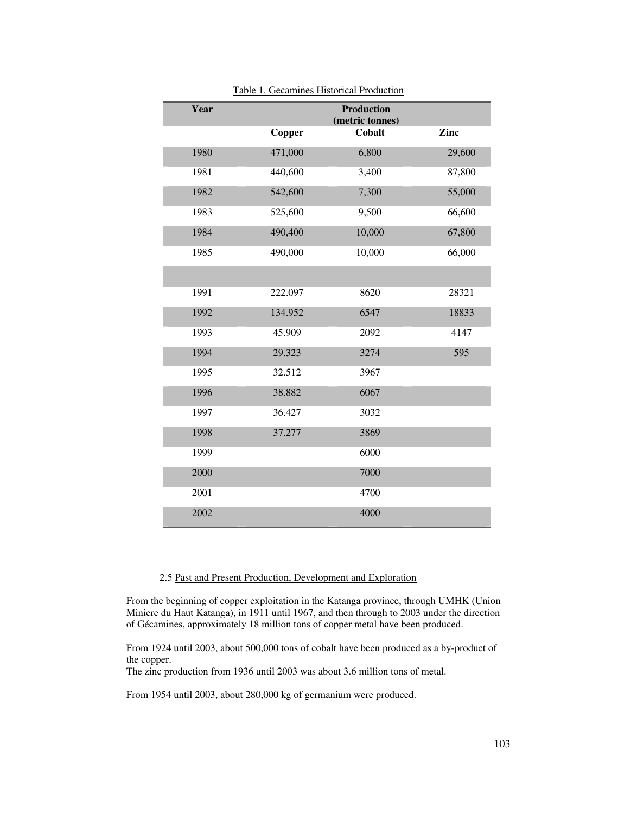| Year |         | <b>Production</b><br>(metric tonnes) |        |
|------|---------|--------------------------------------|--------|
|      | Copper  | Cobalt                               | Zinc   |
| 1980 | 471,000 | 6,800                                | 29,600 |
| 1981 | 440,600 | 3,400                                | 87,800 |
| 1982 | 542,600 | 7,300                                | 55,000 |
| 1983 | 525,600 | 9,500                                | 66,600 |
| 1984 | 490,400 | 10,000                               | 67,800 |
| 1985 | 490,000 | 10,000                               | 66,000 |
|      |         |                                      |        |
| 1991 | 222.097 | 8620                                 | 28321  |
| 1992 | 134.952 | 6547                                 | 18833  |
| 1993 | 45.909  | 2092                                 | 4147   |
| 1994 | 29.323  | 3274                                 | 595    |
| 1995 | 32.512  | 3967                                 |        |
| 1996 | 38.882  | 6067                                 |        |
| 1997 | 36.427  | 3032                                 |        |
| 1998 | 37.277  | 3869                                 |        |
| 1999 |         | 6000                                 |        |
| 2000 |         | 7000                                 |        |
| 2001 |         | 4700                                 |        |
| 2002 |         | 4000                                 |        |

Table 1. Gecamines Historical Production

# 2.5 Past and Present Production, Development and Exploration

From the beginning of copper exploitation in the Katanga province, through UMHK (Union Miniere du Haut Katanga), in 1911 until 1967, and then through to 2003 under the direction of Gécamines, approximately 18 million tons of copper metal have been produced.

From 1924 until 2003, about 500,000 tons of cobalt have been produced as a by-product of the copper.

The zinc production from 1936 until 2003 was about 3.6 million tons of metal.

From 1954 until 2003, about 280,000 kg of germanium were produced.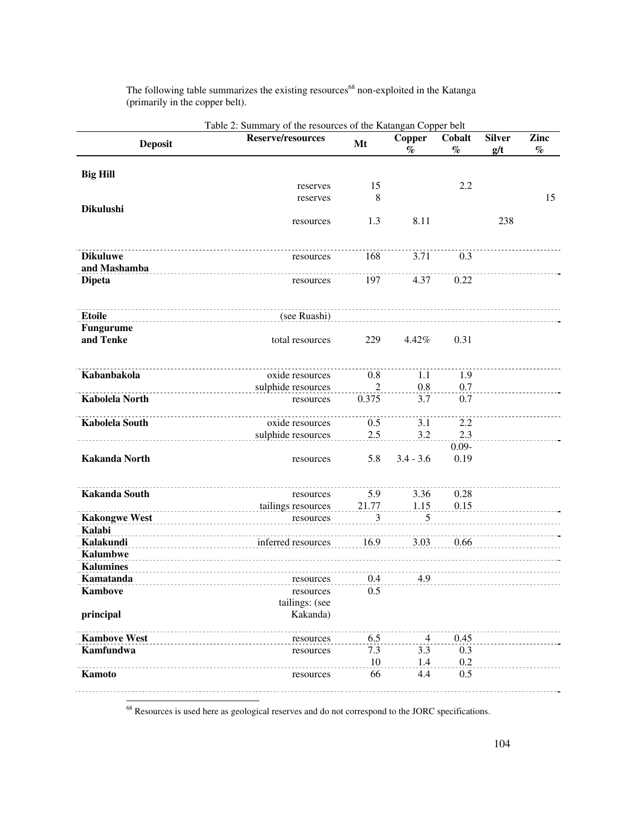| <b>Deposit</b>        | <b>Reserve/resources</b> | Mt             | <b>Copper</b><br>$\%$ | Cobalt<br>$\%$ | <b>Silver</b><br>g/t | Zinc<br>$\%$ |
|-----------------------|--------------------------|----------------|-----------------------|----------------|----------------------|--------------|
| <b>Big Hill</b>       |                          |                |                       |                |                      |              |
|                       | reserves                 | 15             |                       | 2.2            |                      |              |
|                       | reserves                 | 8              |                       |                |                      | 15           |
| <b>Dikulushi</b>      |                          |                |                       |                |                      |              |
|                       | resources                | 1.3            | 8.11                  |                | 238                  |              |
| <b>Dikuluwe</b>       | resources                | 168            | 3.71                  | 0.3            |                      |              |
| and Mashamba          |                          |                |                       |                |                      |              |
| <b>Dipeta</b>         | resources                | 197            | 4.37                  | 0.22           |                      |              |
| <b>Etoile</b>         | (see Ruashi)             |                |                       |                |                      |              |
| <b>Fungurume</b>      |                          |                |                       |                |                      |              |
| and Tenke             | total resources          | 229            | 4.42%                 | 0.31           |                      |              |
| Kabanbakola           | oxide resources          | 0.8            | 1.1                   | 1.9            |                      |              |
|                       | sulphide resources       | $\overline{2}$ | 0.8                   | 0.7            |                      |              |
| <b>Kabolela North</b> | resources                | 0.375          | 3.7                   | 0.7            |                      |              |
| <b>Kabolela South</b> | oxide resources          | 0.5            | 3.1                   | 2.2            |                      |              |
|                       | sulphide resources       | 2.5            | 3.2                   | 2.3            |                      |              |
|                       |                          |                |                       | $0.09 -$       |                      |              |
| <b>Kakanda North</b>  | resources                | 5.8            | $3.4 - 3.6$           | 0.19           |                      |              |
| <b>Kakanda South</b>  | resources                | 5.9            | 3.36                  | 0.28           |                      |              |
|                       | tailings resources       | 21.77          | 1.15                  | 0.15           |                      |              |
| <b>Kakongwe West</b>  | resources                | 3              | 5                     |                |                      |              |
| Kalabi                |                          |                |                       |                |                      |              |
| Kalakundi             | inferred resources       | 16.9           | 3.03                  | 0.66           |                      |              |
| <b>Kalumbwe</b>       |                          |                |                       |                |                      |              |
| <b>Kalumines</b>      |                          |                |                       |                |                      |              |
| Kamatanda             | resources                | 0.4            | 4.9                   |                |                      |              |
| <b>Kambove</b>        | resources                | 0.5            |                       |                |                      |              |
|                       | tailings: (see           |                |                       |                |                      |              |
| principal             | Kakanda)                 |                |                       |                |                      |              |
| <b>Kambove West</b>   | resources                | 6.5            | $\overline{4}$        | 0.45           |                      |              |
| <b>Kamfundwa</b>      | resources                | 7.3            | 3.3                   | 0.3            |                      |              |
|                       |                          | 10             | 1.4                   | 0.2            |                      |              |
| Kamoto                | resources                | 66             | 4.4                   | 0.5            |                      |              |

The following table summarizes the existing resources<sup>68</sup> non-exploited in the Katanga (primarily in the copper belt).

<sup>68</sup> Resources is used here as geological reserves and do not correspond to the JORC specifications.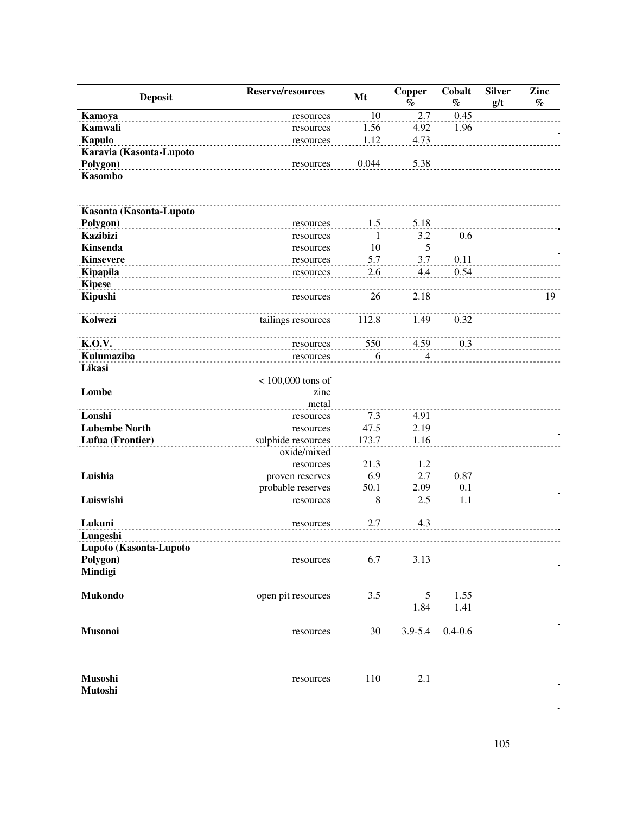| <b>Deposit</b>          | Reserve/resources   | Mt    | <b>Copper</b><br>$\%$ | Cobalt<br>$\%$ | <b>Silver</b><br>g/t | Zinc<br>$\%$ |
|-------------------------|---------------------|-------|-----------------------|----------------|----------------------|--------------|
| Kamoya                  | resources           | 10    | 2.7                   | 0.45           |                      |              |
| Kamwali                 | resources           | 1.56  | 4.92                  | 1.96           |                      |              |
| <b>Kapulo</b>           | resources           | 1.12  | 4.73                  |                |                      |              |
| Karavia (Kasonta-Lupoto |                     |       |                       |                |                      |              |
| Polygon)                | resources           | 0.044 | 5.38                  |                |                      |              |
| <b>Kasombo</b>          |                     |       |                       |                |                      |              |
| Kasonta (Kasonta-Lupoto |                     |       |                       |                |                      |              |
| Polygon)                | resources           | 1.5   | 5.18                  |                |                      |              |
| <b>Kazibizi</b>         | resources           | 1     | 3.2                   | 0.6            |                      |              |
| <b>Kinsenda</b>         | resources           | 10    | 5                     |                |                      |              |
| <b>Kinsevere</b>        | resources           | 5.7   | 3.7                   | 0.11           |                      |              |
| Kipapila                | resources           | 2.6   | 4.4                   | 0.54           |                      |              |
| <b>Kipese</b>           |                     |       |                       |                |                      |              |
| Kipushi                 | resources           | 26    | 2.18                  |                |                      | 19           |
| Kolwezi                 | tailings resources  | 112.8 | 1.49                  | 0.32           |                      |              |
| <b>K.O.V.</b>           | resources           | 550   | 4.59                  | 0.3            |                      |              |
| Kulumaziba              | resources           | 6     | 4                     |                |                      |              |
| Likasi                  |                     |       |                       |                |                      |              |
|                         | $< 100,000$ tons of |       |                       |                |                      |              |
| Lombe                   | zinc                |       |                       |                |                      |              |
|                         | metal               |       |                       |                |                      |              |
| Lonshi                  | resources           | 7.3   | 4.91                  |                |                      |              |
| <b>Lubembe North</b>    | resources           | 47.5  | 2.19                  |                |                      |              |
| Lufua (Frontier)        | sulphide resources  | 173.7 | 1.16                  |                |                      |              |
|                         | oxide/mixed         |       |                       |                |                      |              |
|                         | resources           | 21.3  | 1.2                   |                |                      |              |
| Luishia                 | proven reserves     | 6.9   | 2.7                   | 0.87           |                      |              |
|                         | probable reserves   | 50.1  | 2.09                  | 0.1            |                      |              |
| Luiswishi               | resources           | 8     | 2.5                   | 1.1            |                      |              |
| Lukuni                  | resources           | 2.7   | 4.3                   |                |                      |              |
| Lungeshi                |                     |       |                       |                |                      |              |
| Lupoto (Kasonta-Lupoto  |                     |       |                       |                |                      |              |
| Polygon)                | resources           | 6.7   | 3.13                  |                |                      |              |
| Mindigi                 |                     |       |                       |                |                      |              |
| <b>Mukondo</b>          | open pit resources  | 3.5   | 5                     | 1.55           |                      |              |
|                         |                     |       | 1.84                  | 1.41           |                      |              |
| <b>Musonoi</b>          | resources           | 30    | $3.9 - 5.4$           | $0.4 - 0.6$    |                      |              |
| Musoshi                 | resources           | 110   | 2.1                   |                |                      |              |
| Mutoshi                 |                     |       |                       |                |                      |              |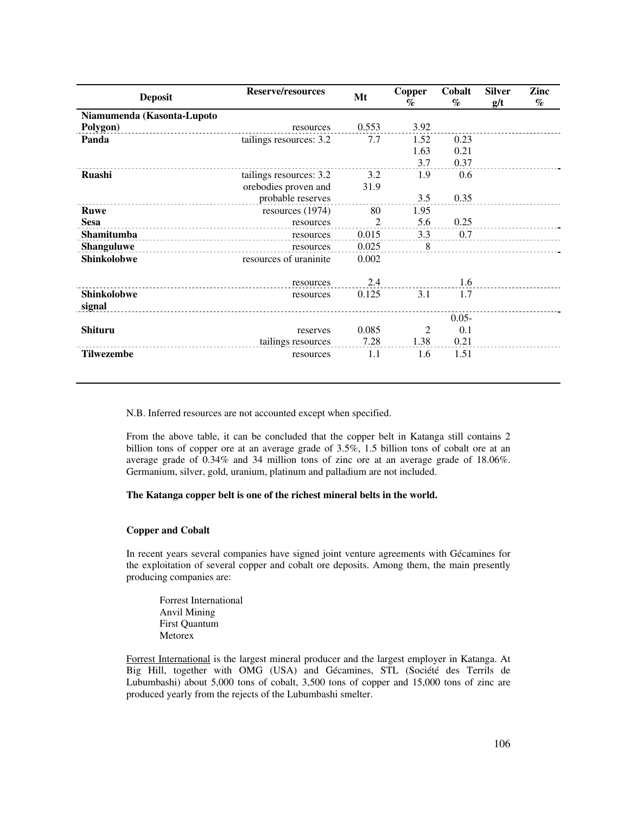| <b>Deposit</b>               | <b>Reserve/resources</b> |                | <b>Copper</b><br>$\%$ | Cobalt<br>$\mathcal{O}_0$ | <b>Silver</b><br>g/t | Zinc<br>$\%$ |
|------------------------------|--------------------------|----------------|-----------------------|---------------------------|----------------------|--------------|
| Niamumenda (Kasonta-Lupoto   |                          |                |                       |                           |                      |              |
| Polygon)                     | resources                | 0.553          | 3.92                  |                           |                      |              |
| Panda                        | tailings resources: 3.2  | 7.7            | 1.52                  | 0.23                      |                      |              |
|                              |                          |                | 1.63                  | 0.21                      |                      |              |
|                              |                          |                | 3.7                   | 0.37                      |                      |              |
| <b>Ruashi</b>                | tailings resources: 3.2  | 3.2            | 1.9                   | 0.6                       |                      |              |
|                              | orebodies proven and     | 31.9           |                       |                           |                      |              |
|                              | probable reserves        |                | 3.5                   | 0.35                      |                      |              |
| <b>Ruwe</b>                  | resources $(1974)$       | 80             | 1.95                  |                           |                      |              |
| <b>Sesa</b>                  | resources                | $\overline{c}$ | 5.6                   | 0.25                      |                      |              |
| Shamitumba                   | resources                | 0.015          | 3.3                   | 0.7                       |                      |              |
| <b>Shanguluwe</b>            | resources                | 0.025          | 8                     |                           |                      |              |
| <b>Shinkolobwe</b>           | resources of uraninite   | 0.002          |                       |                           |                      |              |
|                              | resources                | 2.4            |                       | 1.6                       |                      |              |
| <b>Shinkolobwe</b><br>signal | resources                | 0.125          | 3.1                   | 1.7                       |                      |              |
|                              |                          |                |                       | $0.05 -$                  |                      |              |
| <b>Shituru</b>               | reserves                 | 0.085          | 2                     | 0.1                       |                      |              |
|                              | tailings resources       | 7.28           | 1.38                  | 0.21                      |                      |              |
| <b>Tilwezembe</b>            | resources                | 1.1            | 1.6                   | 1.51                      |                      |              |

N.B. Inferred resources are not accounted except when specified.

From the above table, it can be concluded that the copper belt in Katanga still contains 2 billion tons of copper ore at an average grade of 3.5%, 1.5 billion tons of cobalt ore at an average grade of 0.34% and 34 million tons of zinc ore at an average grade of 18.06%. Germanium, silver, gold, uranium, platinum and palladium are not included.

#### **The Katanga copper belt is one of the richest mineral belts in the world.**

#### **Copper and Cobalt**

In recent years several companies have signed joint venture agreements with Gécamines for the exploitation of several copper and cobalt ore deposits. Among them, the main presently producing companies are:

 Forrest International Anvil Mining First Quantum Metorex

Forrest International is the largest mineral producer and the largest employer in Katanga. At Big Hill, together with OMG (USA) and Gécamines, STL (Société des Terrils de Lubumbashi) about 5,000 tons of cobalt, 3,500 tons of copper and 15,000 tons of zinc are produced yearly from the rejects of the Lubumbashi smelter.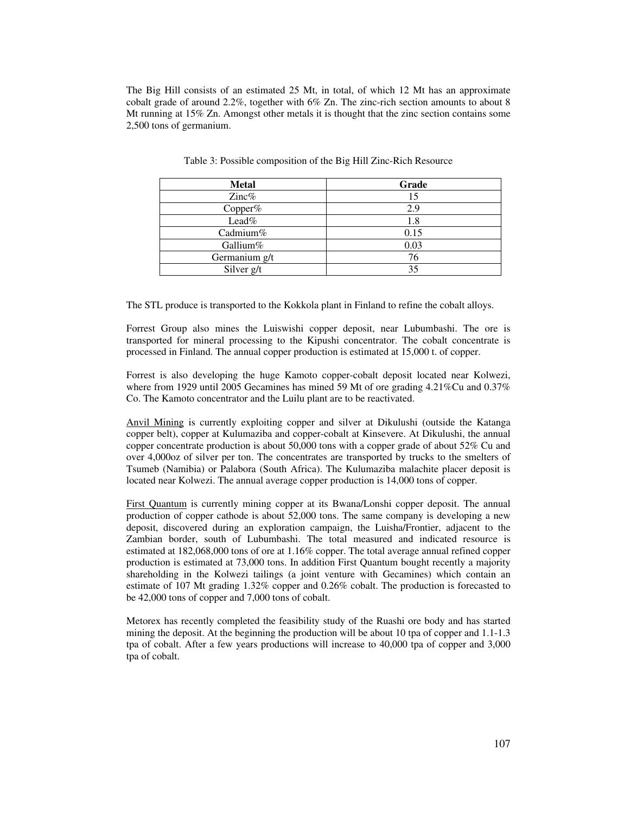The Big Hill consists of an estimated 25 Mt, in total, of which 12 Mt has an approximate cobalt grade of around 2.2%, together with 6% Zn. The zinc-rich section amounts to about 8 Mt running at 15% Zn. Amongst other metals it is thought that the zinc section contains some 2,500 tons of germanium.

| <b>Metal</b>  | Grade |
|---------------|-------|
| Zinc%         | 15    |
| Copper%       | 2.9   |
| Lead%         | 1.8   |
| Cadmium%      | 0.15  |
| Gallium%      | 0.03  |
| Germanium g/t | 76    |
| Silver g/t    | 35    |

Table 3: Possible composition of the Big Hill Zinc-Rich Resource

The STL produce is transported to the Kokkola plant in Finland to refine the cobalt alloys.

Forrest Group also mines the Luiswishi copper deposit, near Lubumbashi. The ore is transported for mineral processing to the Kipushi concentrator. The cobalt concentrate is processed in Finland. The annual copper production is estimated at 15,000 t. of copper.

Forrest is also developing the huge Kamoto copper-cobalt deposit located near Kolwezi, where from 1929 until 2005 Gecamines has mined 59 Mt of ore grading 4.21%Cu and 0.37% Co. The Kamoto concentrator and the Luilu plant are to be reactivated.

Anvil Mining is currently exploiting copper and silver at Dikulushi (outside the Katanga copper belt), copper at Kulumaziba and copper-cobalt at Kinsevere. At Dikulushi, the annual copper concentrate production is about 50,000 tons with a copper grade of about 52% Cu and over 4,000oz of silver per ton. The concentrates are transported by trucks to the smelters of Tsumeb (Namibia) or Palabora (South Africa). The Kulumaziba malachite placer deposit is located near Kolwezi. The annual average copper production is 14,000 tons of copper.

First Quantum is currently mining copper at its Bwana/Lonshi copper deposit. The annual production of copper cathode is about 52,000 tons. The same company is developing a new deposit, discovered during an exploration campaign, the Luisha/Frontier, adjacent to the Zambian border, south of Lubumbashi. The total measured and indicated resource is estimated at 182,068,000 tons of ore at 1.16% copper. The total average annual refined copper production is estimated at 73,000 tons. In addition First Quantum bought recently a majority shareholding in the Kolwezi tailings (a joint venture with Gecamines) which contain an estimate of 107 Mt grading 1.32% copper and 0.26% cobalt. The production is forecasted to be 42,000 tons of copper and 7,000 tons of cobalt.

Metorex has recently completed the feasibility study of the Ruashi ore body and has started mining the deposit. At the beginning the production will be about 10 tpa of copper and 1.1-1.3 tpa of cobalt. After a few years productions will increase to 40,000 tpa of copper and 3,000 tpa of cobalt.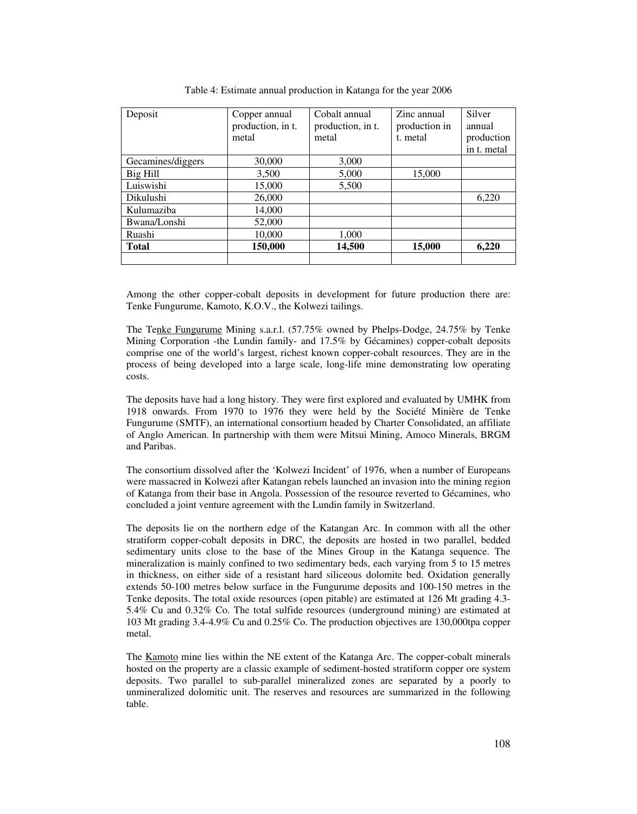| Deposit           | Copper annual     | Cobalt annual     | Zinc annual   | Silver      |
|-------------------|-------------------|-------------------|---------------|-------------|
|                   | production, in t. | production, in t. | production in | annual      |
|                   | metal             | metal             | t. metal      | production  |
|                   |                   |                   |               | in t. metal |
| Gecamines/diggers | 30,000            | 3,000             |               |             |
| Big Hill          | 3,500             | 5,000             | 15,000        |             |
| Luiswishi         | 15,000            | 5,500             |               |             |
| <b>Dikulushi</b>  | 26,000            |                   |               | 6,220       |
| Kulumaziba        | 14,000            |                   |               |             |
| Bwana/Lonshi      | 52,000            |                   |               |             |
| Ruashi            | 10,000            | 1,000             |               |             |
| <b>Total</b>      | 150,000           | 14,500            | 15,000        | 6,220       |
|                   |                   |                   |               |             |

Table 4: Estimate annual production in Katanga for the year 2006

Among the other copper-cobalt deposits in development for future production there are: Tenke Fungurume, Kamoto, K.O.V., the Kolwezi tailings.

The Tenke Fungurume Mining s.a.r.l. (57.75% owned by Phelps-Dodge, 24.75% by Tenke Mining Corporation -the Lundin family- and 17.5% by Gécamines) copper-cobalt deposits comprise one of the world's largest, richest known copper-cobalt resources. They are in the process of being developed into a large scale, long-life mine demonstrating low operating costs.

The deposits have had a long history. They were first explored and evaluated by UMHK from 1918 onwards. From 1970 to 1976 they were held by the Société Minière de Tenke Fungurume (SMTF), an international consortium headed by Charter Consolidated, an affiliate of Anglo American. In partnership with them were Mitsui Mining, Amoco Minerals, BRGM and Paribas.

The consortium dissolved after the 'Kolwezi Incident' of 1976, when a number of Europeans were massacred in Kolwezi after Katangan rebels launched an invasion into the mining region of Katanga from their base in Angola. Possession of the resource reverted to Gécamines, who concluded a joint venture agreement with the Lundin family in Switzerland.

The deposits lie on the northern edge of the Katangan Arc. In common with all the other stratiform copper-cobalt deposits in DRC, the deposits are hosted in two parallel, bedded sedimentary units close to the base of the Mines Group in the Katanga sequence. The mineralization is mainly confined to two sedimentary beds, each varying from 5 to 15 metres in thickness, on either side of a resistant hard siliceous dolomite bed. Oxidation generally extends 50-100 metres below surface in the Fungurume deposits and 100-150 metres in the Tenke deposits. The total oxide resources (open pitable) are estimated at 126 Mt grading 4.3- 5.4% Cu and 0.32% Co. The total sulfide resources (underground mining) are estimated at 103 Mt grading 3.4-4.9% Cu and 0.25% Co. The production objectives are 130,000tpa copper metal.

The Kamoto mine lies within the NE extent of the Katanga Arc. The copper-cobalt minerals hosted on the property are a classic example of sediment-hosted stratiform copper ore system deposits. Two parallel to sub-parallel mineralized zones are separated by a poorly to unmineralized dolomitic unit. The reserves and resources are summarized in the following table.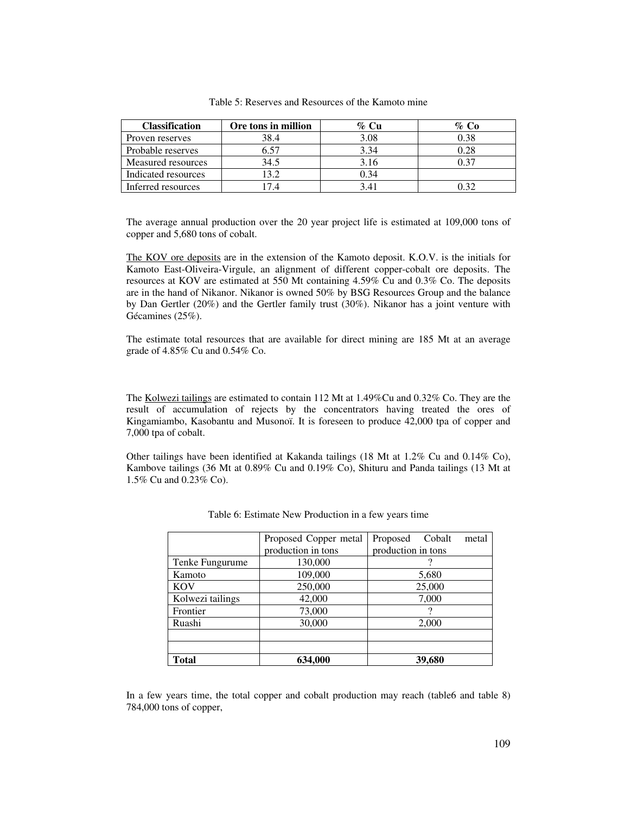| <b>Classification</b> | Ore tons in million | % Cu | % Co |
|-----------------------|---------------------|------|------|
| Proven reserves       | 38.4                | 3.08 | 0.38 |
| Probable reserves     | 6.57                | 3.34 | 0.28 |
| Measured resources    | 34.5                | 3.16 |      |
| Indicated resources   | 13.2                | 0.34 |      |
| Inferred resources    | 74                  | 341  |      |

Table 5: Reserves and Resources of the Kamoto mine

The average annual production over the 20 year project life is estimated at 109,000 tons of copper and 5,680 tons of cobalt.

The KOV ore deposits are in the extension of the Kamoto deposit. K.O.V. is the initials for Kamoto East-Oliveira-Virgule, an alignment of different copper-cobalt ore deposits. The resources at KOV are estimated at 550 Mt containing 4.59% Cu and 0.3% Co. The deposits are in the hand of Nikanor. Nikanor is owned 50% by BSG Resources Group and the balance by Dan Gertler (20%) and the Gertler family trust (30%). Nikanor has a joint venture with Gécamines (25%).

The estimate total resources that are available for direct mining are 185 Mt at an average grade of 4.85% Cu and 0.54% Co.

The Kolwezi tailings are estimated to contain 112 Mt at 1.49%Cu and 0.32% Co. They are the result of accumulation of rejects by the concentrators having treated the ores of Kingamiambo, Kasobantu and Musonoï. It is foreseen to produce 42,000 tpa of copper and 7,000 tpa of cobalt.

Other tailings have been identified at Kakanda tailings (18 Mt at 1.2% Cu and 0.14% Co), Kambove tailings (36 Mt at 0.89% Cu and 0.19% Co), Shituru and Panda tailings (13 Mt at 1.5% Cu and 0.23% Co).

|                  | Proposed Copper metal | Proposed<br>Cobalt<br>metal |
|------------------|-----------------------|-----------------------------|
|                  | production in tons    | production in tons          |
| Tenke Fungurume  | 130,000               | ?                           |
| Kamoto           | 109,000               | 5,680                       |
| <b>KOV</b>       | 250,000               | 25,000                      |
| Kolwezi tailings | 42,000                | 7,000                       |
| Frontier         | 73,000                | 9                           |
| Ruashi           | 30,000                | 2,000                       |
|                  |                       |                             |
|                  |                       |                             |
| Total            | 634,000               | 39,680                      |

|  | Table 6: Estimate New Production in a few years time |  |  |
|--|------------------------------------------------------|--|--|
|  |                                                      |  |  |

In a few years time, the total copper and cobalt production may reach (table6 and table 8) 784,000 tons of copper,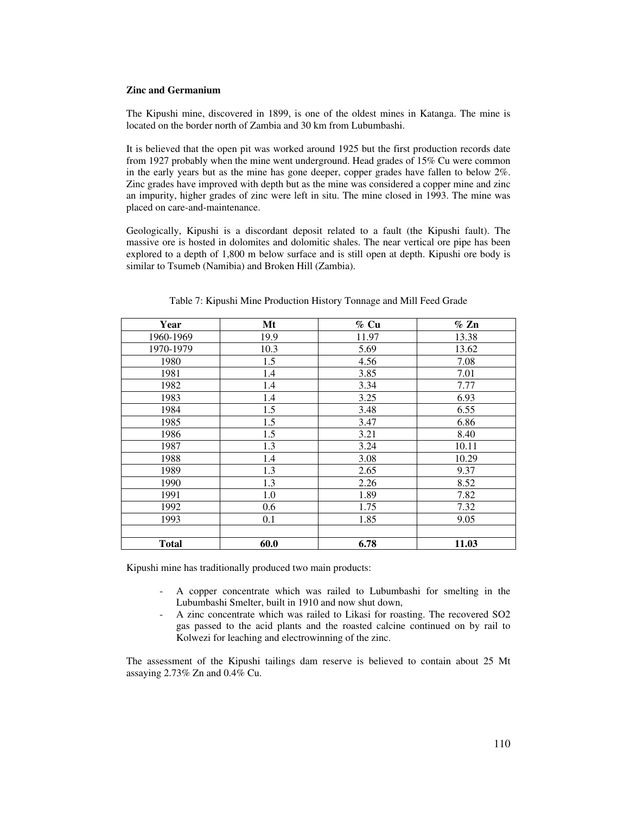#### **Zinc and Germanium**

The Kipushi mine, discovered in 1899, is one of the oldest mines in Katanga. The mine is located on the border north of Zambia and 30 km from Lubumbashi.

It is believed that the open pit was worked around 1925 but the first production records date from 1927 probably when the mine went underground. Head grades of 15% Cu were common in the early years but as the mine has gone deeper, copper grades have fallen to below 2%. Zinc grades have improved with depth but as the mine was considered a copper mine and zinc an impurity, higher grades of zinc were left in situ. The mine closed in 1993. The mine was placed on care-and-maintenance.

Geologically, Kipushi is a discordant deposit related to a fault (the Kipushi fault). The massive ore is hosted in dolomites and dolomitic shales. The near vertical ore pipe has been explored to a depth of 1,800 m below surface and is still open at depth. Kipushi ore body is similar to Tsumeb (Namibia) and Broken Hill (Zambia).

| Year      | Mt   | $%$ Cu | $\%$ Zn |
|-----------|------|--------|---------|
| 1960-1969 | 19.9 | 11.97  | 13.38   |
| 1970-1979 | 10.3 | 5.69   | 13.62   |
| 1980      | 1.5  | 4.56   | 7.08    |
| 1981      | 1.4  | 3.85   | 7.01    |
| 1982      | 1.4  | 3.34   | 7.77    |
| 1983      | 1.4  | 3.25   | 6.93    |
| 1984      | 1.5  | 3.48   | 6.55    |
| 1985      | 1.5  | 3.47   | 6.86    |
| 1986      | 1.5  | 3.21   | 8.40    |
| 1987      | 1.3  | 3.24   | 10.11   |
| 1988      | 1.4  | 3.08   | 10.29   |
| 1989      | 1.3  | 2.65   | 9.37    |
| 1990      | 1.3  | 2.26   | 8.52    |
| 1991      | 1.0  | 1.89   | 7.82    |
| 1992      | 0.6  | 1.75   | 7.32    |
| 1993      | 0.1  | 1.85   | 9.05    |
|           |      |        |         |
| Total     | 60.0 | 6.78   | 11.03   |

Table 7: Kipushi Mine Production History Tonnage and Mill Feed Grade

Kipushi mine has traditionally produced two main products:

- A copper concentrate which was railed to Lubumbashi for smelting in the Lubumbashi Smelter, built in 1910 and now shut down,
- A zinc concentrate which was railed to Likasi for roasting. The recovered SO2 gas passed to the acid plants and the roasted calcine continued on by rail to Kolwezi for leaching and electrowinning of the zinc.

The assessment of the Kipushi tailings dam reserve is believed to contain about 25 Mt assaying 2.73% Zn and 0.4% Cu.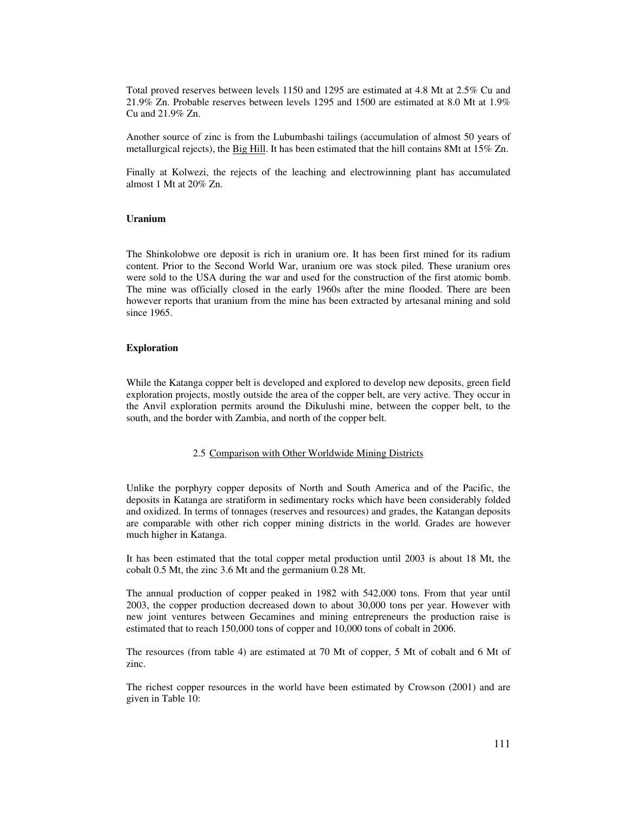Total proved reserves between levels 1150 and 1295 are estimated at 4.8 Mt at 2.5% Cu and 21.9% Zn. Probable reserves between levels 1295 and 1500 are estimated at 8.0 Mt at 1.9% Cu and 21.9% Zn.

Another source of zinc is from the Lubumbashi tailings (accumulation of almost 50 years of metallurgical rejects), the Big Hill. It has been estimated that the hill contains 8Mt at 15% Zn.

Finally at Kolwezi, the rejects of the leaching and electrowinning plant has accumulated almost 1 Mt at 20% Zn.

#### **Uranium**

The Shinkolobwe ore deposit is rich in uranium ore. It has been first mined for its radium content. Prior to the Second World War, uranium ore was stock piled. These uranium ores were sold to the USA during the war and used for the construction of the first atomic bomb. The mine was officially closed in the early 1960s after the mine flooded. There are been however reports that uranium from the mine has been extracted by artesanal mining and sold since 1965.

#### **Exploration**

While the Katanga copper belt is developed and explored to develop new deposits, green field exploration projects, mostly outside the area of the copper belt, are very active. They occur in the Anvil exploration permits around the Dikulushi mine, between the copper belt, to the south, and the border with Zambia, and north of the copper belt.

#### 2.5 Comparison with Other Worldwide Mining Districts

Unlike the porphyry copper deposits of North and South America and of the Pacific, the deposits in Katanga are stratiform in sedimentary rocks which have been considerably folded and oxidized. In terms of tonnages (reserves and resources) and grades, the Katangan deposits are comparable with other rich copper mining districts in the world. Grades are however much higher in Katanga.

It has been estimated that the total copper metal production until 2003 is about 18 Mt, the cobalt 0.5 Mt, the zinc 3.6 Mt and the germanium 0.28 Mt.

The annual production of copper peaked in 1982 with 542,000 tons. From that year until 2003, the copper production decreased down to about 30,000 tons per year. However with new joint ventures between Gecamines and mining entrepreneurs the production raise is estimated that to reach 150,000 tons of copper and 10,000 tons of cobalt in 2006.

The resources (from table 4) are estimated at 70 Mt of copper, 5 Mt of cobalt and 6 Mt of zinc.

The richest copper resources in the world have been estimated by Crowson (2001) and are given in Table 10: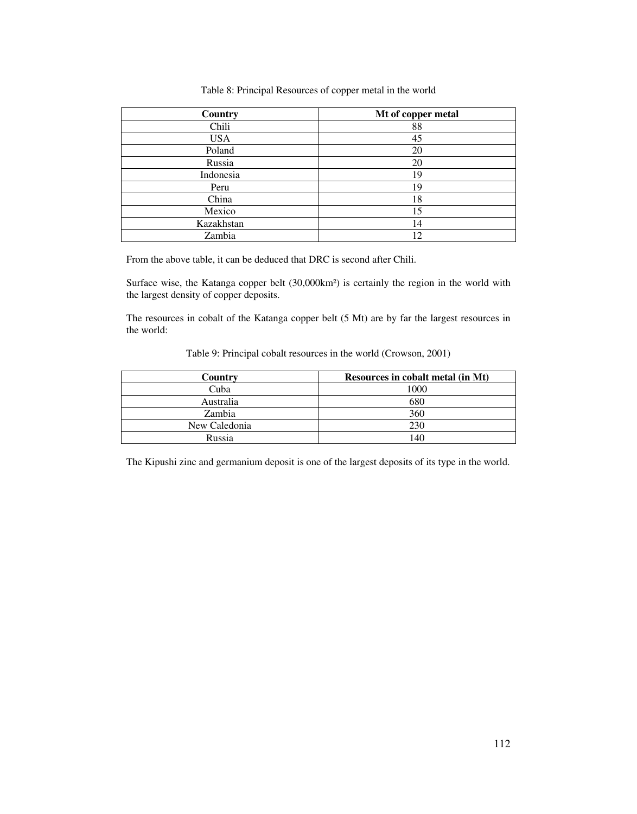#### Table 8: Principal Resources of copper metal in the world

| Country    | Mt of copper metal |
|------------|--------------------|
| Chili      | 88                 |
| <b>USA</b> | 45                 |
| Poland     | 20                 |
| Russia     | 20                 |
| Indonesia  | 19                 |
| Peru       | 19                 |
| China      | 18                 |
| Mexico     | 15                 |
| Kazakhstan | 14                 |
| Zambia     | 12                 |

From the above table, it can be deduced that DRC is second after Chili.

Surface wise, the Katanga copper belt (30,000km²) is certainly the region in the world with the largest density of copper deposits.

The resources in cobalt of the Katanga copper belt (5 Mt) are by far the largest resources in the world:

| Table 9: Principal cobalt resources in the world (Crowson, 2001) |  |  |  |
|------------------------------------------------------------------|--|--|--|
|------------------------------------------------------------------|--|--|--|

| Country       | <b>Resources in cobalt metal (in Mt)</b> |
|---------------|------------------------------------------|
| Cuba          | 1000                                     |
| Australia     | 680                                      |
| Zambia        | 360                                      |
| New Caledonia | 230                                      |
| Russia        | 40                                       |

The Kipushi zinc and germanium deposit is one of the largest deposits of its type in the world.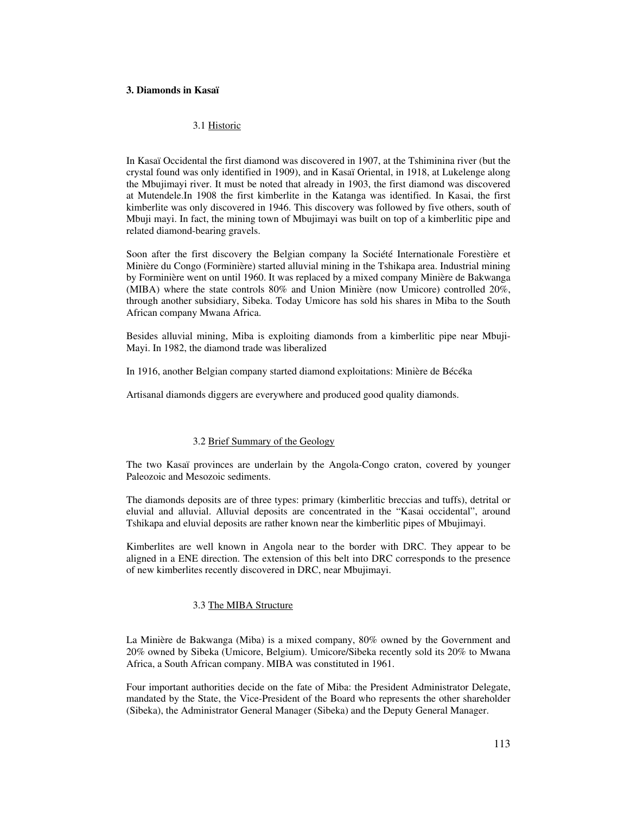#### **3. Diamonds in Kasaï**

#### 3.1 Historic

In Kasaï Occidental the first diamond was discovered in 1907, at the Tshiminina river (but the crystal found was only identified in 1909), and in Kasaï Oriental, in 1918, at Lukelenge along the Mbujimayi river. It must be noted that already in 1903, the first diamond was discovered at Mutendele.In 1908 the first kimberlite in the Katanga was identified. In Kasai, the first kimberlite was only discovered in 1946. This discovery was followed by five others, south of Mbuji mayi. In fact, the mining town of Mbujimayi was built on top of a kimberlitic pipe and related diamond-bearing gravels.

Soon after the first discovery the Belgian company la Société Internationale Forestière et Minière du Congo (Forminière) started alluvial mining in the Tshikapa area. Industrial mining by Forminière went on until 1960. It was replaced by a mixed company Minière de Bakwanga (MIBA) where the state controls 80% and Union Minière (now Umicore) controlled 20%, through another subsidiary, Sibeka. Today Umicore has sold his shares in Miba to the South African company Mwana Africa.

Besides alluvial mining, Miba is exploiting diamonds from a kimberlitic pipe near Mbuji-Mayi. In 1982, the diamond trade was liberalized

In 1916, another Belgian company started diamond exploitations: Minière de Bécéka

Artisanal diamonds diggers are everywhere and produced good quality diamonds.

#### 3.2 Brief Summary of the Geology

The two Kasaï provinces are underlain by the Angola-Congo craton, covered by younger Paleozoic and Mesozoic sediments.

The diamonds deposits are of three types: primary (kimberlitic breccias and tuffs), detrital or eluvial and alluvial. Alluvial deposits are concentrated in the "Kasai occidental", around Tshikapa and eluvial deposits are rather known near the kimberlitic pipes of Mbujimayi.

Kimberlites are well known in Angola near to the border with DRC. They appear to be aligned in a ENE direction. The extension of this belt into DRC corresponds to the presence of new kimberlites recently discovered in DRC, near Mbujimayi.

#### 3.3 The MIBA Structure

La Minière de Bakwanga (Miba) is a mixed company, 80% owned by the Government and 20% owned by Sibeka (Umicore, Belgium). Umicore/Sibeka recently sold its 20% to Mwana Africa, a South African company. MIBA was constituted in 1961.

Four important authorities decide on the fate of Miba: the President Administrator Delegate, mandated by the State, the Vice-President of the Board who represents the other shareholder (Sibeka), the Administrator General Manager (Sibeka) and the Deputy General Manager.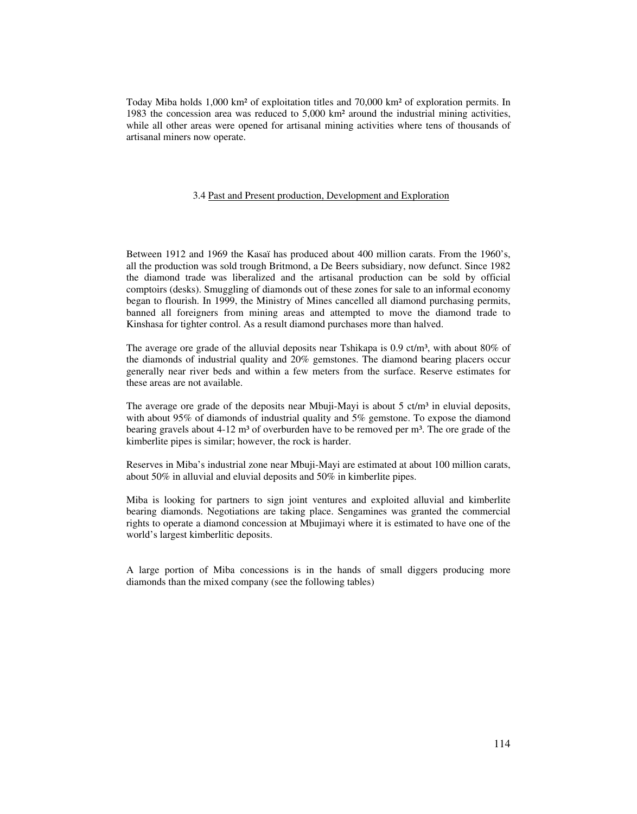Today Miba holds 1,000 km² of exploitation titles and 70,000 km² of exploration permits. In 1983 the concession area was reduced to 5,000 km² around the industrial mining activities, while all other areas were opened for artisanal mining activities where tens of thousands of artisanal miners now operate.

#### 3.4 Past and Present production, Development and Exploration

Between 1912 and 1969 the Kasaï has produced about 400 million carats. From the 1960's, all the production was sold trough Britmond, a De Beers subsidiary, now defunct. Since 1982 the diamond trade was liberalized and the artisanal production can be sold by official comptoirs (desks). Smuggling of diamonds out of these zones for sale to an informal economy began to flourish. In 1999, the Ministry of Mines cancelled all diamond purchasing permits, banned all foreigners from mining areas and attempted to move the diamond trade to Kinshasa for tighter control. As a result diamond purchases more than halved.

The average ore grade of the alluvial deposits near Tshikapa is 0.9 ct/m<sup>3</sup>, with about 80% of the diamonds of industrial quality and 20% gemstones. The diamond bearing placers occur generally near river beds and within a few meters from the surface. Reserve estimates for these areas are not available.

The average ore grade of the deposits near Mbuji-Mayi is about 5  $ct/m<sup>3</sup>$  in eluvial deposits, with about 95% of diamonds of industrial quality and 5% gemstone. To expose the diamond bearing gravels about  $4-12$  m<sup>3</sup> of overburden have to be removed per m<sup>3</sup>. The ore grade of the kimberlite pipes is similar; however, the rock is harder.

Reserves in Miba's industrial zone near Mbuji-Mayi are estimated at about 100 million carats, about 50% in alluvial and eluvial deposits and 50% in kimberlite pipes.

Miba is looking for partners to sign joint ventures and exploited alluvial and kimberlite bearing diamonds. Negotiations are taking place. Sengamines was granted the commercial rights to operate a diamond concession at Mbujimayi where it is estimated to have one of the world's largest kimberlitic deposits.

A large portion of Miba concessions is in the hands of small diggers producing more diamonds than the mixed company (see the following tables)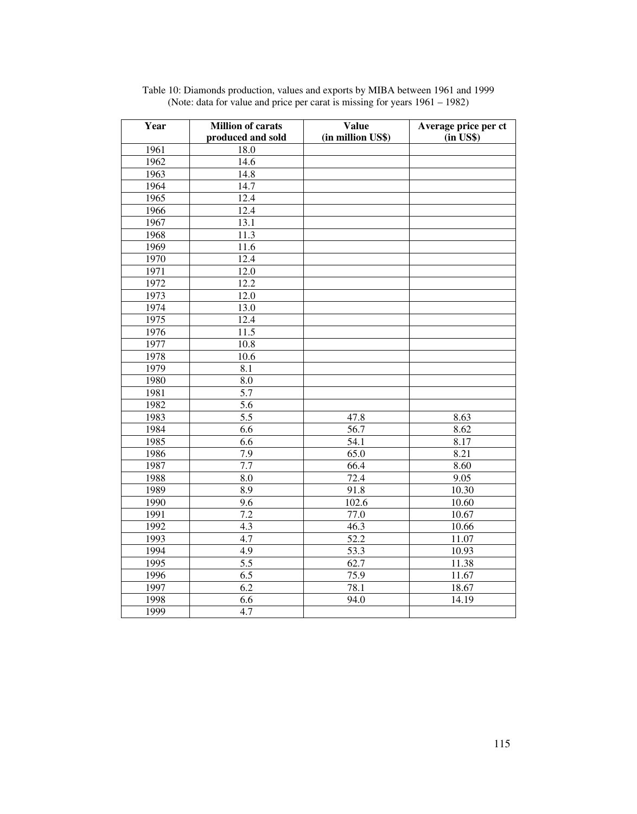| Year | <b>Million of carats</b><br>produced and sold | <b>Value</b><br>(in million US\$) | Average price per ct<br>$(in$ US\$ $)$ |
|------|-----------------------------------------------|-----------------------------------|----------------------------------------|
| 1961 | 18.0                                          |                                   |                                        |
| 1962 | 14.6                                          |                                   |                                        |
| 1963 | 14.8                                          |                                   |                                        |
| 1964 | 14.7                                          |                                   |                                        |
| 1965 | 12.4                                          |                                   |                                        |
| 1966 | 12.4                                          |                                   |                                        |
| 1967 | 13.1                                          |                                   |                                        |
| 1968 | 11.3                                          |                                   |                                        |
| 1969 | 11.6                                          |                                   |                                        |
| 1970 | 12.4                                          |                                   |                                        |
| 1971 | 12.0                                          |                                   |                                        |
| 1972 | 12.2                                          |                                   |                                        |
| 1973 | 12.0                                          |                                   |                                        |
| 1974 | 13.0                                          |                                   |                                        |
| 1975 | 12.4                                          |                                   |                                        |
| 1976 | 11.5                                          |                                   |                                        |
| 1977 | 10.8                                          |                                   |                                        |
| 1978 | 10.6                                          |                                   |                                        |
| 1979 | $\overline{8.1}$                              |                                   |                                        |
| 1980 | 8.0                                           |                                   |                                        |
| 1981 | 5.7                                           |                                   |                                        |
| 1982 | $\overline{5.6}$                              |                                   |                                        |
| 1983 | $\overline{5.5}$                              | 47.8                              | 8.63                                   |
| 1984 | 6.6                                           | $\overline{56.7}$                 | 8.62                                   |
| 1985 | $\overline{6.6}$                              | 54.1                              | 8.17                                   |
| 1986 | 7.9                                           | 65.0                              | 8.21                                   |
| 1987 | 7.7                                           | 66.4                              | 8.60                                   |
| 1988 | $\overline{8.0}$                              | 72.4                              | 9.05                                   |
| 1989 | 8.9                                           | 91.8                              | 10.30                                  |
| 1990 | $\overline{9.6}$                              | 102.6                             | 10.60                                  |
| 1991 | $\overline{7.2}$                              | 77.0                              | 10.67                                  |
| 1992 | 4.3                                           | 46.3                              | 10.66                                  |
| 1993 | $\overline{4.7}$                              | 52.2                              | 11.07                                  |
| 1994 | $\overline{4.9}$                              | 53.3                              | 10.93                                  |
| 1995 | 5.5                                           | 62.7                              | 11.38                                  |
| 1996 | 6.5                                           | 75.9                              | 11.67                                  |
| 1997 | $\overline{6.2}$                              | 78.1                              | 18.67                                  |
| 1998 | 6.6                                           | 94.0                              | 14.19                                  |
| 1999 | 4.7                                           |                                   |                                        |

Table 10: Diamonds production, values and exports by MIBA between 1961 and 1999 (Note: data for value and price per carat is missing for years 1961 – 1982)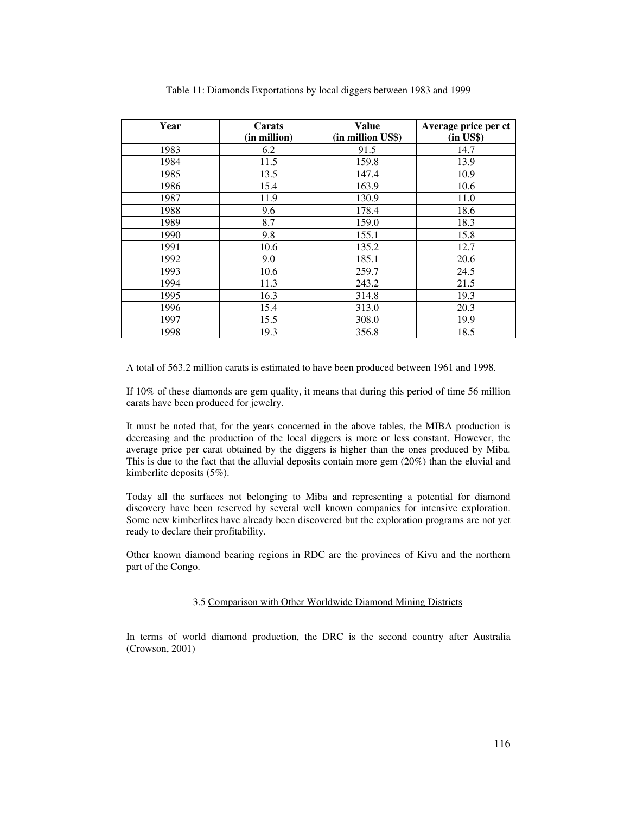| Year | Carats<br>(in million) | Value<br>(in million US\$) | Average price per ct<br>$(in$ US\$ $)$ |
|------|------------------------|----------------------------|----------------------------------------|
| 1983 | 6.2                    | 91.5                       | 14.7                                   |
| 1984 | 11.5                   | 159.8                      | 13.9                                   |
| 1985 | 13.5                   | 147.4                      | 10.9                                   |
| 1986 | 15.4                   | 163.9                      | 10.6                                   |
| 1987 | 11.9                   | 130.9                      | 11.0                                   |
| 1988 | 9.6                    | 178.4                      | 18.6                                   |
| 1989 | 8.7                    | 159.0                      | 18.3                                   |
| 1990 | 9.8                    | 155.1                      | 15.8                                   |
| 1991 | 10.6                   | 135.2                      | 12.7                                   |
| 1992 | 9.0                    | 185.1                      | 20.6                                   |
| 1993 | 10.6                   | 259.7                      | 24.5                                   |
| 1994 | 11.3                   | 243.2                      | 21.5                                   |
| 1995 | 16.3                   | 314.8                      | 19.3                                   |
| 1996 | 15.4                   | 313.0                      | 20.3                                   |
| 1997 | 15.5                   | 308.0                      | 19.9                                   |
| 1998 | 19.3                   | 356.8                      | 18.5                                   |

Table 11: Diamonds Exportations by local diggers between 1983 and 1999

A total of 563.2 million carats is estimated to have been produced between 1961 and 1998.

If 10% of these diamonds are gem quality, it means that during this period of time 56 million carats have been produced for jewelry.

It must be noted that, for the years concerned in the above tables, the MIBA production is decreasing and the production of the local diggers is more or less constant. However, the average price per carat obtained by the diggers is higher than the ones produced by Miba. This is due to the fact that the alluvial deposits contain more gem (20%) than the eluvial and kimberlite deposits (5%).

Today all the surfaces not belonging to Miba and representing a potential for diamond discovery have been reserved by several well known companies for intensive exploration. Some new kimberlites have already been discovered but the exploration programs are not yet ready to declare their profitability.

Other known diamond bearing regions in RDC are the provinces of Kivu and the northern part of the Congo.

#### 3.5 Comparison with Other Worldwide Diamond Mining Districts

In terms of world diamond production, the DRC is the second country after Australia (Crowson, 2001)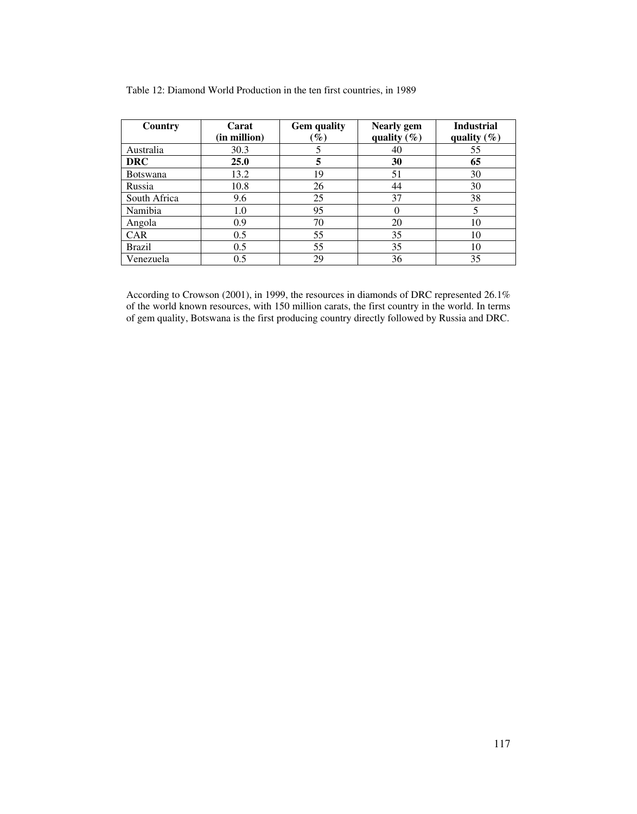| Country         | Carat<br>(in million) | <b>Gem</b> quality<br>$\mathscr{G}_o$ | <b>Nearly</b> gem<br>quality $(\% )$ | <b>Industrial</b><br>quality $(\% )$ |  |
|-----------------|-----------------------|---------------------------------------|--------------------------------------|--------------------------------------|--|
|                 |                       |                                       |                                      |                                      |  |
| Australia       | 30.3                  |                                       | 40                                   | 55                                   |  |
| <b>DRC</b>      | 25.0                  | 5                                     | 30                                   | 65                                   |  |
| <b>Botswana</b> | 13.2                  | 19                                    | 51                                   | 30                                   |  |
| Russia          | 10.8                  | 26                                    | 44                                   | 30                                   |  |
| South Africa    | 9.6                   | 25                                    | 37                                   | 38                                   |  |
| Namibia         | 1.0                   | 95                                    | 0                                    |                                      |  |
| Angola          | 0.9                   | 70                                    | 20                                   | 10                                   |  |
| <b>CAR</b>      | 0.5                   | 55                                    | 35                                   | 10                                   |  |
| <b>Brazil</b>   | 0.5                   | 55                                    | 35                                   | 10                                   |  |
| Venezuela       | 0.5                   | 29                                    | 36                                   | 35                                   |  |

Table 12: Diamond World Production in the ten first countries, in 1989

According to Crowson (2001), in 1999, the resources in diamonds of DRC represented 26.1% of the world known resources, with 150 million carats, the first country in the world. In terms of gem quality, Botswana is the first producing country directly followed by Russia and DRC.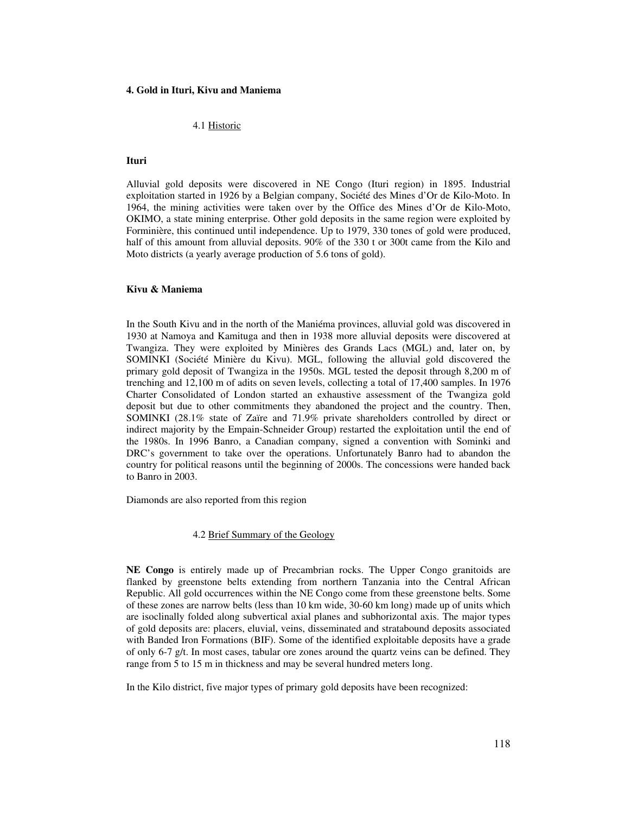#### **4. Gold in Ituri, Kivu and Maniema**

#### 4.1 Historic

#### **Ituri**

Alluvial gold deposits were discovered in NE Congo (Ituri region) in 1895. Industrial exploitation started in 1926 by a Belgian company, Société des Mines d'Or de Kilo-Moto. In 1964, the mining activities were taken over by the Office des Mines d'Or de Kilo-Moto, OKIMO, a state mining enterprise. Other gold deposits in the same region were exploited by Forminière, this continued until independence. Up to 1979, 330 tones of gold were produced, half of this amount from alluvial deposits. 90% of the 330 t or 300t came from the Kilo and Moto districts (a yearly average production of 5.6 tons of gold).

#### **Kivu & Maniema**

In the South Kivu and in the north of the Maniéma provinces, alluvial gold was discovered in 1930 at Namoya and Kamituga and then in 1938 more alluvial deposits were discovered at Twangiza. They were exploited by Minières des Grands Lacs (MGL) and, later on, by SOMINKI (Société Minière du Kivu). MGL, following the alluvial gold discovered the primary gold deposit of Twangiza in the 1950s. MGL tested the deposit through 8,200 m of trenching and 12,100 m of adits on seven levels, collecting a total of 17,400 samples. In 1976 Charter Consolidated of London started an exhaustive assessment of the Twangiza gold deposit but due to other commitments they abandoned the project and the country. Then, SOMINKI (28.1% state of Zaïre and 71.9% private shareholders controlled by direct or indirect majority by the Empain-Schneider Group) restarted the exploitation until the end of the 1980s. In 1996 Banro, a Canadian company, signed a convention with Sominki and DRC's government to take over the operations. Unfortunately Banro had to abandon the country for political reasons until the beginning of 2000s. The concessions were handed back to Banro in 2003.

Diamonds are also reported from this region

4.2 Brief Summary of the Geology

**NE Congo** is entirely made up of Precambrian rocks. The Upper Congo granitoids are flanked by greenstone belts extending from northern Tanzania into the Central African Republic. All gold occurrences within the NE Congo come from these greenstone belts. Some of these zones are narrow belts (less than 10 km wide, 30-60 km long) made up of units which are isoclinally folded along subvertical axial planes and subhorizontal axis. The major types of gold deposits are: placers, eluvial, veins, disseminated and stratabound deposits associated with Banded Iron Formations (BIF). Some of the identified exploitable deposits have a grade of only 6-7 g/t. In most cases, tabular ore zones around the quartz veins can be defined. They range from 5 to 15 m in thickness and may be several hundred meters long.

In the Kilo district, five major types of primary gold deposits have been recognized: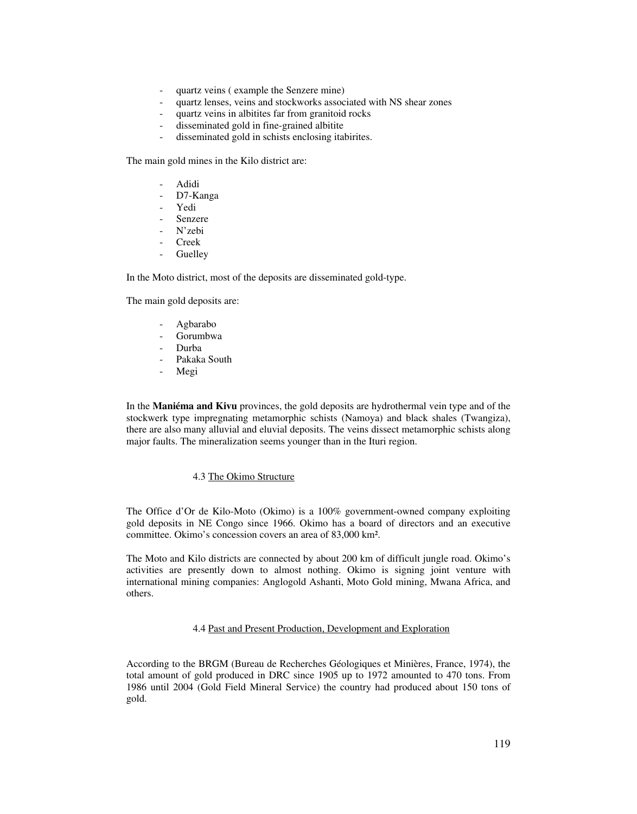- quartz veins (example the Senzere mine)
- quartz lenses, veins and stockworks associated with NS shear zones
- quartz veins in albitites far from granitoid rocks
- disseminated gold in fine-grained albitite
- disseminated gold in schists enclosing itabirites.

The main gold mines in the Kilo district are:

- Adidi
- D7-Kanga
- Yedi
- **Senzere**
- N'zebi
- Creek
- **Guelley**

In the Moto district, most of the deposits are disseminated gold-type.

The main gold deposits are:

- Agbarabo
- Gorumbwa
- Durba
- Pakaka South
- Megi

In the **Maniéma and Kivu** provinces, the gold deposits are hydrothermal vein type and of the stockwerk type impregnating metamorphic schists (Namoya) and black shales (Twangiza), there are also many alluvial and eluvial deposits. The veins dissect metamorphic schists along major faults. The mineralization seems younger than in the Ituri region.

#### 4.3 The Okimo Structure

The Office d'Or de Kilo-Moto (Okimo) is a 100% government-owned company exploiting gold deposits in NE Congo since 1966. Okimo has a board of directors and an executive committee. Okimo's concession covers an area of 83,000 km².

The Moto and Kilo districts are connected by about 200 km of difficult jungle road. Okimo's activities are presently down to almost nothing. Okimo is signing joint venture with international mining companies: Anglogold Ashanti, Moto Gold mining, Mwana Africa, and others.

# 4.4 Past and Present Production, Development and Exploration

According to the BRGM (Bureau de Recherches Géologiques et Minières, France, 1974), the total amount of gold produced in DRC since 1905 up to 1972 amounted to 470 tons. From 1986 until 2004 (Gold Field Mineral Service) the country had produced about 150 tons of gold.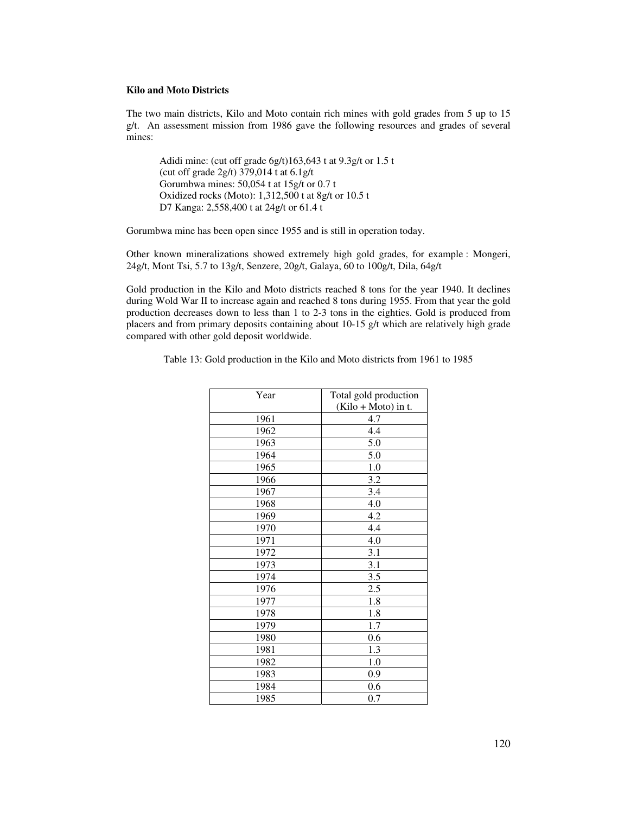#### **Kilo and Moto Districts**

The two main districts, Kilo and Moto contain rich mines with gold grades from 5 up to 15 g/t. An assessment mission from 1986 gave the following resources and grades of several mines:

 Adidi mine: (cut off grade 6g/t)163,643 t at 9.3g/t or 1.5 t (cut off grade 2g/t) 379,014 t at 6.1g/t Gorumbwa mines: 50,054 t at 15g/t or 0.7 t Oxidized rocks (Moto): 1,312,500 t at 8g/t or 10.5 t D7 Kanga: 2,558,400 t at 24g/t or 61.4 t

Gorumbwa mine has been open since 1955 and is still in operation today.

Other known mineralizations showed extremely high gold grades, for example : Mongeri, 24g/t, Mont Tsi, 5.7 to 13g/t, Senzere, 20g/t, Galaya, 60 to 100g/t, Dila, 64g/t

Gold production in the Kilo and Moto districts reached 8 tons for the year 1940. It declines during Wold War II to increase again and reached 8 tons during 1955. From that year the gold production decreases down to less than 1 to 2-3 tons in the eighties. Gold is produced from placers and from primary deposits containing about  $10-15$  g/t which are relatively high grade compared with other gold deposit worldwide.

| Table 13: Gold production in the Kilo and Moto districts from 1961 to 1985 |  |
|----------------------------------------------------------------------------|--|
|----------------------------------------------------------------------------|--|

| Year | Total gold production<br>$(Kilo + Moto)$ in t. |  |  |
|------|------------------------------------------------|--|--|
|      |                                                |  |  |
| 1961 | 4.7                                            |  |  |
| 1962 | 4.4                                            |  |  |
| 1963 | 5.0                                            |  |  |
| 1964 | 5.0                                            |  |  |
| 1965 | 1.0                                            |  |  |
| 1966 | 3.2                                            |  |  |
| 1967 | 3.4                                            |  |  |
| 1968 | 4.0                                            |  |  |
| 1969 | 4.2                                            |  |  |
| 1970 | 4.4                                            |  |  |
| 1971 | 4.0                                            |  |  |
| 1972 | 3.1                                            |  |  |
| 1973 | 3.1                                            |  |  |
| 1974 | 3.5                                            |  |  |
| 1976 | 2.5                                            |  |  |
| 1977 | 1.8                                            |  |  |
| 1978 | 1.8                                            |  |  |
| 1979 | 1.7                                            |  |  |
| 1980 | 0.6                                            |  |  |
| 1981 | 1.3                                            |  |  |
| 1982 | 1.0                                            |  |  |
| 1983 | 0.9                                            |  |  |
| 1984 | 0.6                                            |  |  |
| 1985 | 0.7                                            |  |  |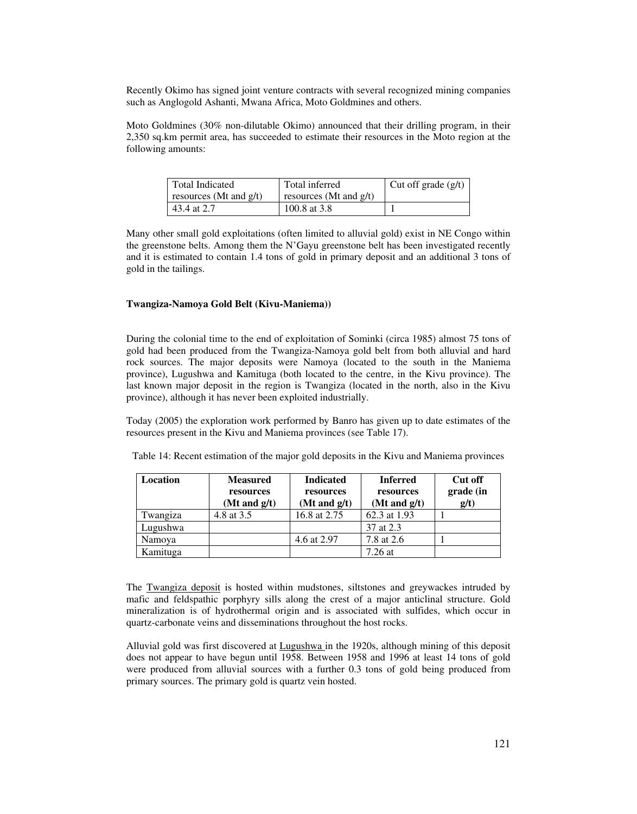Recently Okimo has signed joint venture contracts with several recognized mining companies such as Anglogold Ashanti, Mwana Africa, Moto Goldmines and others.

Moto Goldmines (30% non-dilutable Okimo) announced that their drilling program, in their 2,350 sq.km permit area, has succeeded to estimate their resources in the Moto region at the following amounts:

| Total Indicated           | Total inferred             | Cut off grade $(g/t)$ |
|---------------------------|----------------------------|-----------------------|
| resources (Mt and $g/t$ ) | resources (Mt and $g(t)$ ) |                       |
| 43.4 at 2.7               | 100.8 at 3.8               |                       |

Many other small gold exploitations (often limited to alluvial gold) exist in NE Congo within the greenstone belts. Among them the N'Gayu greenstone belt has been investigated recently and it is estimated to contain 1.4 tons of gold in primary deposit and an additional 3 tons of gold in the tailings.

#### **Twangiza-Namoya Gold Belt (Kivu-Maniema))**

During the colonial time to the end of exploitation of Sominki (circa 1985) almost 75 tons of gold had been produced from the Twangiza-Namoya gold belt from both alluvial and hard rock sources. The major deposits were Namoya (located to the south in the Maniema province), Lugushwa and Kamituga (both located to the centre, in the Kivu province). The last known major deposit in the region is Twangiza (located in the north, also in the Kivu province), although it has never been exploited industrially.

Today (2005) the exploration work performed by Banro has given up to date estimates of the resources present in the Kivu and Maniema provinces (see Table 17).

| Location | <b>Measured</b><br>resources<br>(Mt and $g/t$ ) | <b>Indicated</b><br>resources<br>(Mt and $g/t$ ) | <b>Inferred</b><br>resources<br>(Mt and $g/t$ ) | Cut off<br>grade (in<br>g/t) |  |
|----------|-------------------------------------------------|--------------------------------------------------|-------------------------------------------------|------------------------------|--|
| Twangiza | 4.8 at 3.5                                      | 16.8 at 2.75                                     | 62.3 at 1.93                                    |                              |  |
| Lugushwa |                                                 |                                                  | 37 at 2.3                                       |                              |  |
| Namoya   |                                                 | 4.6 at 2.97                                      | 7.8 at 2.6                                      |                              |  |
| Kamituga |                                                 |                                                  | $7.26$ at                                       |                              |  |

Table 14: Recent estimation of the major gold deposits in the Kivu and Maniema provinces

The Twangiza deposit is hosted within mudstones, siltstones and greywackes intruded by mafic and feldspathic porphyry sills along the crest of a major anticlinal structure. Gold mineralization is of hydrothermal origin and is associated with sulfides, which occur in quartz-carbonate veins and disseminations throughout the host rocks.

Alluvial gold was first discovered at Lugushwa in the 1920s, although mining of this deposit does not appear to have begun until 1958. Between 1958 and 1996 at least 14 tons of gold were produced from alluvial sources with a further 0.3 tons of gold being produced from primary sources. The primary gold is quartz vein hosted.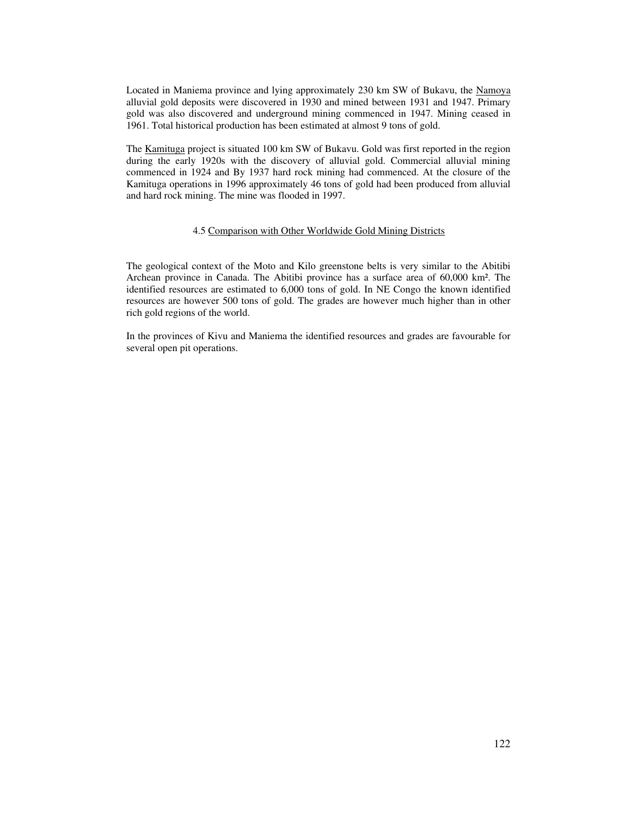Located in Maniema province and lying approximately 230 km SW of Bukavu, the Namoya alluvial gold deposits were discovered in 1930 and mined between 1931 and 1947. Primary gold was also discovered and underground mining commenced in 1947. Mining ceased in 1961. Total historical production has been estimated at almost 9 tons of gold.

The Kamituga project is situated 100 km SW of Bukavu. Gold was first reported in the region during the early 1920s with the discovery of alluvial gold. Commercial alluvial mining commenced in 1924 and By 1937 hard rock mining had commenced. At the closure of the Kamituga operations in 1996 approximately 46 tons of gold had been produced from alluvial and hard rock mining. The mine was flooded in 1997.

## 4.5 Comparison with Other Worldwide Gold Mining Districts

The geological context of the Moto and Kilo greenstone belts is very similar to the Abitibi Archean province in Canada. The Abitibi province has a surface area of 60,000 km². The identified resources are estimated to 6,000 tons of gold. In NE Congo the known identified resources are however 500 tons of gold. The grades are however much higher than in other rich gold regions of the world.

In the provinces of Kivu and Maniema the identified resources and grades are favourable for several open pit operations.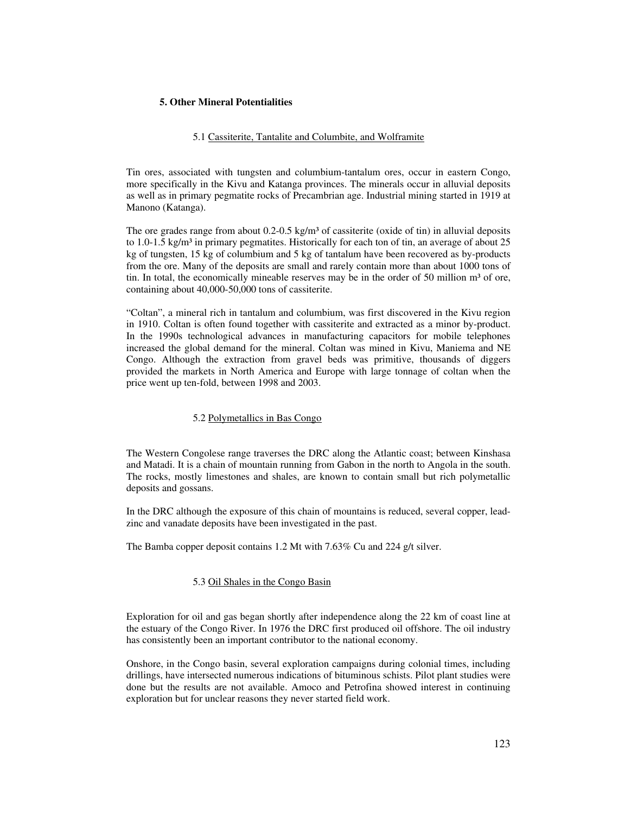## **5. Other Mineral Potentialities**

#### 5.1 Cassiterite, Tantalite and Columbite, and Wolframite

Tin ores, associated with tungsten and columbium-tantalum ores, occur in eastern Congo, more specifically in the Kivu and Katanga provinces. The minerals occur in alluvial deposits as well as in primary pegmatite rocks of Precambrian age. Industrial mining started in 1919 at Manono (Katanga).

The ore grades range from about  $0.2$ - $0.5$  kg/m<sup>3</sup> of cassiterite (oxide of tin) in alluvial deposits to 1.0-1.5 kg/m<sup>3</sup> in primary pegmatites. Historically for each ton of tin, an average of about  $25$ kg of tungsten, 15 kg of columbium and 5 kg of tantalum have been recovered as by-products from the ore. Many of the deposits are small and rarely contain more than about 1000 tons of tin. In total, the economically mineable reserves may be in the order of 50 million  $m<sup>3</sup>$  of ore, containing about 40,000-50,000 tons of cassiterite.

"Coltan", a mineral rich in tantalum and columbium, was first discovered in the Kivu region in 1910. Coltan is often found together with cassiterite and extracted as a minor by-product. In the 1990s technological advances in manufacturing capacitors for mobile telephones increased the global demand for the mineral. Coltan was mined in Kivu, Maniema and NE Congo. Although the extraction from gravel beds was primitive, thousands of diggers provided the markets in North America and Europe with large tonnage of coltan when the price went up ten-fold, between 1998 and 2003.

## 5.2 Polymetallics in Bas Congo

The Western Congolese range traverses the DRC along the Atlantic coast; between Kinshasa and Matadi. It is a chain of mountain running from Gabon in the north to Angola in the south. The rocks, mostly limestones and shales, are known to contain small but rich polymetallic deposits and gossans.

In the DRC although the exposure of this chain of mountains is reduced, several copper, leadzinc and vanadate deposits have been investigated in the past.

The Bamba copper deposit contains 1.2 Mt with 7.63% Cu and 224 g/t silver.

# 5.3 Oil Shales in the Congo Basin

Exploration for oil and gas began shortly after independence along the 22 km of coast line at the estuary of the Congo River. In 1976 the DRC first produced oil offshore. The oil industry has consistently been an important contributor to the national economy.

Onshore, in the Congo basin, several exploration campaigns during colonial times, including drillings, have intersected numerous indications of bituminous schists. Pilot plant studies were done but the results are not available. Amoco and Petrofina showed interest in continuing exploration but for unclear reasons they never started field work.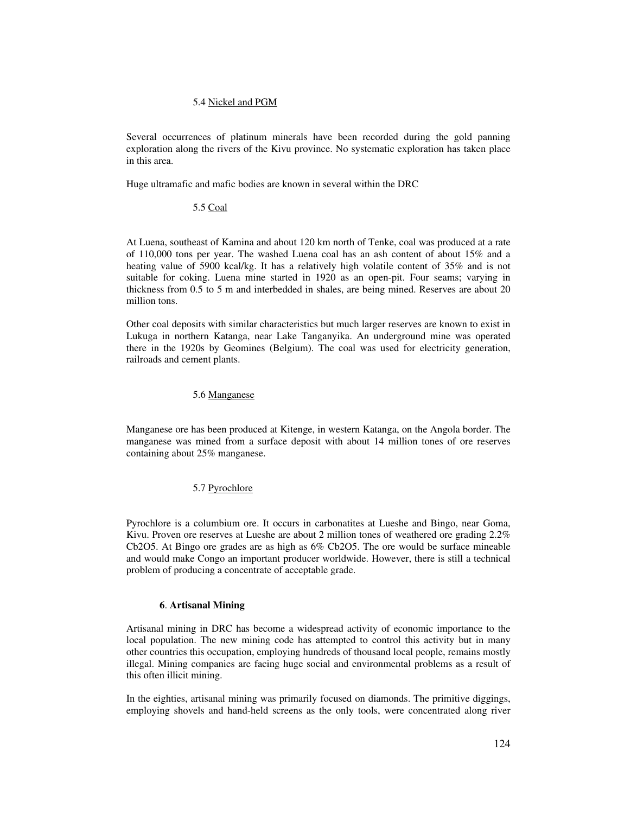#### 5.4 Nickel and PGM

Several occurrences of platinum minerals have been recorded during the gold panning exploration along the rivers of the Kivu province. No systematic exploration has taken place in this area.

Huge ultramafic and mafic bodies are known in several within the DRC

#### 5.5 Coal

At Luena, southeast of Kamina and about 120 km north of Tenke, coal was produced at a rate of 110,000 tons per year. The washed Luena coal has an ash content of about 15% and a heating value of 5900 kcal/kg. It has a relatively high volatile content of 35% and is not suitable for coking. Luena mine started in 1920 as an open-pit. Four seams; varying in thickness from 0.5 to 5 m and interbedded in shales, are being mined. Reserves are about 20 million tons.

Other coal deposits with similar characteristics but much larger reserves are known to exist in Lukuga in northern Katanga, near Lake Tanganyika. An underground mine was operated there in the 1920s by Geomines (Belgium). The coal was used for electricity generation, railroads and cement plants.

#### 5.6 Manganese

Manganese ore has been produced at Kitenge, in western Katanga, on the Angola border. The manganese was mined from a surface deposit with about 14 million tones of ore reserves containing about 25% manganese.

#### 5.7 Pyrochlore

Pyrochlore is a columbium ore. It occurs in carbonatites at Lueshe and Bingo, near Goma, Kivu. Proven ore reserves at Lueshe are about 2 million tones of weathered ore grading 2.2% Cb2O5. At Bingo ore grades are as high as 6% Cb2O5. The ore would be surface mineable and would make Congo an important producer worldwide. However, there is still a technical problem of producing a concentrate of acceptable grade.

#### **6**. **Artisanal Mining**

Artisanal mining in DRC has become a widespread activity of economic importance to the local population. The new mining code has attempted to control this activity but in many other countries this occupation, employing hundreds of thousand local people, remains mostly illegal. Mining companies are facing huge social and environmental problems as a result of this often illicit mining.

In the eighties, artisanal mining was primarily focused on diamonds. The primitive diggings, employing shovels and hand-held screens as the only tools, were concentrated along river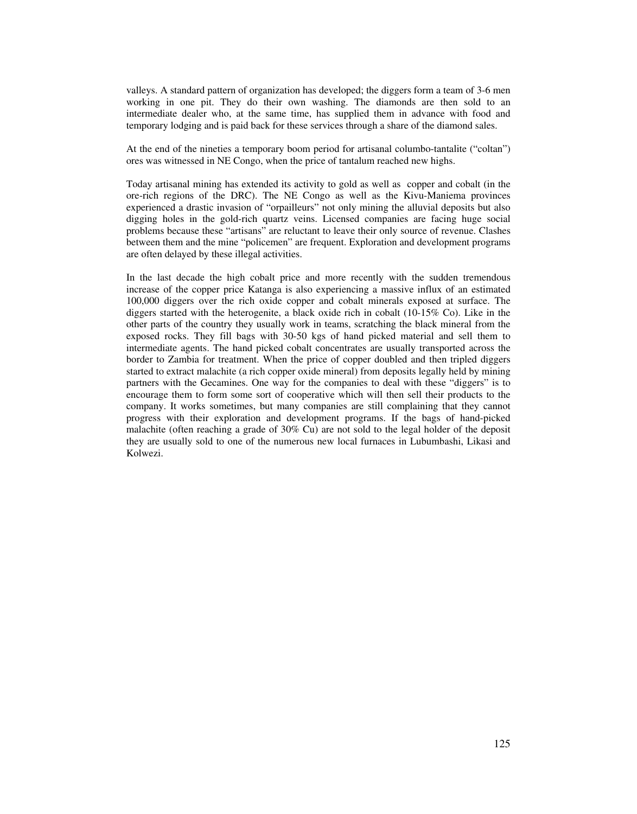valleys. A standard pattern of organization has developed; the diggers form a team of 3-6 men working in one pit. They do their own washing. The diamonds are then sold to an intermediate dealer who, at the same time, has supplied them in advance with food and temporary lodging and is paid back for these services through a share of the diamond sales.

At the end of the nineties a temporary boom period for artisanal columbo-tantalite ("coltan") ores was witnessed in NE Congo, when the price of tantalum reached new highs.

Today artisanal mining has extended its activity to gold as well as copper and cobalt (in the ore-rich regions of the DRC). The NE Congo as well as the Kivu-Maniema provinces experienced a drastic invasion of "orpailleurs" not only mining the alluvial deposits but also digging holes in the gold-rich quartz veins. Licensed companies are facing huge social problems because these "artisans" are reluctant to leave their only source of revenue. Clashes between them and the mine "policemen" are frequent. Exploration and development programs are often delayed by these illegal activities.

In the last decade the high cobalt price and more recently with the sudden tremendous increase of the copper price Katanga is also experiencing a massive influx of an estimated 100,000 diggers over the rich oxide copper and cobalt minerals exposed at surface. The diggers started with the heterogenite, a black oxide rich in cobalt (10-15% Co). Like in the other parts of the country they usually work in teams, scratching the black mineral from the exposed rocks. They fill bags with 30-50 kgs of hand picked material and sell them to intermediate agents. The hand picked cobalt concentrates are usually transported across the border to Zambia for treatment. When the price of copper doubled and then tripled diggers started to extract malachite (a rich copper oxide mineral) from deposits legally held by mining partners with the Gecamines. One way for the companies to deal with these "diggers" is to encourage them to form some sort of cooperative which will then sell their products to the company. It works sometimes, but many companies are still complaining that they cannot progress with their exploration and development programs. If the bags of hand-picked malachite (often reaching a grade of 30% Cu) are not sold to the legal holder of the deposit they are usually sold to one of the numerous new local furnaces in Lubumbashi, Likasi and Kolwezi.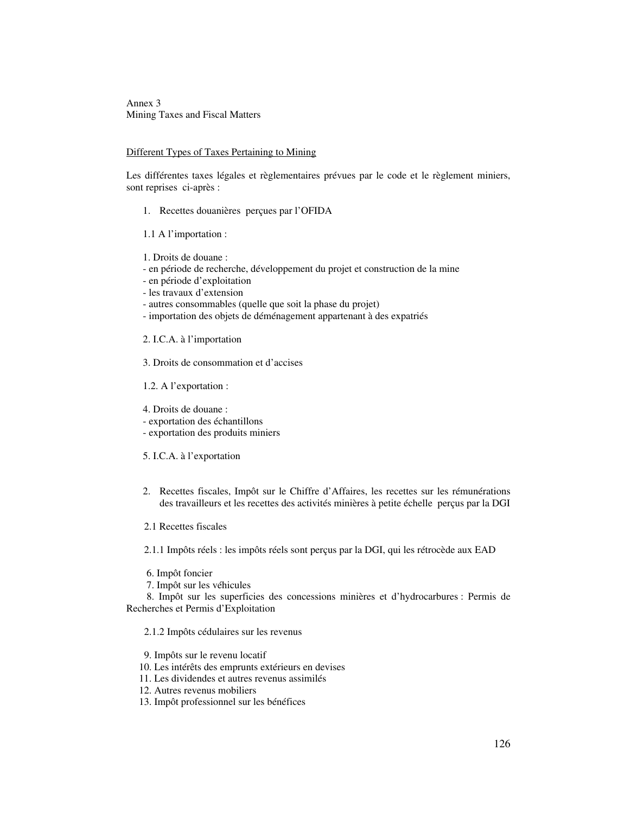Annex 3 Mining Taxes and Fiscal Matters

#### Different Types of Taxes Pertaining to Mining

Les différentes taxes légales et règlementaires prévues par le code et le règlement miniers, sont reprises ci-après :

- 1. Recettes douanières perçues par l'OFIDA
- 1.1 A l'importation :
- 1. Droits de douane :
- en période de recherche, développement du projet et construction de la mine
- en période d'exploitation
- les travaux d'extension
- autres consommables (quelle que soit la phase du projet)
- importation des objets de déménagement appartenant à des expatriés

2. I.C.A. à l'importation

3. Droits de consommation et d'accises

- 1.2. A l'exportation :
- 4. Droits de douane :
- exportation des échantillons
- exportation des produits miniers
- 5. I.C.A. à l'exportation
- 2. Recettes fiscales, Impôt sur le Chiffre d'Affaires, les recettes sur les rémunérations des travailleurs et les recettes des activités minières à petite échelle perçus par la DGI
- 2.1 Recettes fiscales

2.1.1 Impôts réels : les impôts réels sont perçus par la DGI, qui les rétrocède aux EAD

- 6. Impôt foncier
- 7. Impôt sur les véhicules

 8. Impôt sur les superficies des concessions minières et d'hydrocarbures : Permis de Recherches et Permis d'Exploitation

2.1.2 Impôts cédulaires sur les revenus

9. Impôts sur le revenu locatif

- 10. Les intérêts des emprunts extérieurs en devises
- 11. Les dividendes et autres revenus assimilés

12. Autres revenus mobiliers

13. Impôt professionnel sur les bénéfices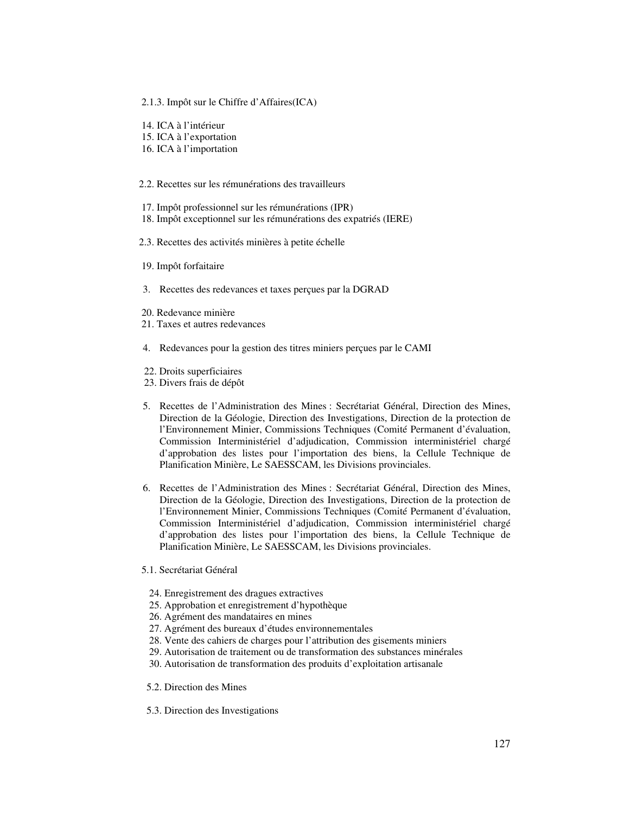#### 2.1.3. Impôt sur le Chiffre d'Affaires(ICA)

- 14. ICA à l'intérieur
- 15. ICA à l'exportation
- 16. ICA à l'importation

#### 2.2. Recettes sur les rémunérations des travailleurs

- 17. Impôt professionnel sur les rémunérations (IPR)
- 18. Impôt exceptionnel sur les rémunérations des expatriés (IERE)
- 2.3. Recettes des activités minières à petite échelle
- 19. Impôt forfaitaire
- 3. Recettes des redevances et taxes perçues par la DGRAD
- 20. Redevance minière
- 21. Taxes et autres redevances
- 4. Redevances pour la gestion des titres miniers perçues par le CAMI
- 22. Droits superficiaires
- 23. Divers frais de dépôt
- 5. Recettes de l'Administration des Mines : Secrétariat Général, Direction des Mines, Direction de la Géologie, Direction des Investigations, Direction de la protection de l'Environnement Minier, Commissions Techniques (Comité Permanent d'évaluation, Commission Interministériel d'adjudication, Commission interministériel chargé d'approbation des listes pour l'importation des biens, la Cellule Technique de Planification Minière, Le SAESSCAM, les Divisions provinciales.
- 6. Recettes de l'Administration des Mines : Secrétariat Général, Direction des Mines, Direction de la Géologie, Direction des Investigations, Direction de la protection de l'Environnement Minier, Commissions Techniques (Comité Permanent d'évaluation, Commission Interministériel d'adjudication, Commission interministériel chargé d'approbation des listes pour l'importation des biens, la Cellule Technique de Planification Minière, Le SAESSCAM, les Divisions provinciales.
- 5.1. Secrétariat Général
	- 24. Enregistrement des dragues extractives
	- 25. Approbation et enregistrement d'hypothèque
	- 26. Agrément des mandataires en mines
	- 27. Agrément des bureaux d'études environnementales
	- 28. Vente des cahiers de charges pour l'attribution des gisements miniers
	- 29. Autorisation de traitement ou de transformation des substances minérales
	- 30. Autorisation de transformation des produits d'exploitation artisanale
- 5.2. Direction des Mines
- 5.3. Direction des Investigations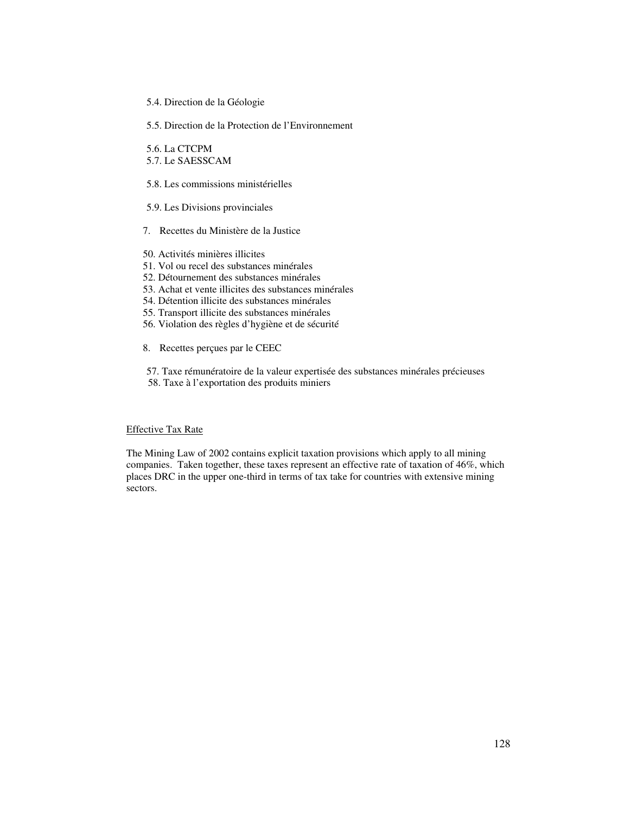5.4. Direction de la Géologie

5.5. Direction de la Protection de l'Environnement

 5.6. La CTCPM 5.7. Le SAESSCAM

5.8. Les commissions ministérielles

5.9. Les Divisions provinciales

7. Recettes du Ministère de la Justice

- 50. Activités minières illicites
- 51. Vol ou recel des substances minérales
- 52. Détournement des substances minérales
- 53. Achat et vente illicites des substances minérales
- 54. Détention illicite des substances minérales
- 55. Transport illicite des substances minérales
- 56. Violation des règles d'hygiène et de sécurité
- 8. Recettes perçues par le CEEC

 57. Taxe rémunératoire de la valeur expertisée des substances minérales précieuses 58. Taxe à l'exportation des produits miniers

# Effective Tax Rate

The Mining Law of 2002 contains explicit taxation provisions which apply to all mining companies. Taken together, these taxes represent an effective rate of taxation of 46%, which places DRC in the upper one-third in terms of tax take for countries with extensive mining sectors.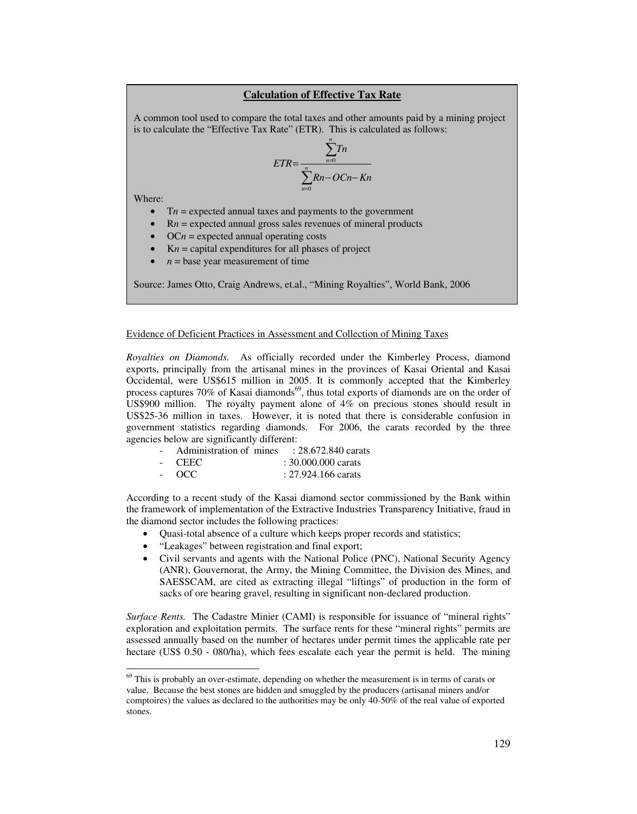## **Calculation of Effective Tax Rate**

A common tool used to compare the total taxes and other amounts paid by a mining project is to calculate the "Effective Tax Rate" (ETR). This is calculated as follows:

$$
ETR = \frac{\sum_{n=0}^{n} Tn}{\sum_{n=0}^{n} Rn - OCn - Kn}
$$

Where:

 $\ddot{\phantom{a}}$ 

- $\bullet$  T*n* = expected annual taxes and payments to the government
- $Rn$  = expected annual gross sales revenues of mineral products
- $\bullet$  OC $n$  = expected annual operating costs
- $Kn =$  capital expenditures for all phases of project
- $n =$  base year measurement of time

Source: James Otto, Craig Andrews, et.al., "Mining Royalties", World Bank, 2006

#### Evidence of Deficient Practices in Assessment and Collection of Mining Taxes

*Royalties on Diamonds.* As officially recorded under the Kimberley Process, diamond exports, principally from the artisanal mines in the provinces of Kasai Oriental and Kasai Occidental, were US\$615 million in 2005. It is commonly accepted that the Kimberley process captures 70% of Kasai diamonds<sup>69</sup>, thus total exports of diamonds are on the order of US\$900 million. The royalty payment alone of  $4\%$  on precious stones should result in US\$25-36 million in taxes. However, it is noted that there is considerable confusion in government statistics regarding diamonds. For 2006, the carats recorded by the three agencies below are significantly different:

- Administration of mines : 28.672.840 carats
- CEEC : 30.000.000 carats
- OCC : 27.924.166 carats

According to a recent study of the Kasai diamond sector commissioned by the Bank within the framework of implementation of the Extractive Industries Transparency Initiative, fraud in the diamond sector includes the following practices:

- Quasi-total absence of a culture which keeps proper records and statistics;
- "Leakages" between registration and final export;
- Civil servants and agents with the National Police (PNC), National Security Agency (ANR), Gouvernorat, the Army, the Mining Committee, the Division des Mines, and SAESSCAM, are cited as extracting illegal "liftings" of production in the form of sacks of ore bearing gravel, resulting in significant non-declared production.

*Surface Rents.* The Cadastre Minier (CAMI) is responsible for issuance of "mineral rights" exploration and exploitation permits. The surface rents for these "mineral rights" permits are assessed annually based on the number of hectares under permit times the applicable rate per hectare (US\$ 0.50 - 080/ha), which fees escalate each year the permit is held. The mining

 $69$  This is probably an over-estimate, depending on whether the measurement is in terms of carats or value. Because the best stones are hidden and smuggled by the producers (artisanal miners and/or comptoires) the values as declared to the authorities may be only 40-50% of the real value of exported stones.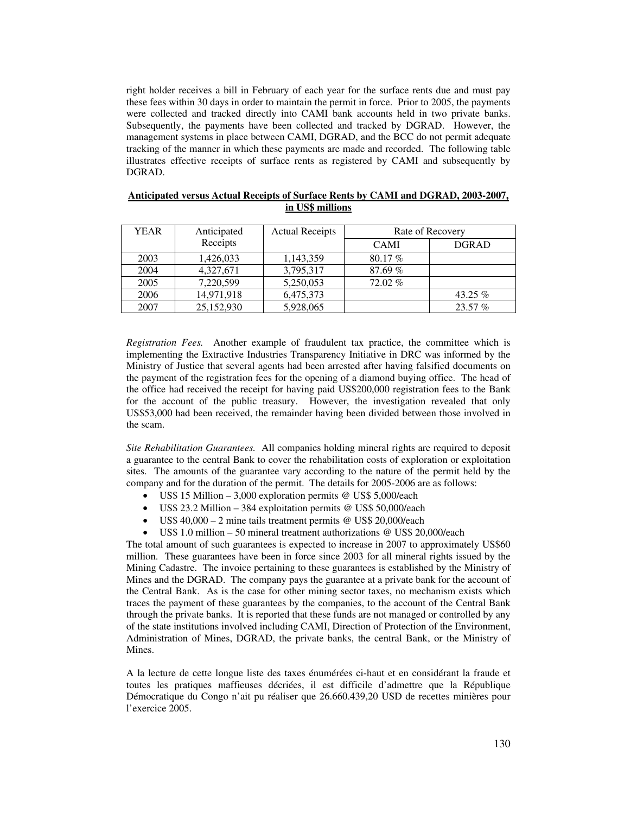right holder receives a bill in February of each year for the surface rents due and must pay these fees within 30 days in order to maintain the permit in force. Prior to 2005, the payments were collected and tracked directly into CAMI bank accounts held in two private banks. Subsequently, the payments have been collected and tracked by DGRAD. However, the management systems in place between CAMI, DGRAD, and the BCC do not permit adequate tracking of the manner in which these payments are made and recorded. The following table illustrates effective receipts of surface rents as registered by CAMI and subsequently by DGRAD.

| <b>YEAR</b> | Anticipated | <b>Actual Receipts</b> | Rate of Recovery |              |
|-------------|-------------|------------------------|------------------|--------------|
|             | Receipts    |                        | <b>CAMI</b>      | <b>DGRAD</b> |
| 2003        | 1,426,033   | 1,143,359              | 80.17 %          |              |
| 2004        | 4,327,671   | 3,795,317              | 87.69%           |              |
| 2005        | 7,220,599   | 5,250,053              | 72.02%           |              |
| 2006        | 14,971,918  | 6,475,373              |                  | 43.25 %      |
| 2007        | 25,152,930  | 5,928,065              |                  | 23.57 %      |

#### **Anticipated versus Actual Receipts of Surface Rents by CAMI and DGRAD, 2003-2007, in US\$ millions**

*Registration Fees.* Another example of fraudulent tax practice, the committee which is implementing the Extractive Industries Transparency Initiative in DRC was informed by the Ministry of Justice that several agents had been arrested after having falsified documents on the payment of the registration fees for the opening of a diamond buying office. The head of the office had received the receipt for having paid US\$200,000 registration fees to the Bank for the account of the public treasury. However, the investigation revealed that only US\$53,000 had been received, the remainder having been divided between those involved in the scam.

*Site Rehabilitation Guarantees.* All companies holding mineral rights are required to deposit a guarantee to the central Bank to cover the rehabilitation costs of exploration or exploitation sites. The amounts of the guarantee vary according to the nature of the permit held by the company and for the duration of the permit. The details for 2005-2006 are as follows:

- US\$ 15 Million 3,000 exploration permits @ US\$ 5,000/each
- US\$ 23.2 Million 384 exploitation permits @ US\$ 50,000/each
- US\$ 40,000 2 mine tails treatment permits @ US\$ 20,000/each
- US\$ 1.0 million 50 mineral treatment authorizations @ US\$ 20,000/each

The total amount of such guarantees is expected to increase in 2007 to approximately US\$60 million. These guarantees have been in force since 2003 for all mineral rights issued by the Mining Cadastre. The invoice pertaining to these guarantees is established by the Ministry of Mines and the DGRAD. The company pays the guarantee at a private bank for the account of the Central Bank. As is the case for other mining sector taxes, no mechanism exists which traces the payment of these guarantees by the companies, to the account of the Central Bank through the private banks. It is reported that these funds are not managed or controlled by any of the state institutions involved including CAMI, Direction of Protection of the Environment, Administration of Mines, DGRAD, the private banks, the central Bank, or the Ministry of Mines.

A la lecture de cette longue liste des taxes énumérées ci-haut et en considérant la fraude et toutes les pratiques maffieuses décriées, il est difficile d'admettre que la République Démocratique du Congo n'ait pu réaliser que 26.660.439,20 USD de recettes minières pour l'exercice 2005.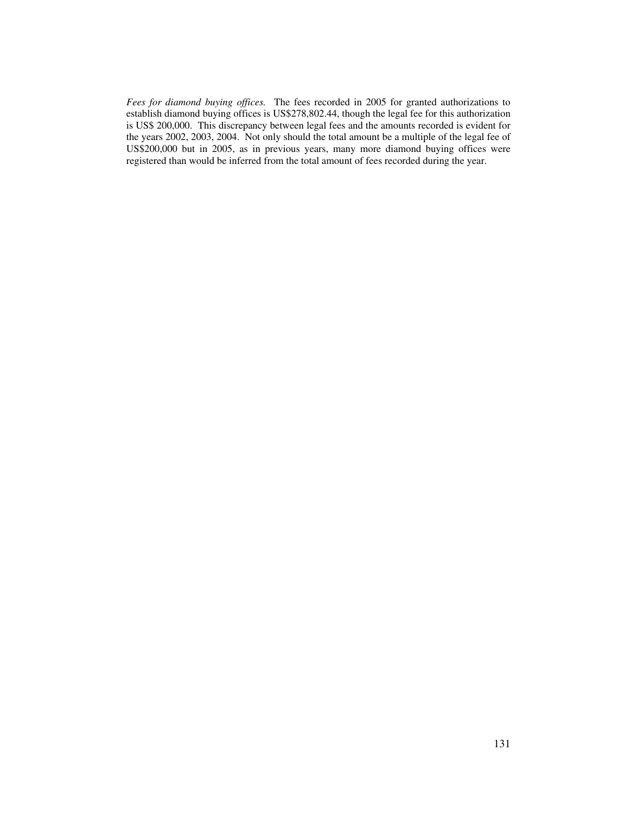*Fees for diamond buying offices.* The fees recorded in 2005 for granted authorizations to establish diamond buying offices is US\$278,802.44, though the legal fee for this authorization is US\$ 200,000. This discrepancy between legal fees and the amounts recorded is evident for the years 2002, 2003, 2004. Not only should the total amount be a multiple of the legal fee of US\$200,000 but in 2005, as in previous years, many more diamond buying offices were registered than would be inferred from the total amount of fees recorded during the year.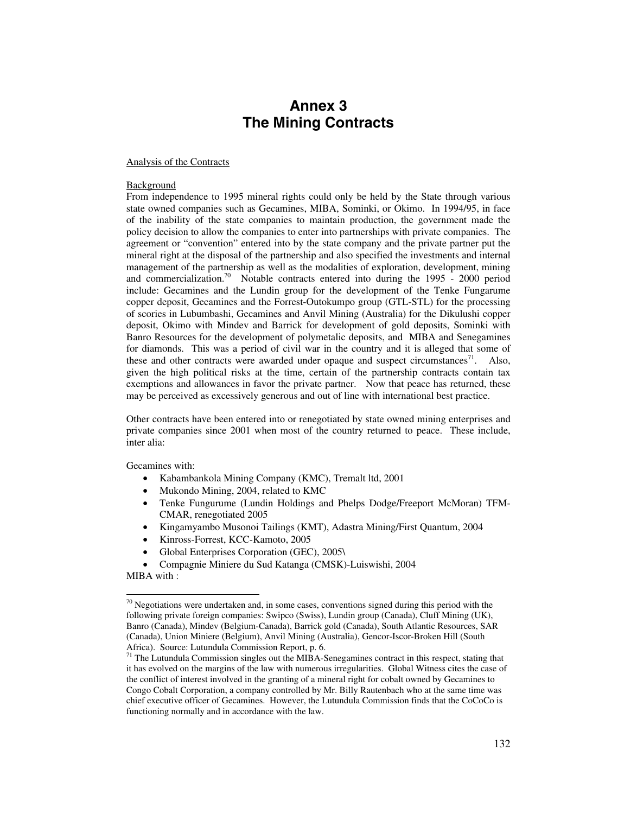# **Annex 3 The Mining Contracts**

#### Analysis of the Contracts

#### Background

From independence to 1995 mineral rights could only be held by the State through various state owned companies such as Gecamines, MIBA, Sominki, or Okimo. In 1994/95, in face of the inability of the state companies to maintain production, the government made the policy decision to allow the companies to enter into partnerships with private companies. The agreement or "convention" entered into by the state company and the private partner put the mineral right at the disposal of the partnership and also specified the investments and internal management of the partnership as well as the modalities of exploration, development, mining and commercialization.<sup>70</sup> Notable contracts entered into during the 1995 - 2000 period include: Gecamines and the Lundin group for the development of the Tenke Fungarume copper deposit, Gecamines and the Forrest-Outokumpo group (GTL-STL) for the processing of scories in Lubumbashi, Gecamines and Anvil Mining (Australia) for the Dikulushi copper deposit, Okimo with Mindev and Barrick for development of gold deposits, Sominki with Banro Resources for the development of polymetalic deposits, and MIBA and Senegamines for diamonds. This was a period of civil war in the country and it is alleged that some of these and other contracts were awarded under opaque and suspect circumstances<sup>71</sup>. Also, given the high political risks at the time, certain of the partnership contracts contain tax exemptions and allowances in favor the private partner. Now that peace has returned, these may be perceived as excessively generous and out of line with international best practice.

Other contracts have been entered into or renegotiated by state owned mining enterprises and private companies since 2001 when most of the country returned to peace. These include, inter alia:

Gecamines with:

- Kabambankola Mining Company (KMC), Tremalt ltd, 2001
- Mukondo Mining, 2004, related to KMC
- Tenke Fungurume (Lundin Holdings and Phelps Dodge/Freeport McMoran) TFM-CMAR, renegotiated 2005
- Kingamyambo Musonoi Tailings (KMT), Adastra Mining/First Quantum, 2004
- Kinross-Forrest, KCC-Kamoto, 2005
- Global Enterprises Corporation (GEC), 2005\
- Compagnie Miniere du Sud Katanga (CMSK)-Luiswishi, 2004

MIBA with :

 $\ddot{\phantom{a}}$ 

 $70$  Negotiations were undertaken and, in some cases, conventions signed during this period with the following private foreign companies: Swipco (Swiss), Lundin group (Canada), Cluff Mining (UK), Banro (Canada), Mindev (Belgium-Canada), Barrick gold (Canada), South Atlantic Resources, SAR (Canada), Union Miniere (Belgium), Anvil Mining (Australia), Gencor-Iscor-Broken Hill (South Africa). Source: Lutundula Commission Report, p. 6.

<sup>&</sup>lt;sup>71</sup> The Lutundula Commission singles out the MIBA-Senegamines contract in this respect, stating that it has evolved on the margins of the law with numerous irregularities. Global Witness cites the case of the conflict of interest involved in the granting of a mineral right for cobalt owned by Gecamines to Congo Cobalt Corporation, a company controlled by Mr. Billy Rautenbach who at the same time was chief executive officer of Gecamines. However, the Lutundula Commission finds that the CoCoCo is functioning normally and in accordance with the law.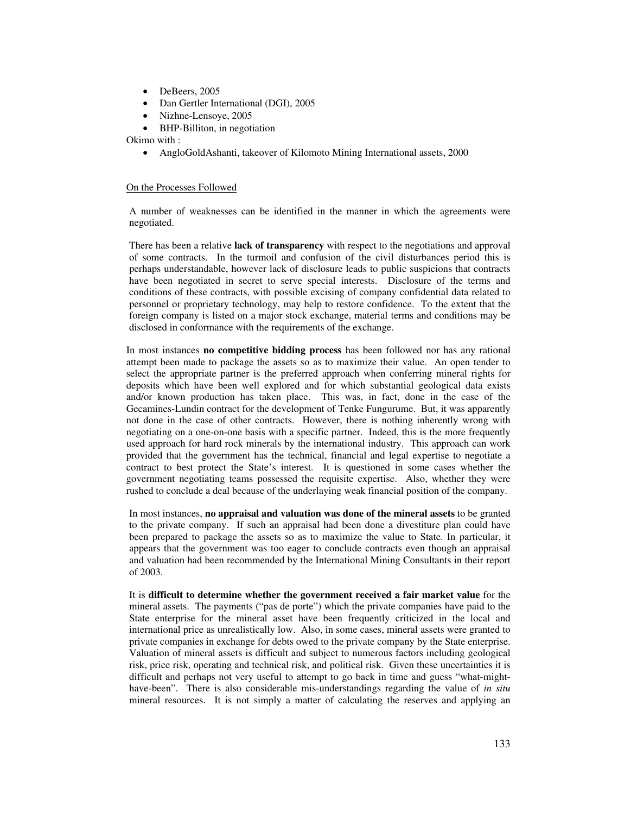- DeBeers, 2005
- Dan Gertler International (DGI), 2005
- Nizhne-Lensoye, 2005
- BHP-Billiton, in negotiation

Okimo with :

• AngloGoldAshanti, takeover of Kilomoto Mining International assets, 2000

#### On the Processes Followed

A number of weaknesses can be identified in the manner in which the agreements were negotiated.

There has been a relative **lack of transparency** with respect to the negotiations and approval of some contracts. In the turmoil and confusion of the civil disturbances period this is perhaps understandable, however lack of disclosure leads to public suspicions that contracts have been negotiated in secret to serve special interests. Disclosure of the terms and conditions of these contracts, with possible excising of company confidential data related to personnel or proprietary technology, may help to restore confidence. To the extent that the foreign company is listed on a major stock exchange, material terms and conditions may be disclosed in conformance with the requirements of the exchange.

In most instances **no competitive bidding process** has been followed nor has any rational attempt been made to package the assets so as to maximize their value. An open tender to select the appropriate partner is the preferred approach when conferring mineral rights for deposits which have been well explored and for which substantial geological data exists and/or known production has taken place. This was, in fact, done in the case of the Gecamines-Lundin contract for the development of Tenke Fungurume. But, it was apparently not done in the case of other contracts. However, there is nothing inherently wrong with negotiating on a one-on-one basis with a specific partner. Indeed, this is the more frequently used approach for hard rock minerals by the international industry. This approach can work provided that the government has the technical, financial and legal expertise to negotiate a contract to best protect the State's interest. It is questioned in some cases whether the government negotiating teams possessed the requisite expertise. Also, whether they were rushed to conclude a deal because of the underlaying weak financial position of the company.

In most instances, **no appraisal and valuation was done of the mineral assets** to be granted to the private company. If such an appraisal had been done a divestiture plan could have been prepared to package the assets so as to maximize the value to State. In particular, it appears that the government was too eager to conclude contracts even though an appraisal and valuation had been recommended by the International Mining Consultants in their report of 2003.

It is **difficult to determine whether the government received a fair market value** for the mineral assets. The payments ("pas de porte") which the private companies have paid to the State enterprise for the mineral asset have been frequently criticized in the local and international price as unrealistically low. Also, in some cases, mineral assets were granted to private companies in exchange for debts owed to the private company by the State enterprise. Valuation of mineral assets is difficult and subject to numerous factors including geological risk, price risk, operating and technical risk, and political risk. Given these uncertainties it is difficult and perhaps not very useful to attempt to go back in time and guess "what-mighthave-been". There is also considerable mis-understandings regarding the value of *in situ* mineral resources. It is not simply a matter of calculating the reserves and applying an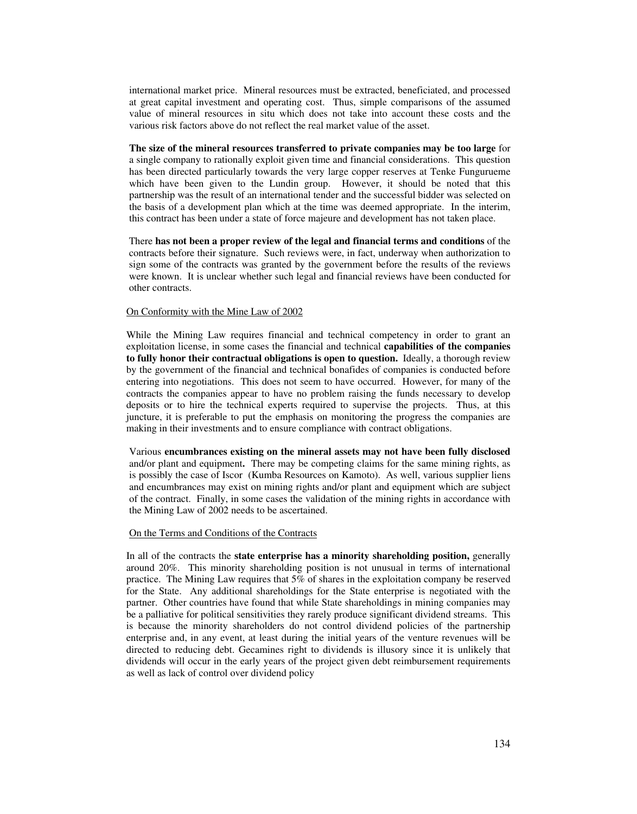international market price. Mineral resources must be extracted, beneficiated, and processed at great capital investment and operating cost. Thus, simple comparisons of the assumed value of mineral resources in situ which does not take into account these costs and the various risk factors above do not reflect the real market value of the asset.

**The size of the mineral resources transferred to private companies may be too large** for a single company to rationally exploit given time and financial considerations. This question has been directed particularly towards the very large copper reserves at Tenke Fungurueme which have been given to the Lundin group. However, it should be noted that this partnership was the result of an international tender and the successful bidder was selected on the basis of a development plan which at the time was deemed appropriate. In the interim, this contract has been under a state of force majeure and development has not taken place.

There **has not been a proper review of the legal and financial terms and conditions** of the contracts before their signature. Such reviews were, in fact, underway when authorization to sign some of the contracts was granted by the government before the results of the reviews were known. It is unclear whether such legal and financial reviews have been conducted for other contracts.

#### On Conformity with the Mine Law of 2002

While the Mining Law requires financial and technical competency in order to grant an exploitation license, in some cases the financial and technical **capabilities of the companies to fully honor their contractual obligations is open to question.** Ideally, a thorough review by the government of the financial and technical bonafides of companies is conducted before entering into negotiations. This does not seem to have occurred. However, for many of the contracts the companies appear to have no problem raising the funds necessary to develop deposits or to hire the technical experts required to supervise the projects. Thus, at this juncture, it is preferable to put the emphasis on monitoring the progress the companies are making in their investments and to ensure compliance with contract obligations.

Various **encumbrances existing on the mineral assets may not have been fully disclosed** and/or plant and equipment**.** There may be competing claims for the same mining rights, as is possibly the case of Iscor (Kumba Resources on Kamoto). As well, various supplier liens and encumbrances may exist on mining rights and/or plant and equipment which are subject of the contract. Finally, in some cases the validation of the mining rights in accordance with the Mining Law of 2002 needs to be ascertained.

#### On the Terms and Conditions of the Contracts

In all of the contracts the **state enterprise has a minority shareholding position,** generally around 20%. This minority shareholding position is not unusual in terms of international practice. The Mining Law requires that 5% of shares in the exploitation company be reserved for the State. Any additional shareholdings for the State enterprise is negotiated with the partner. Other countries have found that while State shareholdings in mining companies may be a palliative for political sensitivities they rarely produce significant dividend streams. This is because the minority shareholders do not control dividend policies of the partnership enterprise and, in any event, at least during the initial years of the venture revenues will be directed to reducing debt. Gecamines right to dividends is illusory since it is unlikely that dividends will occur in the early years of the project given debt reimbursement requirements as well as lack of control over dividend policy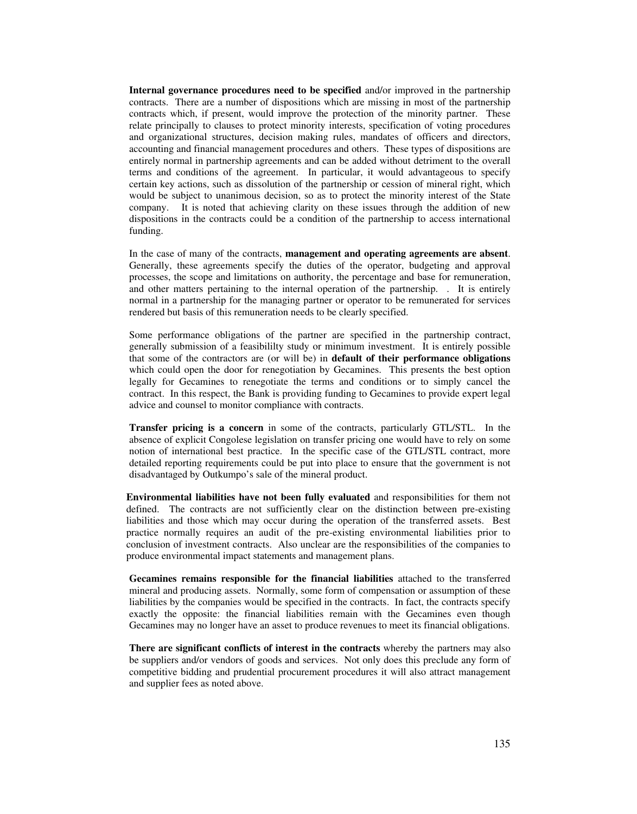**Internal governance procedures need to be specified** and/or improved in the partnership contracts. There are a number of dispositions which are missing in most of the partnership contracts which, if present, would improve the protection of the minority partner. These relate principally to clauses to protect minority interests, specification of voting procedures and organizational structures, decision making rules, mandates of officers and directors, accounting and financial management procedures and others. These types of dispositions are entirely normal in partnership agreements and can be added without detriment to the overall terms and conditions of the agreement. In particular, it would advantageous to specify certain key actions, such as dissolution of the partnership or cession of mineral right, which would be subject to unanimous decision, so as to protect the minority interest of the State company. It is noted that achieving clarity on these issues through the addition of new dispositions in the contracts could be a condition of the partnership to access international funding.

In the case of many of the contracts, **management and operating agreements are absent**. Generally, these agreements specify the duties of the operator, budgeting and approval processes, the scope and limitations on authority, the percentage and base for remuneration, and other matters pertaining to the internal operation of the partnership. . It is entirely normal in a partnership for the managing partner or operator to be remunerated for services rendered but basis of this remuneration needs to be clearly specified.

Some performance obligations of the partner are specified in the partnership contract, generally submission of a feasibililty study or minimum investment. It is entirely possible that some of the contractors are (or will be) in **default of their performance obligations**  which could open the door for renegotiation by Gecamines. This presents the best option legally for Gecamines to renegotiate the terms and conditions or to simply cancel the contract. In this respect, the Bank is providing funding to Gecamines to provide expert legal advice and counsel to monitor compliance with contracts.

**Transfer pricing is a concern** in some of the contracts, particularly GTL/STL. In the absence of explicit Congolese legislation on transfer pricing one would have to rely on some notion of international best practice. In the specific case of the GTL/STL contract, more detailed reporting requirements could be put into place to ensure that the government is not disadvantaged by Outkumpo's sale of the mineral product.

**Environmental liabilities have not been fully evaluated** and responsibilities for them not defined.The contracts are not sufficiently clear on the distinction between pre-existing liabilities and those which may occur during the operation of the transferred assets. Best practice normally requires an audit of the pre-existing environmental liabilities prior to conclusion of investment contracts. Also unclear are the responsibilities of the companies to produce environmental impact statements and management plans.

**Gecamines remains responsible for the financial liabilities** attached to the transferred mineral and producing assets. Normally, some form of compensation or assumption of these liabilities by the companies would be specified in the contracts. In fact, the contracts specify exactly the opposite: the financial liabilities remain with the Gecamines even though Gecamines may no longer have an asset to produce revenues to meet its financial obligations.

**There are significant conflicts of interest in the contracts** whereby the partners may also be suppliers and/or vendors of goods and services. Not only does this preclude any form of competitive bidding and prudential procurement procedures it will also attract management and supplier fees as noted above.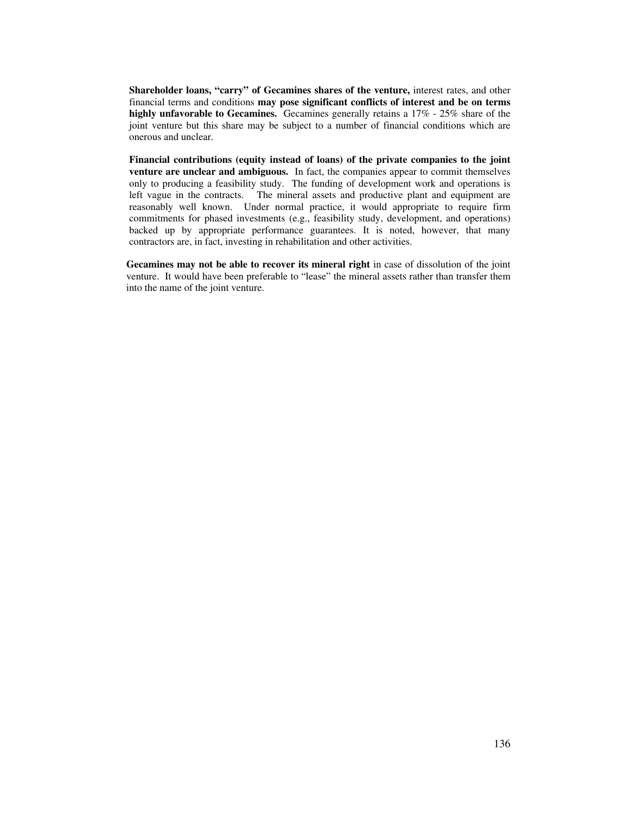**Shareholder loans, "carry" of Gecamines shares of the venture,** interest rates, and other financial terms and conditions **may pose significant conflicts of interest and be on terms highly unfavorable to Gecamines.** Gecamines generally retains a 17% - 25% share of the joint venture but this share may be subject to a number of financial conditions which are onerous and unclear.

**Financial contributions (equity instead of loans) of the private companies to the joint venture are unclear and ambiguous.** In fact, the companies appear to commit themselves only to producing a feasibility study. The funding of development work and operations is left vague in the contracts. The mineral assets and productive plant and equipment are reasonably well known. Under normal practice, it would appropriate to require firm commitments for phased investments (e.g., feasibility study, development, and operations) backed up by appropriate performance guarantees. It is noted, however, that many contractors are, in fact, investing in rehabilitation and other activities.

**Gecamines may not be able to recover its mineral right** in case of dissolution of the joint venture. It would have been preferable to "lease" the mineral assets rather than transfer them into the name of the joint venture.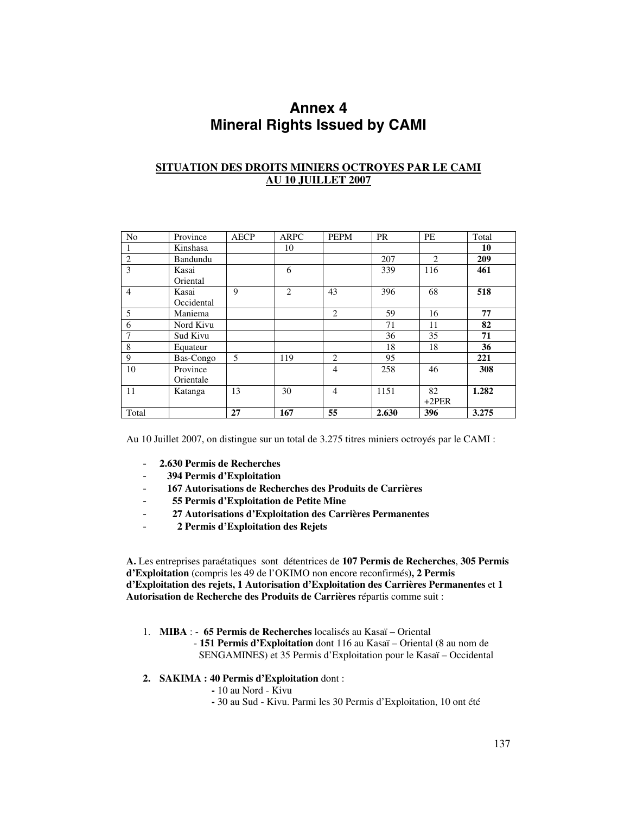# **Annex 4 Mineral Rights Issued by CAMI**

# **SITUATION DES DROITS MINIERS OCTROYES PAR LE CAMI AU 10 JUILLET 2007**

| N <sub>o</sub> | Province   | <b>AECP</b> | <b>ARPC</b>    | <b>PEPM</b>    | <b>PR</b> | PE      | Total |
|----------------|------------|-------------|----------------|----------------|-----------|---------|-------|
|                | Kinshasa   |             | 10             |                |           |         | 10    |
| $\overline{2}$ | Bandundu   |             |                |                | 207       | 2       | 209   |
| 3              | Kasai      |             | 6              |                | 339       | 116     | 461   |
|                | Oriental   |             |                |                |           |         |       |
| 4              | Kasai      | 9           | $\overline{2}$ | 43             | 396       | 68      | 518   |
|                | Occidental |             |                |                |           |         |       |
| 5              | Maniema    |             |                | 2              | 59        | 16      | 77    |
| 6              | Nord Kivu  |             |                |                | 71        | 11      | 82    |
| 7              | Sud Kivu   |             |                |                | 36        | 35      | 71    |
| 8              | Equateur   |             |                |                | 18        | 18      | 36    |
| 9              | Bas-Congo  | 5           | 119            | 2              | 95        |         | 221   |
| 10             | Province   |             |                | $\overline{4}$ | 258       | 46      | 308   |
|                | Orientale  |             |                |                |           |         |       |
| 11             | Katanga    | 13          | 30             | $\overline{4}$ | 1151      | 82      | 1.282 |
|                |            |             |                |                |           | $+2PER$ |       |
| Total          |            | 27          | 167            | 55             | 2.630     | 396     | 3.275 |

Au 10 Juillet 2007, on distingue sur un total de 3.275 titres miniers octroyés par le CAMI :

- **2.630 Permis de Recherches**
- - **394 Permis d'Exploitation**
- - **167 Autorisations de Recherches des Produits de Carrières**
- - **55 Permis d'Exploitation de Petite Mine**
- - **27 Autorisations d'Exploitation des Carrières Permanentes** 
	- - **2 Permis d'Exploitation des Rejets**

**A.** Les entreprises paraétatiques sont détentrices de **107 Permis de Recherches**, **305 Permis d'Exploitation** (compris les 49 de l'OKIMO non encore reconfirmés**), 2 Permis d'Exploitation des rejets, 1 Autorisation d'Exploitation des Carrières Permanentes** et **1 Autorisation de Recherche des Produits de Carrières** répartis comme suit :

- 1. **MIBA** : **65 Permis de Recherches** localisés au Kasaï Oriental
	- **151 Permis d'Exploitation** dont 116 au Kasaï Oriental (8 au nom de SENGAMINES) et 35 Permis d'Exploitation pour le Kasaï – Occidental
- **2. SAKIMA : 40 Permis d'Exploitation** dont :
	- 10 au Nord Kivu
	- 30 au Sud Kivu. Parmi les 30 Permis d'Exploitation, 10 ont été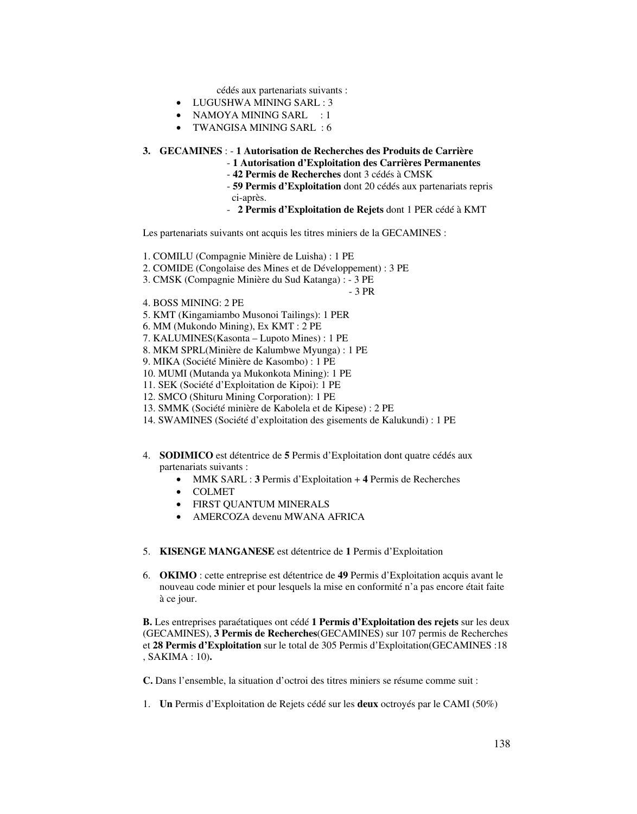cédés aux partenariats suivants :

- LUGUSHWA MINING SARL : 3
- NAMOYA MINING SARL : 1
- TWANGISA MINING SARL : 6

# **3. GECAMINES** : - **1 Autorisation de Recherches des Produits de Carrière**

- **1 Autorisation d'Exploitation des Carrières Permanentes**
- **42 Permis de Recherches** dont 3 cédés à CMSK
- **59 Permis d'Exploitation** dont 20 cédés aux partenariats repris ci-après.
- **2 Permis d'Exploitation de Rejets** dont 1 PER cédé à KMT

Les partenariats suivants ont acquis les titres miniers de la GECAMINES :

- 1. COMILU (Compagnie Minière de Luisha) : 1 PE
- 2. COMIDE (Congolaise des Mines et de Développement) : 3 PE
- 3. CMSK (Compagnie Minière du Sud Katanga) : 3 PE

- 3 PR

- 4. BOSS MINING: 2 PE
- 5. KMT (Kingamiambo Musonoi Tailings): 1 PER
- 6. MM (Mukondo Mining), Ex KMT : 2 PE
- 7. KALUMINES(Kasonta Lupoto Mines) : 1 PE
- 8. MKM SPRL(Minière de Kalumbwe Myunga) : 1 PE
- 9. MIKA (Société Minière de Kasombo) : 1 PE
- 10. MUMI (Mutanda ya Mukonkota Mining): 1 PE
- 11. SEK (Société d'Exploitation de Kipoi): 1 PE
- 12. SMCO (Shituru Mining Corporation): 1 PE
- 13. SMMK (Société minière de Kabolela et de Kipese) : 2 PE
- 14. SWAMINES (Société d'exploitation des gisements de Kalukundi) : 1 PE
- 4. **SODIMICO** est détentrice de **5** Permis d'Exploitation dont quatre cédés aux partenariats suivants :
	- MMK SARL : **3** Permis d'Exploitation + **4** Permis de Recherches
	- COLMET
	- FIRST QUANTUM MINERALS
	- AMERCOZA devenu MWANA AFRICA
- 5. **KISENGE MANGANESE** est détentrice de **1** Permis d'Exploitation
- 6. **OKIMO** : cette entreprise est détentrice de **49** Permis d'Exploitation acquis avant le nouveau code minier et pour lesquels la mise en conformité n'a pas encore était faite à ce jour.

**B.** Les entreprises paraétatiques ont cédé **1 Permis d'Exploitation des rejets** sur les deux (GECAMINES), **3 Permis de Recherches**(GECAMINES) sur 107 permis de Recherches et **28 Permis d'Exploitation** sur le total de 305 Permis d'Exploitation(GECAMINES :18 , SAKIMA : 10)**.** 

**C.** Dans l'ensemble, la situation d'octroi des titres miniers se résume comme suit :

1. **Un** Permis d'Exploitation de Rejets cédé sur les **deux** octroyés par le CAMI (50%)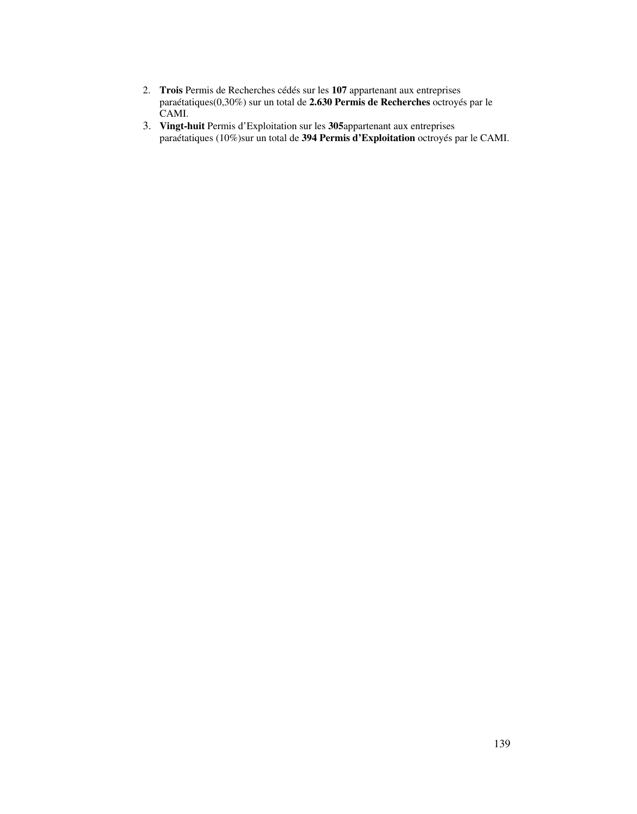- 2. **Trois** Permis de Recherches cédés sur les **107** appartenant aux entreprises paraétatiques(0,30%) sur un total de **2.630 Permis de Recherches** octroyés par le CAMI.
- 3. **Vingt-huit** Permis d'Exploitation sur les **305**appartenant aux entreprises paraétatiques (10%)sur un total de **394 Permis d'Exploitation** octroyés par le CAMI.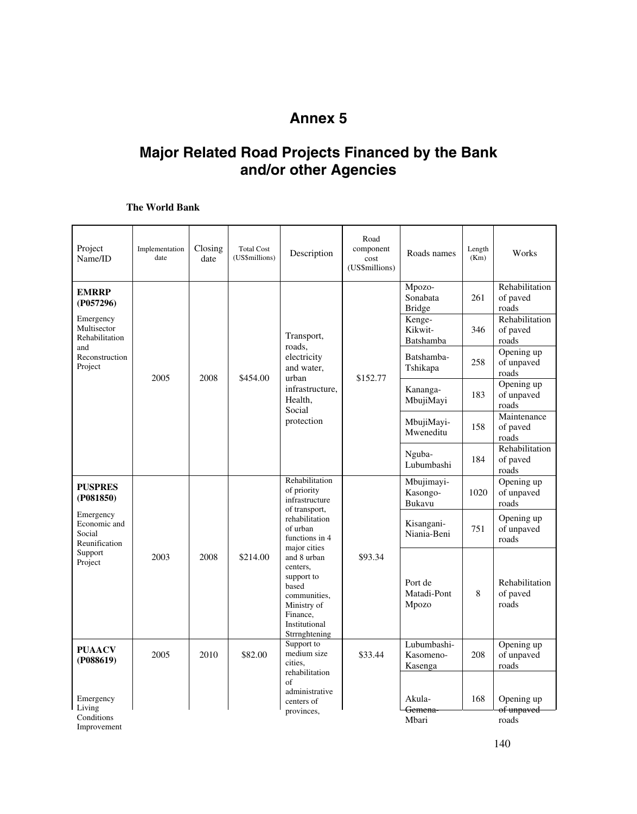# **Annex 5**

# **Major Related Road Projects Financed by the Bank and/or other Agencies**

# **The World Bank**

| Project<br>Name/ID                                   | Implementation<br>date | Closing<br>date | <b>Total Cost</b><br>(US\$millions) | Description                                                                                                                 | Road<br>component<br>cost<br>(US\$millions) | Roads names                             | Length<br>(Km) | Works                               |  |  |                      |     |                                     |
|------------------------------------------------------|------------------------|-----------------|-------------------------------------|-----------------------------------------------------------------------------------------------------------------------------|---------------------------------------------|-----------------------------------------|----------------|-------------------------------------|--|--|----------------------|-----|-------------------------------------|
| <b>EMRRP</b><br>(P057296)                            |                        |                 |                                     |                                                                                                                             |                                             | Mpozo-<br>Sonabata<br>Bridge            | 261            | Rehabilitation<br>of paved<br>roads |  |  |                      |     |                                     |
| Emergency<br>Multisector<br>Rehabilitation<br>and    |                        |                 |                                     | Transport,                                                                                                                  |                                             | Kenge-<br>Kikwit-<br>Batshamba          | 346            | Rehabilitation<br>of paved<br>roads |  |  |                      |     |                                     |
| Reconstruction<br>Project                            | 2005                   | 2008            | \$454.00                            | roads,<br>electricity<br>and water,<br>urban                                                                                | \$152.77                                    | Batshamba-<br>Tshikapa                  | 258            | Opening up<br>of unpaved<br>roads   |  |  |                      |     |                                     |
|                                                      |                        |                 |                                     | infrastructure.<br>Health,<br>Social                                                                                        |                                             | Kananga-<br>MbujiMayi                   | 183            | Opening up<br>of unpaved<br>roads   |  |  |                      |     |                                     |
|                                                      |                        |                 |                                     | protection                                                                                                                  |                                             | MbujiMayi-<br>Mweneditu                 | 158            | Maintenance<br>of paved<br>roads    |  |  |                      |     |                                     |
|                                                      |                        |                 |                                     |                                                                                                                             |                                             |                                         |                |                                     |  |  | Nguba-<br>Lubumbashi | 184 | Rehabilitation<br>of paved<br>roads |
| <b>PUSPRES</b><br>(P081850)                          |                        |                 |                                     | Rehabilitation<br>of priority<br>infrastructure<br>of transport,                                                            |                                             | Mbujimayi-<br>Kasongo-<br><b>Bukavu</b> | 1020           | Opening up<br>of unpaved<br>roads   |  |  |                      |     |                                     |
| Emergency<br>Economic and<br>Social<br>Reunification |                        |                 |                                     | rehabilitation<br>of urban<br>functions in 4<br>major cities                                                                |                                             | Kisangani-<br>Niania-Beni               | 751            | Opening up<br>of unpaved<br>roads   |  |  |                      |     |                                     |
| Support<br>Project                                   | 2003                   | 2008            | \$214.00                            | and 8 urban<br>centers.<br>support to<br>based<br>communities,<br>Ministry of<br>Finance,<br>Institutional<br>Strrnghtening | \$93.34                                     | Port de<br>Matadi-Pont<br>Mpozo         | 8              | Rehabilitation<br>of paved<br>roads |  |  |                      |     |                                     |
| <b>PUAACV</b><br>(P088619)                           | 2005                   | 2010            | \$82.00                             | Support to<br>medium size<br>cities.                                                                                        | \$33.44                                     | Lubumbashi-<br>Kasomeno-<br>Kasenga     | 208            | Opening up<br>of unpaved<br>roads   |  |  |                      |     |                                     |
| Emergency<br>Living                                  |                        |                 |                                     | rehabilitation<br>of<br>administrative<br>centers of<br>provinces,                                                          |                                             | Akula-<br><del>Gemena-</del>            | 168            | Opening up<br>of unpaved            |  |  |                      |     |                                     |
| Conditions                                           |                        |                 |                                     |                                                                                                                             |                                             | Mbari                                   |                | roads                               |  |  |                      |     |                                     |

Improvement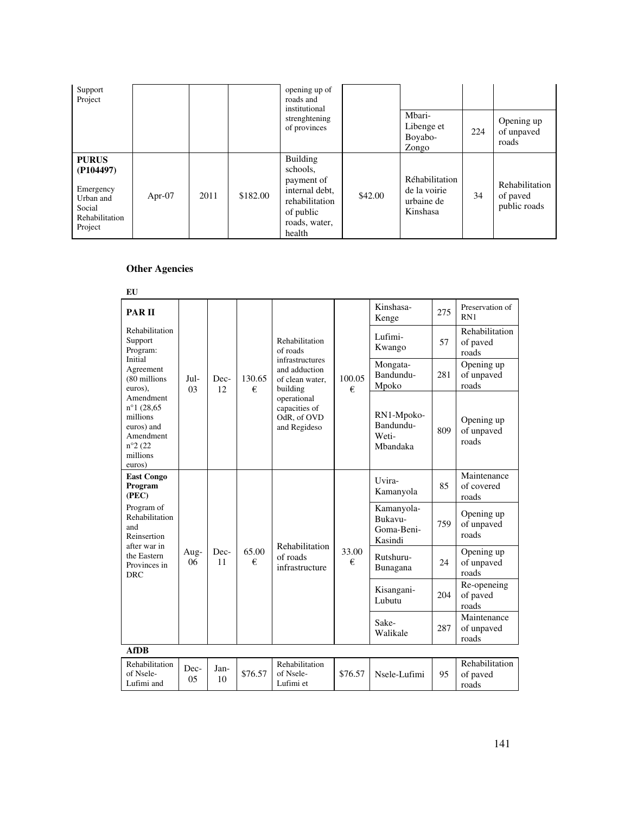| Support<br>Project                                                                         |           |      |          | opening up of<br>roads and<br>institutional                                                                           |         |                                                          |     |                                            |
|--------------------------------------------------------------------------------------------|-----------|------|----------|-----------------------------------------------------------------------------------------------------------------------|---------|----------------------------------------------------------|-----|--------------------------------------------|
|                                                                                            |           |      |          | strenghtening<br>of provinces                                                                                         |         | Mbari-<br>Libenge et<br>Boyabo-<br>Zongo                 | 224 | Opening up<br>of unpaved<br>roads          |
| <b>PURUS</b><br>(P104497)<br>Emergency<br>Urban and<br>Social<br>Rehabilitation<br>Project | Apr- $07$ | 2011 | \$182.00 | <b>Building</b><br>schools.<br>payment of<br>internal debt,<br>rehabilitation<br>of public<br>roads, water,<br>health | \$42.00 | Réhabilitation<br>de la voirie<br>urbaine de<br>Kinshasa | 34  | Rehabilitation<br>of paved<br>public roads |

## **Other Agencies**

| EU                                                                                                                            |                                   |            |                |                                                                                                                                                              |                                                |                                              |                                   |                                     |
|-------------------------------------------------------------------------------------------------------------------------------|-----------------------------------|------------|----------------|--------------------------------------------------------------------------------------------------------------------------------------------------------------|------------------------------------------------|----------------------------------------------|-----------------------------------|-------------------------------------|
| <b>PARII</b>                                                                                                                  |                                   |            |                |                                                                                                                                                              |                                                | Kinshasa-<br>Kenge                           | 275                               | Preservation of<br>RN1              |
| Rehabilitation<br>Support<br>Program:                                                                                         | Initial<br>Jul-<br>0 <sup>3</sup> | Dec-<br>12 | 130.65<br>€    | Rehabilitation<br>of roads<br>infrastructures<br>and adduction<br>of clean water,<br>building<br>operational<br>capacities of<br>OdR, of OVD<br>and Regideso | 100.05<br>€                                    | Lufimi-<br>Kwango                            | 57                                | Rehabilitation<br>of paved<br>roads |
| Agreement<br>(80 millions<br>euros).                                                                                          |                                   |            |                |                                                                                                                                                              |                                                | Mongata-<br>Bandundu-<br>Mpoko               | 281                               | Opening up<br>of unpaved<br>roads   |
| Amendment<br>$n^{\circ}1(28,65)$<br>millions<br>euros) and<br>Amendment<br>$n^{\circ}2(22)$<br>millions<br>euros)             |                                   |            |                |                                                                                                                                                              |                                                | RN1-Mpoko-<br>Bandundu-<br>Weti-<br>Mbandaka | 809                               | Opening up<br>of unpaved<br>roads   |
| <b>East Congo</b><br>Program<br>(PEC)                                                                                         |                                   |            |                |                                                                                                                                                              |                                                | Uvira-<br>Kamanyola                          | 85                                | Maintenance<br>of covered<br>roads  |
| Program of<br>Rehabilitation<br>and<br>Reinsertion<br>after war in<br>Aug-<br>the Eastern<br>06<br>Provinces in<br><b>DRC</b> |                                   |            | Rehabilitation |                                                                                                                                                              | Kamanyola-<br>Bukavu-<br>Goma-Beni-<br>Kasindi | 759                                          | Opening up<br>of unpaved<br>roads |                                     |
|                                                                                                                               |                                   | Dec-<br>11 | 65.00<br>€     | of roads<br>infrastructure                                                                                                                                   | 33.00<br>€                                     | Rutshuru-<br>Bunagana                        | 24                                | Opening up<br>of unpaved<br>roads   |
|                                                                                                                               |                                   |            |                |                                                                                                                                                              |                                                | Kisangani-<br>Lubutu                         | 204                               | Re-openeing<br>of paved<br>roads    |
|                                                                                                                               |                                   |            |                |                                                                                                                                                              |                                                | Sake-<br>Walikale                            | 287                               | Maintenance<br>of unpaved<br>roads  |
| <b>AfDB</b>                                                                                                                   |                                   |            |                |                                                                                                                                                              |                                                |                                              |                                   |                                     |
| Rehabilitation<br>of Nsele-<br>Lufimi and                                                                                     | Dec-<br>0 <sub>5</sub>            | Jan-<br>10 | \$76.57        | Rehabilitation<br>of Nsele-<br>Lufimi et                                                                                                                     | \$76.57                                        | Nsele-Lufimi                                 | 95                                | Rehabilitation<br>of paved<br>roads |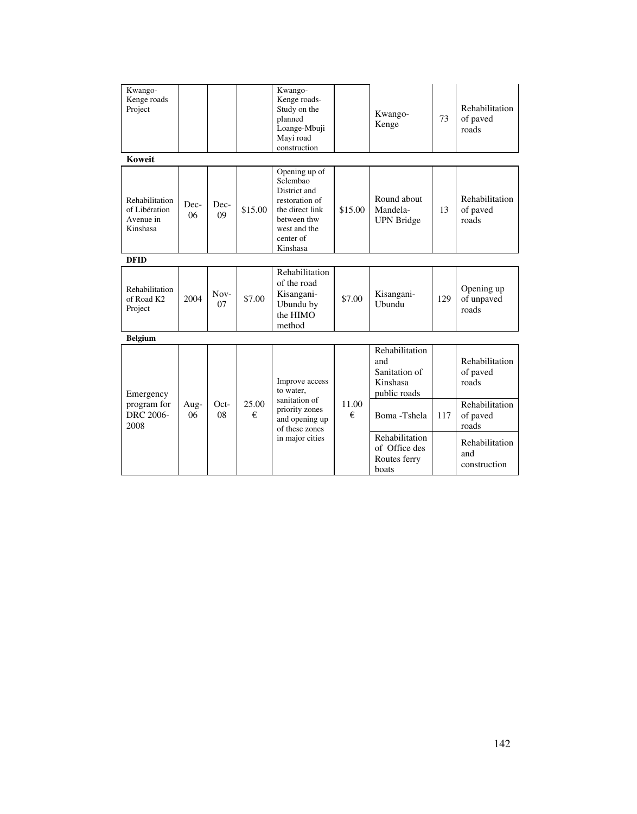| Kwango-<br>Kenge roads<br>Project                        |            |                 |            | Kwango-<br>Kenge roads-<br>Study on the<br>planned<br>Loange-Mbuji<br>Mayi road<br>construction                                        |            | Kwango-<br>Kenge                                                   | 73  | Rehabilitation<br>of paved<br>roads   |
|----------------------------------------------------------|------------|-----------------|------------|----------------------------------------------------------------------------------------------------------------------------------------|------------|--------------------------------------------------------------------|-----|---------------------------------------|
| <b>Koweit</b>                                            |            |                 |            |                                                                                                                                        |            |                                                                    |     |                                       |
| Rehabilitation<br>of Libération<br>Avenue in<br>Kinshasa | Dec-<br>06 | Dec-<br>09      | \$15.00    | Opening up of<br>Selembao<br>District and<br>restoration of<br>the direct link<br>between thw<br>west and the<br>center of<br>Kinshasa | \$15.00    | Round about<br>Mandela-<br><b>UPN</b> Bridge                       | 13  | Rehabilitation<br>of paved<br>roads   |
| <b>DFID</b>                                              |            |                 |            |                                                                                                                                        |            |                                                                    |     |                                       |
| Rehabilitation<br>of Road K2<br>Project                  | 2004       | $\,$ Nov-<br>07 | \$7.00     | Rehabilitation<br>of the road<br>Kisangani-<br>Ubundu by<br>the HIMO<br>method                                                         | \$7.00     | Kisangani-<br>Ubundu                                               | 129 | Opening up<br>of unpaved<br>roads     |
| <b>Belgium</b>                                           |            |                 |            |                                                                                                                                        |            |                                                                    |     |                                       |
| Emergency                                                |            |                 |            | Improve access<br>to water.                                                                                                            |            | Rehabilitation<br>and<br>Sanitation of<br>Kinshasa<br>public roads |     | Rehabilitation<br>of paved<br>roads   |
| program for<br><b>DRC 2006-</b><br>2008                  | Aug-<br>06 | Oct-<br>08      | 25.00<br>€ | sanitation of<br>priority zones<br>and opening up<br>of these zones<br>in major cities                                                 | 11.00<br>€ | Boma-Tshela                                                        | 117 | Rehabilitation<br>of paved<br>roads   |
|                                                          |            |                 |            |                                                                                                                                        |            | Rehabilitation<br>of Office des<br>Routes ferry<br>boats           |     | Rehabilitation<br>and<br>construction |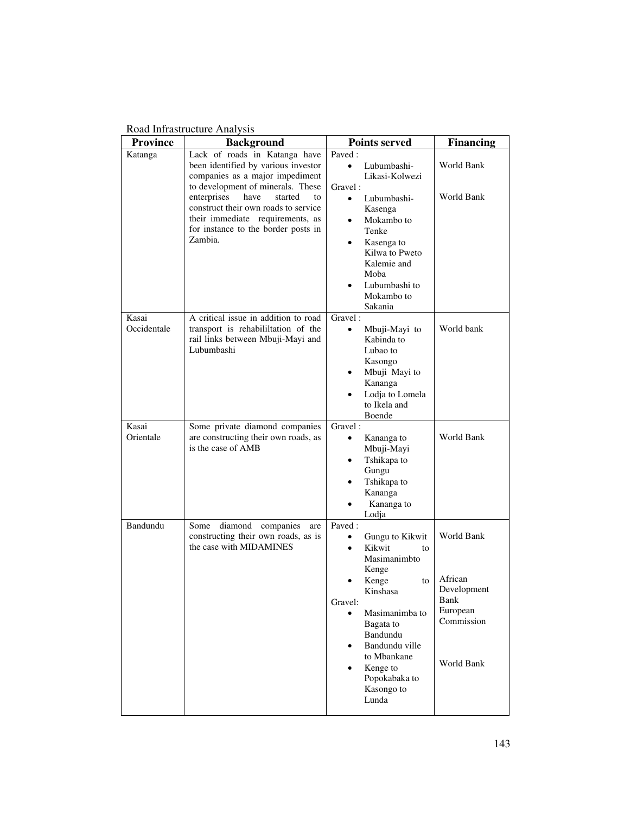## Road Infrastructure Analysis

| <b>Province</b>      | <b>Background</b>                                                                                                                                                  | <b>Points served</b>                                                                                                                                                                                                                                                                                                   | <b>Financing</b>                                                                     |
|----------------------|--------------------------------------------------------------------------------------------------------------------------------------------------------------------|------------------------------------------------------------------------------------------------------------------------------------------------------------------------------------------------------------------------------------------------------------------------------------------------------------------------|--------------------------------------------------------------------------------------|
| Katanga              | Lack of roads in Katanga have<br>been identified by various investor<br>companies as a major impediment<br>to development of minerals. These                       | Paved:<br>Lubumbashi-<br>$\bullet$<br>Likasi-Kolwezi<br>Gravel:                                                                                                                                                                                                                                                        | World Bank                                                                           |
|                      | enterprises<br>have<br>started<br>to<br>construct their own roads to service<br>their immediate requirements, as<br>for instance to the border posts in<br>Zambia. | $\bullet$<br>Lubumbashi-<br>Kasenga<br>Mokambo to<br>$\bullet$<br>Tenke<br>Kasenga to<br>$\bullet$<br>Kilwa to Pweto<br>Kalemie and<br>Moba<br>Lubumbashi to<br>$\bullet$<br>Mokambo to<br>Sakania                                                                                                                     | World Bank                                                                           |
| Kasai<br>Occidentale | A critical issue in addition to road<br>transport is rehabililitation of the<br>rail links between Mbuji-Mayi and<br>Lubumbashi                                    | Gravel:<br>Mbuji-Mayi to<br>$\bullet$<br>Kabinda to<br>Lubao to<br>Kasongo<br>Mbuji Mayi to<br>Kananga<br>Lodja to Lomela<br>to Ikela and<br>Boende                                                                                                                                                                    | World bank                                                                           |
| Kasai<br>Orientale   | Some private diamond companies<br>are constructing their own roads, as<br>is the case of AMB                                                                       | Gravel:<br>Kananga to<br>$\bullet$<br>Mbuji-Mayi<br>Tshikapa to<br>٠<br>Gungu<br>Tshikapa to<br>$\bullet$<br>Kananga<br>Kananga to<br>Lodja                                                                                                                                                                            | World Bank                                                                           |
| Bandundu             | diamond<br>companies<br>Some<br>are<br>constructing their own roads, as is<br>the case with MIDAMINES                                                              | Paved:<br>Gungu to Kikwit<br>$\bullet$<br>Kikwit<br>$\bullet$<br>to<br>Masimanimbto<br>Kenge<br>Kenge<br>$\bullet$<br>to<br>Kinshasa<br>Gravel:<br>Masimanimba to<br>$\bullet$<br>Bagata to<br>Bandundu<br>Bandundu ville<br>$\bullet$<br>to Mbankane<br>Kenge to<br>$\bullet$<br>Popokabaka to<br>Kasongo to<br>Lunda | World Bank<br>African<br>Development<br>Bank<br>European<br>Commission<br>World Bank |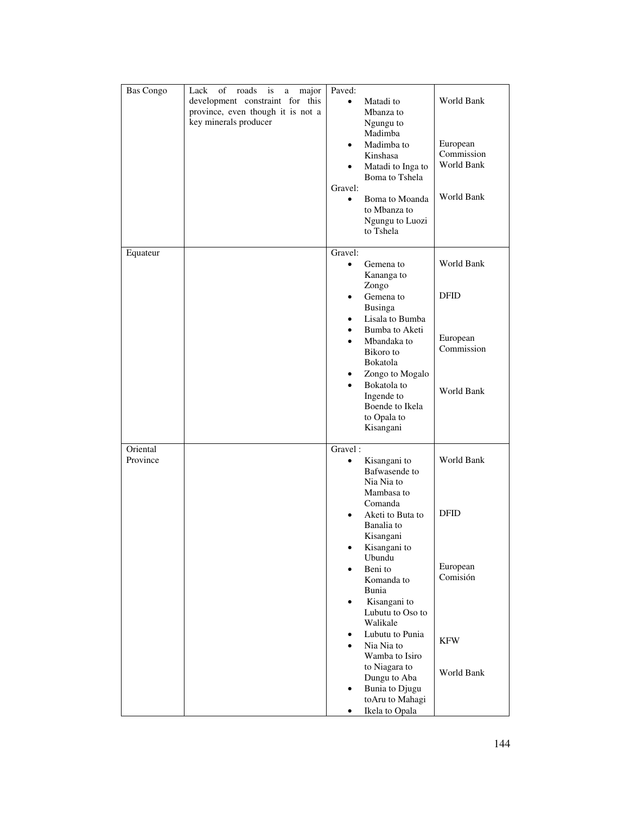| <b>Bas Congo</b>     | of<br>Lack<br>roads<br>is<br>major<br>a<br>development constraint for this<br>province, even though it is not a<br>key minerals producer | Paved:<br>$\bullet$<br>$\bullet$<br>Gravel:<br>$\bullet$ | Matadi to<br>Mbanza to<br>Ngungu to<br>Madimba<br>Madimba to<br>Kinshasa<br>Matadi to Inga to<br>Boma to Tshela<br>Boma to Moanda<br>to Mbanza to<br>Ngungu to Luozi<br>to Tshela                                                                                                                                                                                                 | World Bank<br>European<br>Commission<br>World Bank<br>World Bank              |
|----------------------|------------------------------------------------------------------------------------------------------------------------------------------|----------------------------------------------------------|-----------------------------------------------------------------------------------------------------------------------------------------------------------------------------------------------------------------------------------------------------------------------------------------------------------------------------------------------------------------------------------|-------------------------------------------------------------------------------|
| Equateur             |                                                                                                                                          | Gravel:<br>$\bullet$<br>$\bullet$<br>$\bullet$           | Gemena to<br>Kananga to<br>Zongo<br>Gemena to<br><b>Businga</b><br>Lisala to Bumba<br>Bumba to Aketi<br>Mbandaka to<br>Bikoro to<br>Bokatola<br>Zongo to Mogalo<br>Bokatola to<br>Ingende to<br>Boende to Ikela<br>to Opala to<br>Kisangani                                                                                                                                       | World Bank<br><b>DFID</b><br>European<br>Commission<br>World Bank             |
| Oriental<br>Province |                                                                                                                                          | Gravel:<br>$\bullet$<br>$\bullet$<br>$\bullet$<br>٠      | Kisangani to<br>Bafwasende to<br>Nia Nia to<br>Mambasa to<br>Comanda<br>Aketi to Buta to<br>Banalia to<br>Kisangani<br>Kisangani to<br>Ubundu<br>Beni to<br>Komanda to<br>Bunia<br>Kisangani to<br>Lubutu to Oso to<br>Walikale<br>Lubutu to Punia<br>Nia Nia to<br>Wamba to Isiro<br>to Niagara to<br>Dungu to Aba<br><b>Bunia</b> to Djugu<br>toAru to Mahagi<br>Ikela to Opala | World Bank<br><b>DFID</b><br>European<br>Comisión<br><b>KFW</b><br>World Bank |